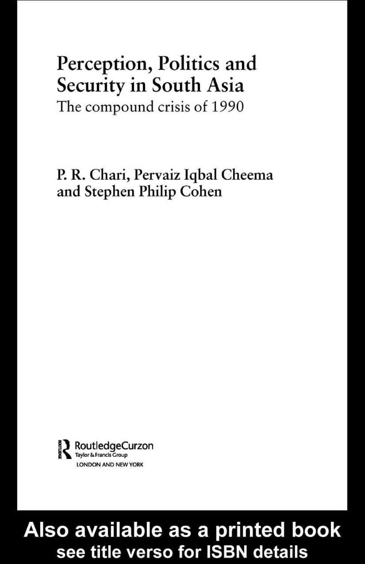# Perception, Politics and **Security in South Asia** The compound crisis of 1990

P. R. Chari, Pervaiz Iqbal Cheema and Stephen Philip Cohen



# Also available as a printed book see title verso for ISBN details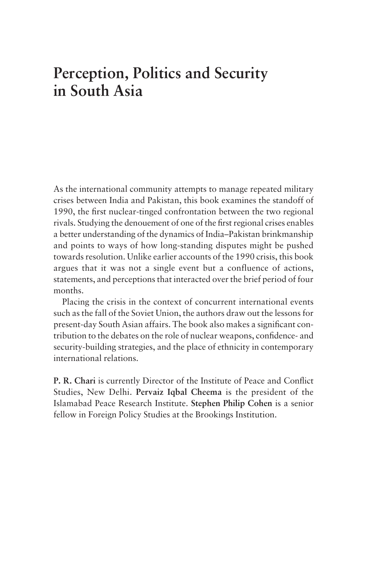# **Perception, Politics and Security in South Asia**

As the international community attempts to manage repeated military crises between India and Pakistan, this book examines the standoff of 1990, the first nuclear-tinged confrontation between the two regional rivals. Studying the denouement of one of the first regional crises enables a better understanding of the dynamics of India–Pakistan brinkmanship and points to ways of how long-standing disputes might be pushed towards resolution. Unlike earlier accounts of the 1990 crisis, this book argues that it was not a single event but a confluence of actions, statements, and perceptions that interacted over the brief period of four months.

Placing the crisis in the context of concurrent international events such as the fall of the Soviet Union, the authors draw out the lessons for present-day South Asian affairs. The book also makes a significant contribution to the debates on the role of nuclear weapons, confidence- and security-building strategies, and the place of ethnicity in contemporary international relations.

**P. R. Chari** is currently Director of the Institute of Peace and Conflict Studies, New Delhi. **Pervaiz Iqbal Cheema** is the president of the Islamabad Peace Research Institute. **Stephen Philip Cohen** is a senior fellow in Foreign Policy Studies at the Brookings Institution.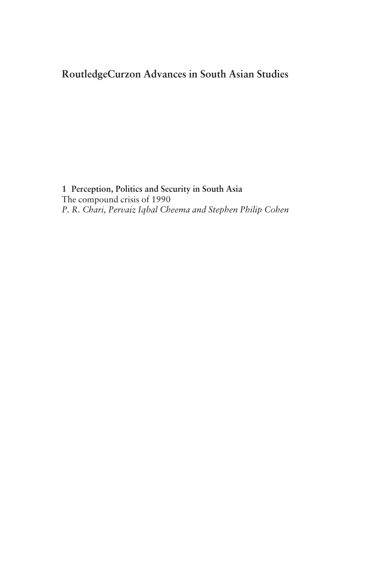# **RoutledgeCurzon Advances in South Asian Studies**

**1 Perception, Politics and Security in South Asia** The compound crisis of 1990 *P. R. Chari, Pervaiz Iqbal Cheema and Stephen Philip Cohen*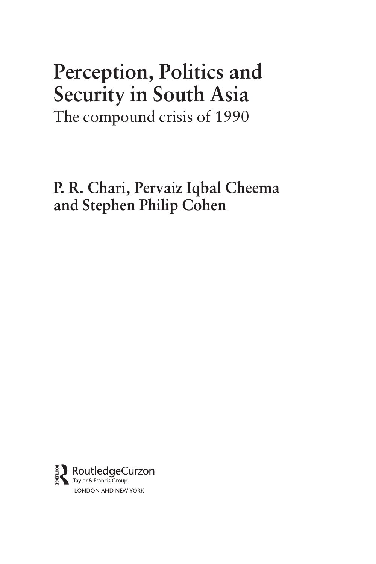# **Perception, Politics and Security in South Asia**

The compound crisis of 1990

**P. R. Chari, Pervaiz Iqbal Cheema and Stephen Philip Cohen**

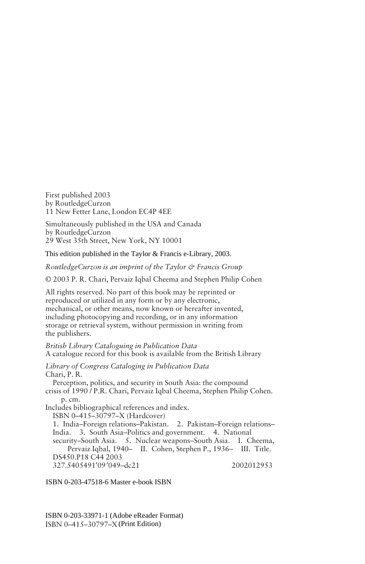First published 2003 by RoutledgeCurzon 11 New Fetter Lane, London EC4P 4EE

Simultaneously published in the USA and Canada by RoutledgeCurzon 29 West 35th Street, New York, NY 10001

This edition published in the Taylor & Francis e-Library, 2003.

*RoutledgeCurzon is an imprint of the Taylor & Francis Group*

© 2003 P. R. Chari, Pervaiz Iqbal Cheema and Stephen Philip Cohen

All rights reserved. No part of this book may be reprinted or reproduced or utilized in any form or by any electronic, mechanical, or other means, now known or hereafter invented, including photocopying and recording, or in any information storage or retrieval system, without permission in writing from the publishers.

*British Library Cataloguing in Publication Data* A catalogue record for this book is available from the British Library

*Library of Congress Cataloging in Publication Data* Chari, P. R. Perception, politics, and security in South Asia: the compound crisis of 1990 / P.R. Chari, Pervaiz Iqbal Cheema, Stephen Philip Cohen. p. cm. Includes bibliographical references and index. ISBN 0–415–30797–X (Hardcover) 1. India–Foreign relations–Pakistan. 2. Pakistan–Foreign relations– India. 3. South Asia–Politics and government. 4. National security–South Asia. 5. Nuclear weapons–South Asia. I. Cheema, Pervaiz Iqbal, 1940– II. Cohen, Stephen P., 1936– III. Title.

DS450.P18 C44 2003 327.5405491′09′049–dc21 2002012953

ISBN 0-203-47518-6 Master e-book ISBN

ISBN 0–415–30797–X (Print Edition)ISBN 0-203-33971-1 (Adobe eReader Format)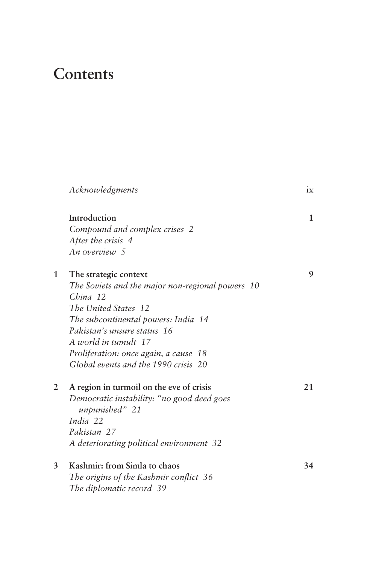# **Contents**

|                | Acknowledgments                                              | ix |
|----------------|--------------------------------------------------------------|----|
|                | Introduction                                                 | 1  |
|                | Compound and complex crises 2                                |    |
|                | After the crisis 4                                           |    |
|                | An overview 5                                                |    |
| 1              | The strategic context                                        | 9  |
|                | The Soviets and the major non-regional powers 10             |    |
|                | China 12                                                     |    |
|                | The United States 12                                         |    |
|                | The subcontinental powers: India 14                          |    |
|                | Pakistan's unsure status 16                                  |    |
|                | A world in tumult 17                                         |    |
|                | Proliferation: once again, a cause 18                        |    |
|                | Global events and the 1990 crisis 20                         |    |
| $\overline{2}$ | A region in turmoil on the eve of crisis                     | 21 |
|                | Democratic instability: "no good deed goes<br>unpunished" 21 |    |
|                | India 22                                                     |    |
|                | Pakistan 27                                                  |    |
|                | A deteriorating political environment 32                     |    |
| 3              | Kashmir: from Simla to chaos                                 | 34 |
|                | The origins of the Kashmir conflict 36                       |    |
|                | The diplomatic record 39                                     |    |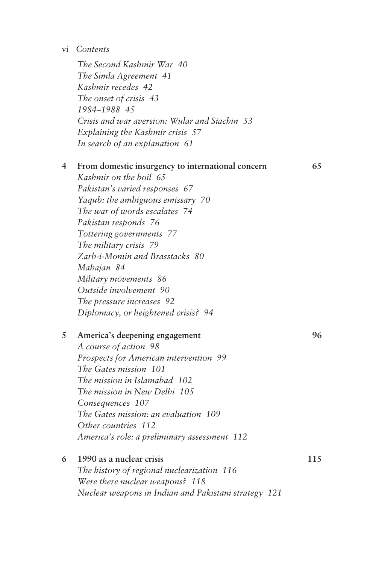vi *Contents*

*The Second Kashmir War 40 The Simla Agreement 41 Kashmir recedes 42 The onset of crisis 43 1984–1988 45 Crisis and war aversion: Wular and Siachin 53 Explaining the Kashmir crisis 57 In search of an explanation 61*

#### **4 From domestic insurgency to international concern 65**

*Kashmir on the boil 65 Pakistan's varied responses 67 Yaqub: the ambiguous emissary 70 The war of words escalates 74 Pakistan responds 76 Tottering governments 77 The military crisis 79 Zarb-i-Momin and Brasstacks 80 Mahajan 84 Military movements 86 Outside involvement 90 The pressure increases 92 Diplomacy, or heightened crisis? 94*

**5 America's deepening engagement 96**

*A course of action 98 Prospects for American intervention 99 The Gates mission 101 The mission in Islamabad 102 The mission in New Delhi 105 Consequences 107 The Gates mission: an evaluation 109 Other countries 112 America's role: a preliminary assessment 112*

| 6 1990 as a nuclear crisis                           | 115 |
|------------------------------------------------------|-----|
| The history of regional nuclearization 116           |     |
| Were there nuclear weapons? 118                      |     |
| Nuclear weapons in Indian and Pakistani strategy 121 |     |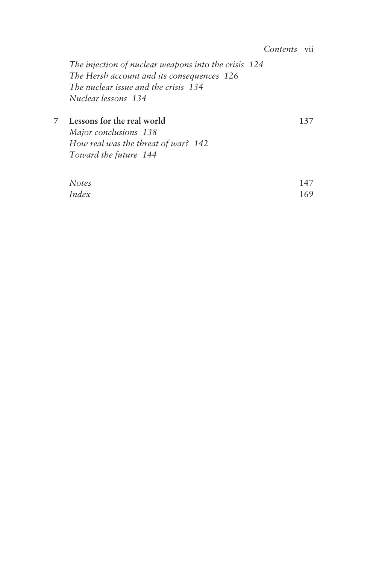|                                                                                                    | Contents | vii |
|----------------------------------------------------------------------------------------------------|----------|-----|
| The injection of nuclear weapons into the crisis 124<br>The Hersh account and its consequences 126 |          |     |
| The nuclear issue and the crisis 134                                                               |          |     |
| Nuclear lessons 134                                                                                |          |     |
| Lessons for the real world                                                                         |          | 137 |
| Major conclusions 138                                                                              |          |     |
| How real was the threat of war? 142                                                                |          |     |
| Toward the future 144                                                                              |          |     |
|                                                                                                    |          |     |
|                                                                                                    |          |     |

| <b>Notes</b> | 147 |
|--------------|-----|
| Index        | 169 |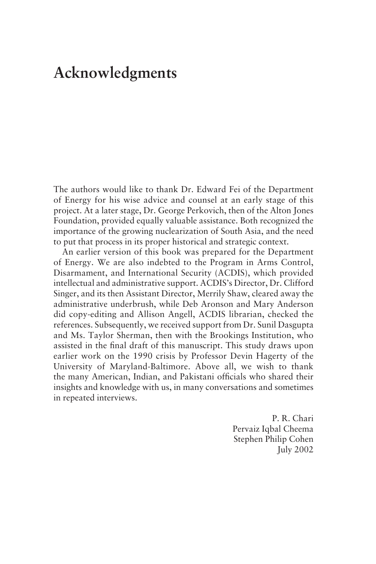# **Acknowledgments**

The authors would like to thank Dr. Edward Fei of the Department of Energy for his wise advice and counsel at an early stage of this project. At a later stage, Dr. George Perkovich, then of the Alton Jones Foundation, provided equally valuable assistance. Both recognized the importance of the growing nuclearization of South Asia, and the need to put that process in its proper historical and strategic context.

An earlier version of this book was prepared for the Department of Energy. We are also indebted to the Program in Arms Control, Disarmament, and International Security (ACDIS), which provided intellectual and administrative support. ACDIS's Director, Dr. Clifford Singer, and its then Assistant Director, Merrily Shaw, cleared away the administrative underbrush, while Deb Aronson and Mary Anderson did copy-editing and Allison Angell, ACDIS librarian, checked the references. Subsequently, we received support from Dr. Sunil Dasgupta and Ms. Taylor Sherman, then with the Brookings Institution, who assisted in the final draft of this manuscript. This study draws upon earlier work on the 1990 crisis by Professor Devin Hagerty of the University of Maryland-Baltimore. Above all, we wish to thank the many American, Indian, and Pakistani officials who shared their insights and knowledge with us, in many conversations and sometimes in repeated interviews.

> P. R. Chari Pervaiz Iqbal Cheema Stephen Philip Cohen July 2002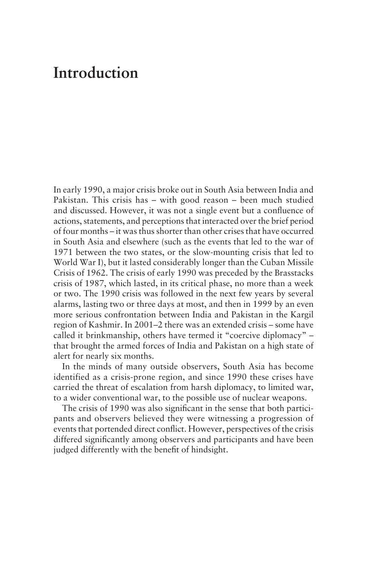# **Introduction**

In early 1990, a major crisis broke out in South Asia between India and Pakistan. This crisis has – with good reason – been much studied and discussed. However, it was not a single event but a confluence of actions, statements, and perceptions that interacted over the brief period of four months – it was thus shorter than other crises that have occurred in South Asia and elsewhere (such as the events that led to the war of 1971 between the two states, or the slow-mounting crisis that led to World War I), but it lasted considerably longer than the Cuban Missile Crisis of 1962. The crisis of early 1990 was preceded by the Brasstacks crisis of 1987, which lasted, in its critical phase, no more than a week or two. The 1990 crisis was followed in the next few years by several alarms, lasting two or three days at most, and then in 1999 by an even more serious confrontation between India and Pakistan in the Kargil region of Kashmir. In 2001–2 there was an extended crisis – some have called it brinkmanship, others have termed it "coercive diplomacy" – that brought the armed forces of India and Pakistan on a high state of alert for nearly six months.

In the minds of many outside observers, South Asia has become identified as a crisis-prone region, and since 1990 these crises have carried the threat of escalation from harsh diplomacy, to limited war, to a wider conventional war, to the possible use of nuclear weapons.

The crisis of 1990 was also significant in the sense that both participants and observers believed they were witnessing a progression of events that portended direct conflict. However, perspectives of the crisis differed significantly among observers and participants and have been judged differently with the benefit of hindsight.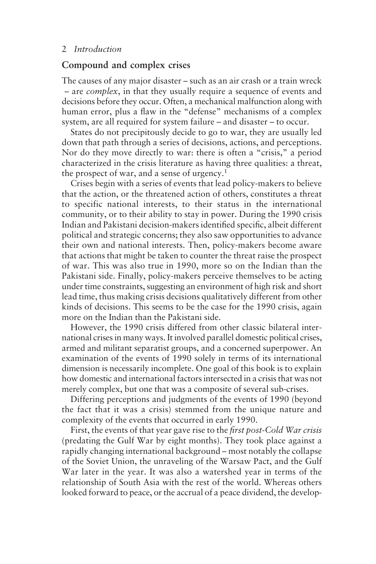#### 2 *Introduction*

#### **Compound and complex crises**

The causes of any major disaster – such as an air crash or a train wreck – are *complex*, in that they usually require a sequence of events and decisions before they occur. Often, a mechanical malfunction along with human error, plus a flaw in the "defense" mechanisms of a complex system, are all required for system failure – and disaster – to occur.

States do not precipitously decide to go to war, they are usually led down that path through a series of decisions, actions, and perceptions. Nor do they move directly to war: there is often a "crisis," a period characterized in the crisis literature as having three qualities: a threat, the prospect of war, and a sense of urgency.<sup>1</sup>

Crises begin with a series of events that lead policy-makers to believe that the action, or the threatened action of others, constitutes a threat to specific national interests, to their status in the international community, or to their ability to stay in power. During the 1990 crisis Indian and Pakistani decision-makers identified specific, albeit different political and strategic concerns; they also saw opportunities to advance their own and national interests. Then, policy-makers become aware that actions that might be taken to counter the threat raise the prospect of war. This was also true in 1990, more so on the Indian than the Pakistani side. Finally, policy-makers perceive themselves to be acting under time constraints, suggesting an environment of high risk and short lead time, thus making crisis decisions qualitatively different from other kinds of decisions. This seems to be the case for the 1990 crisis, again more on the Indian than the Pakistani side.

However, the 1990 crisis differed from other classic bilateral international crises in many ways. It involved parallel domestic political crises, armed and militant separatist groups, and a concerned superpower. An examination of the events of 1990 solely in terms of its international dimension is necessarily incomplete. One goal of this book is to explain how domestic and international factors intersected in a crisis that was not merely complex, but one that was a composite of several sub-crises.

Differing perceptions and judgments of the events of 1990 (beyond the fact that it was a crisis) stemmed from the unique nature and complexity of the events that occurred in early 1990.

First, the events of that year gave rise to the *first post-Cold War crisis* (predating the Gulf War by eight months). They took place against a rapidly changing international background – most notably the collapse of the Soviet Union, the unraveling of the Warsaw Pact, and the Gulf War later in the year. It was also a watershed year in terms of the relationship of South Asia with the rest of the world. Whereas others looked forward to peace, or the accrual of a peace dividend, the develop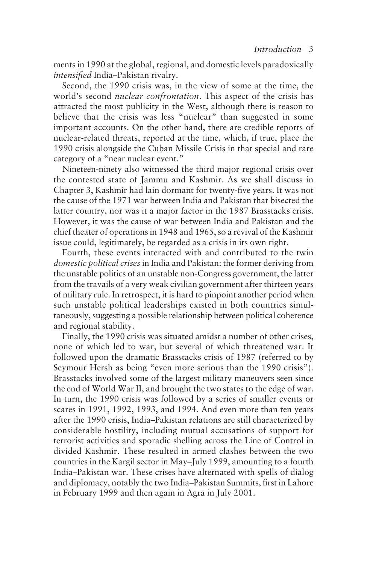ments in 1990 at the global, regional, and domestic levels paradoxically *intensified* India–Pakistan rivalry.

Second, the 1990 crisis was, in the view of some at the time, the world's second *nuclear confrontation*. This aspect of the crisis has attracted the most publicity in the West, although there is reason to believe that the crisis was less "nuclear" than suggested in some important accounts. On the other hand, there are credible reports of nuclear-related threats, reported at the time, which, if true, place the 1990 crisis alongside the Cuban Missile Crisis in that special and rare category of a "near nuclear event."

Nineteen-ninety also witnessed the third major regional crisis over the contested state of Jammu and Kashmir. As we shall discuss in Chapter 3, Kashmir had lain dormant for twenty-five years. It was not the cause of the 1971 war between India and Pakistan that bisected the latter country, nor was it a major factor in the 1987 Brasstacks crisis. However, it was the cause of war between India and Pakistan and the chief theater of operations in 1948 and 1965, so a revival of the Kashmir issue could, legitimately, be regarded as a crisis in its own right.

Fourth, these events interacted with and contributed to the twin *domestic political crises* in India and Pakistan: the former deriving from the unstable politics of an unstable non-Congress government, the latter from the travails of a very weak civilian government after thirteen years of military rule. In retrospect, it is hard to pinpoint another period when such unstable political leaderships existed in both countries simultaneously, suggesting a possible relationship between political coherence and regional stability.

Finally, the 1990 crisis was situated amidst a number of other crises, none of which led to war, but several of which threatened war. It followed upon the dramatic Brasstacks crisis of 1987 (referred to by Seymour Hersh as being "even more serious than the 1990 crisis"). Brasstacks involved some of the largest military maneuvers seen since the end of World War II, and brought the two states to the edge of war. In turn, the 1990 crisis was followed by a series of smaller events or scares in 1991, 1992, 1993, and 1994. And even more than ten years after the 1990 crisis, India–Pakistan relations are still characterized by considerable hostility, including mutual accusations of support for terrorist activities and sporadic shelling across the Line of Control in divided Kashmir. These resulted in armed clashes between the two countries in the Kargil sector in May–July 1999, amounting to a fourth India–Pakistan war. These crises have alternated with spells of dialog and diplomacy, notably the two India–Pakistan Summits, first in Lahore in February 1999 and then again in Agra in July 2001.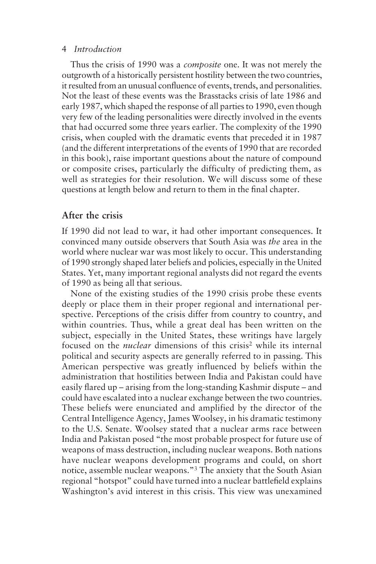#### 4 *Introduction*

Thus the crisis of 1990 was a *composite* one. It was not merely the outgrowth of a historically persistent hostility between the two countries, it resulted from an unusual confluence of events, trends, and personalities. Not the least of these events was the Brasstacks crisis of late 1986 and early 1987, which shaped the response of all parties to 1990, even though very few of the leading personalities were directly involved in the events that had occurred some three years earlier. The complexity of the 1990 crisis, when coupled with the dramatic events that preceded it in 1987 (and the different interpretations of the events of 1990 that are recorded in this book), raise important questions about the nature of compound or composite crises, particularly the difficulty of predicting them, as well as strategies for their resolution. We will discuss some of these questions at length below and return to them in the final chapter.

### **After the crisis**

If 1990 did not lead to war, it had other important consequences. It convinced many outside observers that South Asia was *the* area in the world where nuclear war was most likely to occur. This understanding of 1990 strongly shaped later beliefs and policies, especially in the United States. Yet, many important regional analysts did not regard the events of 1990 as being all that serious.

None of the existing studies of the 1990 crisis probe these events deeply or place them in their proper regional and international perspective. Perceptions of the crisis differ from country to country, and within countries. Thus, while a great deal has been written on the subject, especially in the United States, these writings have largely focused on the *nuclear* dimensions of this crisis<sup>2</sup> while its internal political and security aspects are generally referred to in passing. This American perspective was greatly influenced by beliefs within the administration that hostilities between India and Pakistan could have easily flared up – arising from the long-standing Kashmir dispute – and could have escalated into a nuclear exchange between the two countries. These beliefs were enunciated and amplified by the director of the Central Intelligence Agency, James Woolsey, in his dramatic testimony to the U.S. Senate. Woolsey stated that a nuclear arms race between India and Pakistan posed "the most probable prospect for future use of weapons of mass destruction, including nuclear weapons. Both nations have nuclear weapons development programs and could, on short notice, assemble nuclear weapons."3 The anxiety that the South Asian regional "hotspot" could have turned into a nuclear battlefield explains Washington's avid interest in this crisis. This view was unexamined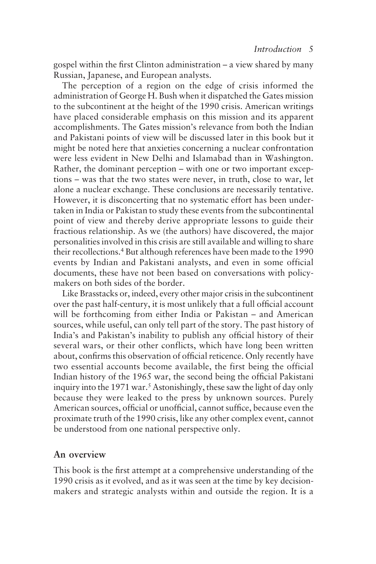gospel within the first Clinton administration – a view shared by many Russian, Japanese, and European analysts.

The perception of a region on the edge of crisis informed the administration of George H. Bush when it dispatched the Gates mission to the subcontinent at the height of the 1990 crisis. American writings have placed considerable emphasis on this mission and its apparent accomplishments. The Gates mission's relevance from both the Indian and Pakistani points of view will be discussed later in this book but it might be noted here that anxieties concerning a nuclear confrontation were less evident in New Delhi and Islamabad than in Washington. Rather, the dominant perception – with one or two important exceptions – was that the two states were never, in truth, close to war, let alone a nuclear exchange. These conclusions are necessarily tentative. However, it is disconcerting that no systematic effort has been undertaken in India or Pakistan to study these events from the subcontinental point of view and thereby derive appropriate lessons to guide their fractious relationship. As we (the authors) have discovered, the major personalities involved in this crisis are still available and willing to share their recollections.4 But although references have been made to the 1990 events by Indian and Pakistani analysts, and even in some official documents, these have not been based on conversations with policymakers on both sides of the border.

Like Brasstacks or, indeed, every other major crisis in the subcontinent over the past half-century, it is most unlikely that a full official account will be forthcoming from either India or Pakistan – and American sources, while useful, can only tell part of the story. The past history of India's and Pakistan's inability to publish any official history of their several wars, or their other conflicts, which have long been written about, confirms this observation of official reticence. Only recently have two essential accounts become available, the first being the official Indian history of the 1965 war, the second being the official Pakistani inquiry into the 1971 war.<sup>5</sup> Astonishingly, these saw the light of day only because they were leaked to the press by unknown sources. Purely American sources, official or unofficial, cannot suffice, because even the proximate truth of the 1990 crisis, like any other complex event, cannot be understood from one national perspective only.

## **An overview**

This book is the first attempt at a comprehensive understanding of the 1990 crisis as it evolved, and as it was seen at the time by key decisionmakers and strategic analysts within and outside the region. It is a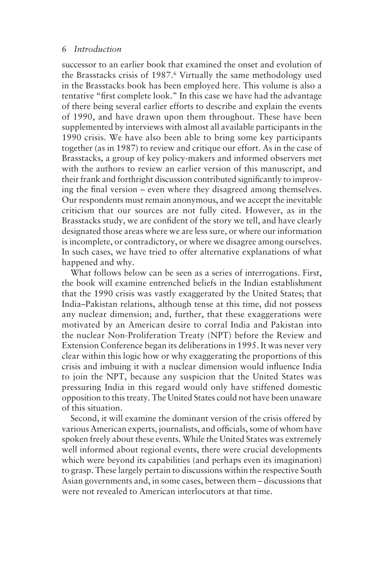#### 6 *Introduction*

successor to an earlier book that examined the onset and evolution of the Brasstacks crisis of 1987.<sup>6</sup> Virtually the same methodology used in the Brasstacks book has been employed here. This volume is also a tentative "first complete look." In this case we have had the advantage of there being several earlier efforts to describe and explain the events of 1990, and have drawn upon them throughout. These have been supplemented by interviews with almost all available participants in the 1990 crisis. We have also been able to bring some key participants together (as in 1987) to review and critique our effort. As in the case of Brasstacks, a group of key policy-makers and informed observers met with the authors to review an earlier version of this manuscript, and their frank and forthright discussion contributed significantly to improving the final version – even where they disagreed among themselves. Our respondents must remain anonymous, and we accept the inevitable criticism that our sources are not fully cited. However, as in the Brasstacks study, we are confident of the story we tell, and have clearly designated those areas where we are less sure, or where our information is incomplete, or contradictory, or where we disagree among ourselves. In such cases, we have tried to offer alternative explanations of what happened and why.

What follows below can be seen as a series of interrogations. First, the book will examine entrenched beliefs in the Indian establishment that the 1990 crisis was vastly exaggerated by the United States; that India–Pakistan relations, although tense at this time, did not possess any nuclear dimension; and, further, that these exaggerations were motivated by an American desire to corral India and Pakistan into the nuclear Non-Proliferation Treaty (NPT) before the Review and Extension Conference began its deliberations in 1995. It was never very clear within this logic how or why exaggerating the proportions of this crisis and imbuing it with a nuclear dimension would influence India to join the NPT, because any suspicion that the United States was pressuring India in this regard would only have stiffened domestic opposition to this treaty. The United States could not have been unaware of this situation.

Second, it will examine the dominant version of the crisis offered by various American experts, journalists, and officials, some of whom have spoken freely about these events. While the United States was extremely well informed about regional events, there were crucial developments which were beyond its capabilities (and perhaps even its imagination) to grasp. These largely pertain to discussions within the respective South Asian governments and, in some cases, between them – discussions that were not revealed to American interlocutors at that time.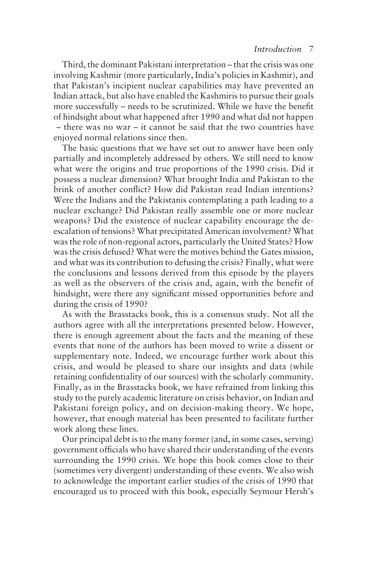Third, the dominant Pakistani interpretation – that the crisis was one involving Kashmir (more particularly, India's policies in Kashmir), and that Pakistan's incipient nuclear capabilities may have prevented an Indian attack, but also have enabled the Kashmiris to pursue their goals more successfully – needs to be scrutinized. While we have the benefit of hindsight about what happened after 1990 and what did not happen – there was no war – it cannot be said that the two countries have enjoyed normal relations since then.

The basic questions that we have set out to answer have been only partially and incompletely addressed by others. We still need to know what were the origins and true proportions of the 1990 crisis. Did it possess a nuclear dimension? What brought India and Pakistan to the brink of another conflict? How did Pakistan read Indian intentions? Were the Indians and the Pakistanis contemplating a path leading to a nuclear exchange? Did Pakistan really assemble one or more nuclear weapons? Did the existence of nuclear capability encourage the deescalation of tensions? What precipitated American involvement? What was the role of non-regional actors, particularly the United States? How was the crisis defused? What were the motives behind the Gates mission, and what was its contribution to defusing the crisis? Finally, what were the conclusions and lessons derived from this episode by the players as well as the observers of the crisis and, again, with the benefit of hindsight, were there any significant missed opportunities before and during the crisis of 1990?

As with the Brasstacks book, this is a consensus study. Not all the authors agree with all the interpretations presented below. However, there is enough agreement about the facts and the meaning of these events that none of the authors has been moved to write a dissent or supplementary note. Indeed, we encourage further work about this crisis, and would be pleased to share our insights and data (while retaining confidentiality of our sources) with the scholarly community. Finally, as in the Brasstacks book, we have refrained from linking this study to the purely academic literature on crisis behavior, on Indian and Pakistani foreign policy, and on decision-making theory. We hope, however, that enough material has been presented to facilitate further work along these lines.

Our principal debt is to the many former (and, in some cases, serving) government officials who have shared their understanding of the events surrounding the 1990 crisis. We hope this book comes close to their (sometimes very divergent) understanding of these events. We also wish to acknowledge the important earlier studies of the crisis of 1990 that encouraged us to proceed with this book, especially Seymour Hersh's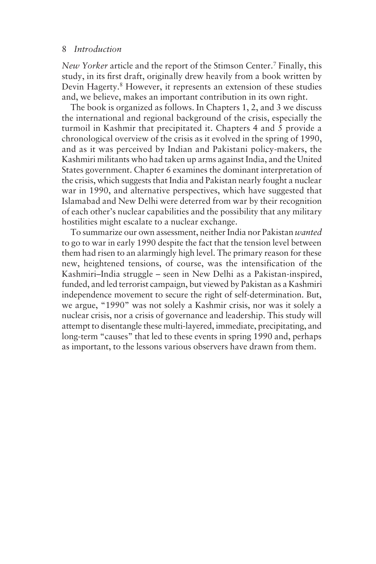#### 8 *Introduction*

*New Yorker* article and the report of the Stimson Center.7 Finally, this study, in its first draft, originally drew heavily from a book written by Devin Hagerty.<sup>8</sup> However, it represents an extension of these studies and, we believe, makes an important contribution in its own right.

The book is organized as follows. In Chapters 1, 2, and 3 we discuss the international and regional background of the crisis, especially the turmoil in Kashmir that precipitated it. Chapters 4 and 5 provide a chronological overview of the crisis as it evolved in the spring of 1990, and as it was perceived by Indian and Pakistani policy-makers, the Kashmiri militants who had taken up arms against India, and the United States government. Chapter 6 examines the dominant interpretation of the crisis, which suggests that India and Pakistan nearly fought a nuclear war in 1990, and alternative perspectives, which have suggested that Islamabad and New Delhi were deterred from war by their recognition of each other's nuclear capabilities and the possibility that any military hostilities might escalate to a nuclear exchange.

To summarize our own assessment, neither India nor Pakistan *wanted* to go to war in early 1990 despite the fact that the tension level between them had risen to an alarmingly high level. The primary reason for these new, heightened tensions, of course, was the intensification of the Kashmiri–India struggle – seen in New Delhi as a Pakistan-inspired, funded, and led terrorist campaign, but viewed by Pakistan as a Kashmiri independence movement to secure the right of self-determination. But, we argue, "1990" was not solely a Kashmir crisis, nor was it solely a nuclear crisis, nor a crisis of governance and leadership. This study will attempt to disentangle these multi-layered, immediate, precipitating, and long-term "causes" that led to these events in spring 1990 and, perhaps as important, to the lessons various observers have drawn from them.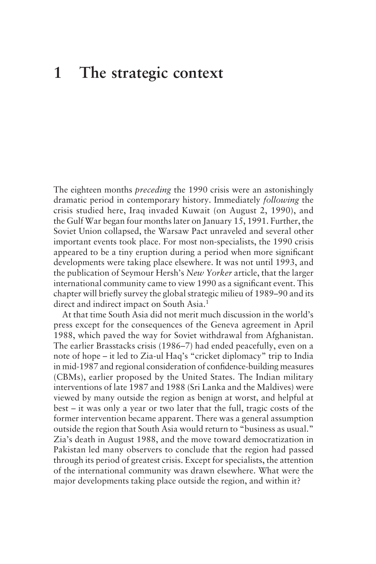# **1 The strategic context**

The eighteen months *preceding* the 1990 crisis were an astonishingly dramatic period in contemporary history. Immediately *following* the crisis studied here, Iraq invaded Kuwait (on August 2, 1990), and the Gulf War began four months later on January 15, 1991. Further, the Soviet Union collapsed, the Warsaw Pact unraveled and several other important events took place. For most non-specialists, the 1990 crisis appeared to be a tiny eruption during a period when more significant developments were taking place elsewhere. It was not until 1993, and the publication of Seymour Hersh's *New Yorker* article, that the larger international community came to view 1990 as a significant event. This chapter will briefly survey the global strategic milieu of 1989–90 and its direct and indirect impact on South Asia.<sup>1</sup>

At that time South Asia did not merit much discussion in the world's press except for the consequences of the Geneva agreement in April 1988, which paved the way for Soviet withdrawal from Afghanistan. The earlier Brasstacks crisis (1986–7) had ended peacefully, even on a note of hope – it led to Zia-ul Haq's "cricket diplomacy" trip to India in mid-1987 and regional consideration of confidence-building measures (CBMs), earlier proposed by the United States. The Indian military interventions of late 1987 and 1988 (Sri Lanka and the Maldives) were viewed by many outside the region as benign at worst, and helpful at best – it was only a year or two later that the full, tragic costs of the former intervention became apparent. There was a general assumption outside the region that South Asia would return to "business as usual." Zia's death in August 1988, and the move toward democratization in Pakistan led many observers to conclude that the region had passed through its period of greatest crisis. Except for specialists, the attention of the international community was drawn elsewhere. What were the major developments taking place outside the region, and within it?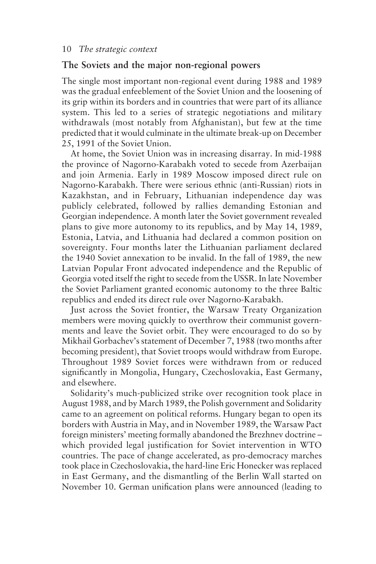#### **The Soviets and the major non-regional powers**

The single most important non-regional event during 1988 and 1989 was the gradual enfeeblement of the Soviet Union and the loosening of its grip within its borders and in countries that were part of its alliance system. This led to a series of strategic negotiations and military withdrawals (most notably from Afghanistan), but few at the time predicted that it would culminate in the ultimate break-up on December 25, 1991 of the Soviet Union.

At home, the Soviet Union was in increasing disarray. In mid-1988 the province of Nagorno-Karabakh voted to secede from Azerbaijan and join Armenia. Early in 1989 Moscow imposed direct rule on Nagorno-Karabakh. There were serious ethnic (anti-Russian) riots in Kazakhstan, and in February, Lithuanian independence day was publicly celebrated, followed by rallies demanding Estonian and Georgian independence. A month later the Soviet government revealed plans to give more autonomy to its republics, and by May 14, 1989, Estonia, Latvia, and Lithuania had declared a common position on sovereignty. Four months later the Lithuanian parliament declared the 1940 Soviet annexation to be invalid. In the fall of 1989, the new Latvian Popular Front advocated independence and the Republic of Georgia voted itself the right to secede from the USSR. In late November the Soviet Parliament granted economic autonomy to the three Baltic republics and ended its direct rule over Nagorno-Karabakh.

Just across the Soviet frontier, the Warsaw Treaty Organization members were moving quickly to overthrow their communist governments and leave the Soviet orbit. They were encouraged to do so by Mikhail Gorbachev's statement of December 7, 1988 (two months after becoming president), that Soviet troops would withdraw from Europe. Throughout 1989 Soviet forces were withdrawn from or reduced significantly in Mongolia, Hungary, Czechoslovakia, East Germany, and elsewhere.

Solidarity's much-publicized strike over recognition took place in August 1988, and by March 1989, the Polish government and Solidarity came to an agreement on political reforms. Hungary began to open its borders with Austria in May, and in November 1989, the Warsaw Pact foreign ministers' meeting formally abandoned the Brezhnev doctrine – which provided legal justification for Soviet intervention in WTO countries. The pace of change accelerated, as pro-democracy marches took place in Czechoslovakia, the hard-line Eric Honecker was replaced in East Germany, and the dismantling of the Berlin Wall started on November 10. German unification plans were announced (leading to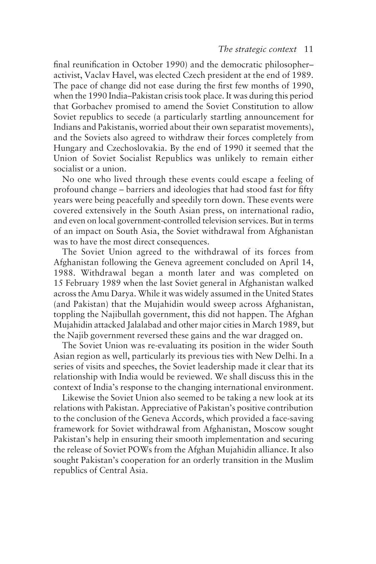final reunification in October 1990) and the democratic philosopher– activist, Vaclav Havel, was elected Czech president at the end of 1989. The pace of change did not ease during the first few months of 1990, when the 1990 India–Pakistan crisis took place. It was during this period that Gorbachev promised to amend the Soviet Constitution to allow Soviet republics to secede (a particularly startling announcement for Indians and Pakistanis, worried about their own separatist movements), and the Soviets also agreed to withdraw their forces completely from Hungary and Czechoslovakia. By the end of 1990 it seemed that the Union of Soviet Socialist Republics was unlikely to remain either socialist or a union.

No one who lived through these events could escape a feeling of profound change – barriers and ideologies that had stood fast for fifty years were being peacefully and speedily torn down. These events were covered extensively in the South Asian press, on international radio, and even on local government-controlled television services. But in terms of an impact on South Asia, the Soviet withdrawal from Afghanistan was to have the most direct consequences.

The Soviet Union agreed to the withdrawal of its forces from Afghanistan following the Geneva agreement concluded on April 14, 1988. Withdrawal began a month later and was completed on 15 February 1989 when the last Soviet general in Afghanistan walked across the Amu Darya. While it was widely assumed in the United States (and Pakistan) that the Mujahidin would sweep across Afghanistan, toppling the Najibullah government, this did not happen. The Afghan Mujahidin attacked Jalalabad and other major cities in March 1989, but the Najib government reversed these gains and the war dragged on.

The Soviet Union was re-evaluating its position in the wider South Asian region as well, particularly its previous ties with New Delhi. In a series of visits and speeches, the Soviet leadership made it clear that its relationship with India would be reviewed. We shall discuss this in the context of India's response to the changing international environment.

Likewise the Soviet Union also seemed to be taking a new look at its relations with Pakistan. Appreciative of Pakistan's positive contribution to the conclusion of the Geneva Accords, which provided a face-saving framework for Soviet withdrawal from Afghanistan, Moscow sought Pakistan's help in ensuring their smooth implementation and securing the release of Soviet POWs from the Afghan Mujahidin alliance. It also sought Pakistan's cooperation for an orderly transition in the Muslim republics of Central Asia.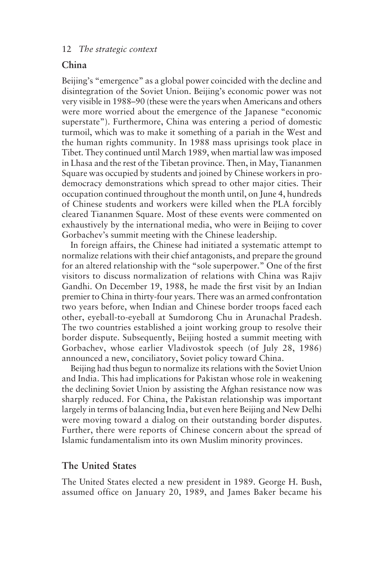# **China**

Beijing's "emergence" as a global power coincided with the decline and disintegration of the Soviet Union. Beijing's economic power was not very visible in 1988–90 (these were the years when Americans and others were more worried about the emergence of the Japanese "economic superstate"). Furthermore, China was entering a period of domestic turmoil, which was to make it something of a pariah in the West and the human rights community. In 1988 mass uprisings took place in Tibet. They continued until March 1989, when martial law was imposed in Lhasa and the rest of the Tibetan province. Then, in May, Tiananmen Square was occupied by students and joined by Chinese workers in prodemocracy demonstrations which spread to other major cities. Their occupation continued throughout the month until, on June 4, hundreds of Chinese students and workers were killed when the PLA forcibly cleared Tiananmen Square. Most of these events were commented on exhaustively by the international media, who were in Beijing to cover Gorbachev's summit meeting with the Chinese leadership.

In foreign affairs, the Chinese had initiated a systematic attempt to normalize relations with their chief antagonists, and prepare the ground for an altered relationship with the "sole superpower." One of the first visitors to discuss normalization of relations with China was Rajiv Gandhi. On December 19, 1988, he made the first visit by an Indian premier to China in thirty-four years. There was an armed confrontation two years before, when Indian and Chinese border troops faced each other, eyeball-to-eyeball at Sumdorong Chu in Arunachal Pradesh. The two countries established a joint working group to resolve their border dispute. Subsequently, Beijing hosted a summit meeting with Gorbachev, whose earlier Vladivostok speech (of July 28, 1986) announced a new, conciliatory, Soviet policy toward China.

Beijing had thus begun to normalize its relations with the Soviet Union and India. This had implications for Pakistan whose role in weakening the declining Soviet Union by assisting the Afghan resistance now was sharply reduced. For China, the Pakistan relationship was important largely in terms of balancing India, but even here Beijing and New Delhi were moving toward a dialog on their outstanding border disputes. Further, there were reports of Chinese concern about the spread of Islamic fundamentalism into its own Muslim minority provinces.

# **The United States**

The United States elected a new president in 1989. George H. Bush, assumed office on January 20, 1989, and James Baker became his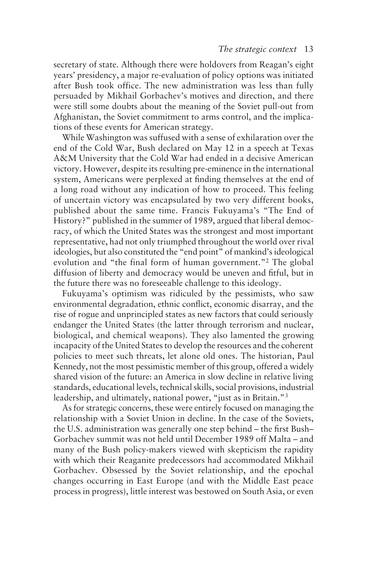secretary of state. Although there were holdovers from Reagan's eight years' presidency, a major re-evaluation of policy options was initiated after Bush took office. The new administration was less than fully persuaded by Mikhail Gorbachev's motives and direction, and there were still some doubts about the meaning of the Soviet pull-out from Afghanistan, the Soviet commitment to arms control, and the implications of these events for American strategy.

While Washington was suffused with a sense of exhilaration over the end of the Cold War, Bush declared on May 12 in a speech at Texas A&M University that the Cold War had ended in a decisive American victory. However, despite its resulting pre-eminence in the international system, Americans were perplexed at finding themselves at the end of a long road without any indication of how to proceed. This feeling of uncertain victory was encapsulated by two very different books, published about the same time. Francis Fukuyama's "The End of History?" published in the summer of 1989, argued that liberal democracy, of which the United States was the strongest and most important representative, had not only triumphed throughout the world over rival ideologies, but also constituted the "end point" of mankind's ideological evolution and "the final form of human government."2 The global diffusion of liberty and democracy would be uneven and fitful, but in the future there was no foreseeable challenge to this ideology.

Fukuyama's optimism was ridiculed by the pessimists, who saw environmental degradation, ethnic conflict, economic disarray, and the rise of rogue and unprincipled states as new factors that could seriously endanger the United States (the latter through terrorism and nuclear, biological, and chemical weapons). They also lamented the growing incapacity of the United States to develop the resources and the coherent policies to meet such threats, let alone old ones. The historian, Paul Kennedy, not the most pessimistic member of this group, offered a widely shared vision of the future: an America in slow decline in relative living standards, educational levels, technical skills, social provisions, industrial leadership, and ultimately, national power, "just as in Britain."3

As for strategic concerns, these were entirely focused on managing the relationship with a Soviet Union in decline. In the case of the Soviets, the U.S. administration was generally one step behind – the first Bush– Gorbachev summit was not held until December 1989 off Malta – and many of the Bush policy-makers viewed with skepticism the rapidity with which their Reaganite predecessors had accommodated Mikhail Gorbachev. Obsessed by the Soviet relationship, and the epochal changes occurring in East Europe (and with the Middle East peace process in progress), little interest was bestowed on South Asia, or even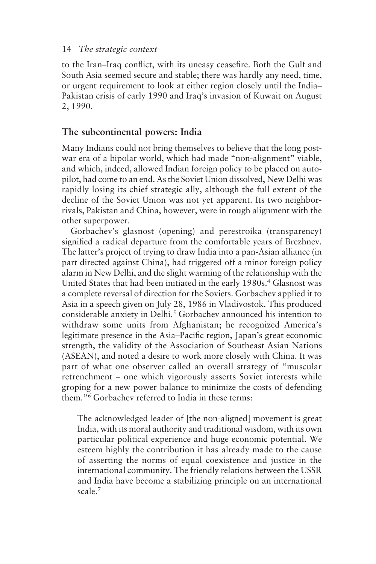### 14 *The strategic context*

to the Iran–Iraq conflict, with its uneasy ceasefire. Both the Gulf and South Asia seemed secure and stable; there was hardly any need, time, or urgent requirement to look at either region closely until the India– Pakistan crisis of early 1990 and Iraq's invasion of Kuwait on August 2, 1990.

## **The subcontinental powers: India**

Many Indians could not bring themselves to believe that the long postwar era of a bipolar world, which had made "non-alignment" viable, and which, indeed, allowed Indian foreign policy to be placed on autopilot, had come to an end. As the Soviet Union dissolved, New Delhi was rapidly losing its chief strategic ally, although the full extent of the decline of the Soviet Union was not yet apparent. Its two neighborrivals, Pakistan and China, however, were in rough alignment with the other superpower.

Gorbachev's glasnost (opening) and perestroika (transparency) signified a radical departure from the comfortable years of Brezhnev. The latter's project of trying to draw India into a pan-Asian alliance (in part directed against China), had triggered off a minor foreign policy alarm in New Delhi, and the slight warming of the relationship with the United States that had been initiated in the early 1980s.<sup>4</sup> Glasnost was a complete reversal of direction for the Soviets. Gorbachev applied it to Asia in a speech given on July 28, 1986 in Vladivostok. This produced considerable anxiety in Delhi.<sup>5</sup> Gorbachev announced his intention to withdraw some units from Afghanistan; he recognized America's legitimate presence in the Asia–Pacific region, Japan's great economic strength, the validity of the Association of Southeast Asian Nations (ASEAN), and noted a desire to work more closely with China. It was part of what one observer called an overall strategy of "muscular retrenchment – one which vigorously asserts Soviet interests while groping for a new power balance to minimize the costs of defending them."6 Gorbachev referred to India in these terms:

The acknowledged leader of [the non-aligned] movement is great India, with its moral authority and traditional wisdom, with its own particular political experience and huge economic potential. We esteem highly the contribution it has already made to the cause of asserting the norms of equal coexistence and justice in the international community. The friendly relations between the USSR and India have become a stabilizing principle on an international scale.7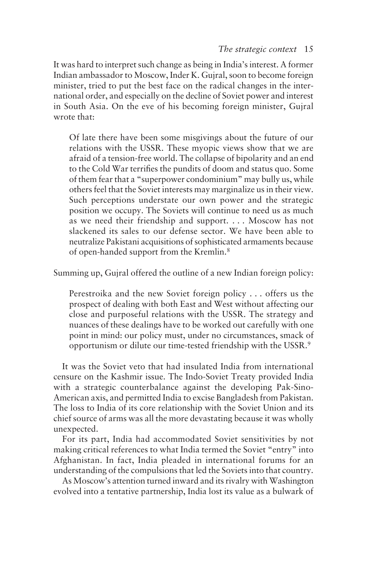It was hard to interpret such change as being in India's interest. A former Indian ambassador to Moscow, Inder K. Gujral, soon to become foreign minister, tried to put the best face on the radical changes in the international order, and especially on the decline of Soviet power and interest in South Asia. On the eve of his becoming foreign minister, Gujral wrote that:

Of late there have been some misgivings about the future of our relations with the USSR. These myopic views show that we are afraid of a tension-free world. The collapse of bipolarity and an end to the Cold War terrifies the pundits of doom and status quo. Some of them fear that a "superpower condominium" may bully us, while others feel that the Soviet interests may marginalize us in their view. Such perceptions understate our own power and the strategic position we occupy. The Soviets will continue to need us as much as we need their friendship and support. . . . Moscow has not slackened its sales to our defense sector. We have been able to neutralize Pakistani acquisitions of sophisticated armaments because of open-handed support from the Kremlin.8

Summing up, Gujral offered the outline of a new Indian foreign policy:

Perestroika and the new Soviet foreign policy . . . offers us the prospect of dealing with both East and West without affecting our close and purposeful relations with the USSR. The strategy and nuances of these dealings have to be worked out carefully with one point in mind: our policy must, under no circumstances, smack of opportunism or dilute our time-tested friendship with the USSR.9

It was the Soviet veto that had insulated India from international censure on the Kashmir issue. The Indo-Soviet Treaty provided India with a strategic counterbalance against the developing Pak-Sino-American axis, and permitted India to excise Bangladesh from Pakistan. The loss to India of its core relationship with the Soviet Union and its chief source of arms was all the more devastating because it was wholly unexpected.

For its part, India had accommodated Soviet sensitivities by not making critical references to what India termed the Soviet "entry" into Afghanistan. In fact, India pleaded in international forums for an understanding of the compulsions that led the Soviets into that country.

As Moscow's attention turned inward and its rivalry with Washington evolved into a tentative partnership, India lost its value as a bulwark of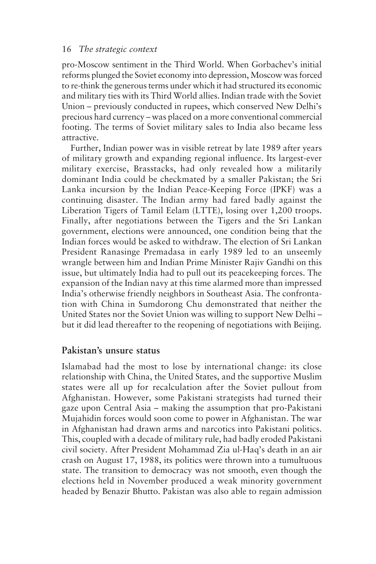pro-Moscow sentiment in the Third World. When Gorbachev's initial reforms plunged the Soviet economy into depression, Moscow was forced to re-think the generous terms under which it had structured its economic and military ties with its Third World allies. Indian trade with the Soviet Union – previously conducted in rupees, which conserved New Delhi's precious hard currency – was placed on a more conventional commercial footing. The terms of Soviet military sales to India also became less attractive.

Further, Indian power was in visible retreat by late 1989 after years of military growth and expanding regional influence. Its largest-ever military exercise, Brasstacks, had only revealed how a militarily dominant India could be checkmated by a smaller Pakistan; the Sri Lanka incursion by the Indian Peace-Keeping Force (IPKF) was a continuing disaster. The Indian army had fared badly against the Liberation Tigers of Tamil Eelam (LTTE), losing over 1,200 troops. Finally, after negotiations between the Tigers and the Sri Lankan government, elections were announced, one condition being that the Indian forces would be asked to withdraw. The election of Sri Lankan President Ranasinge Premadasa in early 1989 led to an unseemly wrangle between him and Indian Prime Minister Rajiv Gandhi on this issue, but ultimately India had to pull out its peacekeeping forces. The expansion of the Indian navy at this time alarmed more than impressed India's otherwise friendly neighbors in Southeast Asia. The confrontation with China in Sumdorong Chu demonstrated that neither the United States nor the Soviet Union was willing to support New Delhi – but it did lead thereafter to the reopening of negotiations with Beijing.

### **Pakistan's unsure status**

Islamabad had the most to lose by international change: its close relationship with China, the United States, and the supportive Muslim states were all up for recalculation after the Soviet pullout from Afghanistan. However, some Pakistani strategists had turned their gaze upon Central Asia – making the assumption that pro-Pakistani Mujahidin forces would soon come to power in Afghanistan. The war in Afghanistan had drawn arms and narcotics into Pakistani politics. This, coupled with a decade of military rule, had badly eroded Pakistani civil society. After President Mohammad Zia ul-Haq's death in an air crash on August 17, 1988, its politics were thrown into a tumultuous state. The transition to democracy was not smooth, even though the elections held in November produced a weak minority government headed by Benazir Bhutto. Pakistan was also able to regain admission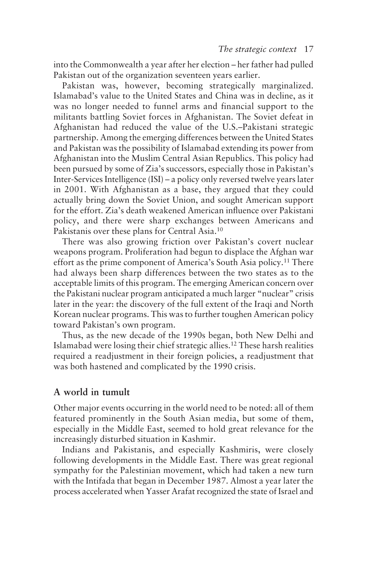into the Commonwealth a year after her election – her father had pulled Pakistan out of the organization seventeen years earlier.

Pakistan was, however, becoming strategically marginalized. Islamabad's value to the United States and China was in decline, as it was no longer needed to funnel arms and financial support to the militants battling Soviet forces in Afghanistan. The Soviet defeat in Afghanistan had reduced the value of the U.S.–Pakistani strategic partnership. Among the emerging differences between the United States and Pakistan was the possibility of Islamabad extending its power from Afghanistan into the Muslim Central Asian Republics. This policy had been pursued by some of Zia's successors, especially those in Pakistan's Inter-Services Intelligence (ISI) – a policy only reversed twelve years later in 2001. With Afghanistan as a base, they argued that they could actually bring down the Soviet Union, and sought American support for the effort. Zia's death weakened American influence over Pakistani policy, and there were sharp exchanges between Americans and Pakistanis over these plans for Central Asia.10

There was also growing friction over Pakistan's covert nuclear weapons program. Proliferation had begun to displace the Afghan war effort as the prime component of America's South Asia policy.11 There had always been sharp differences between the two states as to the acceptable limits of this program. The emerging American concern over the Pakistani nuclear program anticipated a much larger "nuclear" crisis later in the year: the discovery of the full extent of the Iraqi and North Korean nuclear programs. This was to further toughen American policy toward Pakistan's own program.

Thus, as the new decade of the 1990s began, both New Delhi and Islamabad were losing their chief strategic allies.12 These harsh realities required a readjustment in their foreign policies, a readjustment that was both hastened and complicated by the 1990 crisis.

## **A world in tumult**

Other major events occurring in the world need to be noted: all of them featured prominently in the South Asian media, but some of them, especially in the Middle East, seemed to hold great relevance for the increasingly disturbed situation in Kashmir.

Indians and Pakistanis, and especially Kashmiris, were closely following developments in the Middle East. There was great regional sympathy for the Palestinian movement, which had taken a new turn with the Intifada that began in December 1987. Almost a year later the process accelerated when Yasser Arafat recognized the state of Israel and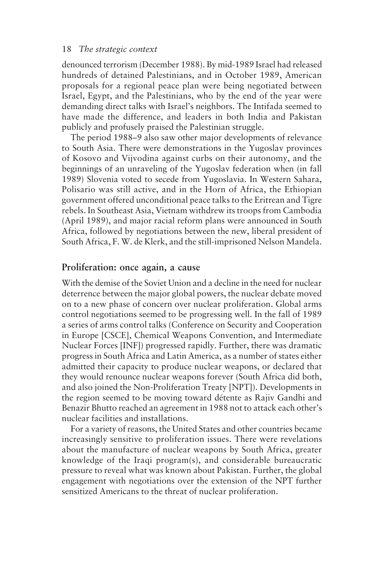#### 18 *The strategic context*

denounced terrorism (December 1988). By mid-1989 Israel had released hundreds of detained Palestinians, and in October 1989, American proposals for a regional peace plan were being negotiated between Israel, Egypt, and the Palestinians, who by the end of the year were demanding direct talks with Israel's neighbors. The Intifada seemed to have made the difference, and leaders in both India and Pakistan publicly and profusely praised the Palestinian struggle.

The period 1988–9 also saw other major developments of relevance to South Asia. There were demonstrations in the Yugoslav provinces of Kosovo and Vijvodina against curbs on their autonomy, and the beginnings of an unraveling of the Yugoslav federation when (in fall 1989) Slovenia voted to secede from Yugoslavia. In Western Sahara, Polisario was still active, and in the Horn of Africa, the Ethiopian government offered unconditional peace talks to the Eritrean and Tigre rebels. In Southeast Asia, Vietnam withdrew its troops from Cambodia (April 1989), and major racial reform plans were announced in South Africa, followed by negotiations between the new, liberal president of South Africa, F. W. de Klerk, and the still-imprisoned Nelson Mandela.

### **Proliferation: once again, a cause**

With the demise of the Soviet Union and a decline in the need for nuclear deterrence between the major global powers, the nuclear debate moved on to a new phase of concern over nuclear proliferation. Global arms control negotiations seemed to be progressing well. In the fall of 1989 a series of arms control talks (Conference on Security and Cooperation in Europe [CSCE], Chemical Weapons Convention, and Intermediate Nuclear Forces [INF]) progressed rapidly. Further, there was dramatic progress in South Africa and Latin America, as a number of states either admitted their capacity to produce nuclear weapons, or declared that they would renounce nuclear weapons forever (South Africa did both, and also joined the Non-Proliferation Treaty [NPT]). Developments in the region seemed to be moving toward détente as Rajiv Gandhi and Benazir Bhutto reached an agreement in 1988 not to attack each other's nuclear facilities and installations.

For a variety of reasons, the United States and other countries became increasingly sensitive to proliferation issues. There were revelations about the manufacture of nuclear weapons by South Africa, greater knowledge of the Iraqi program(s), and considerable bureaucratic pressure to reveal what was known about Pakistan. Further, the global engagement with negotiations over the extension of the NPT further sensitized Americans to the threat of nuclear proliferation.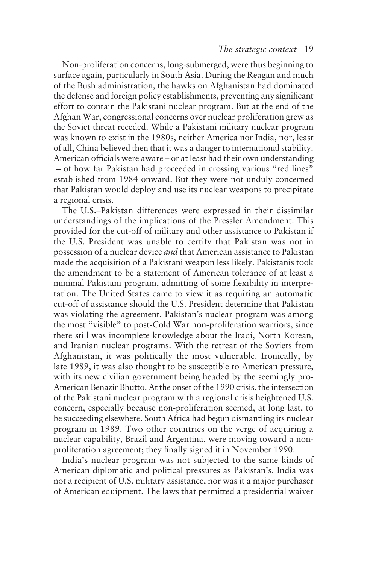Non-proliferation concerns, long-submerged, were thus beginning to surface again, particularly in South Asia. During the Reagan and much of the Bush administration, the hawks on Afghanistan had dominated the defense and foreign policy establishments, preventing any significant effort to contain the Pakistani nuclear program. But at the end of the Afghan War, congressional concerns over nuclear proliferation grew as the Soviet threat receded. While a Pakistani military nuclear program was known to exist in the 1980s, neither America nor India, nor, least of all, China believed then that it was a danger to international stability. American officials were aware – or at least had their own understanding – of how far Pakistan had proceeded in crossing various "red lines" established from 1984 onward. But they were not unduly concerned that Pakistan would deploy and use its nuclear weapons to precipitate a regional crisis.

The U.S.–Pakistan differences were expressed in their dissimilar understandings of the implications of the Pressler Amendment. This provided for the cut-off of military and other assistance to Pakistan if the U.S. President was unable to certify that Pakistan was not in possession of a nuclear device *and* that American assistance to Pakistan made the acquisition of a Pakistani weapon less likely. Pakistanis took the amendment to be a statement of American tolerance of at least a minimal Pakistani program, admitting of some flexibility in interpretation. The United States came to view it as requiring an automatic cut-off of assistance should the U.S. President determine that Pakistan was violating the agreement. Pakistan's nuclear program was among the most "visible" to post-Cold War non-proliferation warriors, since there still was incomplete knowledge about the Iraqi, North Korean, and Iranian nuclear programs. With the retreat of the Soviets from Afghanistan, it was politically the most vulnerable. Ironically, by late 1989, it was also thought to be susceptible to American pressure, with its new civilian government being headed by the seemingly pro-American Benazir Bhutto. At the onset of the 1990 crisis, the intersection of the Pakistani nuclear program with a regional crisis heightened U.S. concern, especially because non-proliferation seemed, at long last, to be succeeding elsewhere. South Africa had begun dismantling its nuclear program in 1989. Two other countries on the verge of acquiring a nuclear capability, Brazil and Argentina, were moving toward a nonproliferation agreement; they finally signed it in November 1990.

India's nuclear program was not subjected to the same kinds of American diplomatic and political pressures as Pakistan's. India was not a recipient of U.S. military assistance, nor was it a major purchaser of American equipment. The laws that permitted a presidential waiver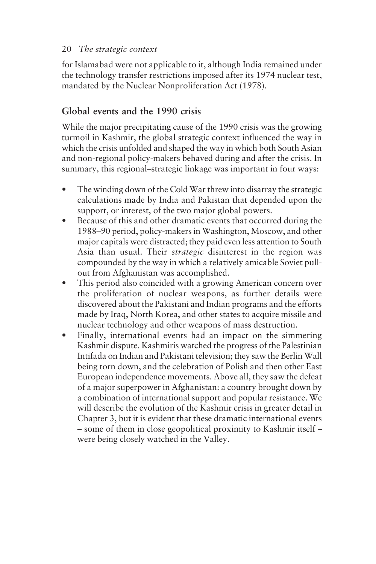### 20 *The strategic context*

for Islamabad were not applicable to it, although India remained under the technology transfer restrictions imposed after its 1974 nuclear test, mandated by the Nuclear Nonproliferation Act (1978).

# **Global events and the 1990 crisis**

While the major precipitating cause of the 1990 crisis was the growing turmoil in Kashmir, the global strategic context influenced the way in which the crisis unfolded and shaped the way in which both South Asian and non-regional policy-makers behaved during and after the crisis. In summary, this regional–strategic linkage was important in four ways:

- The winding down of the Cold War threw into disarray the strategic calculations made by India and Pakistan that depended upon the support, or interest, of the two major global powers.
- Because of this and other dramatic events that occurred during the 1988–90 period, policy-makers in Washington, Moscow, and other major capitals were distracted; they paid even less attention to South Asia than usual. Their *strategic* disinterest in the region was compounded by the way in which a relatively amicable Soviet pullout from Afghanistan was accomplished.
- This period also coincided with a growing American concern over the proliferation of nuclear weapons, as further details were discovered about the Pakistani and Indian programs and the efforts made by Iraq, North Korea, and other states to acquire missile and nuclear technology and other weapons of mass destruction.
- Finally, international events had an impact on the simmering Kashmir dispute. Kashmiris watched the progress of the Palestinian Intifada on Indian and Pakistani television; they saw the Berlin Wall being torn down, and the celebration of Polish and then other East European independence movements. Above all, they saw the defeat of a major superpower in Afghanistan: a country brought down by a combination of international support and popular resistance. We will describe the evolution of the Kashmir crisis in greater detail in Chapter 3, but it is evident that these dramatic international events – some of them in close geopolitical proximity to Kashmir itself – were being closely watched in the Valley.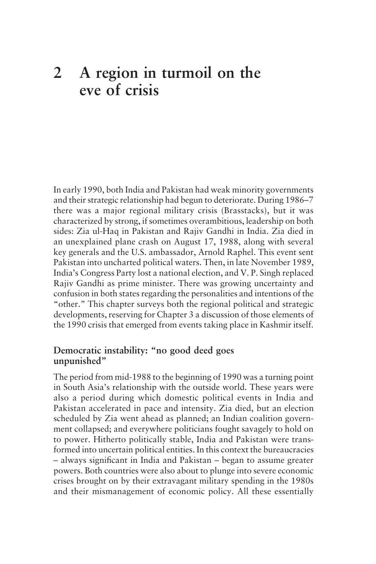# **2 A region in turmoil on the eve of crisis**

In early 1990, both India and Pakistan had weak minority governments and their strategic relationship had begun to deteriorate. During 1986–7 there was a major regional military crisis (Brasstacks), but it was characterized by strong, if sometimes overambitious, leadership on both sides: Zia ul-Haq in Pakistan and Rajiv Gandhi in India. Zia died in an unexplained plane crash on August 17, 1988, along with several key generals and the U.S. ambassador, Arnold Raphel. This event sent Pakistan into uncharted political waters. Then, in late November 1989, India's Congress Party lost a national election, and V. P. Singh replaced Rajiv Gandhi as prime minister. There was growing uncertainty and confusion in both states regarding the personalities and intentions of the "other." This chapter surveys both the regional political and strategic developments, reserving for Chapter 3 a discussion of those elements of the 1990 crisis that emerged from events taking place in Kashmir itself.

### **Democratic instability: "no good deed goes unpunished"**

The period from mid-1988 to the beginning of 1990 was a turning point in South Asia's relationship with the outside world. These years were also a period during which domestic political events in India and Pakistan accelerated in pace and intensity. Zia died, but an election scheduled by Zia went ahead as planned; an Indian coalition government collapsed; and everywhere politicians fought savagely to hold on to power. Hitherto politically stable, India and Pakistan were transformed into uncertain political entities. In this context the bureaucracies – always significant in India and Pakistan – began to assume greater powers. Both countries were also about to plunge into severe economic crises brought on by their extravagant military spending in the 1980s and their mismanagement of economic policy. All these essentially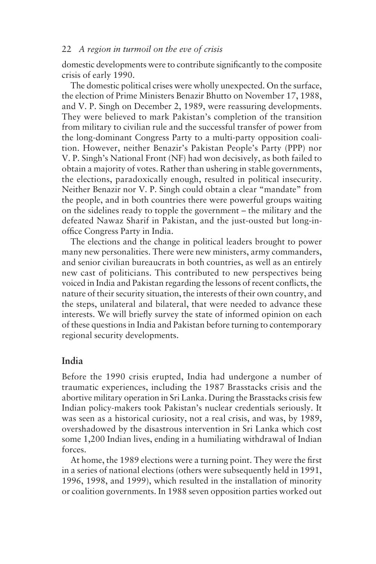#### 22 *A region in turmoil on the eve of crisis*

domestic developments were to contribute significantly to the composite crisis of early 1990.

The domestic political crises were wholly unexpected. On the surface, the election of Prime Ministers Benazir Bhutto on November 17, 1988, and V. P. Singh on December 2, 1989, were reassuring developments. They were believed to mark Pakistan's completion of the transition from military to civilian rule and the successful transfer of power from the long-dominant Congress Party to a multi-party opposition coalition. However, neither Benazir's Pakistan People's Party (PPP) nor V. P. Singh's National Front (NF) had won decisively, as both failed to obtain a majority of votes. Rather than ushering in stable governments, the elections, paradoxically enough, resulted in political insecurity. Neither Benazir nor V. P. Singh could obtain a clear "mandate" from the people, and in both countries there were powerful groups waiting on the sidelines ready to topple the government – the military and the defeated Nawaz Sharif in Pakistan, and the just-ousted but long-inoffice Congress Party in India.

The elections and the change in political leaders brought to power many new personalities. There were new ministers, army commanders, and senior civilian bureaucrats in both countries, as well as an entirely new cast of politicians. This contributed to new perspectives being voiced in India and Pakistan regarding the lessons of recent conflicts, the nature of their security situation, the interests of their own country, and the steps, unilateral and bilateral, that were needed to advance these interests. We will briefly survey the state of informed opinion on each of these questions in India and Pakistan before turning to contemporary regional security developments.

### **India**

Before the 1990 crisis erupted, India had undergone a number of traumatic experiences, including the 1987 Brasstacks crisis and the abortive military operation in Sri Lanka. During the Brasstacks crisis few Indian policy-makers took Pakistan's nuclear credentials seriously. It was seen as a historical curiosity, not a real crisis, and was, by 1989, overshadowed by the disastrous intervention in Sri Lanka which cost some 1,200 Indian lives, ending in a humiliating withdrawal of Indian forces.

At home, the 1989 elections were a turning point. They were the first in a series of national elections (others were subsequently held in 1991, 1996, 1998, and 1999), which resulted in the installation of minority or coalition governments. In 1988 seven opposition parties worked out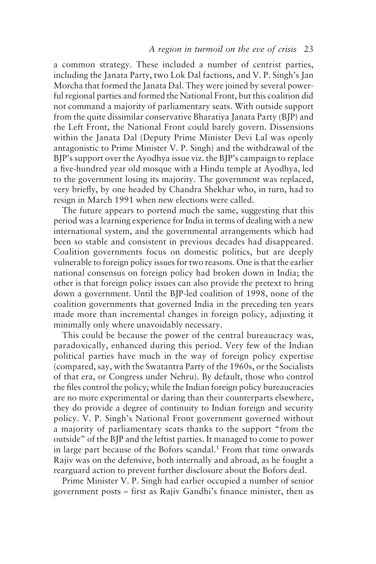#### *A region in turmoil on the eve of crisis* 23

a common strategy. These included a number of centrist parties, including the Janata Party, two Lok Dal factions, and V. P. Singh's Jan Morcha that formed the Janata Dal. They were joined by several powerful regional parties and formed the National Front, but this coalition did not command a majority of parliamentary seats. With outside support from the quite dissimilar conservative Bharatiya Janata Party (BJP) and the Left Front, the National Front could barely govern. Dissensions within the Janata Dal (Deputy Prime Minister Devi Lal was openly antagonistic to Prime Minister V. P. Singh) and the withdrawal of the BJP's support over the Ayodhya issue viz. the BJP's campaign to replace a five-hundred year old mosque with a Hindu temple at Ayodhya, led to the government losing its majority. The government was replaced, very briefly, by one headed by Chandra Shekhar who, in turn, had to resign in March 1991 when new elections were called.

The future appears to portend much the same, suggesting that this period was a learning experience for India in terms of dealing with a new international system, and the governmental arrangements which had been so stable and consistent in previous decades had disappeared. Coalition governments focus on domestic politics, but are deeply vulnerable to foreign policy issues for two reasons. One is that the earlier national consensus on foreign policy had broken down in India; the other is that foreign policy issues can also provide the pretext to bring down a government. Until the BJP-led coalition of 1998, none of the coalition governments that governed India in the preceding ten years made more than incremental changes in foreign policy, adjusting it minimally only where unavoidably necessary.

This could be because the power of the central bureaucracy was, paradoxically, enhanced during this period. Very few of the Indian political parties have much in the way of foreign policy expertise (compared, say, with the Swatantra Party of the 1960s, or the Socialists of that era, or Congress under Nehru). By default, those who control the files control the policy; while the Indian foreign policy bureaucracies are no more experimental or daring than their counterparts elsewhere, they do provide a degree of continuity to Indian foreign and security policy. V. P. Singh's National Front government governed without a majority of parliamentary seats thanks to the support "from the outside" of the BJP and the leftist parties. It managed to come to power in large part because of the Bofors scandal.<sup>1</sup> From that time onwards Rajiv was on the defensive, both internally and abroad, as he fought a rearguard action to prevent further disclosure about the Bofors deal.

Prime Minister V. P. Singh had earlier occupied a number of senior government posts – first as Rajiv Gandhi's finance minister, then as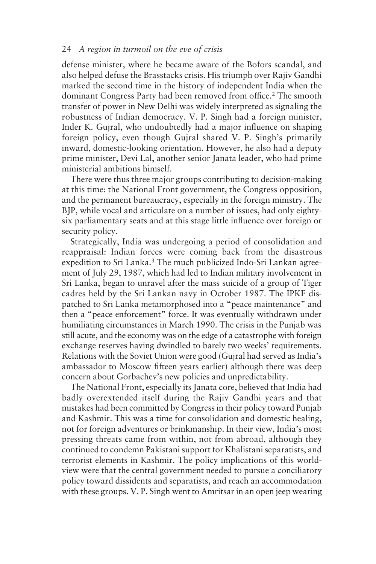#### 24 *A region in turmoil on the eve of crisis*

defense minister, where he became aware of the Bofors scandal, and also helped defuse the Brasstacks crisis. His triumph over Rajiv Gandhi marked the second time in the history of independent India when the dominant Congress Party had been removed from office.<sup>2</sup> The smooth transfer of power in New Delhi was widely interpreted as signaling the robustness of Indian democracy. V. P. Singh had a foreign minister, Inder K. Gujral, who undoubtedly had a major influence on shaping foreign policy, even though Gujral shared V. P. Singh's primarily inward, domestic-looking orientation. However, he also had a deputy prime minister, Devi Lal, another senior Janata leader, who had prime ministerial ambitions himself.

There were thus three major groups contributing to decision-making at this time: the National Front government, the Congress opposition, and the permanent bureaucracy, especially in the foreign ministry. The BJP, while vocal and articulate on a number of issues, had only eightysix parliamentary seats and at this stage little influence over foreign or security policy.

Strategically, India was undergoing a period of consolidation and reappraisal: Indian forces were coming back from the disastrous expedition to Sri Lanka.<sup>3</sup> The much publicized Indo-Sri Lankan agreement of July 29, 1987, which had led to Indian military involvement in Sri Lanka, began to unravel after the mass suicide of a group of Tiger cadres held by the Sri Lankan navy in October 1987. The IPKF dispatched to Sri Lanka metamorphosed into a "peace maintenance" and then a "peace enforcement" force. It was eventually withdrawn under humiliating circumstances in March 1990. The crisis in the Punjab was still acute, and the economy was on the edge of a catastrophe with foreign exchange reserves having dwindled to barely two weeks' requirements. Relations with the Soviet Union were good (Gujral had served as India's ambassador to Moscow fifteen years earlier) although there was deep concern about Gorbachev's new policies and unpredictability.

The National Front, especially its Janata core, believed that India had badly overextended itself during the Rajiv Gandhi years and that mistakes had been committed by Congress in their policy toward Punjab and Kashmir. This was a time for consolidation and domestic healing, not for foreign adventures or brinkmanship. In their view, India's most pressing threats came from within, not from abroad, although they continued to condemn Pakistani support for Khalistani separatists, and terrorist elements in Kashmir. The policy implications of this worldview were that the central government needed to pursue a conciliatory policy toward dissidents and separatists, and reach an accommodation with these groups. V. P. Singh went to Amritsar in an open jeep wearing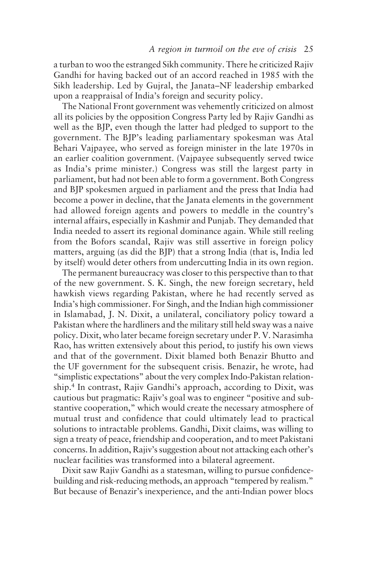a turban to woo the estranged Sikh community. There he criticized Rajiv Gandhi for having backed out of an accord reached in 1985 with the Sikh leadership. Led by Gujral, the Janata–NF leadership embarked upon a reappraisal of India's foreign and security policy.

The National Front government was vehemently criticized on almost all its policies by the opposition Congress Party led by Rajiv Gandhi as well as the BJP, even though the latter had pledged to support to the government. The BJP's leading parliamentary spokesman was Atal Behari Vajpayee, who served as foreign minister in the late 1970s in an earlier coalition government. (Vajpayee subsequently served twice as India's prime minister.) Congress was still the largest party in parliament, but had not been able to form a government. Both Congress and BJP spokesmen argued in parliament and the press that India had become a power in decline, that the Janata elements in the government had allowed foreign agents and powers to meddle in the country's internal affairs, especially in Kashmir and Punjab. They demanded that India needed to assert its regional dominance again. While still reeling from the Bofors scandal, Rajiv was still assertive in foreign policy matters, arguing (as did the BJP) that a strong India (that is, India led by itself) would deter others from undercutting India in its own region.

The permanent bureaucracy was closer to this perspective than to that of the new government. S. K. Singh, the new foreign secretary, held hawkish views regarding Pakistan, where he had recently served as India's high commissioner. For Singh, and the Indian high commissioner in Islamabad, J. N. Dixit, a unilateral, conciliatory policy toward a Pakistan where the hardliners and the military still held sway was a naive policy. Dixit, who later became foreign secretary under P. V. Narasimha Rao, has written extensively about this period, to justify his own views and that of the government. Dixit blamed both Benazir Bhutto and the UF government for the subsequent crisis. Benazir, he wrote, had "simplistic expectations" about the very complex Indo-Pakistan relationship.4 In contrast, Rajiv Gandhi's approach, according to Dixit, was cautious but pragmatic: Rajiv's goal was to engineer "positive and substantive cooperation," which would create the necessary atmosphere of mutual trust and confidence that could ultimately lead to practical solutions to intractable problems. Gandhi, Dixit claims, was willing to sign a treaty of peace, friendship and cooperation, and to meet Pakistani concerns. In addition, Rajiv's suggestion about not attacking each other's nuclear facilities was transformed into a bilateral agreement.

Dixit saw Rajiv Gandhi as a statesman, willing to pursue confidencebuilding and risk-reducing methods, an approach "tempered by realism." But because of Benazir's inexperience, and the anti-Indian power blocs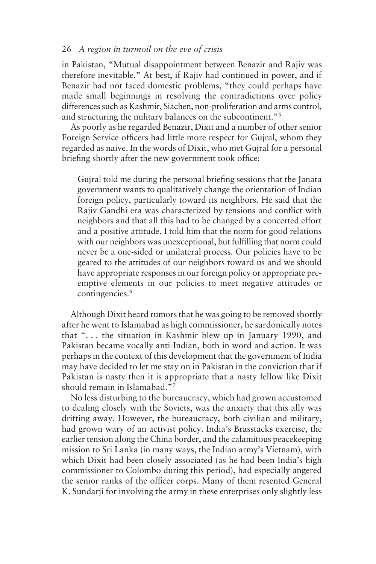in Pakistan, "Mutual disappointment between Benazir and Rajiv was therefore inevitable." At best, if Rajiv had continued in power, and if Benazir had not faced domestic problems, "they could perhaps have made small beginnings in resolving the contradictions over policy differences such as Kashmir, Siachen, non-proliferation and arms control, and structuring the military balances on the subcontinent."<sup>5</sup>

As poorly as he regarded Benazir, Dixit and a number of other senior Foreign Service officers had little more respect for Gujral, whom they regarded as naive. In the words of Dixit, who met Gujral for a personal briefing shortly after the new government took office:

Gujral told me during the personal briefing sessions that the Janata government wants to qualitatively change the orientation of Indian foreign policy, particularly toward its neighbors. He said that the Rajiv Gandhi era was characterized by tensions and conflict with neighbors and that all this had to be changed by a concerted effort and a positive attitude. I told him that the norm for good relations with our neighbors was unexceptional, but fulfilling that norm could never be a one-sided or unilateral process. Our policies have to be geared to the attitudes of our neighbors toward us and we should have appropriate responses in our foreign policy or appropriate preemptive elements in our policies to meet negative attitudes or contingencies.6

Although Dixit heard rumors that he was going to be removed shortly after he went to Islamabad as high commissioner, he sardonically notes that ". . . the situation in Kashmir blew up in January 1990, and Pakistan became vocally anti-Indian, both in word and action. It was perhaps in the context of this development that the government of India may have decided to let me stay on in Pakistan in the conviction that if Pakistan is nasty then it is appropriate that a nasty fellow like Dixit should remain in Islamabad."7

No less disturbing to the bureaucracy, which had grown accustomed to dealing closely with the Soviets, was the anxiety that this ally was drifting away. However, the bureaucracy, both civilian and military, had grown wary of an activist policy. India's Brasstacks exercise, the earlier tension along the China border, and the calamitous peacekeeping mission to Sri Lanka (in many ways, the Indian army's Vietnam), with which Dixit had been closely associated (as he had been India's high commissioner to Colombo during this period), had especially angered the senior ranks of the officer corps. Many of them resented General K. Sundarji for involving the army in these enterprises only slightly less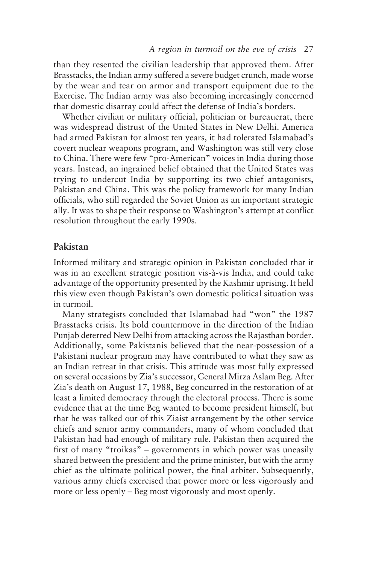than they resented the civilian leadership that approved them. After Brasstacks, the Indian army suffered a severe budget crunch, made worse by the wear and tear on armor and transport equipment due to the Exercise. The Indian army was also becoming increasingly concerned that domestic disarray could affect the defense of India's borders.

Whether civilian or military official, politician or bureaucrat, there was widespread distrust of the United States in New Delhi. America had armed Pakistan for almost ten years, it had tolerated Islamabad's covert nuclear weapons program, and Washington was still very close to China. There were few "pro-American" voices in India during those years. Instead, an ingrained belief obtained that the United States was trying to undercut India by supporting its two chief antagonists, Pakistan and China. This was the policy framework for many Indian officials, who still regarded the Soviet Union as an important strategic ally. It was to shape their response to Washington's attempt at conflict resolution throughout the early 1990s.

# **Pakistan**

Informed military and strategic opinion in Pakistan concluded that it was in an excellent strategic position vis-à-vis India, and could take advantage of the opportunity presented by the Kashmir uprising. It held this view even though Pakistan's own domestic political situation was in turmoil.

Many strategists concluded that Islamabad had "won" the 1987 Brasstacks crisis. Its bold countermove in the direction of the Indian Punjab deterred New Delhi from attacking across the Rajasthan border. Additionally, some Pakistanis believed that the near-possession of a Pakistani nuclear program may have contributed to what they saw as an Indian retreat in that crisis. This attitude was most fully expressed on several occasions by Zia's successor, General Mirza Aslam Beg. After Zia's death on August 17, 1988, Beg concurred in the restoration of at least a limited democracy through the electoral process. There is some evidence that at the time Beg wanted to become president himself, but that he was talked out of this Ziaist arrangement by the other service chiefs and senior army commanders, many of whom concluded that Pakistan had had enough of military rule. Pakistan then acquired the first of many "troikas" – governments in which power was uneasily shared between the president and the prime minister, but with the army chief as the ultimate political power, the final arbiter. Subsequently, various army chiefs exercised that power more or less vigorously and more or less openly – Beg most vigorously and most openly.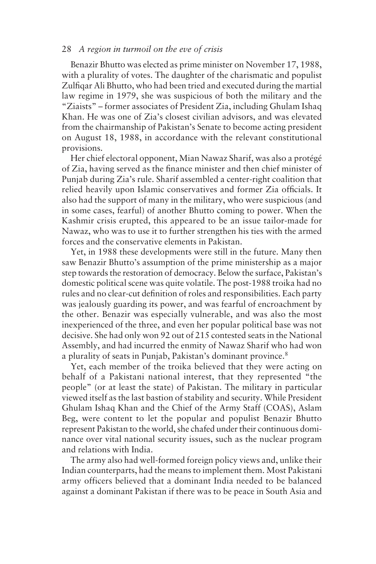Benazir Bhutto was elected as prime minister on November 17, 1988, with a plurality of votes. The daughter of the charismatic and populist Zulfiqar Ali Bhutto, who had been tried and executed during the martial law regime in 1979, she was suspicious of both the military and the "Ziaists" – former associates of President Zia, including Ghulam Ishaq Khan. He was one of Zia's closest civilian advisors, and was elevated from the chairmanship of Pakistan's Senate to become acting president on August 18, 1988, in accordance with the relevant constitutional provisions.

Her chief electoral opponent, Mian Nawaz Sharif, was also a protégé of Zia, having served as the finance minister and then chief minister of Punjab during Zia's rule. Sharif assembled a center-right coalition that relied heavily upon Islamic conservatives and former Zia officials. It also had the support of many in the military, who were suspicious (and in some cases, fearful) of another Bhutto coming to power. When the Kashmir crisis erupted, this appeared to be an issue tailor-made for Nawaz, who was to use it to further strengthen his ties with the armed forces and the conservative elements in Pakistan.

Yet, in 1988 these developments were still in the future. Many then saw Benazir Bhutto's assumption of the prime ministership as a major step towards the restoration of democracy. Below the surface, Pakistan's domestic political scene was quite volatile. The post-1988 troika had no rules and no clear-cut definition of roles and responsibilities. Each party was jealously guarding its power, and was fearful of encroachment by the other. Benazir was especially vulnerable, and was also the most inexperienced of the three, and even her popular political base was not decisive. She had only won 92 out of 215 contested seats in the National Assembly, and had incurred the enmity of Nawaz Sharif who had won a plurality of seats in Punjab, Pakistan's dominant province.<sup>8</sup>

Yet, each member of the troika believed that they were acting on behalf of a Pakistani national interest, that they represented "the people" (or at least the state) of Pakistan. The military in particular viewed itself as the last bastion of stability and security. While President Ghulam Ishaq Khan and the Chief of the Army Staff (COAS), Aslam Beg, were content to let the popular and populist Benazir Bhutto represent Pakistan to the world, she chafed under their continuous dominance over vital national security issues, such as the nuclear program and relations with India.

The army also had well-formed foreign policy views and, unlike their Indian counterparts, had the means to implement them. Most Pakistani army officers believed that a dominant India needed to be balanced against a dominant Pakistan if there was to be peace in South Asia and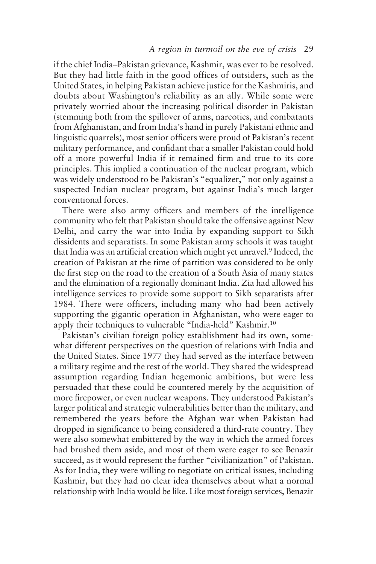if the chief India–Pakistan grievance, Kashmir, was ever to be resolved. But they had little faith in the good offices of outsiders, such as the United States, in helping Pakistan achieve justice for the Kashmiris, and doubts about Washington's reliability as an ally. While some were privately worried about the increasing political disorder in Pakistan (stemming both from the spillover of arms, narcotics, and combatants from Afghanistan, and from India's hand in purely Pakistani ethnic and linguistic quarrels), most senior officers were proud of Pakistan's recent military performance, and confidant that a smaller Pakistan could hold off a more powerful India if it remained firm and true to its core principles. This implied a continuation of the nuclear program, which was widely understood to be Pakistan's "equalizer," not only against a suspected Indian nuclear program, but against India's much larger conventional forces.

There were also army officers and members of the intelligence community who felt that Pakistan should take the offensive against New Delhi, and carry the war into India by expanding support to Sikh dissidents and separatists. In some Pakistan army schools it was taught that India was an artificial creation which might yet unravel.<sup>9</sup> Indeed, the creation of Pakistan at the time of partition was considered to be only the first step on the road to the creation of a South Asia of many states and the elimination of a regionally dominant India. Zia had allowed his intelligence services to provide some support to Sikh separatists after 1984. There were officers, including many who had been actively supporting the gigantic operation in Afghanistan, who were eager to apply their techniques to vulnerable "India-held" Kashmir.10

Pakistan's civilian foreign policy establishment had its own, somewhat different perspectives on the question of relations with India and the United States. Since 1977 they had served as the interface between a military regime and the rest of the world. They shared the widespread assumption regarding Indian hegemonic ambitions, but were less persuaded that these could be countered merely by the acquisition of more firepower, or even nuclear weapons. They understood Pakistan's larger political and strategic vulnerabilities better than the military, and remembered the years before the Afghan war when Pakistan had dropped in significance to being considered a third-rate country. They were also somewhat embittered by the way in which the armed forces had brushed them aside, and most of them were eager to see Benazir succeed, as it would represent the further "civilianization" of Pakistan. As for India, they were willing to negotiate on critical issues, including Kashmir, but they had no clear idea themselves about what a normal relationship with India would be like. Like most foreign services, Benazir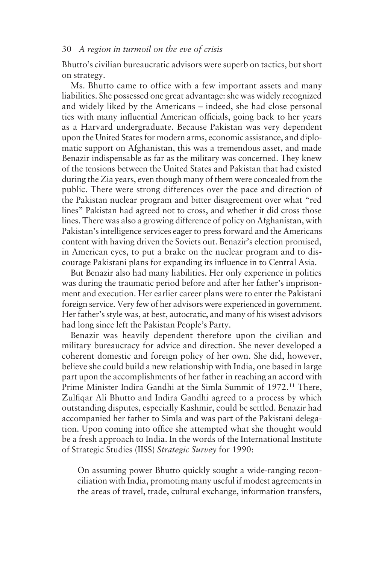Bhutto's civilian bureaucratic advisors were superb on tactics, but short on strategy.

Ms. Bhutto came to office with a few important assets and many liabilities. She possessed one great advantage: she was widely recognized and widely liked by the Americans – indeed, she had close personal ties with many influential American officials, going back to her years as a Harvard undergraduate. Because Pakistan was very dependent upon the United States for modern arms, economic assistance, and diplomatic support on Afghanistan, this was a tremendous asset, and made Benazir indispensable as far as the military was concerned. They knew of the tensions between the United States and Pakistan that had existed during the Zia years, even though many of them were concealed from the public. There were strong differences over the pace and direction of the Pakistan nuclear program and bitter disagreement over what "red lines" Pakistan had agreed not to cross, and whether it did cross those lines. There was also a growing difference of policy on Afghanistan, with Pakistan's intelligence services eager to press forward and the Americans content with having driven the Soviets out. Benazir's election promised, in American eyes, to put a brake on the nuclear program and to discourage Pakistani plans for expanding its influence in to Central Asia.

But Benazir also had many liabilities. Her only experience in politics was during the traumatic period before and after her father's imprisonment and execution. Her earlier career plans were to enter the Pakistani foreign service. Very few of her advisors were experienced in government. Her father's style was, at best, autocratic, and many of his wisest advisors had long since left the Pakistan People's Party.

Benazir was heavily dependent therefore upon the civilian and military bureaucracy for advice and direction. She never developed a coherent domestic and foreign policy of her own. She did, however, believe she could build a new relationship with India, one based in large part upon the accomplishments of her father in reaching an accord with Prime Minister Indira Gandhi at the Simla Summit of 1972.11 There, Zulfiqar Ali Bhutto and Indira Gandhi agreed to a process by which outstanding disputes, especially Kashmir, could be settled. Benazir had accompanied her father to Simla and was part of the Pakistani delegation. Upon coming into office she attempted what she thought would be a fresh approach to India. In the words of the International Institute of Strategic Studies (IISS) *Strategic Survey* for 1990:

On assuming power Bhutto quickly sought a wide-ranging reconciliation with India, promoting many useful if modest agreements in the areas of travel, trade, cultural exchange, information transfers,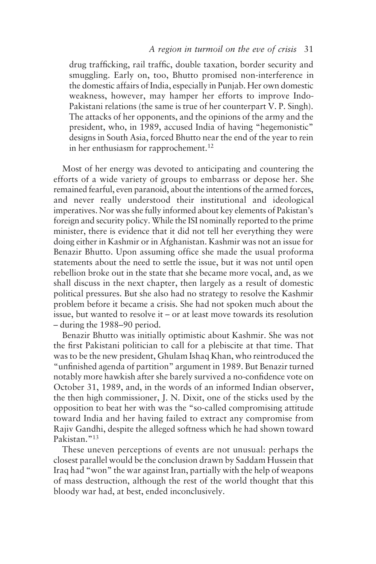drug trafficking, rail traffic, double taxation, border security and smuggling. Early on, too, Bhutto promised non-interference in the domestic affairs of India, especially in Punjab. Her own domestic weakness, however, may hamper her efforts to improve Indo-Pakistani relations (the same is true of her counterpart V. P. Singh). The attacks of her opponents, and the opinions of the army and the president, who, in 1989, accused India of having "hegemonistic" designs in South Asia, forced Bhutto near the end of the year to rein in her enthusiasm for rapprochement.<sup>12</sup>

Most of her energy was devoted to anticipating and countering the efforts of a wide variety of groups to embarrass or depose her. She remained fearful, even paranoid, about the intentions of the armed forces, and never really understood their institutional and ideological imperatives. Nor was she fully informed about key elements of Pakistan's foreign and security policy. While the ISI nominally reported to the prime minister, there is evidence that it did not tell her everything they were doing either in Kashmir or in Afghanistan. Kashmir was not an issue for Benazir Bhutto. Upon assuming office she made the usual proforma statements about the need to settle the issue, but it was not until open rebellion broke out in the state that she became more vocal, and, as we shall discuss in the next chapter, then largely as a result of domestic political pressures. But she also had no strategy to resolve the Kashmir problem before it became a crisis. She had not spoken much about the issue, but wanted to resolve it – or at least move towards its resolution – during the 1988–90 period.

Benazir Bhutto was initially optimistic about Kashmir. She was not the first Pakistani politician to call for a plebiscite at that time. That was to be the new president, Ghulam Ishaq Khan, who reintroduced the "unfinished agenda of partition" argument in 1989. But Benazir turned notably more hawkish after she barely survived a no-confidence vote on October 31, 1989, and, in the words of an informed Indian observer, the then high commissioner, J. N. Dixit, one of the sticks used by the opposition to beat her with was the "so-called compromising attitude toward India and her having failed to extract any compromise from Rajiv Gandhi, despite the alleged softness which he had shown toward Pakistan."<sup>13</sup>

These uneven perceptions of events are not unusual: perhaps the closest parallel would be the conclusion drawn by Saddam Hussein that Iraq had "won" the war against Iran, partially with the help of weapons of mass destruction, although the rest of the world thought that this bloody war had, at best, ended inconclusively.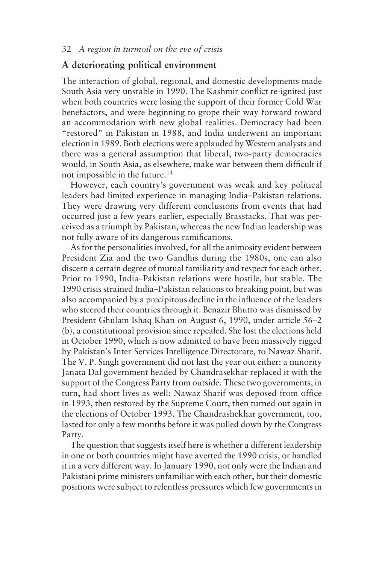# **A deteriorating political environment**

The interaction of global, regional, and domestic developments made South Asia very unstable in 1990. The Kashmir conflict re-ignited just when both countries were losing the support of their former Cold War benefactors, and were beginning to grope their way forward toward an accommodation with new global realities. Democracy had been "restored" in Pakistan in 1988, and India underwent an important election in 1989. Both elections were applauded by Western analysts and there was a general assumption that liberal, two-party democracies would, in South Asia, as elsewhere, make war between them difficult if not impossible in the future.14

However, each country's government was weak and key political leaders had limited experience in managing India–Pakistan relations. They were drawing very different conclusions from events that had occurred just a few years earlier, especially Brasstacks. That was perceived as a triumph by Pakistan, whereas the new Indian leadership was not fully aware of its dangerous ramifications.

As for the personalities involved, for all the animosity evident between President Zia and the two Gandhis during the 1980s, one can also discern a certain degree of mutual familiarity and respect for each other. Prior to 1990, India–Pakistan relations were hostile, but stable. The 1990 crisis strained India–Pakistan relations to breaking point, but was also accompanied by a precipitous decline in the influence of the leaders who steered their countries through it. Benazir Bhutto was dismissed by President Ghulam Ishaq Khan on August 6, 1990, under article 56–2 (b), a constitutional provision since repealed. She lost the elections held in October 1990, which is now admitted to have been massively rigged by Pakistan's Inter-Services Intelligence Directorate, to Nawaz Sharif. The V. P. Singh government did not last the year out either: a minority Janata Dal government headed by Chandrasekhar replaced it with the support of the Congress Party from outside. These two governments, in turn, had short lives as well: Nawaz Sharif was deposed from office in 1993, then restored by the Supreme Court, then turned out again in the elections of October 1993. The Chandrashekhar government, too, lasted for only a few months before it was pulled down by the Congress Party.

The question that suggests itself here is whether a different leadership in one or both countries might have averted the 1990 crisis, or handled it in a very different way. In January 1990, not only were the Indian and Pakistani prime ministers unfamiliar with each other, but their domestic positions were subject to relentless pressures which few governments in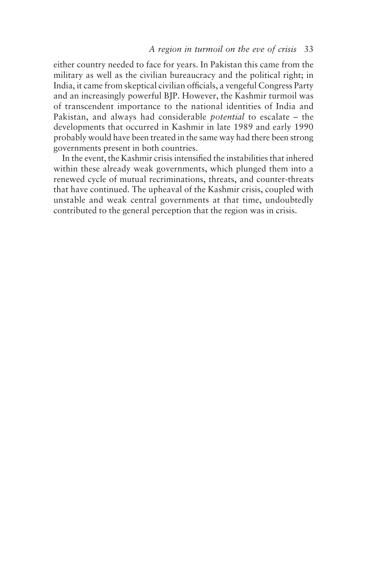either country needed to face for years. In Pakistan this came from the military as well as the civilian bureaucracy and the political right; in India, it came from skeptical civilian officials, a vengeful Congress Party and an increasingly powerful BJP. However, the Kashmir turmoil was of transcendent importance to the national identities of India and Pakistan, and always had considerable *potential* to escalate – the developments that occurred in Kashmir in late 1989 and early 1990 probably would have been treated in the same way had there been strong governments present in both countries.

In the event, the Kashmir crisis intensified the instabilities that inhered within these already weak governments, which plunged them into a renewed cycle of mutual recriminations, threats, and counter-threats that have continued. The upheaval of the Kashmir crisis, coupled with unstable and weak central governments at that time, undoubtedly contributed to the general perception that the region was in crisis.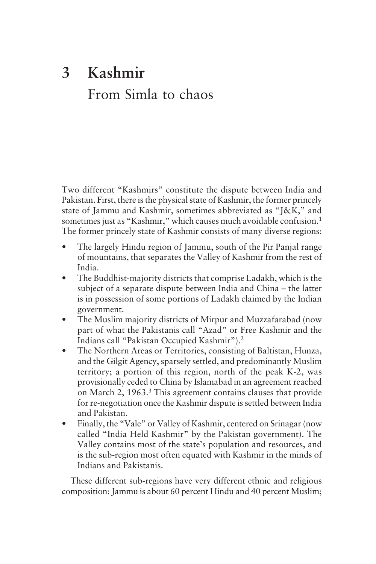Two different "Kashmirs" constitute the dispute between India and Pakistan. First, there is the physical state of Kashmir, the former princely state of Jammu and Kashmir, sometimes abbreviated as "J&K," and sometimes just as "Kashmir," which causes much avoidable confusion.<sup>1</sup> The former princely state of Kashmir consists of many diverse regions:

- The largely Hindu region of Jammu, south of the Pir Panjal range of mountains, that separates the Valley of Kashmir from the rest of India.
- The Buddhist-majority districts that comprise Ladakh, which is the subject of a separate dispute between India and China – the latter is in possession of some portions of Ladakh claimed by the Indian government.
- The Muslim majority districts of Mirpur and Muzzafarabad (now part of what the Pakistanis call "Azad" or Free Kashmir and the Indians call "Pakistan Occupied Kashmir").2
- The Northern Areas or Territories, consisting of Baltistan, Hunza, and the Gilgit Agency, sparsely settled, and predominantly Muslim territory; a portion of this region, north of the peak K-2, was provisionally ceded to China by Islamabad in an agreement reached on March 2, 1963.3 This agreement contains clauses that provide for re-negotiation once the Kashmir dispute is settled between India and Pakistan.
- Finally, the "Vale" or Valley of Kashmir, centered on Srinagar (now called "India Held Kashmir" by the Pakistan government). The Valley contains most of the state's population and resources, and is the sub-region most often equated with Kashmir in the minds of Indians and Pakistanis.

These different sub-regions have very different ethnic and religious composition: Jammu is about 60 percent Hindu and 40 percent Muslim;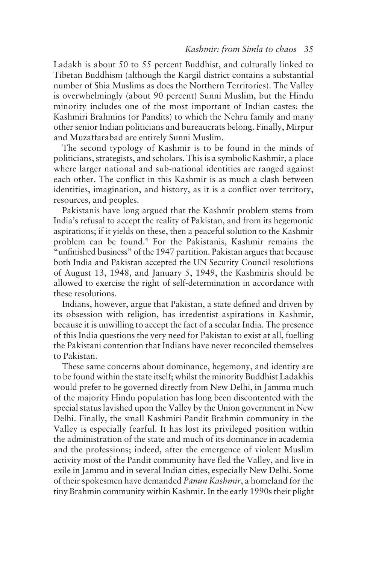Ladakh is about 50 to 55 percent Buddhist, and culturally linked to Tibetan Buddhism (although the Kargil district contains a substantial number of Shia Muslims as does the Northern Territories). The Valley is overwhelmingly (about 90 percent) Sunni Muslim, but the Hindu minority includes one of the most important of Indian castes: the Kashmiri Brahmins (or Pandits) to which the Nehru family and many other senior Indian politicians and bureaucrats belong. Finally, Mirpur and Muzaffarabad are entirely Sunni Muslim.

The second typology of Kashmir is to be found in the minds of politicians, strategists, and scholars. This is a symbolic Kashmir, a place where larger national and sub-national identities are ranged against each other. The conflict in this Kashmir is as much a clash between identities, imagination, and history, as it is a conflict over territory, resources, and peoples.

Pakistanis have long argued that the Kashmir problem stems from India's refusal to accept the reality of Pakistan, and from its hegemonic aspirations; if it yields on these, then a peaceful solution to the Kashmir problem can be found.4 For the Pakistanis, Kashmir remains the "unfinished business" of the 1947 partition. Pakistan argues that because both India and Pakistan accepted the UN Security Council resolutions of August 13, 1948, and January 5, 1949, the Kashmiris should be allowed to exercise the right of self-determination in accordance with these resolutions.

Indians, however, argue that Pakistan, a state defined and driven by its obsession with religion, has irredentist aspirations in Kashmir, because it is unwilling to accept the fact of a secular India. The presence of this India questions the very need for Pakistan to exist at all, fuelling the Pakistani contention that Indians have never reconciled themselves to Pakistan.

These same concerns about dominance, hegemony, and identity are to be found within the state itself; whilst the minority Buddhist Ladakhis would prefer to be governed directly from New Delhi, in Jammu much of the majority Hindu population has long been discontented with the special status lavished upon the Valley by the Union government in New Delhi. Finally, the small Kashmiri Pandit Brahmin community in the Valley is especially fearful. It has lost its privileged position within the administration of the state and much of its dominance in academia and the professions; indeed, after the emergence of violent Muslim activity most of the Pandit community have fled the Valley, and live in exile in Jammu and in several Indian cities, especially New Delhi. Some of their spokesmen have demanded *Panun Kashmir*, a homeland for the tiny Brahmin community within Kashmir. In the early 1990s their plight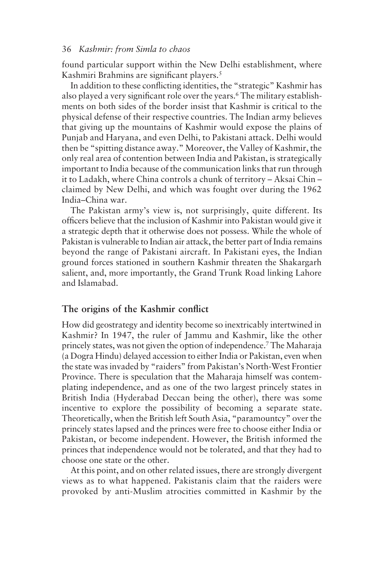found particular support within the New Delhi establishment, where Kashmiri Brahmins are significant players.<sup>5</sup>

In addition to these conflicting identities, the "strategic" Kashmir has also played a very significant role over the years.6 The military establishments on both sides of the border insist that Kashmir is critical to the physical defense of their respective countries. The Indian army believes that giving up the mountains of Kashmir would expose the plains of Punjab and Haryana, and even Delhi, to Pakistani attack. Delhi would then be "spitting distance away." Moreover, the Valley of Kashmir, the only real area of contention between India and Pakistan, is strategically important to India because of the communication links that run through it to Ladakh, where China controls a chunk of territory – Aksai Chin – claimed by New Delhi, and which was fought over during the 1962 India–China war.

The Pakistan army's view is, not surprisingly, quite different. Its officers believe that the inclusion of Kashmir into Pakistan would give it a strategic depth that it otherwise does not possess. While the whole of Pakistan is vulnerable to Indian air attack, the better part of India remains beyond the range of Pakistani aircraft. In Pakistani eyes, the Indian ground forces stationed in southern Kashmir threaten the Shakargarh salient, and, more importantly, the Grand Trunk Road linking Lahore and Islamabad.

# **The origins of the Kashmir conflict**

How did geostrategy and identity become so inextricably intertwined in Kashmir? In 1947, the ruler of Jammu and Kashmir, like the other princely states, was not given the option of independence.7 The Maharaja (a Dogra Hindu) delayed accession to either India or Pakistan, even when the state was invaded by "raiders" from Pakistan's North-West Frontier Province. There is speculation that the Maharaja himself was contemplating independence, and as one of the two largest princely states in British India (Hyderabad Deccan being the other), there was some incentive to explore the possibility of becoming a separate state. Theoretically, when the British left South Asia, "paramountcy" over the princely states lapsed and the princes were free to choose either India or Pakistan, or become independent. However, the British informed the princes that independence would not be tolerated, and that they had to choose one state or the other.

At this point, and on other related issues, there are strongly divergent views as to what happened. Pakistanis claim that the raiders were provoked by anti-Muslim atrocities committed in Kashmir by the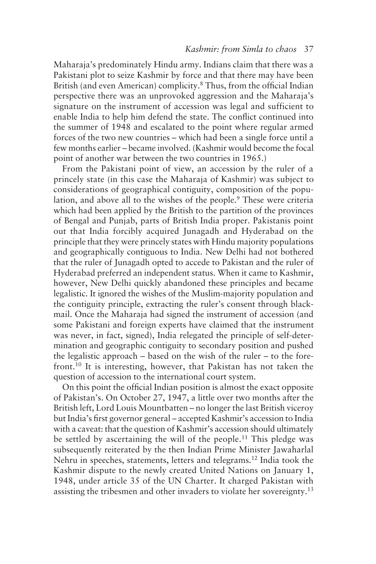Maharaja's predominately Hindu army. Indians claim that there was a Pakistani plot to seize Kashmir by force and that there may have been British (and even American) complicity.8 Thus, from the official Indian perspective there was an unprovoked aggression and the Maharaja's signature on the instrument of accession was legal and sufficient to enable India to help him defend the state. The conflict continued into the summer of 1948 and escalated to the point where regular armed forces of the two new countries – which had been a single force until a few months earlier – became involved. (Kashmir would become the focal point of another war between the two countries in 1965.)

From the Pakistani point of view, an accession by the ruler of a princely state (in this case the Maharaja of Kashmir) was subject to considerations of geographical contiguity, composition of the population, and above all to the wishes of the people.9 These were criteria which had been applied by the British to the partition of the provinces of Bengal and Punjab, parts of British India proper. Pakistanis point out that India forcibly acquired Junagadh and Hyderabad on the principle that they were princely states with Hindu majority populations and geographically contiguous to India. New Delhi had not bothered that the ruler of Junagadh opted to accede to Pakistan and the ruler of Hyderabad preferred an independent status. When it came to Kashmir, however, New Delhi quickly abandoned these principles and became legalistic. It ignored the wishes of the Muslim-majority population and the contiguity principle, extracting the ruler's consent through blackmail. Once the Maharaja had signed the instrument of accession (and some Pakistani and foreign experts have claimed that the instrument was never, in fact, signed), India relegated the principle of self-determination and geographic contiguity to secondary position and pushed the legalistic approach – based on the wish of the ruler – to the forefront.10 It is interesting, however, that Pakistan has not taken the question of accession to the international court system.

On this point the official Indian position is almost the exact opposite of Pakistan's. On October 27, 1947, a little over two months after the British left, Lord Louis Mountbatten – no longer the last British viceroy but India's first governor general – accepted Kashmir's accession to India with a caveat: that the question of Kashmir's accession should ultimately be settled by ascertaining the will of the people.<sup>11</sup> This pledge was subsequently reiterated by the then Indian Prime Minister Jawaharlal Nehru in speeches, statements, letters and telegrams.12 India took the Kashmir dispute to the newly created United Nations on January 1, 1948, under article 35 of the UN Charter. It charged Pakistan with assisting the tribesmen and other invaders to violate her sovereignty.13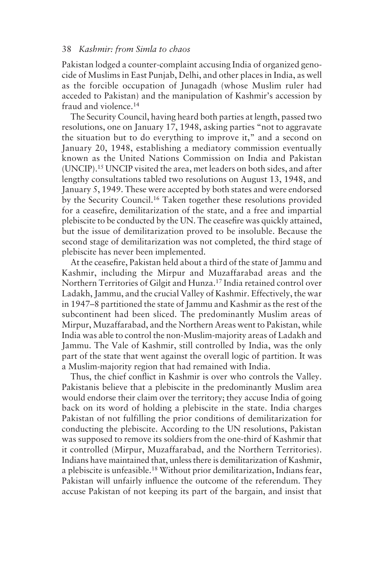Pakistan lodged a counter-complaint accusing India of organized genocide of Muslims in East Punjab, Delhi, and other places in India, as well as the forcible occupation of Junagadh (whose Muslim ruler had acceded to Pakistan) and the manipulation of Kashmir's accession by fraud and violence.14

The Security Council, having heard both parties at length, passed two resolutions, one on January 17, 1948, asking parties "not to aggravate the situation but to do everything to improve it," and a second on January 20, 1948, establishing a mediatory commission eventually known as the United Nations Commission on India and Pakistan (UNCIP).15 UNCIP visited the area, met leaders on both sides, and after lengthy consultations tabled two resolutions on August 13, 1948, and January 5, 1949. These were accepted by both states and were endorsed by the Security Council.16 Taken together these resolutions provided for a ceasefire, demilitarization of the state, and a free and impartial plebiscite to be conducted by the UN. The ceasefire was quickly attained, but the issue of demilitarization proved to be insoluble. Because the second stage of demilitarization was not completed, the third stage of plebiscite has never been implemented.

At the ceasefire, Pakistan held about a third of the state of Jammu and Kashmir, including the Mirpur and Muzaffarabad areas and the Northern Territories of Gilgit and Hunza.17 India retained control over Ladakh, Jammu, and the crucial Valley of Kashmir. Effectively, the war in 1947–8 partitioned the state of Jammu and Kashmir as the rest of the subcontinent had been sliced. The predominantly Muslim areas of Mirpur, Muzaffarabad, and the Northern Areas went to Pakistan, while India was able to control the non-Muslim-majority areas of Ladakh and Jammu. The Vale of Kashmir, still controlled by India, was the only part of the state that went against the overall logic of partition. It was a Muslim-majority region that had remained with India.

Thus, the chief conflict in Kashmir is over who controls the Valley. Pakistanis believe that a plebiscite in the predominantly Muslim area would endorse their claim over the territory; they accuse India of going back on its word of holding a plebiscite in the state. India charges Pakistan of not fulfilling the prior conditions of demilitarization for conducting the plebiscite. According to the UN resolutions, Pakistan was supposed to remove its soldiers from the one-third of Kashmir that it controlled (Mirpur, Muzaffarabad, and the Northern Territories). Indians have maintained that, unless there is demilitarization of Kashmir, a plebiscite is unfeasible.18 Without prior demilitarization, Indians fear, Pakistan will unfairly influence the outcome of the referendum. They accuse Pakistan of not keeping its part of the bargain, and insist that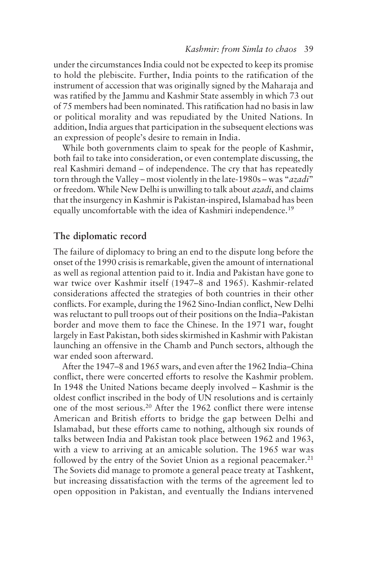under the circumstances India could not be expected to keep its promise to hold the plebiscite. Further, India points to the ratification of the instrument of accession that was originally signed by the Maharaja and was ratified by the Jammu and Kashmir State assembly in which 73 out of 75 members had been nominated. This ratification had no basis in law or political morality and was repudiated by the United Nations. In addition, India argues that participation in the subsequent elections was an expression of people's desire to remain in India.

While both governments claim to speak for the people of Kashmir, both fail to take into consideration, or even contemplate discussing, the real Kashmiri demand – of independence. The cry that has repeatedly torn through the Valley – most violently in the late-1980s – was "*azadi*" or freedom. While New Delhi is unwilling to talk about *azadi*, and claims that the insurgency in Kashmir is Pakistan-inspired, Islamabad has been equally uncomfortable with the idea of Kashmiri independence.19

# **The diplomatic record**

The failure of diplomacy to bring an end to the dispute long before the onset of the 1990 crisis is remarkable, given the amount of international as well as regional attention paid to it. India and Pakistan have gone to war twice over Kashmir itself (1947–8 and 1965). Kashmir-related considerations affected the strategies of both countries in their other conflicts. For example, during the 1962 Sino-Indian conflict, New Delhi was reluctant to pull troops out of their positions on the India–Pakistan border and move them to face the Chinese. In the 1971 war, fought largely in East Pakistan, both sides skirmished in Kashmir with Pakistan launching an offensive in the Chamb and Punch sectors, although the war ended soon afterward.

After the 1947–8 and 1965 wars, and even after the 1962 India–China conflict, there were concerted efforts to resolve the Kashmir problem. In 1948 the United Nations became deeply involved – Kashmir is the oldest conflict inscribed in the body of UN resolutions and is certainly one of the most serious.20 After the 1962 conflict there were intense American and British efforts to bridge the gap between Delhi and Islamabad, but these efforts came to nothing, although six rounds of talks between India and Pakistan took place between 1962 and 1963, with a view to arriving at an amicable solution. The 1965 war was followed by the entry of the Soviet Union as a regional peacemaker.<sup>21</sup> The Soviets did manage to promote a general peace treaty at Tashkent, but increasing dissatisfaction with the terms of the agreement led to open opposition in Pakistan, and eventually the Indians intervened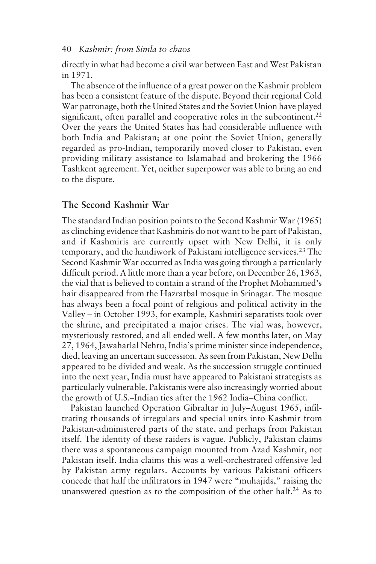directly in what had become a civil war between East and West Pakistan in 1971.

The absence of the influence of a great power on the Kashmir problem has been a consistent feature of the dispute. Beyond their regional Cold War patronage, both the United States and the Soviet Union have played significant, often parallel and cooperative roles in the subcontinent.<sup>22</sup> Over the years the United States has had considerable influence with both India and Pakistan; at one point the Soviet Union, generally regarded as pro-Indian, temporarily moved closer to Pakistan, even providing military assistance to Islamabad and brokering the 1966 Tashkent agreement. Yet, neither superpower was able to bring an end to the dispute.

# **The Second Kashmir War**

The standard Indian position points to the Second Kashmir War (1965) as clinching evidence that Kashmiris do not want to be part of Pakistan, and if Kashmiris are currently upset with New Delhi, it is only temporary, and the handiwork of Pakistani intelligence services.23 The Second Kashmir War occurred as India was going through a particularly difficult period. A little more than a year before, on December 26, 1963, the vial that is believed to contain a strand of the Prophet Mohammed's hair disappeared from the Hazratbal mosque in Srinagar. The mosque has always been a focal point of religious and political activity in the Valley – in October 1993, for example, Kashmiri separatists took over the shrine, and precipitated a major crises. The vial was, however, mysteriously restored, and all ended well. A few months later, on May 27, 1964, Jawaharlal Nehru, India's prime minister since independence, died, leaving an uncertain succession. As seen from Pakistan, New Delhi appeared to be divided and weak. As the succession struggle continued into the next year, India must have appeared to Pakistani strategists as particularly vulnerable. Pakistanis were also increasingly worried about the growth of U.S.–Indian ties after the 1962 India–China conflict.

Pakistan launched Operation Gibraltar in July–August 1965, infiltrating thousands of irregulars and special units into Kashmir from Pakistan-administered parts of the state, and perhaps from Pakistan itself. The identity of these raiders is vague. Publicly, Pakistan claims there was a spontaneous campaign mounted from Azad Kashmir, not Pakistan itself. India claims this was a well-orchestrated offensive led by Pakistan army regulars. Accounts by various Pakistani officers concede that half the infiltrators in 1947 were "muhajids," raising the unanswered question as to the composition of the other half.<sup>24</sup> As to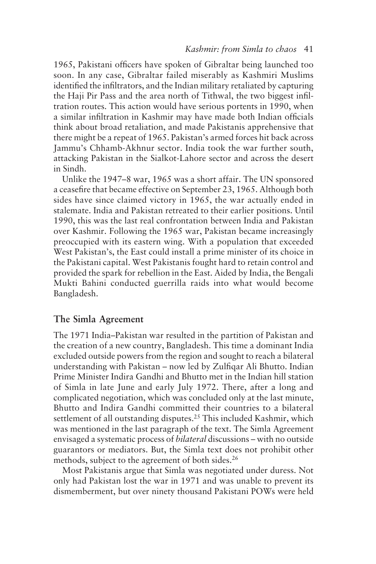1965, Pakistani officers have spoken of Gibraltar being launched too soon. In any case, Gibraltar failed miserably as Kashmiri Muslims identified the infiltrators, and the Indian military retaliated by capturing the Haji Pir Pass and the area north of Tithwal, the two biggest infiltration routes. This action would have serious portents in 1990, when a similar infiltration in Kashmir may have made both Indian officials think about broad retaliation, and made Pakistanis apprehensive that there might be a repeat of 1965. Pakistan's armed forces hit back across Jammu's Chhamb-Akhnur sector. India took the war further south, attacking Pakistan in the Sialkot-Lahore sector and across the desert in Sindh.

Unlike the 1947–8 war, 1965 was a short affair. The UN sponsored a ceasefire that became effective on September 23, 1965. Although both sides have since claimed victory in 1965, the war actually ended in stalemate. India and Pakistan retreated to their earlier positions. Until 1990, this was the last real confrontation between India and Pakistan over Kashmir. Following the 1965 war, Pakistan became increasingly preoccupied with its eastern wing. With a population that exceeded West Pakistan's, the East could install a prime minister of its choice in the Pakistani capital. West Pakistanis fought hard to retain control and provided the spark for rebellion in the East. Aided by India, the Bengali Mukti Bahini conducted guerrilla raids into what would become Bangladesh.

# **The Simla Agreement**

The 1971 India–Pakistan war resulted in the partition of Pakistan and the creation of a new country, Bangladesh. This time a dominant India excluded outside powers from the region and sought to reach a bilateral understanding with Pakistan – now led by Zulfiqar Ali Bhutto. Indian Prime Minister Indira Gandhi and Bhutto met in the Indian hill station of Simla in late June and early July 1972. There, after a long and complicated negotiation, which was concluded only at the last minute, Bhutto and Indira Gandhi committed their countries to a bilateral settlement of all outstanding disputes.<sup>25</sup> This included Kashmir, which was mentioned in the last paragraph of the text. The Simla Agreement envisaged a systematic process of *bilateral* discussions – with no outside guarantors or mediators. But, the Simla text does not prohibit other methods, subject to the agreement of both sides.<sup>26</sup>

Most Pakistanis argue that Simla was negotiated under duress. Not only had Pakistan lost the war in 1971 and was unable to prevent its dismemberment, but over ninety thousand Pakistani POWs were held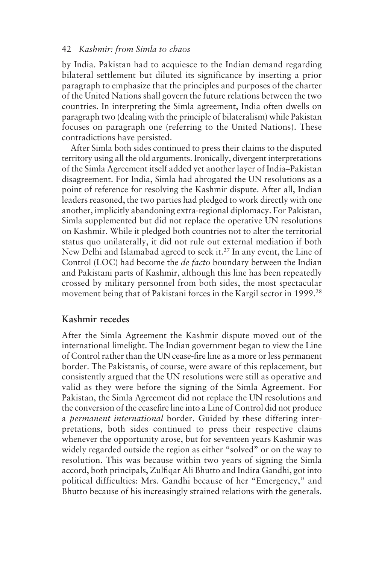by India. Pakistan had to acquiesce to the Indian demand regarding bilateral settlement but diluted its significance by inserting a prior paragraph to emphasize that the principles and purposes of the charter of the United Nations shall govern the future relations between the two countries. In interpreting the Simla agreement, India often dwells on paragraph two (dealing with the principle of bilateralism) while Pakistan focuses on paragraph one (referring to the United Nations). These contradictions have persisted.

After Simla both sides continued to press their claims to the disputed territory using all the old arguments. Ironically, divergent interpretations of the Simla Agreement itself added yet another layer of India–Pakistan disagreement. For India, Simla had abrogated the UN resolutions as a point of reference for resolving the Kashmir dispute. After all, Indian leaders reasoned, the two parties had pledged to work directly with one another, implicitly abandoning extra-regional diplomacy. For Pakistan, Simla supplemented but did not replace the operative UN resolutions on Kashmir. While it pledged both countries not to alter the territorial status quo unilaterally, it did not rule out external mediation if both New Delhi and Islamabad agreed to seek it.27 In any event, the Line of Control (LOC) had become the *de facto* boundary between the Indian and Pakistani parts of Kashmir, although this line has been repeatedly crossed by military personnel from both sides, the most spectacular movement being that of Pakistani forces in the Kargil sector in 1999.28

# **Kashmir recedes**

After the Simla Agreement the Kashmir dispute moved out of the international limelight. The Indian government began to view the Line of Control rather than the UN cease-fire line as a more or less permanent border. The Pakistanis, of course, were aware of this replacement, but consistently argued that the UN resolutions were still as operative and valid as they were before the signing of the Simla Agreement. For Pakistan, the Simla Agreement did not replace the UN resolutions and the conversion of the ceasefire line into a Line of Control did not produce a *permanent international* border. Guided by these differing interpretations, both sides continued to press their respective claims whenever the opportunity arose, but for seventeen years Kashmir was widely regarded outside the region as either "solved" or on the way to resolution. This was because within two years of signing the Simla accord, both principals, Zulfiqar Ali Bhutto and Indira Gandhi, got into political difficulties: Mrs. Gandhi because of her "Emergency," and Bhutto because of his increasingly strained relations with the generals.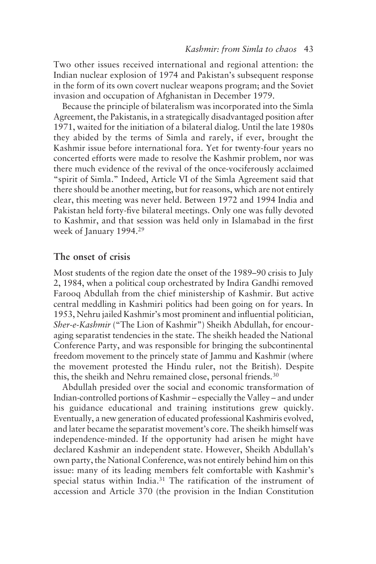Two other issues received international and regional attention: the Indian nuclear explosion of 1974 and Pakistan's subsequent response in the form of its own covert nuclear weapons program; and the Soviet invasion and occupation of Afghanistan in December 1979.

Because the principle of bilateralism was incorporated into the Simla Agreement, the Pakistanis, in a strategically disadvantaged position after 1971, waited for the initiation of a bilateral dialog. Until the late 1980s they abided by the terms of Simla and rarely, if ever, brought the Kashmir issue before international fora. Yet for twenty-four years no concerted efforts were made to resolve the Kashmir problem, nor was there much evidence of the revival of the once-vociferously acclaimed "spirit of Simla." Indeed, Article VI of the Simla Agreement said that there should be another meeting, but for reasons, which are not entirely clear, this meeting was never held. Between 1972 and 1994 India and Pakistan held forty-five bilateral meetings. Only one was fully devoted to Kashmir, and that session was held only in Islamabad in the first week of January 1994.<sup>29</sup>

# **The onset of crisis**

Most students of the region date the onset of the 1989–90 crisis to July 2, 1984, when a political coup orchestrated by Indira Gandhi removed Farooq Abdullah from the chief ministership of Kashmir. But active central meddling in Kashmiri politics had been going on for years. In 1953, Nehru jailed Kashmir's most prominent and influential politician, *Sher-e-Kashmir* ("The Lion of Kashmir") Sheikh Abdullah, for encouraging separatist tendencies in the state. The sheikh headed the National Conference Party, and was responsible for bringing the subcontinental freedom movement to the princely state of Jammu and Kashmir (where the movement protested the Hindu ruler, not the British). Despite this, the sheikh and Nehru remained close, personal friends.<sup>30</sup>

Abdullah presided over the social and economic transformation of Indian-controlled portions of Kashmir – especially the Valley – and under his guidance educational and training institutions grew quickly. Eventually, a new generation of educated professional Kashmiris evolved, and later became the separatist movement's core. The sheikh himself was independence-minded. If the opportunity had arisen he might have declared Kashmir an independent state. However, Sheikh Abdullah's own party, the National Conference, was not entirely behind him on this issue: many of its leading members felt comfortable with Kashmir's special status within India.<sup>31</sup> The ratification of the instrument of accession and Article 370 (the provision in the Indian Constitution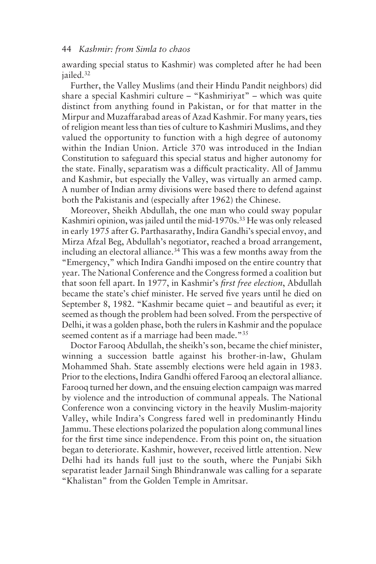awarding special status to Kashmir) was completed after he had been iailed.<sup>32</sup>

Further, the Valley Muslims (and their Hindu Pandit neighbors) did share a special Kashmiri culture – "Kashmiriyat" – which was quite distinct from anything found in Pakistan, or for that matter in the Mirpur and Muzaffarabad areas of Azad Kashmir. For many years, ties of religion meant less than ties of culture to Kashmiri Muslims, and they valued the opportunity to function with a high degree of autonomy within the Indian Union. Article 370 was introduced in the Indian Constitution to safeguard this special status and higher autonomy for the state. Finally, separatism was a difficult practicality. All of Jammu and Kashmir, but especially the Valley, was virtually an armed camp. A number of Indian army divisions were based there to defend against both the Pakistanis and (especially after 1962) the Chinese.

Moreover, Sheikh Abdullah, the one man who could sway popular Kashmiri opinion, was jailed until the mid-1970s.<sup>33</sup> He was only released in early 1975 after G. Parthasarathy, Indira Gandhi's special envoy, and Mirza Afzal Beg, Abdullah's negotiator, reached a broad arrangement, including an electoral alliance.<sup>34</sup> This was a few months away from the "Emergency," which Indira Gandhi imposed on the entire country that year. The National Conference and the Congress formed a coalition but that soon fell apart. In 1977, in Kashmir's *first free election*, Abdullah became the state's chief minister. He served five years until he died on September 8, 1982. "Kashmir became quiet – and beautiful as ever; it seemed as though the problem had been solved. From the perspective of Delhi, it was a golden phase, both the rulers in Kashmir and the populace seemed content as if a marriage had been made."<sup>35</sup>

Doctor Farooq Abdullah, the sheikh's son, became the chief minister, winning a succession battle against his brother-in-law, Ghulam Mohammed Shah. State assembly elections were held again in 1983. Prior to the elections, Indira Gandhi offered Farooq an electoral alliance. Farooq turned her down, and the ensuing election campaign was marred by violence and the introduction of communal appeals. The National Conference won a convincing victory in the heavily Muslim-majority Valley, while Indira's Congress fared well in predominantly Hindu Jammu. These elections polarized the population along communal lines for the first time since independence. From this point on, the situation began to deteriorate. Kashmir, however, received little attention. New Delhi had its hands full just to the south, where the Punjabi Sikh separatist leader Jarnail Singh Bhindranwale was calling for a separate "Khalistan" from the Golden Temple in Amritsar.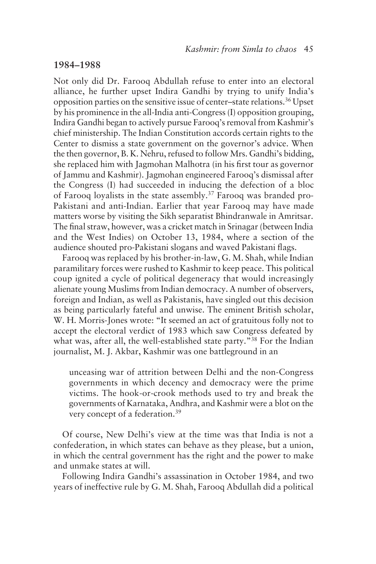# **1984–1988**

Not only did Dr. Farooq Abdullah refuse to enter into an electoral alliance, he further upset Indira Gandhi by trying to unify India's opposition parties on the sensitive issue of center–state relations.36 Upset by his prominence in the all-India anti-Congress (I) opposition grouping, Indira Gandhi began to actively pursue Farooq's removal from Kashmir's chief ministership. The Indian Constitution accords certain rights to the Center to dismiss a state government on the governor's advice. When the then governor, B. K. Nehru, refused to follow Mrs. Gandhi's bidding, she replaced him with Jagmohan Malhotra (in his first tour as governor of Jammu and Kashmir). Jagmohan engineered Farooq's dismissal after the Congress (I) had succeeded in inducing the defection of a bloc of Farooq loyalists in the state assembly.37 Farooq was branded pro-Pakistani and anti-Indian. Earlier that year Farooq may have made matters worse by visiting the Sikh separatist Bhindranwale in Amritsar. The final straw, however, was a cricket match in Srinagar (between India and the West Indies) on October 13, 1984, where a section of the audience shouted pro-Pakistani slogans and waved Pakistani flags.

Farooq was replaced by his brother-in-law, G. M. Shah, while Indian paramilitary forces were rushed to Kashmir to keep peace. This political coup ignited a cycle of political degeneracy that would increasingly alienate young Muslims from Indian democracy. A number of observers, foreign and Indian, as well as Pakistanis, have singled out this decision as being particularly fateful and unwise. The eminent British scholar, W. H. Morris-Jones wrote: "It seemed an act of gratuitous folly not to accept the electoral verdict of 1983 which saw Congress defeated by what was, after all, the well-established state party."<sup>38</sup> For the Indian journalist, M. J. Akbar, Kashmir was one battleground in an

unceasing war of attrition between Delhi and the non-Congress governments in which decency and democracy were the prime victims. The hook-or-crook methods used to try and break the governments of Karnataka, Andhra, and Kashmir were a blot on the very concept of a federation.39

Of course, New Delhi's view at the time was that India is not a confederation, in which states can behave as they please, but a union, in which the central government has the right and the power to make and unmake states at will.

Following Indira Gandhi's assassination in October 1984, and two years of ineffective rule by G. M. Shah, Farooq Abdullah did a political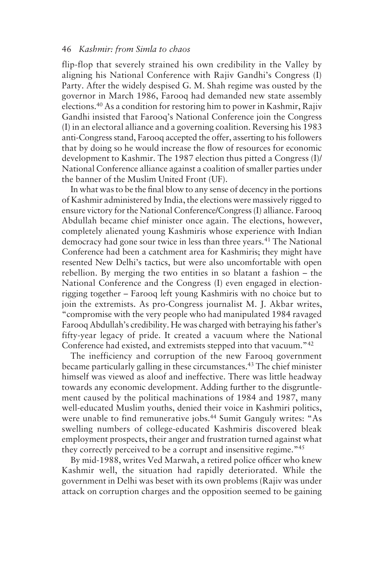flip-flop that severely strained his own credibility in the Valley by aligning his National Conference with Rajiv Gandhi's Congress (I) Party. After the widely despised G. M. Shah regime was ousted by the governor in March 1986, Farooq had demanded new state assembly elections.40 As a condition for restoring him to power in Kashmir, Rajiv Gandhi insisted that Farooq's National Conference join the Congress (I) in an electoral alliance and a governing coalition. Reversing his 1983 anti-Congress stand, Farooq accepted the offer, asserting to his followers that by doing so he would increase the flow of resources for economic development to Kashmir. The 1987 election thus pitted a Congress (I)/ National Conference alliance against a coalition of smaller parties under the banner of the Muslim United Front (UF).

In what was to be the final blow to any sense of decency in the portions of Kashmir administered by India, the elections were massively rigged to ensure victory for the National Conference/Congress (I) alliance. Farooq Abdullah became chief minister once again. The elections, however, completely alienated young Kashmiris whose experience with Indian democracy had gone sour twice in less than three years.<sup>41</sup> The National Conference had been a catchment area for Kashmiris; they might have resented New Delhi's tactics, but were also uncomfortable with open rebellion. By merging the two entities in so blatant a fashion – the National Conference and the Congress (I) even engaged in electionrigging together – Farooq left young Kashmiris with no choice but to join the extremists. As pro-Congress journalist M. J. Akbar writes, "compromise with the very people who had manipulated 1984 ravaged Farooq Abdullah's credibility. He was charged with betraying his father's fifty-year legacy of pride. It created a vacuum where the National Conference had existed, and extremists stepped into that vacuum."42

The inefficiency and corruption of the new Farooq government became particularly galling in these circumstances.43 The chief minister himself was viewed as aloof and ineffective. There was little headway towards any economic development. Adding further to the disgruntlement caused by the political machinations of 1984 and 1987, many well-educated Muslim youths, denied their voice in Kashmiri politics, were unable to find remunerative jobs.<sup>44</sup> Sumit Ganguly writes: "As swelling numbers of college-educated Kashmiris discovered bleak employment prospects, their anger and frustration turned against what they correctly perceived to be a corrupt and insensitive regime."45

By mid-1988, writes Ved Marwah, a retired police officer who knew Kashmir well, the situation had rapidly deteriorated. While the government in Delhi was beset with its own problems (Rajiv was under attack on corruption charges and the opposition seemed to be gaining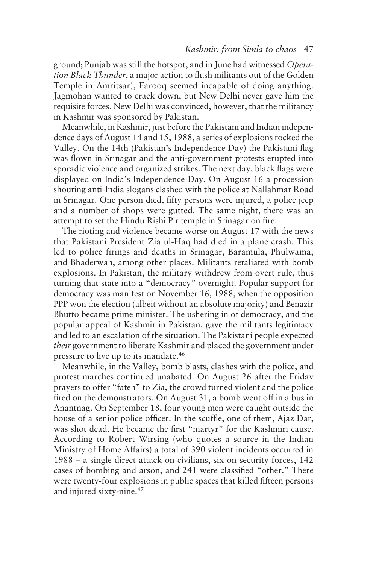ground; Punjab was still the hotspot, and in June had witnessed *Operation Black Thunder*, a major action to flush militants out of the Golden Temple in Amritsar), Farooq seemed incapable of doing anything. Jagmohan wanted to crack down, but New Delhi never gave him the requisite forces. New Delhi was convinced, however, that the militancy in Kashmir was sponsored by Pakistan.

Meanwhile, in Kashmir, just before the Pakistani and Indian independence days of August 14 and 15, 1988, a series of explosions rocked the Valley. On the 14th (Pakistan's Independence Day) the Pakistani flag was flown in Srinagar and the anti-government protests erupted into sporadic violence and organized strikes. The next day, black flags were displayed on India's Independence Day. On August 16 a procession shouting anti-India slogans clashed with the police at Nallahmar Road in Srinagar. One person died, fifty persons were injured, a police jeep and a number of shops were gutted. The same night, there was an attempt to set the Hindu Rishi Pir temple in Srinagar on fire.

The rioting and violence became worse on August 17 with the news that Pakistani President Zia ul-Haq had died in a plane crash. This led to police firings and deaths in Srinagar, Baramula, Phulwama, and Bhaderwah, among other places. Militants retaliated with bomb explosions. In Pakistan, the military withdrew from overt rule, thus turning that state into a "democracy" overnight. Popular support for democracy was manifest on November 16, 1988, when the opposition PPP won the election (albeit without an absolute majority) and Benazir Bhutto became prime minister. The ushering in of democracy, and the popular appeal of Kashmir in Pakistan, gave the militants legitimacy and led to an escalation of the situation. The Pakistani people expected *their* government to liberate Kashmir and placed the government under pressure to live up to its mandate.46

Meanwhile, in the Valley, bomb blasts, clashes with the police, and protest marches continued unabated. On August 26 after the Friday prayers to offer "fateh" to Zia, the crowd turned violent and the police fired on the demonstrators. On August 31, a bomb went off in a bus in Anantnag. On September 18, four young men were caught outside the house of a senior police officer. In the scuffle, one of them, Ajaz Dar, was shot dead. He became the first "martyr" for the Kashmiri cause. According to Robert Wirsing (who quotes a source in the Indian Ministry of Home Affairs) a total of 390 violent incidents occurred in 1988 – a single direct attack on civilians, six on security forces, 142 cases of bombing and arson, and 241 were classified "other." There were twenty-four explosions in public spaces that killed fifteen persons and injured sixty-nine.47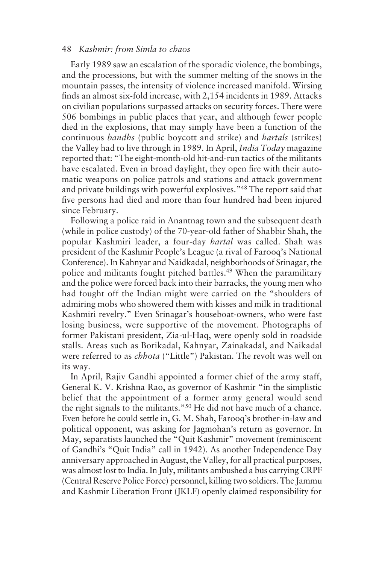Early 1989 saw an escalation of the sporadic violence, the bombings, and the processions, but with the summer melting of the snows in the mountain passes, the intensity of violence increased manifold. Wirsing finds an almost six-fold increase, with 2,154 incidents in 1989. Attacks on civilian populations surpassed attacks on security forces. There were 506 bombings in public places that year, and although fewer people died in the explosions, that may simply have been a function of the continuous *bandhs* (public boycott and strike) and *hartals* (strikes) the Valley had to live through in 1989. In April, *India Today* magazine reported that: "The eight-month-old hit-and-run tactics of the militants have escalated. Even in broad daylight, they open fire with their automatic weapons on police patrols and stations and attack government and private buildings with powerful explosives."48 The report said that five persons had died and more than four hundred had been injured since February.

Following a police raid in Anantnag town and the subsequent death (while in police custody) of the 70-year-old father of Shabbir Shah, the popular Kashmiri leader, a four-day *hartal* was called. Shah was president of the Kashmir People's League (a rival of Farooq's National Conference). In Kahnyar and Naidkadal, neighborhoods of Srinagar, the police and militants fought pitched battles.<sup>49</sup> When the paramilitary and the police were forced back into their barracks, the young men who had fought off the Indian might were carried on the "shoulders of admiring mobs who showered them with kisses and milk in traditional Kashmiri revelry." Even Srinagar's houseboat-owners, who were fast losing business, were supportive of the movement. Photographs of former Pakistani president, Zia-ul-Haq, were openly sold in roadside stalls. Areas such as Borikadal, Kahnyar, Zainakadal, and Naikadal were referred to as *chhota* ("Little") Pakistan. The revolt was well on its way.

In April, Rajiv Gandhi appointed a former chief of the army staff, General K. V. Krishna Rao, as governor of Kashmir "in the simplistic belief that the appointment of a former army general would send the right signals to the militants."50 He did not have much of a chance. Even before he could settle in, G. M. Shah, Farooq's brother-in-law and political opponent, was asking for Jagmohan's return as governor. In May, separatists launched the "Quit Kashmir" movement (reminiscent of Gandhi's "Quit India" call in 1942). As another Independence Day anniversary approached in August, the Valley, for all practical purposes, was almost lost to India. In July, militants ambushed a bus carrying CRPF (Central Reserve Police Force) personnel, killing two soldiers. The Jammu and Kashmir Liberation Front (JKLF) openly claimed responsibility for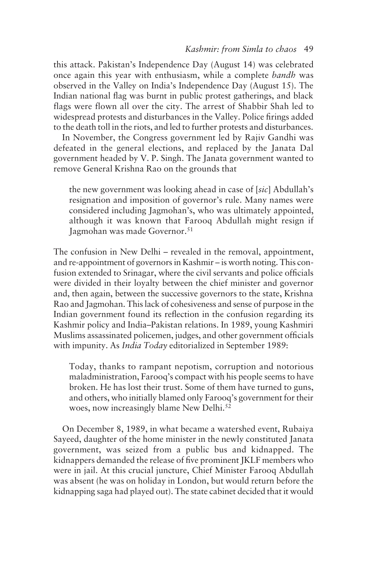this attack. Pakistan's Independence Day (August 14) was celebrated once again this year with enthusiasm, while a complete *bandh* was observed in the Valley on India's Independence Day (August 15). The Indian national flag was burnt in public protest gatherings, and black flags were flown all over the city. The arrest of Shabbir Shah led to widespread protests and disturbances in the Valley. Police firings added to the death toll in the riots, and led to further protests and disturbances.

In November, the Congress government led by Rajiv Gandhi was defeated in the general elections, and replaced by the Janata Dal government headed by V. P. Singh. The Janata government wanted to remove General Krishna Rao on the grounds that

the new government was looking ahead in case of [*sic*] Abdullah's resignation and imposition of governor's rule. Many names were considered including Jagmohan's, who was ultimately appointed, although it was known that Farooq Abdullah might resign if Jagmohan was made Governor.<sup>51</sup>

The confusion in New Delhi – revealed in the removal, appointment, and re-appointment of governors in Kashmir – is worth noting. This confusion extended to Srinagar, where the civil servants and police officials were divided in their loyalty between the chief minister and governor and, then again, between the successive governors to the state, Krishna Rao and Jagmohan. This lack of cohesiveness and sense of purpose in the Indian government found its reflection in the confusion regarding its Kashmir policy and India–Pakistan relations. In 1989, young Kashmiri Muslims assassinated policemen, judges, and other government officials with impunity. As *India Today* editorialized in September 1989:

Today, thanks to rampant nepotism, corruption and notorious maladministration, Farooq's compact with his people seems to have broken. He has lost their trust. Some of them have turned to guns, and others, who initially blamed only Farooq's government for their woes, now increasingly blame New Delhi.<sup>52</sup>

On December 8, 1989, in what became a watershed event, Rubaiya Sayeed, daughter of the home minister in the newly constituted Janata government, was seized from a public bus and kidnapped. The kidnappers demanded the release of five prominent JKLF members who were in jail. At this crucial juncture, Chief Minister Farooq Abdullah was absent (he was on holiday in London, but would return before the kidnapping saga had played out). The state cabinet decided that it would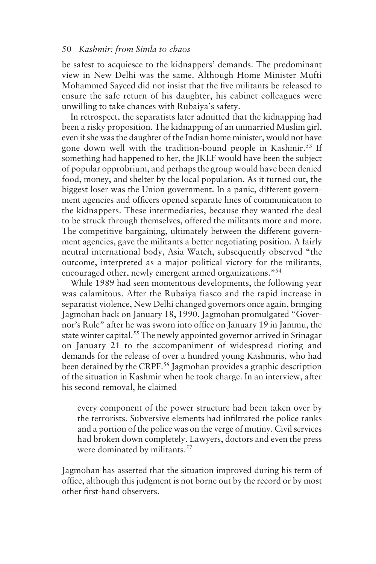be safest to acquiesce to the kidnappers' demands. The predominant view in New Delhi was the same. Although Home Minister Mufti Mohammed Sayeed did not insist that the five militants be released to ensure the safe return of his daughter, his cabinet colleagues were unwilling to take chances with Rubaiya's safety.

In retrospect, the separatists later admitted that the kidnapping had been a risky proposition. The kidnapping of an unmarried Muslim girl, even if she was the daughter of the Indian home minister, would not have gone down well with the tradition-bound people in Kashmir.<sup>53</sup> If something had happened to her, the JKLF would have been the subject of popular opprobrium, and perhaps the group would have been denied food, money, and shelter by the local population. As it turned out, the biggest loser was the Union government. In a panic, different government agencies and officers opened separate lines of communication to the kidnappers. These intermediaries, because they wanted the deal to be struck through themselves, offered the militants more and more. The competitive bargaining, ultimately between the different government agencies, gave the militants a better negotiating position. A fairly neutral international body, Asia Watch, subsequently observed "the outcome, interpreted as a major political victory for the militants, encouraged other, newly emergent armed organizations."54

While 1989 had seen momentous developments, the following year was calamitous. After the Rubaiya fiasco and the rapid increase in separatist violence, New Delhi changed governors once again, bringing Jagmohan back on January 18, 1990. Jagmohan promulgated "Governor's Rule" after he was sworn into office on January 19 in Jammu, the state winter capital.<sup>55</sup> The newly appointed governor arrived in Srinagar on January 21 to the accompaniment of widespread rioting and demands for the release of over a hundred young Kashmiris, who had been detained by the CRPF.56 Jagmohan provides a graphic description of the situation in Kashmir when he took charge. In an interview, after his second removal, he claimed

every component of the power structure had been taken over by the terrorists. Subversive elements had infiltrated the police ranks and a portion of the police was on the verge of mutiny. Civil services had broken down completely. Lawyers, doctors and even the press were dominated by militants.<sup>57</sup>

Jagmohan has asserted that the situation improved during his term of office, although this judgment is not borne out by the record or by most other first-hand observers.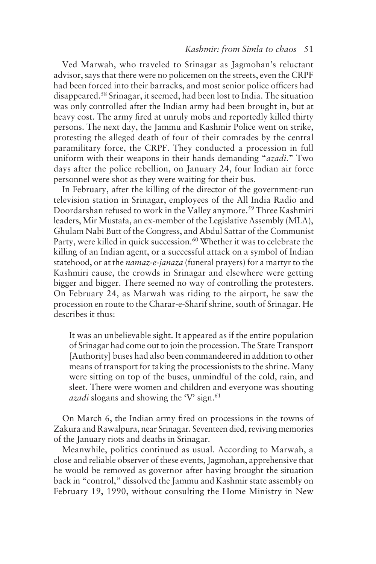Ved Marwah, who traveled to Srinagar as Jagmohan's reluctant advisor, says that there were no policemen on the streets, even the CRPF had been forced into their barracks, and most senior police officers had disappeared.58 Srinagar, it seemed, had been lost to India. The situation was only controlled after the Indian army had been brought in, but at heavy cost. The army fired at unruly mobs and reportedly killed thirty persons. The next day, the Jammu and Kashmir Police went on strike, protesting the alleged death of four of their comrades by the central paramilitary force, the CRPF. They conducted a procession in full uniform with their weapons in their hands demanding "*azadi*." Two days after the police rebellion, on January 24, four Indian air force personnel were shot as they were waiting for their bus.

In February, after the killing of the director of the government-run television station in Srinagar, employees of the All India Radio and Doordarshan refused to work in the Valley anymore.<sup>59</sup> Three Kashmiri leaders, Mir Mustafa, an ex-member of the Legislative Assembly (MLA), Ghulam Nabi Butt of the Congress, and Abdul Sattar of the Communist Party, were killed in quick succession.<sup>60</sup> Whether it was to celebrate the killing of an Indian agent, or a successful attack on a symbol of Indian statehood, or at the *namaz-e-janaza* (funeral prayers) for a martyr to the Kashmiri cause, the crowds in Srinagar and elsewhere were getting bigger and bigger. There seemed no way of controlling the protesters. On February 24, as Marwah was riding to the airport, he saw the procession en route to the Charar-e-Sharif shrine, south of Srinagar. He describes it thus:

It was an unbelievable sight. It appeared as if the entire population of Srinagar had come out to join the procession. The State Transport [Authority] buses had also been commandeered in addition to other means of transport for taking the processionists to the shrine. Many were sitting on top of the buses, unmindful of the cold, rain, and sleet. There were women and children and everyone was shouting *azadi* slogans and showing the 'V' sign.<sup>61</sup>

On March 6, the Indian army fired on processions in the towns of Zakura and Rawalpura, near Srinagar. Seventeen died, reviving memories of the January riots and deaths in Srinagar.

Meanwhile, politics continued as usual. According to Marwah, a close and reliable observer of these events, Jagmohan, apprehensive that he would be removed as governor after having brought the situation back in "control," dissolved the Jammu and Kashmir state assembly on February 19, 1990, without consulting the Home Ministry in New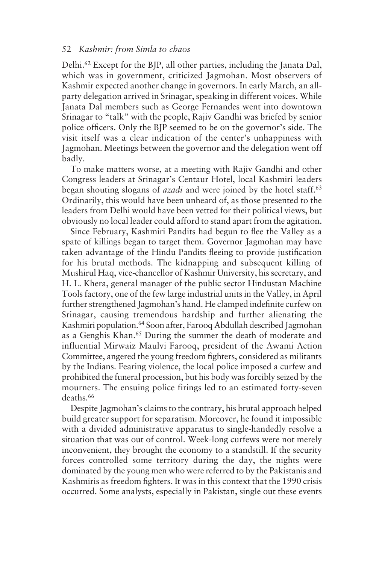Delhi.62 Except for the BJP, all other parties, including the Janata Dal, which was in government, criticized Jagmohan. Most observers of Kashmir expected another change in governors. In early March, an allparty delegation arrived in Srinagar, speaking in different voices. While Janata Dal members such as George Fernandes went into downtown Srinagar to "talk" with the people, Rajiv Gandhi was briefed by senior police officers. Only the BJP seemed to be on the governor's side. The visit itself was a clear indication of the center's unhappiness with Jagmohan. Meetings between the governor and the delegation went off badly.

To make matters worse, at a meeting with Rajiv Gandhi and other Congress leaders at Srinagar's Centaur Hotel, local Kashmiri leaders began shouting slogans of *azadi* and were joined by the hotel staff.63 Ordinarily, this would have been unheard of, as those presented to the leaders from Delhi would have been vetted for their political views, but obviously no local leader could afford to stand apart from the agitation.

Since February, Kashmiri Pandits had begun to flee the Valley as a spate of killings began to target them. Governor Jagmohan may have taken advantage of the Hindu Pandits fleeing to provide justification for his brutal methods. The kidnapping and subsequent killing of Mushirul Haq, vice-chancellor of Kashmir University, his secretary, and H. L. Khera, general manager of the public sector Hindustan Machine Tools factory, one of the few large industrial units in the Valley, in April further strengthened Jagmohan's hand. He clamped indefinite curfew on Srinagar, causing tremendous hardship and further alienating the Kashmiri population.64 Soon after, Farooq Abdullah described Jagmohan as a Genghis Khan.<sup>65</sup> During the summer the death of moderate and influential Mirwaiz Maulvi Farooq, president of the Awami Action Committee, angered the young freedom fighters, considered as militants by the Indians. Fearing violence, the local police imposed a curfew and prohibited the funeral procession, but his body was forcibly seized by the mourners. The ensuing police firings led to an estimated forty-seven deaths.66

Despite Jagmohan's claims to the contrary, his brutal approach helped build greater support for separatism. Moreover, he found it impossible with a divided administrative apparatus to single-handedly resolve a situation that was out of control. Week-long curfews were not merely inconvenient, they brought the economy to a standstill. If the security forces controlled some territory during the day, the nights were dominated by the young men who were referred to by the Pakistanis and Kashmiris as freedom fighters. It was in this context that the 1990 crisis occurred. Some analysts, especially in Pakistan, single out these events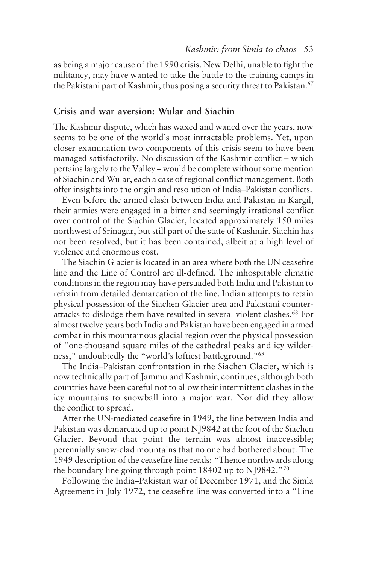as being a major cause of the 1990 crisis. New Delhi, unable to fight the militancy, may have wanted to take the battle to the training camps in the Pakistani part of Kashmir, thus posing a security threat to Pakistan.<sup>67</sup>

# **Crisis and war aversion: Wular and Siachin**

The Kashmir dispute, which has waxed and waned over the years, now seems to be one of the world's most intractable problems. Yet, upon closer examination two components of this crisis seem to have been managed satisfactorily. No discussion of the Kashmir conflict – which pertains largely to the Valley – would be complete without some mention of Siachin and Wular, each a case of regional conflict management. Both offer insights into the origin and resolution of India–Pakistan conflicts.

Even before the armed clash between India and Pakistan in Kargil, their armies were engaged in a bitter and seemingly irrational conflict over control of the Siachin Glacier, located approximately 150 miles northwest of Srinagar, but still part of the state of Kashmir. Siachin has not been resolved, but it has been contained, albeit at a high level of violence and enormous cost.

The Siachin Glacier is located in an area where both the UN ceasefire line and the Line of Control are ill-defined. The inhospitable climatic conditions in the region may have persuaded both India and Pakistan to refrain from detailed demarcation of the line. Indian attempts to retain physical possession of the Siachen Glacier area and Pakistani counterattacks to dislodge them have resulted in several violent clashes.68 For almost twelve years both India and Pakistan have been engaged in armed combat in this mountainous glacial region over the physical possession of "one-thousand square miles of the cathedral peaks and icy wilderness," undoubtedly the "world's loftiest battleground."69

The India–Pakistan confrontation in the Siachen Glacier, which is now technically part of Jammu and Kashmir, continues, although both countries have been careful not to allow their intermittent clashes in the icy mountains to snowball into a major war. Nor did they allow the conflict to spread.

After the UN-mediated ceasefire in 1949, the line between India and Pakistan was demarcated up to point NJ9842 at the foot of the Siachen Glacier. Beyond that point the terrain was almost inaccessible; perennially snow-clad mountains that no one had bothered about. The 1949 description of the ceasefire line reads: "Thence northwards along the boundary line going through point 18402 up to NJ9842."70

Following the India–Pakistan war of December 1971, and the Simla Agreement in July 1972, the ceasefire line was converted into a "Line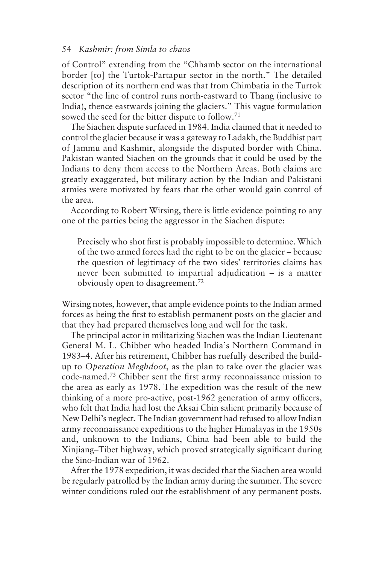of Control" extending from the "Chhamb sector on the international border [to] the Turtok-Partapur sector in the north." The detailed description of its northern end was that from Chimbatia in the Turtok sector "the line of control runs north-eastward to Thang (inclusive to India), thence eastwards joining the glaciers." This vague formulation sowed the seed for the bitter dispute to follow.<sup>71</sup>

The Siachen dispute surfaced in 1984. India claimed that it needed to control the glacier because it was a gateway to Ladakh, the Buddhist part of Jammu and Kashmir, alongside the disputed border with China. Pakistan wanted Siachen on the grounds that it could be used by the Indians to deny them access to the Northern Areas. Both claims are greatly exaggerated, but military action by the Indian and Pakistani armies were motivated by fears that the other would gain control of the area.

According to Robert Wirsing, there is little evidence pointing to any one of the parties being the aggressor in the Siachen dispute:

Precisely who shot first is probably impossible to determine. Which of the two armed forces had the right to be on the glacier – because the question of legitimacy of the two sides' territories claims has never been submitted to impartial adjudication – is a matter obviously open to disagreement.72

Wirsing notes, however, that ample evidence points to the Indian armed forces as being the first to establish permanent posts on the glacier and that they had prepared themselves long and well for the task.

The principal actor in militarizing Siachen was the Indian Lieutenant General M. L. Chibber who headed India's Northern Command in 1983–4. After his retirement, Chibber has ruefully described the buildup to *Operation Meghdoot*, as the plan to take over the glacier was code-named.73 Chibber sent the first army reconnaissance mission to the area as early as 1978. The expedition was the result of the new thinking of a more pro-active, post-1962 generation of army officers, who felt that India had lost the Aksai Chin salient primarily because of New Delhi's neglect. The Indian government had refused to allow Indian army reconnaissance expeditions to the higher Himalayas in the 1950s and, unknown to the Indians, China had been able to build the Xinjiang–Tibet highway, which proved strategically significant during the Sino-Indian war of 1962.

After the 1978 expedition, it was decided that the Siachen area would be regularly patrolled by the Indian army during the summer. The severe winter conditions ruled out the establishment of any permanent posts.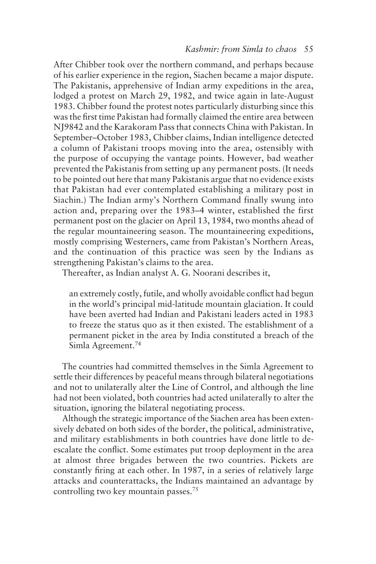After Chibber took over the northern command, and perhaps because of his earlier experience in the region, Siachen became a major dispute. The Pakistanis, apprehensive of Indian army expeditions in the area, lodged a protest on March 29, 1982, and twice again in late-August 1983. Chibber found the protest notes particularly disturbing since this was the first time Pakistan had formally claimed the entire area between NJ9842 and the Karakoram Pass that connects China with Pakistan. In September–October 1983, Chibber claims, Indian intelligence detected a column of Pakistani troops moving into the area, ostensibly with the purpose of occupying the vantage points. However, bad weather prevented the Pakistanis from setting up any permanent posts. (It needs to be pointed out here that many Pakistanis argue that no evidence exists that Pakistan had ever contemplated establishing a military post in Siachin.) The Indian army's Northern Command finally swung into action and, preparing over the 1983–4 winter, established the first permanent post on the glacier on April 13, 1984, two months ahead of the regular mountaineering season. The mountaineering expeditions, mostly comprising Westerners, came from Pakistan's Northern Areas, and the continuation of this practice was seen by the Indians as strengthening Pakistan's claims to the area.

Thereafter, as Indian analyst A. G. Noorani describes it,

an extremely costly, futile, and wholly avoidable conflict had begun in the world's principal mid-latitude mountain glaciation. It could have been averted had Indian and Pakistani leaders acted in 1983 to freeze the status quo as it then existed. The establishment of a permanent picket in the area by India constituted a breach of the Simla Agreement.74

The countries had committed themselves in the Simla Agreement to settle their differences by peaceful means through bilateral negotiations and not to unilaterally alter the Line of Control, and although the line had not been violated, both countries had acted unilaterally to alter the situation, ignoring the bilateral negotiating process.

Although the strategic importance of the Siachen area has been extensively debated on both sides of the border, the political, administrative, and military establishments in both countries have done little to deescalate the conflict. Some estimates put troop deployment in the area at almost three brigades between the two countries. Pickets are constantly firing at each other. In 1987, in a series of relatively large attacks and counterattacks, the Indians maintained an advantage by controlling two key mountain passes.75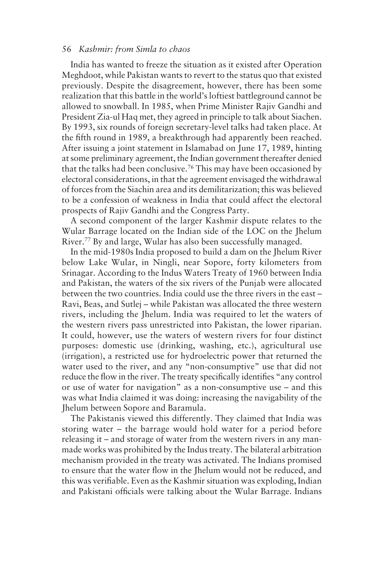India has wanted to freeze the situation as it existed after Operation Meghdoot, while Pakistan wants to revert to the status quo that existed previously. Despite the disagreement, however, there has been some realization that this battle in the world's loftiest battleground cannot be allowed to snowball. In 1985, when Prime Minister Rajiv Gandhi and President Zia-ul Haq met, they agreed in principle to talk about Siachen. By 1993, six rounds of foreign secretary-level talks had taken place. At the fifth round in 1989, a breakthrough had apparently been reached. After issuing a joint statement in Islamabad on June 17, 1989, hinting at some preliminary agreement, the Indian government thereafter denied that the talks had been conclusive.76 This may have been occasioned by electoral considerations, in that the agreement envisaged the withdrawal of forces from the Siachin area and its demilitarization; this was believed to be a confession of weakness in India that could affect the electoral prospects of Rajiv Gandhi and the Congress Party.

A second component of the larger Kashmir dispute relates to the Wular Barrage located on the Indian side of the LOC on the Jhelum River.<sup>77</sup> By and large, Wular has also been successfully managed.

In the mid-1980s India proposed to build a dam on the Jhelum River below Lake Wular, in Ningli, near Sopore, forty kilometers from Srinagar. According to the Indus Waters Treaty of 1960 between India and Pakistan, the waters of the six rivers of the Punjab were allocated between the two countries. India could use the three rivers in the east – Ravi, Beas, and Sutlej – while Pakistan was allocated the three western rivers, including the Jhelum. India was required to let the waters of the western rivers pass unrestricted into Pakistan, the lower riparian. It could, however, use the waters of western rivers for four distinct purposes: domestic use (drinking, washing, etc.), agricultural use (irrigation), a restricted use for hydroelectric power that returned the water used to the river, and any "non-consumptive" use that did not reduce the flow in the river. The treaty specifically identifies "any control or use of water for navigation" as a non-consumptive use – and this was what India claimed it was doing: increasing the navigability of the Jhelum between Sopore and Baramula.

The Pakistanis viewed this differently. They claimed that India was storing water – the barrage would hold water for a period before releasing it – and storage of water from the western rivers in any manmade works was prohibited by the Indus treaty. The bilateral arbitration mechanism provided in the treaty was activated. The Indians promised to ensure that the water flow in the Jhelum would not be reduced, and this was verifiable. Even as the Kashmir situation was exploding, Indian and Pakistani officials were talking about the Wular Barrage. Indians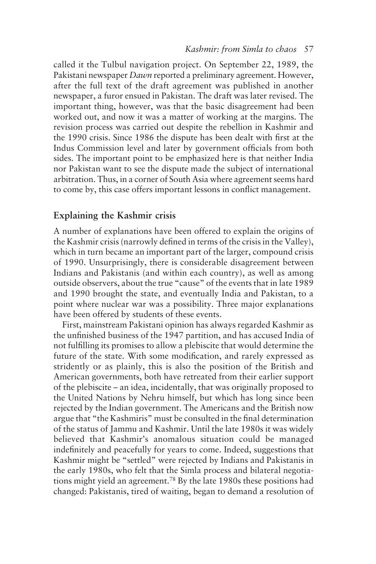called it the Tulbul navigation project. On September 22, 1989, the Pakistani newspaper *Dawn* reported a preliminary agreement. However, after the full text of the draft agreement was published in another newspaper, a furor ensued in Pakistan. The draft was later revised. The important thing, however, was that the basic disagreement had been worked out, and now it was a matter of working at the margins. The revision process was carried out despite the rebellion in Kashmir and the 1990 crisis. Since 1986 the dispute has been dealt with first at the Indus Commission level and later by government officials from both sides. The important point to be emphasized here is that neither India nor Pakistan want to see the dispute made the subject of international arbitration. Thus, in a corner of South Asia where agreement seems hard to come by, this case offers important lessons in conflict management.

# **Explaining the Kashmir crisis**

A number of explanations have been offered to explain the origins of the Kashmir crisis (narrowly defined in terms of the crisis in the Valley), which in turn became an important part of the larger, compound crisis of 1990. Unsurprisingly, there is considerable disagreement between Indians and Pakistanis (and within each country), as well as among outside observers, about the true "cause" of the events that in late 1989 and 1990 brought the state, and eventually India and Pakistan, to a point where nuclear war was a possibility. Three major explanations have been offered by students of these events.

First, mainstream Pakistani opinion has always regarded Kashmir as the unfinished business of the 1947 partition, and has accused India of not fulfilling its promises to allow a plebiscite that would determine the future of the state. With some modification, and rarely expressed as stridently or as plainly, this is also the position of the British and American governments, both have retreated from their earlier support of the plebiscite – an idea, incidentally, that was originally proposed to the United Nations by Nehru himself, but which has long since been rejected by the Indian government. The Americans and the British now argue that "the Kashmiris" must be consulted in the final determination of the status of Jammu and Kashmir. Until the late 1980s it was widely believed that Kashmir's anomalous situation could be managed indefinitely and peacefully for years to come. Indeed, suggestions that Kashmir might be "settled" were rejected by Indians and Pakistanis in the early 1980s, who felt that the Simla process and bilateral negotiations might yield an agreement.78 By the late 1980s these positions had changed: Pakistanis, tired of waiting, began to demand a resolution of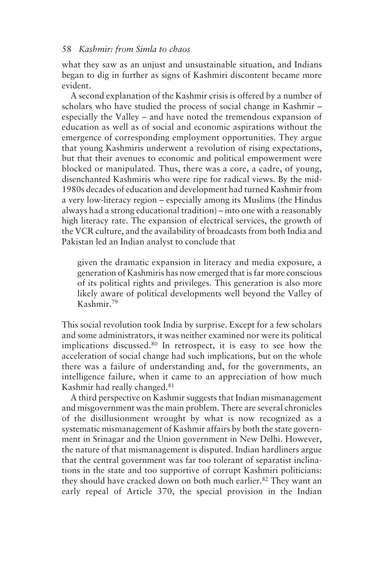what they saw as an unjust and unsustainable situation, and Indians began to dig in further as signs of Kashmiri discontent became more evident.

A second explanation of the Kashmir crisis is offered by a number of scholars who have studied the process of social change in Kashmir – especially the Valley – and have noted the tremendous expansion of education as well as of social and economic aspirations without the emergence of corresponding employment opportunities. They argue that young Kashmiris underwent a revolution of rising expectations, but that their avenues to economic and political empowerment were blocked or manipulated. Thus, there was a core, a cadre, of young, disenchanted Kashmiris who were ripe for radical views. By the mid-1980s decades of education and development had turned Kashmir from a very low-literacy region – especially among its Muslims (the Hindus always had a strong educational tradition) – into one with a reasonably high literacy rate. The expansion of electrical services, the growth of the VCR culture, and the availability of broadcasts from both India and Pakistan led an Indian analyst to conclude that

given the dramatic expansion in literacy and media exposure, a generation of Kashmiris has now emerged that is far more conscious of its political rights and privileges. This generation is also more likely aware of political developments well beyond the Valley of Kashmir.79

This social revolution took India by surprise. Except for a few scholars and some administrators, it was neither examined nor were its political implications discussed.80 In retrospect, it is easy to see how the acceleration of social change had such implications, but on the whole there was a failure of understanding and, for the governments, an intelligence failure, when it came to an appreciation of how much Kashmir had really changed.81

A third perspective on Kashmir suggests that Indian mismanagement and misgovernment was the main problem. There are several chronicles of the disillusionment wrought by what is now recognized as a systematic mismanagement of Kashmir affairs by both the state government in Srinagar and the Union government in New Delhi. However, the nature of that mismanagement is disputed. Indian hardliners argue that the central government was far too tolerant of separatist inclinations in the state and too supportive of corrupt Kashmiri politicians: they should have cracked down on both much earlier.<sup>82</sup> They want an early repeal of Article 370, the special provision in the Indian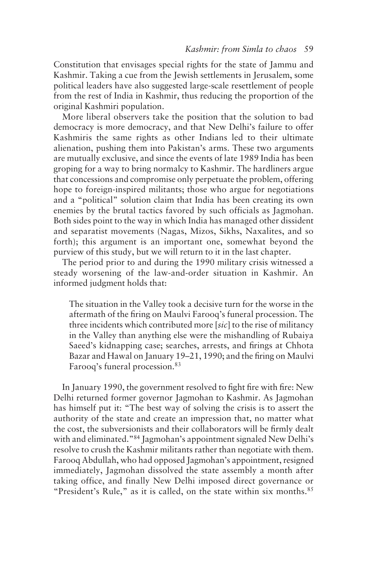Constitution that envisages special rights for the state of Jammu and Kashmir. Taking a cue from the Jewish settlements in Jerusalem, some political leaders have also suggested large-scale resettlement of people from the rest of India in Kashmir, thus reducing the proportion of the original Kashmiri population.

More liberal observers take the position that the solution to bad democracy is more democracy, and that New Delhi's failure to offer Kashmiris the same rights as other Indians led to their ultimate alienation, pushing them into Pakistan's arms. These two arguments are mutually exclusive, and since the events of late 1989 India has been groping for a way to bring normalcy to Kashmir. The hardliners argue that concessions and compromise only perpetuate the problem, offering hope to foreign-inspired militants; those who argue for negotiations and a "political" solution claim that India has been creating its own enemies by the brutal tactics favored by such officials as Jagmohan. Both sides point to the way in which India has managed other dissident and separatist movements (Nagas, Mizos, Sikhs, Naxalites, and so forth); this argument is an important one, somewhat beyond the purview of this study, but we will return to it in the last chapter.

The period prior to and during the 1990 military crisis witnessed a steady worsening of the law-and-order situation in Kashmir. An informed judgment holds that:

The situation in the Valley took a decisive turn for the worse in the aftermath of the firing on Maulvi Farooq's funeral procession. The three incidents which contributed more [*sic*] to the rise of militancy in the Valley than anything else were the mishandling of Rubaiya Saeed's kidnapping case; searches, arrests, and firings at Chhota Bazar and Hawal on January 19–21, 1990; and the firing on Maulvi Farooq's funeral procession.<sup>83</sup>

In January 1990, the government resolved to fight fire with fire: New Delhi returned former governor Jagmohan to Kashmir. As Jagmohan has himself put it: "The best way of solving the crisis is to assert the authority of the state and create an impression that, no matter what the cost, the subversionists and their collaborators will be firmly dealt with and eliminated."84 Jagmohan's appointment signaled New Delhi's resolve to crush the Kashmir militants rather than negotiate with them. Farooq Abdullah, who had opposed Jagmohan's appointment, resigned immediately, Jagmohan dissolved the state assembly a month after taking office, and finally New Delhi imposed direct governance or "President's Rule," as it is called, on the state within six months.<sup>85</sup>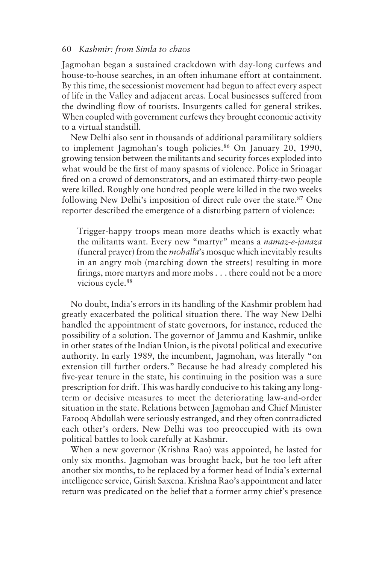Jagmohan began a sustained crackdown with day-long curfews and house-to-house searches, in an often inhumane effort at containment. By this time, the secessionist movement had begun to affect every aspect of life in the Valley and adjacent areas. Local businesses suffered from the dwindling flow of tourists. Insurgents called for general strikes. When coupled with government curfews they brought economic activity to a virtual standstill.

New Delhi also sent in thousands of additional paramilitary soldiers to implement Jagmohan's tough policies.<sup>86</sup> On January 20, 1990, growing tension between the militants and security forces exploded into what would be the first of many spasms of violence. Police in Srinagar fired on a crowd of demonstrators, and an estimated thirty-two people were killed. Roughly one hundred people were killed in the two weeks following New Delhi's imposition of direct rule over the state.<sup>87</sup> One reporter described the emergence of a disturbing pattern of violence:

Trigger-happy troops mean more deaths which is exactly what the militants want. Every new "martyr" means a *namaz-e-janaza* (funeral prayer) from the *mohalla*'s mosque which inevitably results in an angry mob (marching down the streets) resulting in more firings, more martyrs and more mobs . . . there could not be a more vicious cycle.88

No doubt, India's errors in its handling of the Kashmir problem had greatly exacerbated the political situation there. The way New Delhi handled the appointment of state governors, for instance, reduced the possibility of a solution. The governor of Jammu and Kashmir, unlike in other states of the Indian Union, is the pivotal political and executive authority. In early 1989, the incumbent, Jagmohan, was literally "on extension till further orders." Because he had already completed his five-year tenure in the state, his continuing in the position was a sure prescription for drift. This was hardly conducive to his taking any longterm or decisive measures to meet the deteriorating law-and-order situation in the state. Relations between Jagmohan and Chief Minister Farooq Abdullah were seriously estranged, and they often contradicted each other's orders. New Delhi was too preoccupied with its own political battles to look carefully at Kashmir.

When a new governor (Krishna Rao) was appointed, he lasted for only six months. Jagmohan was brought back, but he too left after another six months, to be replaced by a former head of India's external intelligence service, Girish Saxena. Krishna Rao's appointment and later return was predicated on the belief that a former army chief's presence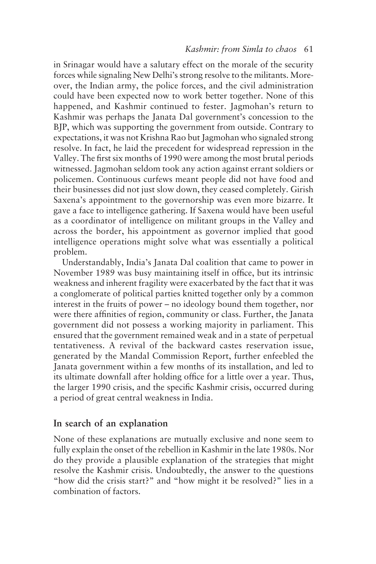in Srinagar would have a salutary effect on the morale of the security forces while signaling New Delhi's strong resolve to the militants. Moreover, the Indian army, the police forces, and the civil administration could have been expected now to work better together. None of this happened, and Kashmir continued to fester. Jagmohan's return to Kashmir was perhaps the Janata Dal government's concession to the BJP, which was supporting the government from outside. Contrary to expectations, it was not Krishna Rao but Jagmohan who signaled strong resolve. In fact, he laid the precedent for widespread repression in the Valley. The first six months of 1990 were among the most brutal periods witnessed. Jagmohan seldom took any action against errant soldiers or policemen. Continuous curfews meant people did not have food and their businesses did not just slow down, they ceased completely. Girish Saxena's appointment to the governorship was even more bizarre. It gave a face to intelligence gathering. If Saxena would have been useful as a coordinator of intelligence on militant groups in the Valley and across the border, his appointment as governor implied that good intelligence operations might solve what was essentially a political problem.

Understandably, India's Janata Dal coalition that came to power in November 1989 was busy maintaining itself in office, but its intrinsic weakness and inherent fragility were exacerbated by the fact that it was a conglomerate of political parties knitted together only by a common interest in the fruits of power – no ideology bound them together, nor were there affinities of region, community or class. Further, the Janata government did not possess a working majority in parliament. This ensured that the government remained weak and in a state of perpetual tentativeness. A revival of the backward castes reservation issue, generated by the Mandal Commission Report, further enfeebled the Janata government within a few months of its installation, and led to its ultimate downfall after holding office for a little over a year. Thus, the larger 1990 crisis, and the specific Kashmir crisis, occurred during a period of great central weakness in India.

# **In search of an explanation**

None of these explanations are mutually exclusive and none seem to fully explain the onset of the rebellion in Kashmir in the late 1980s. Nor do they provide a plausible explanation of the strategies that might resolve the Kashmir crisis. Undoubtedly, the answer to the questions "how did the crisis start?" and "how might it be resolved?" lies in a combination of factors.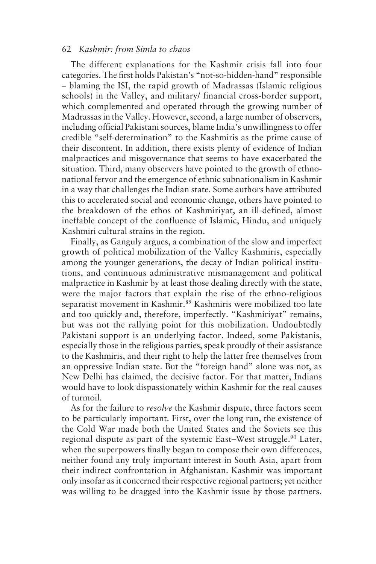#### 62 *Kashmir: from Simla to chaos*

The different explanations for the Kashmir crisis fall into four categories. The first holds Pakistan's "not-so-hidden-hand" responsible – blaming the ISI, the rapid growth of Madrassas (Islamic religious schools) in the Valley, and military/ financial cross-border support, which complemented and operated through the growing number of Madrassas in the Valley. However, second, a large number of observers, including official Pakistani sources, blame India's unwillingness to offer credible "self-determination" to the Kashmiris as the prime cause of their discontent. In addition, there exists plenty of evidence of Indian malpractices and misgovernance that seems to have exacerbated the situation. Third, many observers have pointed to the growth of ethnonational fervor and the emergence of ethnic subnationalism in Kashmir in a way that challenges the Indian state. Some authors have attributed this to accelerated social and economic change, others have pointed to the breakdown of the ethos of Kashmiriyat, an ill-defined, almost ineffable concept of the confluence of Islamic, Hindu, and uniquely Kashmiri cultural strains in the region.

Finally, as Ganguly argues, a combination of the slow and imperfect growth of political mobilization of the Valley Kashmiris, especially among the younger generations, the decay of Indian political institutions, and continuous administrative mismanagement and political malpractice in Kashmir by at least those dealing directly with the state, were the major factors that explain the rise of the ethno-religious separatist movement in Kashmir.<sup>89</sup> Kashmiris were mobilized too late and too quickly and, therefore, imperfectly. "Kashmiriyat" remains, but was not the rallying point for this mobilization. Undoubtedly Pakistani support is an underlying factor. Indeed, some Pakistanis, especially those in the religious parties, speak proudly of their assistance to the Kashmiris, and their right to help the latter free themselves from an oppressive Indian state. But the "foreign hand" alone was not, as New Delhi has claimed, the decisive factor. For that matter, Indians would have to look dispassionately within Kashmir for the real causes of turmoil.

As for the failure to *resolve* the Kashmir dispute, three factors seem to be particularly important. First, over the long run, the existence of the Cold War made both the United States and the Soviets see this regional dispute as part of the systemic East–West struggle.<sup>90</sup> Later, when the superpowers finally began to compose their own differences, neither found any truly important interest in South Asia, apart from their indirect confrontation in Afghanistan. Kashmir was important only insofar as it concerned their respective regional partners; yet neither was willing to be dragged into the Kashmir issue by those partners.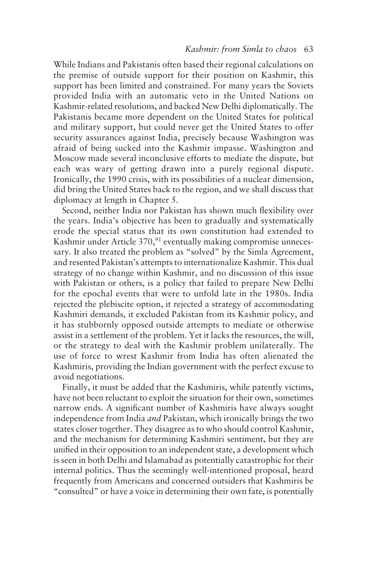While Indians and Pakistanis often based their regional calculations on the premise of outside support for their position on Kashmir, this support has been limited and constrained. For many years the Soviets provided India with an automatic veto in the United Nations on Kashmir-related resolutions, and backed New Delhi diplomatically. The Pakistanis became more dependent on the United States for political and military support, but could never get the United States to offer security assurances against India, precisely because Washington was afraid of being sucked into the Kashmir impasse. Washington and Moscow made several inconclusive efforts to mediate the dispute, but each was wary of getting drawn into a purely regional dispute. Ironically, the 1990 crisis, with its possibilities of a nuclear dimension, did bring the United States back to the region, and we shall discuss that diplomacy at length in Chapter 5.

Second, neither India nor Pakistan has shown much flexibility over the years. India's objective has been to gradually and systematically erode the special status that its own constitution had extended to Kashmir under Article 370,<sup>91</sup> eventually making compromise unnecessary. It also treated the problem as "solved" by the Simla Agreement, and resented Pakistan's attempts to internationalize Kashmir. This dual strategy of no change within Kashmir, and no discussion of this issue with Pakistan or others, is a policy that failed to prepare New Delhi for the epochal events that were to unfold late in the 1980s. India rejected the plebiscite option, it rejected a strategy of accommodating Kashmiri demands, it excluded Pakistan from its Kashmir policy, and it has stubbornly opposed outside attempts to mediate or otherwise assist in a settlement of the problem. Yet it lacks the resources, the will, or the strategy to deal with the Kashmir problem unilaterally. The use of force to wrest Kashmir from India has often alienated the Kashmiris, providing the Indian government with the perfect excuse to avoid negotiations.

Finally, it must be added that the Kashmiris, while patently victims, have not been reluctant to exploit the situation for their own, sometimes narrow ends. A significant number of Kashmiris have always sought independence from India *and* Pakistan, which ironically brings the two states closer together. They disagree as to who should control Kashmir, and the mechanism for determining Kashmiri sentiment, but they are unified in their opposition to an independent state, a development which is seen in both Delhi and Islamabad as potentially catastrophic for their internal politics. Thus the seemingly well-intentioned proposal, heard frequently from Americans and concerned outsiders that Kashmiris be "consulted" or have a voice in determining their own fate, is potentially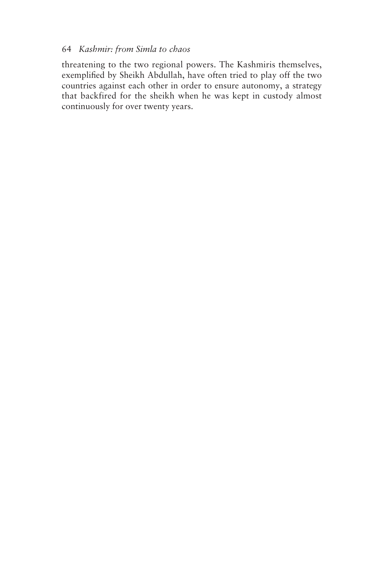## 64 *Kashmir: from Simla to chaos*

threatening to the two regional powers. The Kashmiris themselves, exemplified by Sheikh Abdullah, have often tried to play off the two countries against each other in order to ensure autonomy, a strategy that backfired for the sheikh when he was kept in custody almost continuously for over twenty years.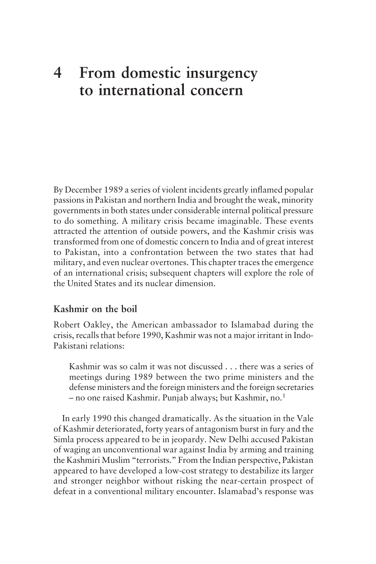By December 1989 a series of violent incidents greatly inflamed popular passions in Pakistan and northern India and brought the weak, minority governments in both states under considerable internal political pressure to do something. A military crisis became imaginable. These events attracted the attention of outside powers, and the Kashmir crisis was transformed from one of domestic concern to India and of great interest to Pakistan, into a confrontation between the two states that had military, and even nuclear overtones. This chapter traces the emergence of an international crisis; subsequent chapters will explore the role of the United States and its nuclear dimension.

## **Kashmir on the boil**

Robert Oakley, the American ambassador to Islamabad during the crisis, recalls that before 1990, Kashmir was not a major irritant in Indo-Pakistani relations:

Kashmir was so calm it was not discussed . . . there was a series of meetings during 1989 between the two prime ministers and the defense ministers and the foreign ministers and the foreign secretaries – no one raised Kashmir. Punjab always; but Kashmir, no.1

In early 1990 this changed dramatically. As the situation in the Vale of Kashmir deteriorated, forty years of antagonism burst in fury and the Simla process appeared to be in jeopardy. New Delhi accused Pakistan of waging an unconventional war against India by arming and training the Kashmiri Muslim "terrorists." From the Indian perspective, Pakistan appeared to have developed a low-cost strategy to destabilize its larger and stronger neighbor without risking the near-certain prospect of defeat in a conventional military encounter. Islamabad's response was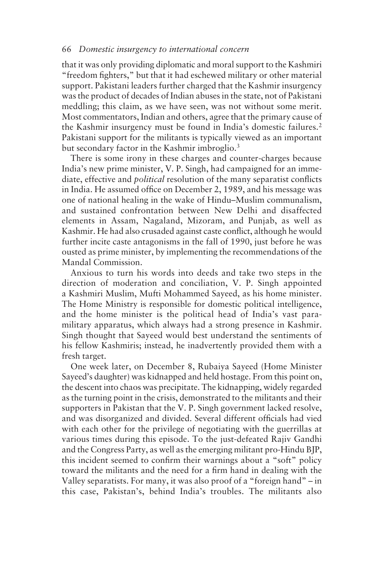that it was only providing diplomatic and moral support to the Kashmiri "freedom fighters," but that it had eschewed military or other material support. Pakistani leaders further charged that the Kashmir insurgency was the product of decades of Indian abuses in the state, not of Pakistani meddling; this claim, as we have seen, was not without some merit. Most commentators, Indian and others, agree that the primary cause of the Kashmir insurgency must be found in India's domestic failures.<sup>2</sup> Pakistani support for the militants is typically viewed as an important but secondary factor in the Kashmir imbroglio.3

There is some irony in these charges and counter-charges because India's new prime minister, V. P. Singh, had campaigned for an immediate, effective and *political* resolution of the many separatist conflicts in India. He assumed office on December 2, 1989, and his message was one of national healing in the wake of Hindu–Muslim communalism, and sustained confrontation between New Delhi and disaffected elements in Assam, Nagaland, Mizoram, and Punjab, as well as Kashmir. He had also crusaded against caste conflict, although he would further incite caste antagonisms in the fall of 1990, just before he was ousted as prime minister, by implementing the recommendations of the Mandal Commission.

Anxious to turn his words into deeds and take two steps in the direction of moderation and conciliation, V. P. Singh appointed a Kashmiri Muslim, Mufti Mohammed Sayeed, as his home minister. The Home Ministry is responsible for domestic political intelligence, and the home minister is the political head of India's vast paramilitary apparatus, which always had a strong presence in Kashmir. Singh thought that Sayeed would best understand the sentiments of his fellow Kashmiris; instead, he inadvertently provided them with a fresh target.

One week later, on December 8, Rubaiya Sayeed (Home Minister Sayeed's daughter) was kidnapped and held hostage. From this point on, the descent into chaos was precipitate. The kidnapping, widely regarded as the turning point in the crisis, demonstrated to the militants and their supporters in Pakistan that the V. P. Singh government lacked resolve, and was disorganized and divided. Several different officials had vied with each other for the privilege of negotiating with the guerrillas at various times during this episode. To the just-defeated Rajiv Gandhi and the Congress Party, as well as the emerging militant pro-Hindu BJP, this incident seemed to confirm their warnings about a "soft" policy toward the militants and the need for a firm hand in dealing with the Valley separatists. For many, it was also proof of a "foreign hand" – in this case, Pakistan's, behind India's troubles. The militants also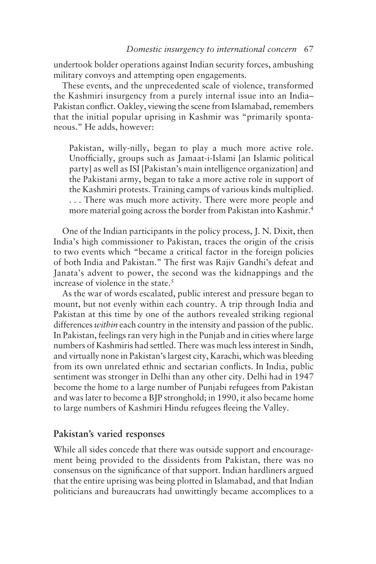undertook bolder operations against Indian security forces, ambushing military convoys and attempting open engagements.

These events, and the unprecedented scale of violence, transformed the Kashmiri insurgency from a purely internal issue into an India– Pakistan conflict. Oakley, viewing the scene from Islamabad, remembers that the initial popular uprising in Kashmir was "primarily spontaneous." He adds, however:

Pakistan, willy-nilly, began to play a much more active role. Unofficially, groups such as Jamaat-i-Islami [an Islamic political party] as well as ISI [Pakistan's main intelligence organization] and the Pakistani army, began to take a more active role in support of the Kashmiri protests. Training camps of various kinds multiplied. . . . There was much more activity. There were more people and more material going across the border from Pakistan into Kashmir.4

One of the Indian participants in the policy process, J. N. Dixit, then India's high commissioner to Pakistan, traces the origin of the crisis to two events which "became a critical factor in the foreign policies of both India and Pakistan." The first was Rajiv Gandhi's defeat and Janata's advent to power, the second was the kidnappings and the increase of violence in the state. $5$ 

As the war of words escalated, public interest and pressure began to mount, but not evenly within each country. A trip through India and Pakistan at this time by one of the authors revealed striking regional differences *within* each country in the intensity and passion of the public. In Pakistan, feelings ran very high in the Punjab and in cities where large numbers of Kashmiris had settled. There was much less interest in Sindh, and virtually none in Pakistan's largest city, Karachi, which was bleeding from its own unrelated ethnic and sectarian conflicts. In India, public sentiment was stronger in Delhi than any other city. Delhi had in 1947 become the home to a large number of Punjabi refugees from Pakistan and was later to become a BJP stronghold; in 1990, it also became home to large numbers of Kashmiri Hindu refugees fleeing the Valley.

## **Pakistan's varied responses**

While all sides concede that there was outside support and encouragement being provided to the dissidents from Pakistan, there was no consensus on the significance of that support. Indian hardliners argued that the entire uprising was being plotted in Islamabad, and that Indian politicians and bureaucrats had unwittingly became accomplices to a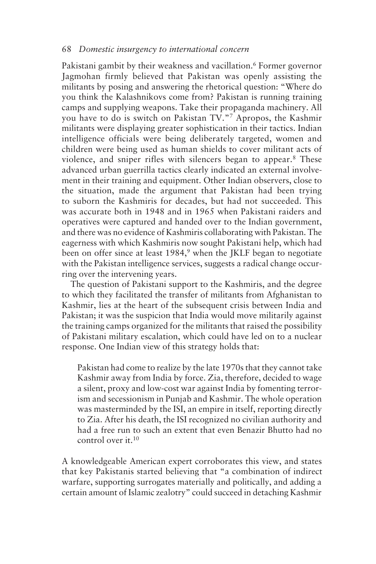Pakistani gambit by their weakness and vacillation.<sup>6</sup> Former governor Jagmohan firmly believed that Pakistan was openly assisting the militants by posing and answering the rhetorical question: "Where do you think the Kalashnikovs come from? Pakistan is running training camps and supplying weapons. Take their propaganda machinery. All you have to do is switch on Pakistan TV."7 Apropos, the Kashmir militants were displaying greater sophistication in their tactics. Indian intelligence officials were being deliberately targeted, women and children were being used as human shields to cover militant acts of violence, and sniper rifles with silencers began to appear.<sup>8</sup> These advanced urban guerrilla tactics clearly indicated an external involvement in their training and equipment. Other Indian observers, close to the situation, made the argument that Pakistan had been trying to suborn the Kashmiris for decades, but had not succeeded. This was accurate both in 1948 and in 1965 when Pakistani raiders and operatives were captured and handed over to the Indian government, and there was no evidence of Kashmiris collaborating with Pakistan. The eagerness with which Kashmiris now sought Pakistani help, which had been on offer since at least 1984,<sup>9</sup> when the JKLF began to negotiate with the Pakistan intelligence services, suggests a radical change occurring over the intervening years.

The question of Pakistani support to the Kashmiris, and the degree to which they facilitated the transfer of militants from Afghanistan to Kashmir, lies at the heart of the subsequent crisis between India and Pakistan; it was the suspicion that India would move militarily against the training camps organized for the militants that raised the possibility of Pakistani military escalation, which could have led on to a nuclear response. One Indian view of this strategy holds that:

Pakistan had come to realize by the late 1970s that they cannot take Kashmir away from India by force. Zia, therefore, decided to wage a silent, proxy and low-cost war against India by fomenting terrorism and secessionism in Punjab and Kashmir. The whole operation was masterminded by the ISI, an empire in itself, reporting directly to Zia. After his death, the ISI recognized no civilian authority and had a free run to such an extent that even Benazir Bhutto had no control over it.10

A knowledgeable American expert corroborates this view, and states that key Pakistanis started believing that "a combination of indirect warfare, supporting surrogates materially and politically, and adding a certain amount of Islamic zealotry" could succeed in detaching Kashmir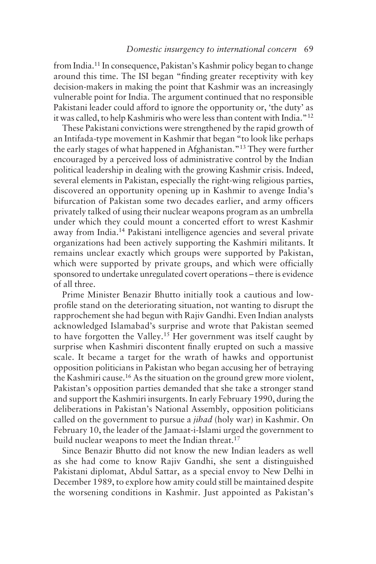from India.11 In consequence, Pakistan's Kashmir policy began to change around this time. The ISI began "finding greater receptivity with key decision-makers in making the point that Kashmir was an increasingly vulnerable point for India. The argument continued that no responsible Pakistani leader could afford to ignore the opportunity or, 'the duty' as it was called, to help Kashmiris who were less than content with India."12

These Pakistani convictions were strengthened by the rapid growth of an Intifada-type movement in Kashmir that began "to look like perhaps the early stages of what happened in Afghanistan."13 They were further encouraged by a perceived loss of administrative control by the Indian political leadership in dealing with the growing Kashmir crisis. Indeed, several elements in Pakistan, especially the right-wing religious parties, discovered an opportunity opening up in Kashmir to avenge India's bifurcation of Pakistan some two decades earlier, and army officers privately talked of using their nuclear weapons program as an umbrella under which they could mount a concerted effort to wrest Kashmir away from India.14 Pakistani intelligence agencies and several private organizations had been actively supporting the Kashmiri militants. It remains unclear exactly which groups were supported by Pakistan, which were supported by private groups, and which were officially sponsored to undertake unregulated covert operations – there is evidence of all three.

Prime Minister Benazir Bhutto initially took a cautious and lowprofile stand on the deteriorating situation, not wanting to disrupt the rapprochement she had begun with Rajiv Gandhi. Even Indian analysts acknowledged Islamabad's surprise and wrote that Pakistan seemed to have forgotten the Valley.<sup>15</sup> Her government was itself caught by surprise when Kashmiri discontent finally erupted on such a massive scale. It became a target for the wrath of hawks and opportunist opposition politicians in Pakistan who began accusing her of betraying the Kashmiri cause.16 As the situation on the ground grew more violent, Pakistan's opposition parties demanded that she take a stronger stand and support the Kashmiri insurgents. In early February 1990, during the deliberations in Pakistan's National Assembly, opposition politicians called on the government to pursue a *jihad* (holy war) in Kashmir. On February 10, the leader of the Jamaat-i-Islami urged the government to build nuclear weapons to meet the Indian threat.<sup>17</sup>

Since Benazir Bhutto did not know the new Indian leaders as well as she had come to know Rajiv Gandhi, she sent a distinguished Pakistani diplomat, Abdul Sattar, as a special envoy to New Delhi in December 1989, to explore how amity could still be maintained despite the worsening conditions in Kashmir. Just appointed as Pakistan's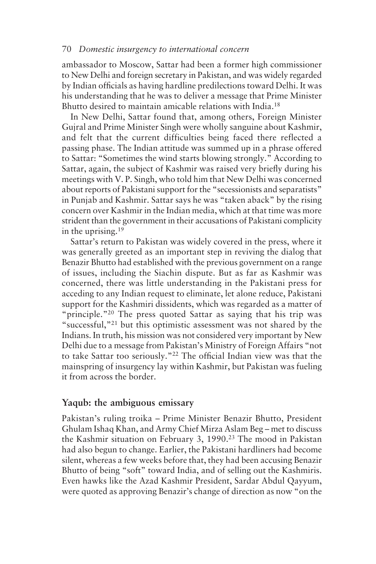ambassador to Moscow, Sattar had been a former high commissioner to New Delhi and foreign secretary in Pakistan, and was widely regarded by Indian officials as having hardline predilections toward Delhi. It was his understanding that he was to deliver a message that Prime Minister Bhutto desired to maintain amicable relations with India.18

In New Delhi, Sattar found that, among others, Foreign Minister Gujral and Prime Minister Singh were wholly sanguine about Kashmir, and felt that the current difficulties being faced there reflected a passing phase. The Indian attitude was summed up in a phrase offered to Sattar: "Sometimes the wind starts blowing strongly." According to Sattar, again, the subject of Kashmir was raised very briefly during his meetings with V. P. Singh, who told him that New Delhi was concerned about reports of Pakistani support for the "secessionists and separatists" in Punjab and Kashmir. Sattar says he was "taken aback" by the rising concern over Kashmir in the Indian media, which at that time was more strident than the government in their accusations of Pakistani complicity in the uprising.19

Sattar's return to Pakistan was widely covered in the press, where it was generally greeted as an important step in reviving the dialog that Benazir Bhutto had established with the previous government on a range of issues, including the Siachin dispute. But as far as Kashmir was concerned, there was little understanding in the Pakistani press for acceding to any Indian request to eliminate, let alone reduce, Pakistani support for the Kashmiri dissidents, which was regarded as a matter of "principle."<sup>20</sup> The press quoted Sattar as saying that his trip was "successful,"21 but this optimistic assessment was not shared by the Indians. In truth, his mission was not considered very important by New Delhi due to a message from Pakistan's Ministry of Foreign Affairs "not to take Sattar too seriously."22 The official Indian view was that the mainspring of insurgency lay within Kashmir, but Pakistan was fueling it from across the border.

# **Yaqub: the ambiguous emissary**

Pakistan's ruling troika – Prime Minister Benazir Bhutto, President Ghulam Ishaq Khan, and Army Chief Mirza Aslam Beg – met to discuss the Kashmir situation on February 3, 1990.<sup>23</sup> The mood in Pakistan had also begun to change. Earlier, the Pakistani hardliners had become silent, whereas a few weeks before that, they had been accusing Benazir Bhutto of being "soft" toward India, and of selling out the Kashmiris. Even hawks like the Azad Kashmir President, Sardar Abdul Qayyum, were quoted as approving Benazir's change of direction as now "on the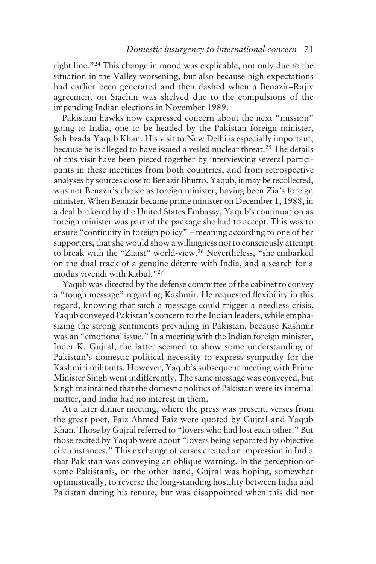right line."24 This change in mood was explicable, not only due to the situation in the Valley worsening, but also because high expectations had earlier been generated and then dashed when a Benazir–Rajiv agreement on Siachin was shelved due to the compulsions of the impending Indian elections in November 1989.

Pakistani hawks now expressed concern about the next "mission" going to India, one to be headed by the Pakistan foreign minister, Sahibzada Yaqub Khan. His visit to New Delhi is especially important, because he is alleged to have issued a veiled nuclear threat.<sup>25</sup> The details of this visit have been pieced together by interviewing several participants in these meetings from both countries, and from retrospective analyses by sources close to Benazir Bhutto. Yaqub, it may be recollected, was not Benazir's choice as foreign minister, having been Zia's foreign minister. When Benazir became prime minister on December 1, 1988, in a deal brokered by the United States Embassy, Yaqub's continuation as foreign minister was part of the package she had to accept. This was to ensure "continuity in foreign policy" – meaning according to one of her supporters, that she would show a willingness not to consciously attempt to break with the "Ziaist" world-view.<sup>26</sup> Nevertheless, "she embarked on the dual track of a genuine détente with India, and a search for a modus vivendi with Kabul."27

Yaqub was directed by the defense committee of the cabinet to convey a "tough message" regarding Kashmir. He requested flexibility in this regard, knowing that such a message could trigger a needless crisis. Yaqub conveyed Pakistan's concern to the Indian leaders, while emphasizing the strong sentiments prevailing in Pakistan, because Kashmir was an "emotional issue." In a meeting with the Indian foreign minister, Inder K. Gujral, the latter seemed to show some understanding of Pakistan's domestic political necessity to express sympathy for the Kashmiri militants. However, Yaqub's subsequent meeting with Prime Minister Singh went indifferently. The same message was conveyed, but Singh maintained that the domestic politics of Pakistan were its internal matter, and India had no interest in them.

At a later dinner meeting, where the press was present, verses from the great poet, Faiz Ahmed Faiz were quoted by Gujral and Yaqub Khan. Those by Gujral referred to "lovers who had lost each other." But those recited by Yaqub were about "lovers being separated by objective circumstances." This exchange of verses created an impression in India that Pakistan was conveying an oblique warning. In the perception of some Pakistanis, on the other hand, Gujral was hoping, somewhat optimistically, to reverse the long-standing hostility between India and Pakistan during his tenure, but was disappointed when this did not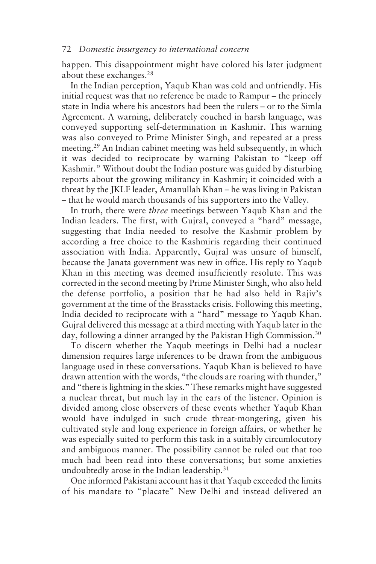happen. This disappointment might have colored his later judgment about these exchanges.28

In the Indian perception, Yaqub Khan was cold and unfriendly. His initial request was that no reference be made to Rampur – the princely state in India where his ancestors had been the rulers – or to the Simla Agreement. A warning, deliberately couched in harsh language, was conveyed supporting self-determination in Kashmir. This warning was also conveyed to Prime Minister Singh, and repeated at a press meeting.29 An Indian cabinet meeting was held subsequently, in which it was decided to reciprocate by warning Pakistan to "keep off Kashmir." Without doubt the Indian posture was guided by disturbing reports about the growing militancy in Kashmir; it coincided with a threat by the JKLF leader, Amanullah Khan – he was living in Pakistan – that he would march thousands of his supporters into the Valley.

In truth, there were *three* meetings between Yaqub Khan and the Indian leaders. The first, with Gujral, conveyed a "hard" message, suggesting that India needed to resolve the Kashmir problem by according a free choice to the Kashmiris regarding their continued association with India. Apparently, Gujral was unsure of himself, because the Janata government was new in office. His reply to Yaqub Khan in this meeting was deemed insufficiently resolute. This was corrected in the second meeting by Prime Minister Singh, who also held the defense portfolio, a position that he had also held in Rajiv's government at the time of the Brasstacks crisis. Following this meeting, India decided to reciprocate with a "hard" message to Yaqub Khan. Gujral delivered this message at a third meeting with Yaqub later in the day, following a dinner arranged by the Pakistan High Commission.<sup>30</sup>

To discern whether the Yaqub meetings in Delhi had a nuclear dimension requires large inferences to be drawn from the ambiguous language used in these conversations. Yaqub Khan is believed to have drawn attention with the words, "the clouds are roaring with thunder," and "there is lightning in the skies." These remarks might have suggested a nuclear threat, but much lay in the ears of the listener. Opinion is divided among close observers of these events whether Yaqub Khan would have indulged in such crude threat-mongering, given his cultivated style and long experience in foreign affairs, or whether he was especially suited to perform this task in a suitably circumlocutory and ambiguous manner. The possibility cannot be ruled out that too much had been read into these conversations; but some anxieties undoubtedly arose in the Indian leadership.<sup>31</sup>

One informed Pakistani account has it that Yaqub exceeded the limits of his mandate to "placate" New Delhi and instead delivered an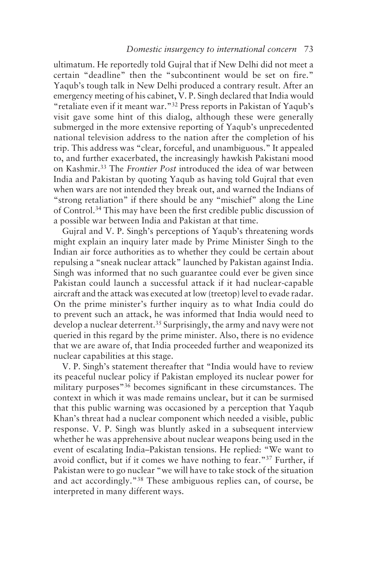ultimatum. He reportedly told Gujral that if New Delhi did not meet a certain "deadline" then the "subcontinent would be set on fire." Yaqub's tough talk in New Delhi produced a contrary result. After an emergency meeting of his cabinet, V. P. Singh declared that India would "retaliate even if it meant war."32 Press reports in Pakistan of Yaqub's visit gave some hint of this dialog, although these were generally submerged in the more extensive reporting of Yaqub's unprecedented national television address to the nation after the completion of his trip. This address was "clear, forceful, and unambiguous." It appealed to, and further exacerbated, the increasingly hawkish Pakistani mood on Kashmir.33 The *Frontier Post* introduced the idea of war between India and Pakistan by quoting Yaqub as having told Gujral that even when wars are not intended they break out, and warned the Indians of "strong retaliation" if there should be any "mischief" along the Line of Control.34 This may have been the first credible public discussion of a possible war between India and Pakistan at that time.

Gujral and V. P. Singh's perceptions of Yaqub's threatening words might explain an inquiry later made by Prime Minister Singh to the Indian air force authorities as to whether they could be certain about repulsing a "sneak nuclear attack" launched by Pakistan against India. Singh was informed that no such guarantee could ever be given since Pakistan could launch a successful attack if it had nuclear-capable aircraft and the attack was executed at low (treetop) level to evade radar. On the prime minister's further inquiry as to what India could do to prevent such an attack, he was informed that India would need to develop a nuclear deterrent.<sup>35</sup> Surprisingly, the army and navy were not queried in this regard by the prime minister. Also, there is no evidence that we are aware of, that India proceeded further and weaponized its nuclear capabilities at this stage.

V. P. Singh's statement thereafter that "India would have to review its peaceful nuclear policy if Pakistan employed its nuclear power for military purposes<sup>"36</sup> becomes significant in these circumstances. The context in which it was made remains unclear, but it can be surmised that this public warning was occasioned by a perception that Yaqub Khan's threat had a nuclear component which needed a visible, public response. V. P. Singh was bluntly asked in a subsequent interview whether he was apprehensive about nuclear weapons being used in the event of escalating India–Pakistan tensions. He replied: "We want to avoid conflict, but if it comes we have nothing to fear."37 Further, if Pakistan were to go nuclear "we will have to take stock of the situation and act accordingly."38 These ambiguous replies can, of course, be interpreted in many different ways.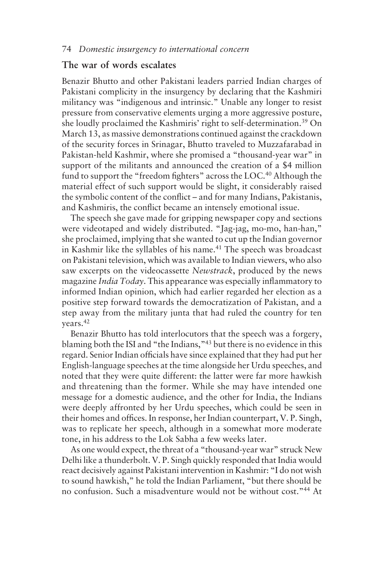## **The war of words escalates**

Benazir Bhutto and other Pakistani leaders parried Indian charges of Pakistani complicity in the insurgency by declaring that the Kashmiri militancy was "indigenous and intrinsic." Unable any longer to resist pressure from conservative elements urging a more aggressive posture, she loudly proclaimed the Kashmiris' right to self-determination.39 On March 13, as massive demonstrations continued against the crackdown of the security forces in Srinagar, Bhutto traveled to Muzzafarabad in Pakistan-held Kashmir, where she promised a "thousand-year war" in support of the militants and announced the creation of a \$4 million fund to support the "freedom fighters" across the LOC.<sup>40</sup> Although the material effect of such support would be slight, it considerably raised the symbolic content of the conflict – and for many Indians, Pakistanis, and Kashmiris, the conflict became an intensely emotional issue.

The speech she gave made for gripping newspaper copy and sections were videotaped and widely distributed. "Jag-jag, mo-mo, han-han," she proclaimed, implying that she wanted to cut up the Indian governor in Kashmir like the syllables of his name.<sup>41</sup> The speech was broadcast on Pakistani television, which was available to Indian viewers, who also saw excerpts on the videocassette *Newstrack*, produced by the news magazine *India Today*. This appearance was especially inflammatory to informed Indian opinion, which had earlier regarded her election as a positive step forward towards the democratization of Pakistan, and a step away from the military junta that had ruled the country for ten years.42

Benazir Bhutto has told interlocutors that the speech was a forgery, blaming both the ISI and "the Indians,"43 but there is no evidence in this regard. Senior Indian officials have since explained that they had put her English-language speeches at the time alongside her Urdu speeches, and noted that they were quite different: the latter were far more hawkish and threatening than the former. While she may have intended one message for a domestic audience, and the other for India, the Indians were deeply affronted by her Urdu speeches, which could be seen in their homes and offices. In response, her Indian counterpart, V. P. Singh, was to replicate her speech, although in a somewhat more moderate tone, in his address to the Lok Sabha a few weeks later.

As one would expect, the threat of a "thousand-year war" struck New Delhi like a thunderbolt. V. P. Singh quickly responded that India would react decisively against Pakistani intervention in Kashmir: "I do not wish to sound hawkish," he told the Indian Parliament, "but there should be no confusion. Such a misadventure would not be without cost."44 At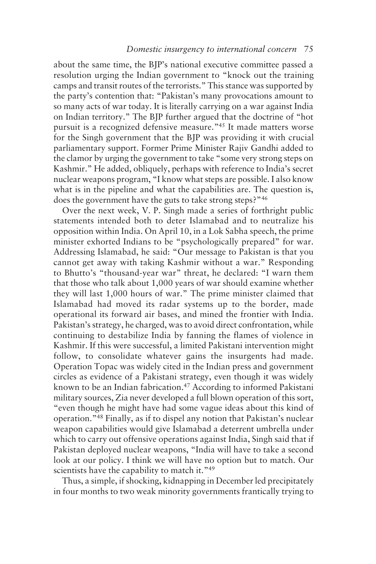about the same time, the BJP's national executive committee passed a resolution urging the Indian government to "knock out the training camps and transit routes of the terrorists." This stance was supported by the party's contention that: "Pakistan's many provocations amount to so many acts of war today. It is literally carrying on a war against India on Indian territory." The BJP further argued that the doctrine of "hot pursuit is a recognized defensive measure."45 It made matters worse for the Singh government that the BJP was providing it with crucial parliamentary support. Former Prime Minister Rajiv Gandhi added to the clamor by urging the government to take "some very strong steps on Kashmir." He added, obliquely, perhaps with reference to India's secret nuclear weapons program, "I know what steps are possible. I also know what is in the pipeline and what the capabilities are. The question is, does the government have the guts to take strong steps?"46

Over the next week, V. P. Singh made a series of forthright public statements intended both to deter Islamabad and to neutralize his opposition within India. On April 10, in a Lok Sabha speech, the prime minister exhorted Indians to be "psychologically prepared" for war. Addressing Islamabad, he said: "Our message to Pakistan is that you cannot get away with taking Kashmir without a war." Responding to Bhutto's "thousand-year war" threat, he declared: "I warn them that those who talk about 1,000 years of war should examine whether they will last 1,000 hours of war." The prime minister claimed that Islamabad had moved its radar systems up to the border, made operational its forward air bases, and mined the frontier with India. Pakistan's strategy, he charged, was to avoid direct confrontation, while continuing to destabilize India by fanning the flames of violence in Kashmir. If this were successful, a limited Pakistani intervention might follow, to consolidate whatever gains the insurgents had made. Operation Topac was widely cited in the Indian press and government circles as evidence of a Pakistani strategy, even though it was widely known to be an Indian fabrication.47 According to informed Pakistani military sources, Zia never developed a full blown operation of this sort, "even though he might have had some vague ideas about this kind of operation."48 Finally, as if to dispel any notion that Pakistan's nuclear weapon capabilities would give Islamabad a deterrent umbrella under which to carry out offensive operations against India, Singh said that if Pakistan deployed nuclear weapons, "India will have to take a second look at our policy. I think we will have no option but to match. Our scientists have the capability to match it."49

Thus, a simple, if shocking, kidnapping in December led precipitately in four months to two weak minority governments frantically trying to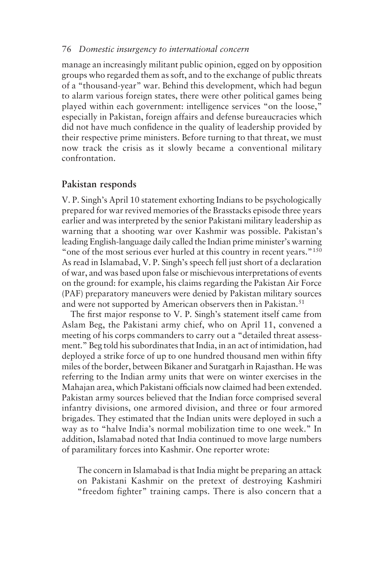manage an increasingly militant public opinion, egged on by opposition groups who regarded them as soft, and to the exchange of public threats of a "thousand-year" war. Behind this development, which had begun to alarm various foreign states, there were other political games being played within each government: intelligence services "on the loose," especially in Pakistan, foreign affairs and defense bureaucracies which did not have much confidence in the quality of leadership provided by their respective prime ministers. Before turning to that threat, we must now track the crisis as it slowly became a conventional military confrontation.

# **Pakistan responds**

V. P. Singh's April 10 statement exhorting Indians to be psychologically prepared for war revived memories of the Brasstacks episode three years earlier and was interpreted by the senior Pakistani military leadership as warning that a shooting war over Kashmir was possible. Pakistan's leading English-language daily called the Indian prime minister's warning "one of the most serious ever hurled at this country in recent years."<sup>150</sup> As read in Islamabad, V. P. Singh's speech fell just short of a declaration of war, and was based upon false or mischievous interpretations of events on the ground: for example, his claims regarding the Pakistan Air Force (PAF) preparatory maneuvers were denied by Pakistan military sources and were not supported by American observers then in Pakistan.<sup>51</sup>

The first major response to V. P. Singh's statement itself came from Aslam Beg, the Pakistani army chief, who on April 11, convened a meeting of his corps commanders to carry out a "detailed threat assessment." Beg told his subordinates that India, in an act of intimidation, had deployed a strike force of up to one hundred thousand men within fifty miles of the border, between Bikaner and Suratgarh in Rajasthan. He was referring to the Indian army units that were on winter exercises in the Mahajan area, which Pakistani officials now claimed had been extended. Pakistan army sources believed that the Indian force comprised several infantry divisions, one armored division, and three or four armored brigades. They estimated that the Indian units were deployed in such a way as to "halve India's normal mobilization time to one week." In addition, Islamabad noted that India continued to move large numbers of paramilitary forces into Kashmir. One reporter wrote:

The concern in Islamabad is that India might be preparing an attack on Pakistani Kashmir on the pretext of destroying Kashmiri "freedom fighter" training camps. There is also concern that a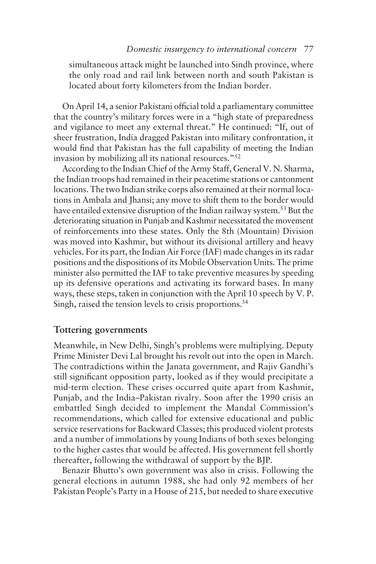simultaneous attack might be launched into Sindh province, where the only road and rail link between north and south Pakistan is located about forty kilometers from the Indian border.

On April 14, a senior Pakistani official told a parliamentary committee that the country's military forces were in a "high state of preparedness and vigilance to meet any external threat." He continued: "If, out of sheer frustration, India dragged Pakistan into military confrontation, it would find that Pakistan has the full capability of meeting the Indian invasion by mobilizing all its national resources."52

According to the Indian Chief of the Army Staff, General V. N. Sharma, the Indian troops had remained in their peacetime stations or cantonment locations. The two Indian strike corps also remained at their normal locations in Ambala and Jhansi; any move to shift them to the border would have entailed extensive disruption of the Indian railway system.53 But the deteriorating situation in Punjab and Kashmir necessitated the movement of reinforcements into these states. Only the 8th (Mountain) Division was moved into Kashmir, but without its divisional artillery and heavy vehicles. For its part, the Indian Air Force (IAF) made changes in its radar positions and the dispositions of its Mobile Observation Units. The prime minister also permitted the IAF to take preventive measures by speeding up its defensive operations and activating its forward bases. In many ways, these steps, taken in conjunction with the April 10 speech by V. P. Singh, raised the tension levels to crisis proportions.<sup>54</sup>

## **Tottering governments**

Meanwhile, in New Delhi, Singh's problems were multiplying. Deputy Prime Minister Devi Lal brought his revolt out into the open in March. The contradictions within the Janata government, and Rajiv Gandhi's still significant opposition party, looked as if they would precipitate a mid-term election. These crises occurred quite apart from Kashmir, Punjab, and the India–Pakistan rivalry. Soon after the 1990 crisis an embattled Singh decided to implement the Mandal Commission's recommendations, which called for extensive educational and public service reservations for Backward Classes; this produced violent protests and a number of immolations by young Indians of both sexes belonging to the higher castes that would be affected. His government fell shortly thereafter, following the withdrawal of support by the BJP.

Benazir Bhutto's own government was also in crisis. Following the general elections in autumn 1988, she had only 92 members of her Pakistan People's Party in a House of 215, but needed to share executive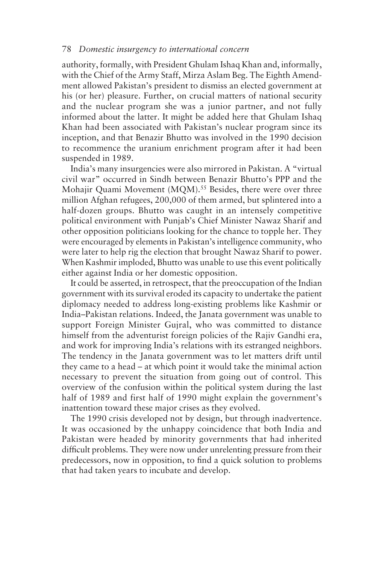authority, formally, with President Ghulam Ishaq Khan and, informally, with the Chief of the Army Staff, Mirza Aslam Beg. The Eighth Amendment allowed Pakistan's president to dismiss an elected government at his (or her) pleasure. Further, on crucial matters of national security and the nuclear program she was a junior partner, and not fully informed about the latter. It might be added here that Ghulam Ishaq Khan had been associated with Pakistan's nuclear program since its inception, and that Benazir Bhutto was involved in the 1990 decision to recommence the uranium enrichment program after it had been suspended in 1989.

India's many insurgencies were also mirrored in Pakistan. A "virtual civil war" occurred in Sindh between Benazir Bhutto's PPP and the Mohajir Quami Movement (MQM).<sup>55</sup> Besides, there were over three million Afghan refugees, 200,000 of them armed, but splintered into a half-dozen groups. Bhutto was caught in an intensely competitive political environment with Punjab's Chief Minister Nawaz Sharif and other opposition politicians looking for the chance to topple her. They were encouraged by elements in Pakistan's intelligence community, who were later to help rig the election that brought Nawaz Sharif to power. When Kashmir imploded, Bhutto was unable to use this event politically either against India or her domestic opposition.

It could be asserted, in retrospect, that the preoccupation of the Indian government with its survival eroded its capacity to undertake the patient diplomacy needed to address long-existing problems like Kashmir or India–Pakistan relations. Indeed, the Janata government was unable to support Foreign Minister Gujral, who was committed to distance himself from the adventurist foreign policies of the Rajiv Gandhi era, and work for improving India's relations with its estranged neighbors. The tendency in the Janata government was to let matters drift until they came to a head – at which point it would take the minimal action necessary to prevent the situation from going out of control. This overview of the confusion within the political system during the last half of 1989 and first half of 1990 might explain the government's inattention toward these major crises as they evolved.

The 1990 crisis developed not by design, but through inadvertence. It was occasioned by the unhappy coincidence that both India and Pakistan were headed by minority governments that had inherited difficult problems. They were now under unrelenting pressure from their predecessors, now in opposition, to find a quick solution to problems that had taken years to incubate and develop.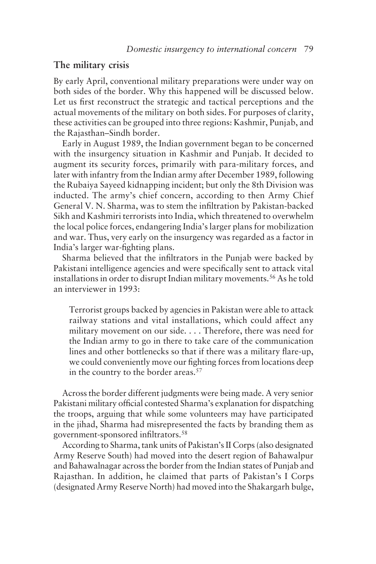## **The military crisis**

By early April, conventional military preparations were under way on both sides of the border. Why this happened will be discussed below. Let us first reconstruct the strategic and tactical perceptions and the actual movements of the military on both sides. For purposes of clarity, these activities can be grouped into three regions: Kashmir, Punjab, and the Rajasthan–Sindh border.

Early in August 1989, the Indian government began to be concerned with the insurgency situation in Kashmir and Punjab. It decided to augment its security forces, primarily with para-military forces, and later with infantry from the Indian army after December 1989, following the Rubaiya Sayeed kidnapping incident; but only the 8th Division was inducted. The army's chief concern, according to then Army Chief General V. N. Sharma, was to stem the infiltration by Pakistan-backed Sikh and Kashmiri terrorists into India, which threatened to overwhelm the local police forces, endangering India's larger plans for mobilization and war. Thus, very early on the insurgency was regarded as a factor in India's larger war-fighting plans.

Sharma believed that the infiltrators in the Punjab were backed by Pakistani intelligence agencies and were specifically sent to attack vital installations in order to disrupt Indian military movements.<sup>56</sup> As he told an interviewer in 1993:

Terrorist groups backed by agencies in Pakistan were able to attack railway stations and vital installations, which could affect any military movement on our side. . . . Therefore, there was need for the Indian army to go in there to take care of the communication lines and other bottlenecks so that if there was a military flare-up, we could conveniently move our fighting forces from locations deep in the country to the border areas.<sup>57</sup>

Across the border different judgments were being made. A very senior Pakistani military official contested Sharma's explanation for dispatching the troops, arguing that while some volunteers may have participated in the jihad, Sharma had misrepresented the facts by branding them as government-sponsored infiltrators.58

According to Sharma, tank units of Pakistan's II Corps (also designated Army Reserve South) had moved into the desert region of Bahawalpur and Bahawalnagar across the border from the Indian states of Punjab and Rajasthan. In addition, he claimed that parts of Pakistan's I Corps (designated Army Reserve North) had moved into the Shakargarh bulge,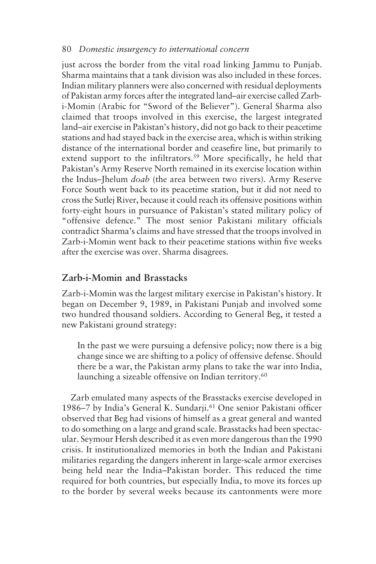just across the border from the vital road linking Jammu to Punjab. Sharma maintains that a tank division was also included in these forces. Indian military planners were also concerned with residual deployments of Pakistan army forces after the integrated land–air exercise called Zarbi-Momin (Arabic for "Sword of the Believer"). General Sharma also claimed that troops involved in this exercise, the largest integrated land–air exercise in Pakistan's history, did not go back to their peacetime stations and had stayed back in the exercise area, which is within striking distance of the international border and ceasefire line, but primarily to extend support to the infiltrators.<sup>59</sup> More specifically, he held that Pakistan's Army Reserve North remained in its exercise location within the Indus–Jhelum *doab* (the area between two rivers). Army Reserve Force South went back to its peacetime station, but it did not need to cross the Sutlej River, because it could reach its offensive positions within forty-eight hours in pursuance of Pakistan's stated military policy of "offensive defence." The most senior Pakistani military officials contradict Sharma's claims and have stressed that the troops involved in Zarb-i-Momin went back to their peacetime stations within five weeks after the exercise was over. Sharma disagrees.

# **Zarb-i-Momin and Brasstacks**

Zarb-i-Momin was the largest military exercise in Pakistan's history. It began on December 9, 1989, in Pakistani Punjab and involved some two hundred thousand soldiers. According to General Beg, it tested a new Pakistani ground strategy:

In the past we were pursuing a defensive policy; now there is a big change since we are shifting to a policy of offensive defense. Should there be a war, the Pakistan army plans to take the war into India, launching a sizeable offensive on Indian territory.<sup>60</sup>

Zarb emulated many aspects of the Brasstacks exercise developed in 1986–7 by India's General K. Sundarji.<sup>61</sup> One senior Pakistani officer observed that Beg had visions of himself as a great general and wanted to do something on a large and grand scale. Brasstacks had been spectacular. Seymour Hersh described it as even more dangerous than the 1990 crisis. It institutionalized memories in both the Indian and Pakistani militaries regarding the dangers inherent in large-scale armor exercises being held near the India–Pakistan border. This reduced the time required for both countries, but especially India, to move its forces up to the border by several weeks because its cantonments were more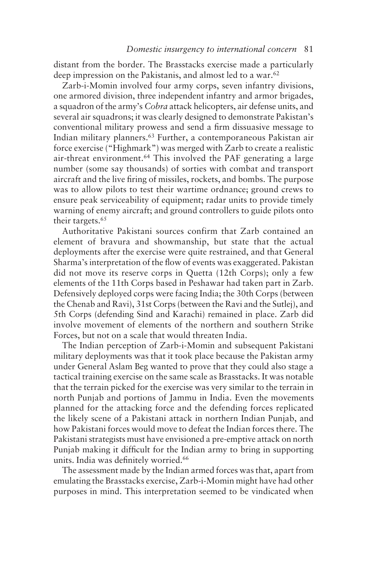distant from the border. The Brasstacks exercise made a particularly deep impression on the Pakistanis, and almost led to a war.<sup>62</sup>

Zarb-i-Momin involved four army corps, seven infantry divisions, one armored division, three independent infantry and armor brigades, a squadron of the army's *Cobra* attack helicopters, air defense units, and several air squadrons; it was clearly designed to demonstrate Pakistan's conventional military prowess and send a firm dissuasive message to Indian military planners.63 Further, a contemporaneous Pakistan air force exercise ("Highmark") was merged with Zarb to create a realistic air-threat environment.64 This involved the PAF generating a large number (some say thousands) of sorties with combat and transport aircraft and the live firing of missiles, rockets, and bombs. The purpose was to allow pilots to test their wartime ordnance; ground crews to ensure peak serviceability of equipment; radar units to provide timely warning of enemy aircraft; and ground controllers to guide pilots onto their targets.<sup>65</sup>

Authoritative Pakistani sources confirm that Zarb contained an element of bravura and showmanship, but state that the actual deployments after the exercise were quite restrained, and that General Sharma's interpretation of the flow of events was exaggerated. Pakistan did not move its reserve corps in Quetta (12th Corps); only a few elements of the 11th Corps based in Peshawar had taken part in Zarb. Defensively deployed corps were facing India; the 30th Corps (between the Chenab and Ravi), 31st Corps (between the Ravi and the Sutlej), and 5th Corps (defending Sind and Karachi) remained in place. Zarb did involve movement of elements of the northern and southern Strike Forces, but not on a scale that would threaten India.

The Indian perception of Zarb-i-Momin and subsequent Pakistani military deployments was that it took place because the Pakistan army under General Aslam Beg wanted to prove that they could also stage a tactical training exercise on the same scale as Brasstacks. It was notable that the terrain picked for the exercise was very similar to the terrain in north Punjab and portions of Jammu in India. Even the movements planned for the attacking force and the defending forces replicated the likely scene of a Pakistani attack in northern Indian Punjab, and how Pakistani forces would move to defeat the Indian forces there. The Pakistani strategists must have envisioned a pre-emptive attack on north Punjab making it difficult for the Indian army to bring in supporting units. India was definitely worried.<sup>66</sup>

The assessment made by the Indian armed forces was that, apart from emulating the Brasstacks exercise, Zarb-i-Momin might have had other purposes in mind. This interpretation seemed to be vindicated when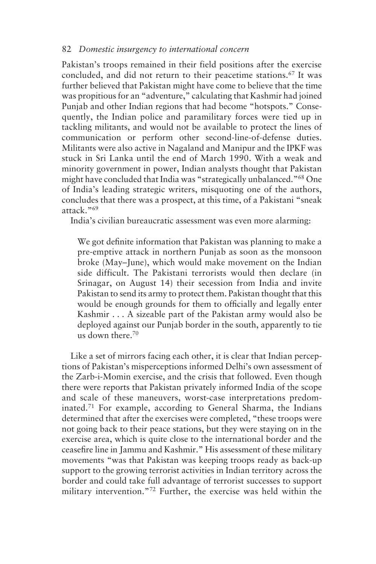Pakistan's troops remained in their field positions after the exercise concluded, and did not return to their peacetime stations.<sup>67</sup> It was further believed that Pakistan might have come to believe that the time was propitious for an "adventure," calculating that Kashmir had joined Punjab and other Indian regions that had become "hotspots." Consequently, the Indian police and paramilitary forces were tied up in tackling militants, and would not be available to protect the lines of communication or perform other second-line-of-defense duties. Militants were also active in Nagaland and Manipur and the IPKF was stuck in Sri Lanka until the end of March 1990. With a weak and minority government in power, Indian analysts thought that Pakistan might have concluded that India was "strategically unbalanced."68 One of India's leading strategic writers, misquoting one of the authors, concludes that there was a prospect, at this time, of a Pakistani "sneak attack."69

India's civilian bureaucratic assessment was even more alarming:

We got definite information that Pakistan was planning to make a pre-emptive attack in northern Punjab as soon as the monsoon broke (May–June), which would make movement on the Indian side difficult. The Pakistani terrorists would then declare (in Srinagar, on August 14) their secession from India and invite Pakistan to send its army to protect them. Pakistan thought that this would be enough grounds for them to officially and legally enter Kashmir . . . A sizeable part of the Pakistan army would also be deployed against our Punjab border in the south, apparently to tie us down there.70

Like a set of mirrors facing each other, it is clear that Indian perceptions of Pakistan's misperceptions informed Delhi's own assessment of the Zarb-i-Momin exercise, and the crisis that followed. Even though there were reports that Pakistan privately informed India of the scope and scale of these maneuvers, worst-case interpretations predominated.71 For example, according to General Sharma, the Indians determined that after the exercises were completed, "these troops were not going back to their peace stations, but they were staying on in the exercise area, which is quite close to the international border and the ceasefire line in Jammu and Kashmir." His assessment of these military movements "was that Pakistan was keeping troops ready as back-up support to the growing terrorist activities in Indian territory across the border and could take full advantage of terrorist successes to support military intervention."72 Further, the exercise was held within the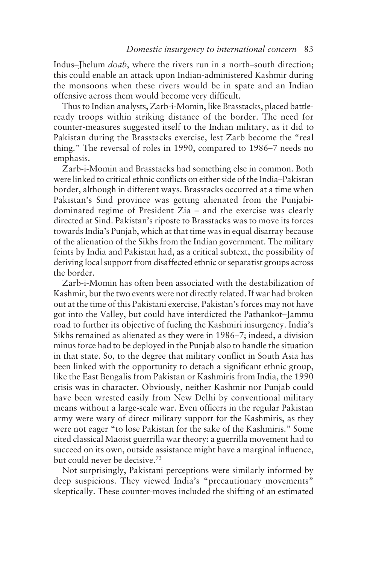Indus–Jhelum *doab*, where the rivers run in a north–south direction; this could enable an attack upon Indian-administered Kashmir during the monsoons when these rivers would be in spate and an Indian offensive across them would become very difficult.

Thus to Indian analysts, Zarb-i-Momin, like Brasstacks, placed battleready troops within striking distance of the border. The need for counter-measures suggested itself to the Indian military, as it did to Pakistan during the Brasstacks exercise, lest Zarb become the "real thing." The reversal of roles in 1990, compared to 1986–7 needs no emphasis.

Zarb-i-Momin and Brasstacks had something else in common. Both were linked to critical ethnic conflicts on either side of the India–Pakistan border, although in different ways. Brasstacks occurred at a time when Pakistan's Sind province was getting alienated from the Punjabidominated regime of President Zia – and the exercise was clearly directed at Sind. Pakistan's riposte to Brasstacks was to move its forces towards India's Punjab, which at that time was in equal disarray because of the alienation of the Sikhs from the Indian government. The military feints by India and Pakistan had, as a critical subtext, the possibility of deriving local support from disaffected ethnic or separatist groups across the border.

Zarb-i-Momin has often been associated with the destabilization of Kashmir, but the two events were not directly related. If war had broken out at the time of this Pakistani exercise, Pakistan's forces may not have got into the Valley, but could have interdicted the Pathankot–Jammu road to further its objective of fueling the Kashmiri insurgency. India's Sikhs remained as alienated as they were in 1986–7; indeed, a division minus force had to be deployed in the Punjab also to handle the situation in that state. So, to the degree that military conflict in South Asia has been linked with the opportunity to detach a significant ethnic group, like the East Bengalis from Pakistan or Kashmiris from India, the 1990 crisis was in character. Obviously, neither Kashmir nor Punjab could have been wrested easily from New Delhi by conventional military means without a large-scale war. Even officers in the regular Pakistan army were wary of direct military support for the Kashmiris, as they were not eager "to lose Pakistan for the sake of the Kashmiris." Some cited classical Maoist guerrilla war theory: a guerrilla movement had to succeed on its own, outside assistance might have a marginal influence, but could never be decisive.73

Not surprisingly, Pakistani perceptions were similarly informed by deep suspicions. They viewed India's "precautionary movements" skeptically. These counter-moves included the shifting of an estimated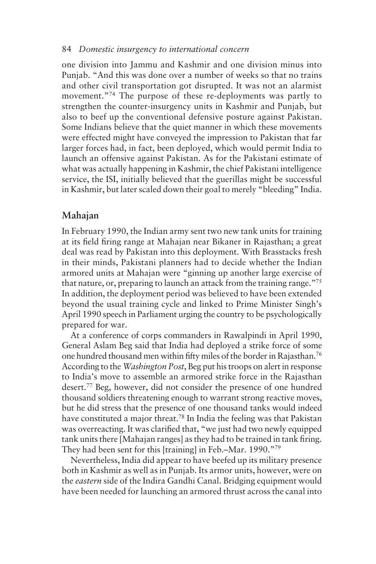one division into Jammu and Kashmir and one division minus into Punjab. "And this was done over a number of weeks so that no trains and other civil transportation got disrupted. It was not an alarmist movement."74 The purpose of these re-deployments was partly to strengthen the counter-insurgency units in Kashmir and Punjab, but also to beef up the conventional defensive posture against Pakistan. Some Indians believe that the quiet manner in which these movements were effected might have conveyed the impression to Pakistan that far larger forces had, in fact, been deployed, which would permit India to launch an offensive against Pakistan. As for the Pakistani estimate of what was actually happening in Kashmir, the chief Pakistani intelligence service, the ISI, initially believed that the guerillas might be successful in Kashmir, but later scaled down their goal to merely "bleeding" India.

# **Mahajan**

In February 1990, the Indian army sent two new tank units for training at its field firing range at Mahajan near Bikaner in Rajasthan; a great deal was read by Pakistan into this deployment. With Brasstacks fresh in their minds, Pakistani planners had to decide whether the Indian armored units at Mahajan were "ginning up another large exercise of that nature, or, preparing to launch an attack from the training range."75 In addition, the deployment period was believed to have been extended beyond the usual training cycle and linked to Prime Minister Singh's April 1990 speech in Parliament urging the country to be psychologically prepared for war.

At a conference of corps commanders in Rawalpindi in April 1990, General Aslam Beg said that India had deployed a strike force of some one hundred thousand men within fifty miles of the border in Rajasthan.76 According to the *Washington Post*, Beg put his troops on alert in response to India's move to assemble an armored strike force in the Rajasthan desert.77 Beg, however, did not consider the presence of one hundred thousand soldiers threatening enough to warrant strong reactive moves, but he did stress that the presence of one thousand tanks would indeed have constituted a major threat.78 In India the feeling was that Pakistan was overreacting. It was clarified that, "we just had two newly equipped tank units there [Mahajan ranges] as they had to be trained in tank firing. They had been sent for this [training] in Feb.–Mar. 1990."79

Nevertheless, India did appear to have beefed up its military presence both in Kashmir as well as in Punjab. Its armor units, however, were on the *eastern* side of the Indira Gandhi Canal. Bridging equipment would have been needed for launching an armored thrust across the canal into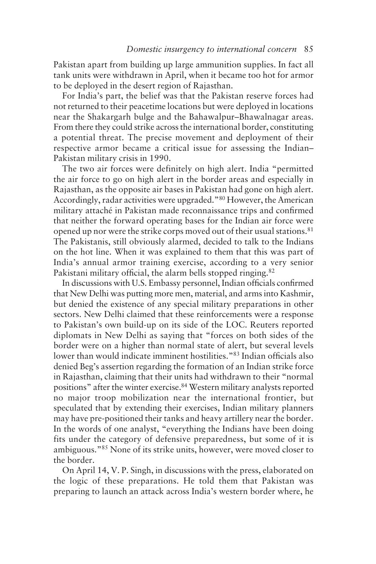Pakistan apart from building up large ammunition supplies. In fact all tank units were withdrawn in April, when it became too hot for armor to be deployed in the desert region of Rajasthan.

For India's part, the belief was that the Pakistan reserve forces had not returned to their peacetime locations but were deployed in locations near the Shakargarh bulge and the Bahawalpur–Bhawalnagar areas. From there they could strike across the international border, constituting a potential threat. The precise movement and deployment of their respective armor became a critical issue for assessing the Indian– Pakistan military crisis in 1990.

The two air forces were definitely on high alert. India "permitted the air force to go on high alert in the border areas and especially in Rajasthan, as the opposite air bases in Pakistan had gone on high alert. Accordingly, radar activities were upgraded."80 However, the American military attaché in Pakistan made reconnaissance trips and confirmed that neither the forward operating bases for the Indian air force were opened up nor were the strike corps moved out of their usual stations.<sup>81</sup> The Pakistanis, still obviously alarmed, decided to talk to the Indians on the hot line. When it was explained to them that this was part of India's annual armor training exercise, according to a very senior Pakistani military official, the alarm bells stopped ringing.<sup>82</sup>

In discussions with U.S. Embassy personnel, Indian officials confirmed that New Delhi was putting more men, material, and arms into Kashmir, but denied the existence of any special military preparations in other sectors. New Delhi claimed that these reinforcements were a response to Pakistan's own build-up on its side of the LOC. Reuters reported diplomats in New Delhi as saying that "forces on both sides of the border were on a higher than normal state of alert, but several levels lower than would indicate imminent hostilities."83 Indian officials also denied Beg's assertion regarding the formation of an Indian strike force in Rajasthan, claiming that their units had withdrawn to their "normal positions" after the winter exercise.84 Western military analysts reported no major troop mobilization near the international frontier, but speculated that by extending their exercises, Indian military planners may have pre-positioned their tanks and heavy artillery near the border. In the words of one analyst, "everything the Indians have been doing fits under the category of defensive preparedness, but some of it is ambiguous."85 None of its strike units, however, were moved closer to the border.

On April 14, V. P. Singh, in discussions with the press, elaborated on the logic of these preparations. He told them that Pakistan was preparing to launch an attack across India's western border where, he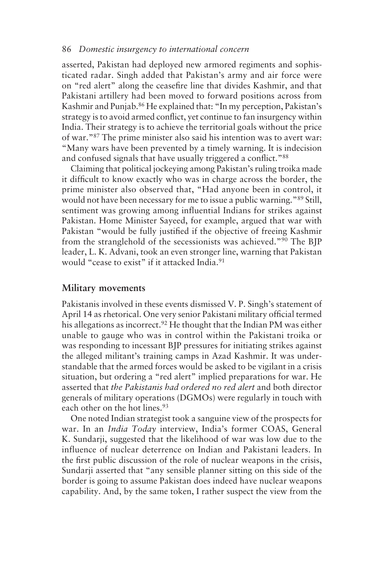asserted, Pakistan had deployed new armored regiments and sophisticated radar. Singh added that Pakistan's army and air force were on "red alert" along the ceasefire line that divides Kashmir, and that Pakistani artillery had been moved to forward positions across from Kashmir and Punjab.86 He explained that: "In my perception, Pakistan's strategy is to avoid armed conflict, yet continue to fan insurgency within India. Their strategy is to achieve the territorial goals without the price of war."87 The prime minister also said his intention was to avert war: "Many wars have been prevented by a timely warning. It is indecision and confused signals that have usually triggered a conflict."<sup>88</sup>

Claiming that political jockeying among Pakistan's ruling troika made it difficult to know exactly who was in charge across the border, the prime minister also observed that, "Had anyone been in control, it would not have been necessary for me to issue a public warning."89 Still, sentiment was growing among influential Indians for strikes against Pakistan. Home Minister Sayeed, for example, argued that war with Pakistan "would be fully justified if the objective of freeing Kashmir from the stranglehold of the secessionists was achieved."90 The BJP leader, L. K. Advani, took an even stronger line, warning that Pakistan would "cease to exist" if it attacked India.<sup>91</sup>

## **Military movements**

Pakistanis involved in these events dismissed V. P. Singh's statement of April 14 as rhetorical. One very senior Pakistani military official termed his allegations as incorrect.<sup>92</sup> He thought that the Indian PM was either unable to gauge who was in control within the Pakistani troika or was responding to incessant BJP pressures for initiating strikes against the alleged militant's training camps in Azad Kashmir. It was understandable that the armed forces would be asked to be vigilant in a crisis situation, but ordering a "red alert" implied preparations for war. He asserted that *the Pakistanis had ordered no red alert* and both director generals of military operations (DGMOs) were regularly in touch with each other on the hot lines.<sup>93</sup>

One noted Indian strategist took a sanguine view of the prospects for war. In an *India Today* interview, India's former COAS, General K. Sundarji, suggested that the likelihood of war was low due to the influence of nuclear deterrence on Indian and Pakistani leaders. In the first public discussion of the role of nuclear weapons in the crisis, Sundarji asserted that "any sensible planner sitting on this side of the border is going to assume Pakistan does indeed have nuclear weapons capability. And, by the same token, I rather suspect the view from the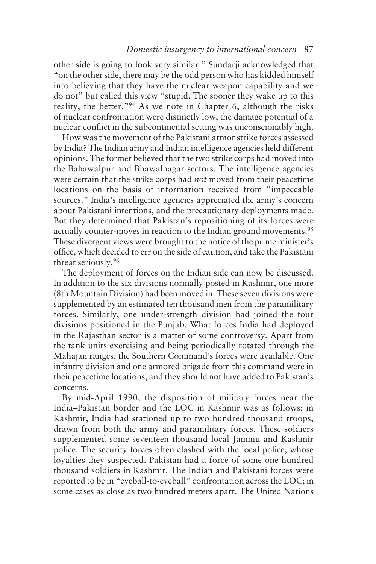other side is going to look very similar." Sundarji acknowledged that "on the other side, there may be the odd person who has kidded himself into believing that they have the nuclear weapon capability and we do not" but called this view "stupid. The sooner they wake up to this reality, the better."94 As we note in Chapter 6, although the risks of nuclear confrontation were distinctly low, the damage potential of a nuclear conflict in the subcontinental setting was unconscionably high.

How was the movement of the Pakistani armor strike forces assessed by India? The Indian army and Indian intelligence agencies held different opinions. The former believed that the two strike corps had moved into the Bahawalpur and Bhawalnagar sectors. The intelligence agencies were certain that the strike corps had *not* moved from their peacetime locations on the basis of information received from "impeccable sources." India's intelligence agencies appreciated the army's concern about Pakistani intentions, and the precautionary deployments made. But they determined that Pakistan's repositioning of its forces were actually counter-moves in reaction to the Indian ground movements.<sup>95</sup> These divergent views were brought to the notice of the prime minister's office, which decided to err on the side of caution, and take the Pakistani threat seriously.96

The deployment of forces on the Indian side can now be discussed. In addition to the six divisions normally posted in Kashmir, one more (8th Mountain Division) had been moved in. These seven divisions were supplemented by an estimated ten thousand men from the paramilitary forces. Similarly, one under-strength division had joined the four divisions positioned in the Punjab. What forces India had deployed in the Rajasthan sector is a matter of some controversy. Apart from the tank units exercising and being periodically rotated through the Mahajan ranges, the Southern Command's forces were available. One infantry division and one armored brigade from this command were in their peacetime locations, and they should not have added to Pakistan's concerns.

By mid-April 1990, the disposition of military forces near the India–Pakistan border and the LOC in Kashmir was as follows: in Kashmir, India had stationed up to two hundred thousand troops, drawn from both the army and paramilitary forces. These soldiers supplemented some seventeen thousand local Jammu and Kashmir police. The security forces often clashed with the local police, whose loyalties they suspected. Pakistan had a force of some one hundred thousand soldiers in Kashmir. The Indian and Pakistani forces were reported to be in "eyeball-to-eyeball" confrontation across the LOC; in some cases as close as two hundred meters apart. The United Nations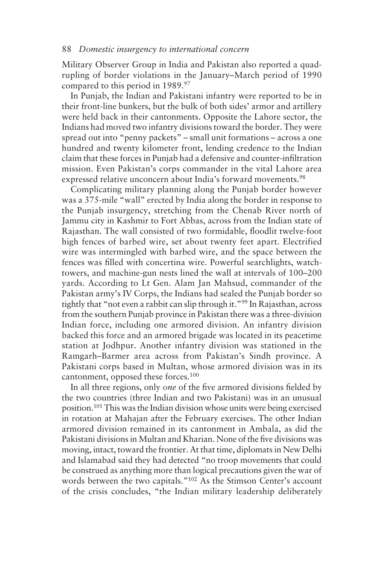Military Observer Group in India and Pakistan also reported a quadrupling of border violations in the January–March period of 1990 compared to this period in 1989.97

In Punjab, the Indian and Pakistani infantry were reported to be in their front-line bunkers, but the bulk of both sides' armor and artillery were held back in their cantonments. Opposite the Lahore sector, the Indians had moved two infantry divisions toward the border. They were spread out into "penny packets" – small unit formations – across a one hundred and twenty kilometer front, lending credence to the Indian claim that these forces in Punjab had a defensive and counter-infiltration mission. Even Pakistan's corps commander in the vital Lahore area expressed relative unconcern about India's forward movements.<sup>98</sup>

Complicating military planning along the Punjab border however was a 375-mile "wall" erected by India along the border in response to the Punjab insurgency, stretching from the Chenab River north of Jammu city in Kashmir to Fort Abbas, across from the Indian state of Rajasthan. The wall consisted of two formidable, floodlit twelve-foot high fences of barbed wire, set about twenty feet apart. Electrified wire was intermingled with barbed wire, and the space between the fences was filled with concertina wire. Powerful searchlights, watchtowers, and machine-gun nests lined the wall at intervals of 100–200 yards. According to Lt Gen. Alam Jan Mahsud, commander of the Pakistan army's IV Corps, the Indians had sealed the Punjab border so tightly that "not even a rabbit can slip through it."99 In Rajasthan, across from the southern Punjab province in Pakistan there was a three-division Indian force, including one armored division. An infantry division backed this force and an armored brigade was located in its peacetime station at Jodhpur. Another infantry division was stationed in the Ramgarh–Barmer area across from Pakistan's Sindh province. A Pakistani corps based in Multan, whose armored division was in its cantonment, opposed these forces.100

In all three regions, only *one* of the five armored divisions fielded by the two countries (three Indian and two Pakistani) was in an unusual position.101 This was the Indian division whose units were being exercised in rotation at Mahajan after the February exercises. The other Indian armored division remained in its cantonment in Ambala, as did the Pakistani divisions in Multan and Kharian. None of the five divisions was moving, intact, toward the frontier. At that time, diplomats in New Delhi and Islamabad said they had detected "no troop movements that could be construed as anything more than logical precautions given the war of words between the two capitals."102 As the Stimson Center's account of the crisis concludes, "the Indian military leadership deliberately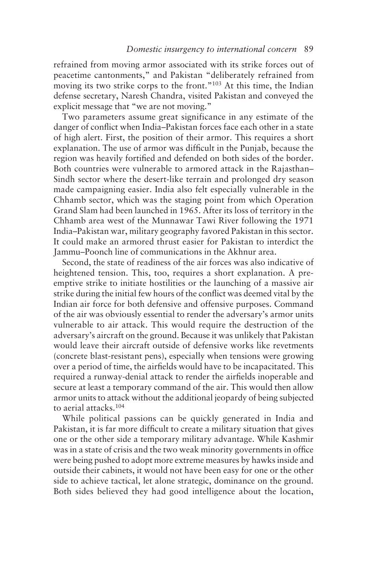refrained from moving armor associated with its strike forces out of peacetime cantonments," and Pakistan "deliberately refrained from moving its two strike corps to the front."103 At this time, the Indian defense secretary, Naresh Chandra, visited Pakistan and conveyed the explicit message that "we are not moving."

Two parameters assume great significance in any estimate of the danger of conflict when India–Pakistan forces face each other in a state of high alert. First, the position of their armor. This requires a short explanation. The use of armor was difficult in the Punjab, because the region was heavily fortified and defended on both sides of the border. Both countries were vulnerable to armored attack in the Rajasthan– Sindh sector where the desert-like terrain and prolonged dry season made campaigning easier. India also felt especially vulnerable in the Chhamb sector, which was the staging point from which Operation Grand Slam had been launched in 1965. After its loss of territory in the Chhamb area west of the Munnawar Tawi River following the 1971 India–Pakistan war, military geography favored Pakistan in this sector. It could make an armored thrust easier for Pakistan to interdict the Jammu–Poonch line of communications in the Akhnur area.

Second, the state of readiness of the air forces was also indicative of heightened tension. This, too, requires a short explanation. A preemptive strike to initiate hostilities or the launching of a massive air strike during the initial few hours of the conflict was deemed vital by the Indian air force for both defensive and offensive purposes. Command of the air was obviously essential to render the adversary's armor units vulnerable to air attack. This would require the destruction of the adversary's aircraft on the ground. Because it was unlikely that Pakistan would leave their aircraft outside of defensive works like revetments (concrete blast-resistant pens), especially when tensions were growing over a period of time, the airfields would have to be incapacitated. This required a runway-denial attack to render the airfields inoperable and secure at least a temporary command of the air. This would then allow armor units to attack without the additional jeopardy of being subjected to aerial attacks.104

While political passions can be quickly generated in India and Pakistan, it is far more difficult to create a military situation that gives one or the other side a temporary military advantage. While Kashmir was in a state of crisis and the two weak minority governments in office were being pushed to adopt more extreme measures by hawks inside and outside their cabinets, it would not have been easy for one or the other side to achieve tactical, let alone strategic, dominance on the ground. Both sides believed they had good intelligence about the location,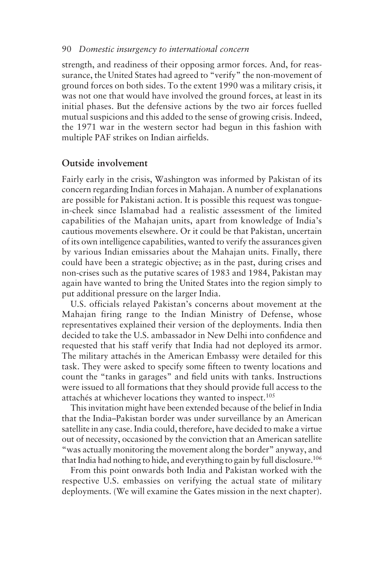strength, and readiness of their opposing armor forces. And, for reassurance, the United States had agreed to "verify" the non-movement of ground forces on both sides. To the extent 1990 was a military crisis, it was not one that would have involved the ground forces, at least in its initial phases. But the defensive actions by the two air forces fuelled mutual suspicions and this added to the sense of growing crisis. Indeed, the 1971 war in the western sector had begun in this fashion with multiple PAF strikes on Indian airfields.

## **Outside involvement**

Fairly early in the crisis, Washington was informed by Pakistan of its concern regarding Indian forces in Mahajan. A number of explanations are possible for Pakistani action. It is possible this request was tonguein-cheek since Islamabad had a realistic assessment of the limited capabilities of the Mahajan units, apart from knowledge of India's cautious movements elsewhere. Or it could be that Pakistan, uncertain of its own intelligence capabilities, wanted to verify the assurances given by various Indian emissaries about the Mahajan units. Finally, there could have been a strategic objective; as in the past, during crises and non-crises such as the putative scares of 1983 and 1984, Pakistan may again have wanted to bring the United States into the region simply to put additional pressure on the larger India.

U.S. officials relayed Pakistan's concerns about movement at the Mahajan firing range to the Indian Ministry of Defense, whose representatives explained their version of the deployments. India then decided to take the U.S. ambassador in New Delhi into confidence and requested that his staff verify that India had not deployed its armor. The military attachés in the American Embassy were detailed for this task. They were asked to specify some fifteen to twenty locations and count the "tanks in garages" and field units with tanks. Instructions were issued to all formations that they should provide full access to the attachés at whichever locations they wanted to inspect.<sup>105</sup>

This invitation might have been extended because of the belief in India that the India–Pakistan border was under surveillance by an American satellite in any case. India could, therefore, have decided to make a virtue out of necessity, occasioned by the conviction that an American satellite "was actually monitoring the movement along the border" anyway, and that India had nothing to hide, and everything to gain by full disclosure.106

From this point onwards both India and Pakistan worked with the respective U.S. embassies on verifying the actual state of military deployments. (We will examine the Gates mission in the next chapter).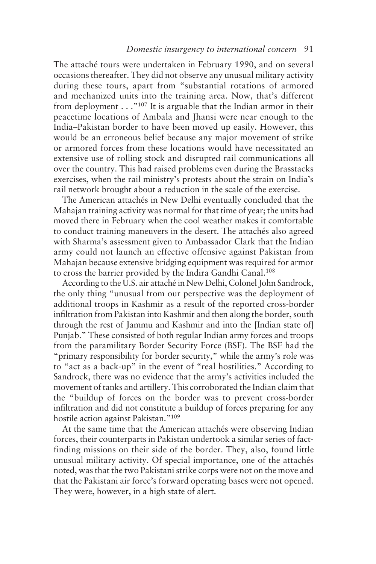The attaché tours were undertaken in February 1990, and on several occasions thereafter. They did not observe any unusual military activity during these tours, apart from "substantial rotations of armored and mechanized units into the training area. Now, that's different from deployment . . ."107 It is arguable that the Indian armor in their peacetime locations of Ambala and Jhansi were near enough to the India–Pakistan border to have been moved up easily. However, this would be an erroneous belief because any major movement of strike or armored forces from these locations would have necessitated an extensive use of rolling stock and disrupted rail communications all over the country. This had raised problems even during the Brasstacks exercises, when the rail ministry's protests about the strain on India's rail network brought about a reduction in the scale of the exercise.

The American attachés in New Delhi eventually concluded that the Mahajan training activity was normal for that time of year; the units had moved there in February when the cool weather makes it comfortable to conduct training maneuvers in the desert. The attachés also agreed with Sharma's assessment given to Ambassador Clark that the Indian army could not launch an effective offensive against Pakistan from Mahajan because extensive bridging equipment was required for armor to cross the barrier provided by the Indira Gandhi Canal.<sup>108</sup>

According to the U.S. air attaché in New Delhi, Colonel John Sandrock, the only thing "unusual from our perspective was the deployment of additional troops in Kashmir as a result of the reported cross-border infiltration from Pakistan into Kashmir and then along the border, south through the rest of Jammu and Kashmir and into the [Indian state of] Punjab." These consisted of both regular Indian army forces and troops from the paramilitary Border Security Force (BSF). The BSF had the "primary responsibility for border security," while the army's role was to "act as a back-up" in the event of "real hostilities." According to Sandrock, there was no evidence that the army's activities included the movement of tanks and artillery. This corroborated the Indian claim that the "buildup of forces on the border was to prevent cross-border infiltration and did not constitute a buildup of forces preparing for any hostile action against Pakistan."109

At the same time that the American attachés were observing Indian forces, their counterparts in Pakistan undertook a similar series of factfinding missions on their side of the border. They, also, found little unusual military activity. Of special importance, one of the attachés noted, was that the two Pakistani strike corps were not on the move and that the Pakistani air force's forward operating bases were not opened. They were, however, in a high state of alert.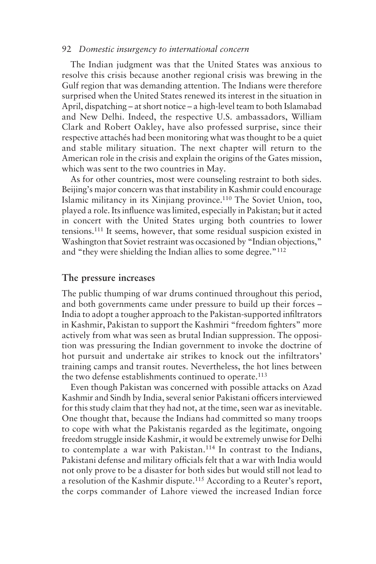The Indian judgment was that the United States was anxious to resolve this crisis because another regional crisis was brewing in the Gulf region that was demanding attention. The Indians were therefore surprised when the United States renewed its interest in the situation in April, dispatching – at short notice – a high-level team to both Islamabad and New Delhi. Indeed, the respective U.S. ambassadors, William Clark and Robert Oakley, have also professed surprise, since their respective attachés had been monitoring what was thought to be a quiet and stable military situation. The next chapter will return to the American role in the crisis and explain the origins of the Gates mission, which was sent to the two countries in May.

As for other countries, most were counseling restraint to both sides. Beijing's major concern was that instability in Kashmir could encourage Islamic militancy in its Xinjiang province.110 The Soviet Union, too, played a role. Its influence was limited, especially in Pakistan; but it acted in concert with the United States urging both countries to lower tensions.111 It seems, however, that some residual suspicion existed in Washington that Soviet restraint was occasioned by "Indian objections," and "they were shielding the Indian allies to some degree."112

#### **The pressure increases**

The public thumping of war drums continued throughout this period, and both governments came under pressure to build up their forces – India to adopt a tougher approach to the Pakistan-supported infiltrators in Kashmir, Pakistan to support the Kashmiri "freedom fighters" more actively from what was seen as brutal Indian suppression. The opposition was pressuring the Indian government to invoke the doctrine of hot pursuit and undertake air strikes to knock out the infiltrators' training camps and transit routes. Nevertheless, the hot lines between the two defense establishments continued to operate.<sup>113</sup>

Even though Pakistan was concerned with possible attacks on Azad Kashmir and Sindh by India, several senior Pakistani officers interviewed for this study claim that they had not, at the time, seen war as inevitable. One thought that, because the Indians had committed so many troops to cope with what the Pakistanis regarded as the legitimate, ongoing freedom struggle inside Kashmir, it would be extremely unwise for Delhi to contemplate a war with Pakistan.114 In contrast to the Indians, Pakistani defense and military officials felt that a war with India would not only prove to be a disaster for both sides but would still not lead to a resolution of the Kashmir dispute.<sup>115</sup> According to a Reuter's report, the corps commander of Lahore viewed the increased Indian force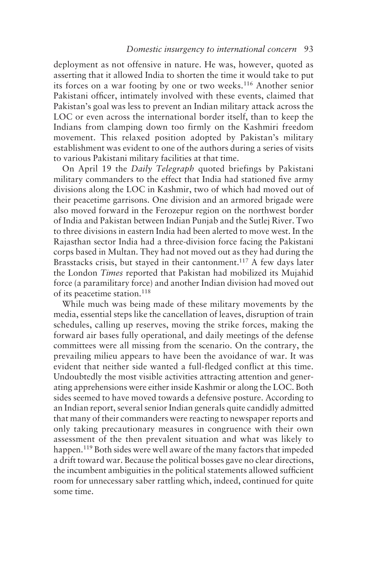deployment as not offensive in nature. He was, however, quoted as asserting that it allowed India to shorten the time it would take to put its forces on a war footing by one or two weeks.116 Another senior Pakistani officer, intimately involved with these events, claimed that Pakistan's goal was less to prevent an Indian military attack across the LOC or even across the international border itself, than to keep the Indians from clamping down too firmly on the Kashmiri freedom movement. This relaxed position adopted by Pakistan's military establishment was evident to one of the authors during a series of visits to various Pakistani military facilities at that time.

On April 19 the *Daily Telegraph* quoted briefings by Pakistani military commanders to the effect that India had stationed five army divisions along the LOC in Kashmir, two of which had moved out of their peacetime garrisons. One division and an armored brigade were also moved forward in the Ferozepur region on the northwest border of India and Pakistan between Indian Punjab and the Sutlej River. Two to three divisions in eastern India had been alerted to move west. In the Rajasthan sector India had a three-division force facing the Pakistani corps based in Multan. They had not moved out as they had during the Brasstacks crisis, but stayed in their cantonment.<sup>117</sup> A few days later the London *Times* reported that Pakistan had mobilized its Mujahid force (a paramilitary force) and another Indian division had moved out of its peacetime station.<sup>118</sup>

While much was being made of these military movements by the media, essential steps like the cancellation of leaves, disruption of train schedules, calling up reserves, moving the strike forces, making the forward air bases fully operational, and daily meetings of the defense committees were all missing from the scenario. On the contrary, the prevailing milieu appears to have been the avoidance of war. It was evident that neither side wanted a full-fledged conflict at this time. Undoubtedly the most visible activities attracting attention and generating apprehensions were either inside Kashmir or along the LOC. Both sides seemed to have moved towards a defensive posture. According to an Indian report, several senior Indian generals quite candidly admitted that many of their commanders were reacting to newspaper reports and only taking precautionary measures in congruence with their own assessment of the then prevalent situation and what was likely to happen.119 Both sides were well aware of the many factors that impeded a drift toward war. Because the political bosses gave no clear directions, the incumbent ambiguities in the political statements allowed sufficient room for unnecessary saber rattling which, indeed, continued for quite some time.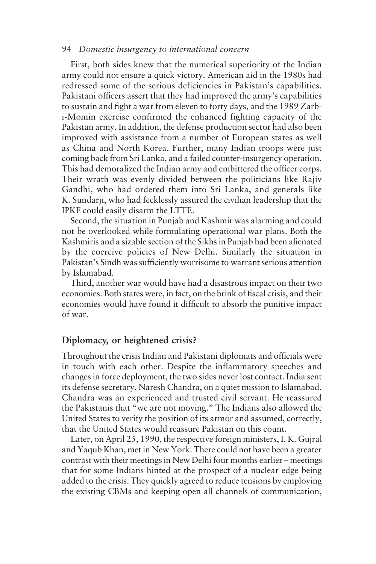First, both sides knew that the numerical superiority of the Indian army could not ensure a quick victory. American aid in the 1980s had redressed some of the serious deficiencies in Pakistan's capabilities. Pakistani officers assert that they had improved the army's capabilities to sustain and fight a war from eleven to forty days, and the 1989 Zarbi-Momin exercise confirmed the enhanced fighting capacity of the Pakistan army. In addition, the defense production sector had also been improved with assistance from a number of European states as well as China and North Korea. Further, many Indian troops were just coming back from Sri Lanka, and a failed counter-insurgency operation. This had demoralized the Indian army and embittered the officer corps. Their wrath was evenly divided between the politicians like Rajiv Gandhi, who had ordered them into Sri Lanka, and generals like K. Sundarji, who had fecklessly assured the civilian leadership that the IPKF could easily disarm the LTTE.

Second, the situation in Punjab and Kashmir was alarming and could not be overlooked while formulating operational war plans. Both the Kashmiris and a sizable section of the Sikhs in Punjab had been alienated by the coercive policies of New Delhi. Similarly the situation in Pakistan's Sindh was sufficiently worrisome to warrant serious attention by Islamabad.

Third, another war would have had a disastrous impact on their two economies. Both states were, in fact, on the brink of fiscal crisis, and their economies would have found it difficult to absorb the punitive impact of war.

# **Diplomacy, or heightened crisis?**

Throughout the crisis Indian and Pakistani diplomats and officials were in touch with each other. Despite the inflammatory speeches and changes in force deployment, the two sides never lost contact. India sent its defense secretary, Naresh Chandra, on a quiet mission to Islamabad. Chandra was an experienced and trusted civil servant. He reassured the Pakistanis that "we are not moving." The Indians also allowed the United States to verify the position of its armor and assumed, correctly, that the United States would reassure Pakistan on this count.

Later, on April 25, 1990, the respective foreign ministers, I. K. Gujral and Yaqub Khan, met in New York. There could not have been a greater contrast with their meetings in New Delhi four months earlier – meetings that for some Indians hinted at the prospect of a nuclear edge being added to the crisis. They quickly agreed to reduce tensions by employing the existing CBMs and keeping open all channels of communication,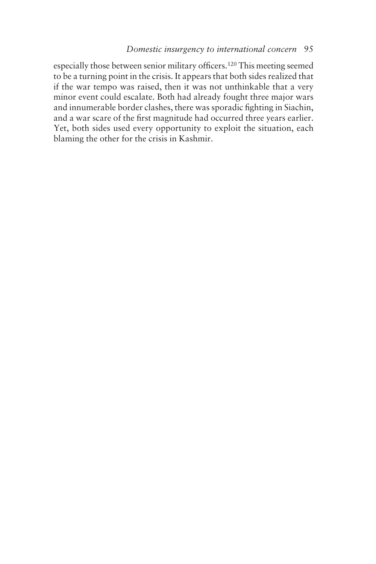especially those between senior military officers.120 This meeting seemed to be a turning point in the crisis. It appears that both sides realized that if the war tempo was raised, then it was not unthinkable that a very minor event could escalate. Both had already fought three major wars and innumerable border clashes, there was sporadic fighting in Siachin, and a war scare of the first magnitude had occurred three years earlier. Yet, both sides used every opportunity to exploit the situation, each blaming the other for the crisis in Kashmir.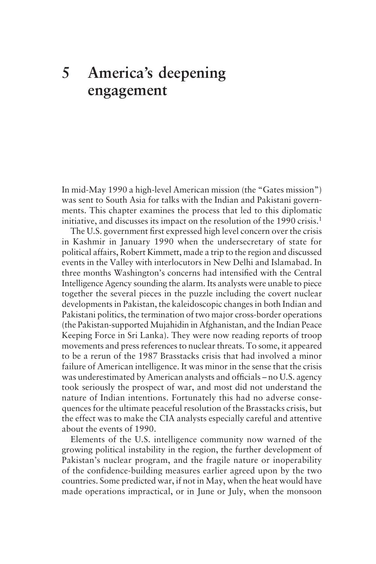# **5 America's deepening engagement**

In mid-May 1990 a high-level American mission (the "Gates mission") was sent to South Asia for talks with the Indian and Pakistani governments. This chapter examines the process that led to this diplomatic initiative, and discusses its impact on the resolution of the 1990 crisis.<sup>1</sup>

The U.S. government first expressed high level concern over the crisis in Kashmir in January 1990 when the undersecretary of state for political affairs, Robert Kimmett, made a trip to the region and discussed events in the Valley with interlocutors in New Delhi and Islamabad. In three months Washington's concerns had intensified with the Central Intelligence Agency sounding the alarm. Its analysts were unable to piece together the several pieces in the puzzle including the covert nuclear developments in Pakistan, the kaleidoscopic changes in both Indian and Pakistani politics, the termination of two major cross-border operations (the Pakistan-supported Mujahidin in Afghanistan, and the Indian Peace Keeping Force in Sri Lanka). They were now reading reports of troop movements and press references to nuclear threats. To some, it appeared to be a rerun of the 1987 Brasstacks crisis that had involved a minor failure of American intelligence. It was minor in the sense that the crisis was underestimated by American analysts and officials – no U.S. agency took seriously the prospect of war, and most did not understand the nature of Indian intentions. Fortunately this had no adverse consequences for the ultimate peaceful resolution of the Brasstacks crisis, but the effect was to make the CIA analysts especially careful and attentive about the events of 1990.

Elements of the U.S. intelligence community now warned of the growing political instability in the region, the further development of Pakistan's nuclear program, and the fragile nature or inoperability of the confidence-building measures earlier agreed upon by the two countries. Some predicted war, if not in May, when the heat would have made operations impractical, or in June or July, when the monsoon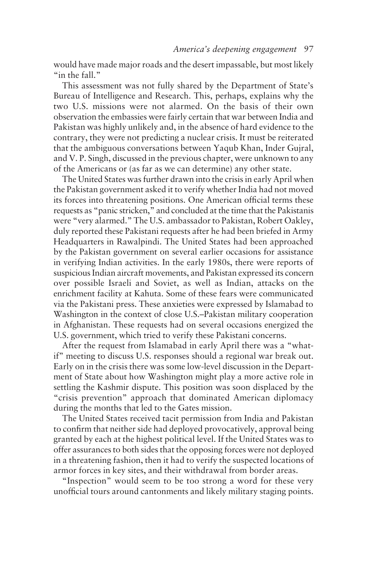would have made major roads and the desert impassable, but most likely "in the fall."

This assessment was not fully shared by the Department of State's Bureau of Intelligence and Research. This, perhaps, explains why the two U.S. missions were not alarmed. On the basis of their own observation the embassies were fairly certain that war between India and Pakistan was highly unlikely and, in the absence of hard evidence to the contrary, they were not predicting a nuclear crisis. It must be reiterated that the ambiguous conversations between Yaqub Khan, Inder Gujral, and V. P. Singh, discussed in the previous chapter, were unknown to any of the Americans or (as far as we can determine) any other state.

The United States was further drawn into the crisis in early April when the Pakistan government asked it to verify whether India had not moved its forces into threatening positions. One American official terms these requests as "panic stricken," and concluded at the time that the Pakistanis were "very alarmed." The U.S. ambassador to Pakistan, Robert Oakley, duly reported these Pakistani requests after he had been briefed in Army Headquarters in Rawalpindi. The United States had been approached by the Pakistan government on several earlier occasions for assistance in verifying Indian activities. In the early 1980s, there were reports of suspicious Indian aircraft movements, and Pakistan expressed its concern over possible Israeli and Soviet, as well as Indian, attacks on the enrichment facility at Kahuta. Some of these fears were communicated via the Pakistani press. These anxieties were expressed by Islamabad to Washington in the context of close U.S.–Pakistan military cooperation in Afghanistan. These requests had on several occasions energized the U.S. government, which tried to verify these Pakistani concerns.

After the request from Islamabad in early April there was a "whatif" meeting to discuss U.S. responses should a regional war break out. Early on in the crisis there was some low-level discussion in the Department of State about how Washington might play a more active role in settling the Kashmir dispute. This position was soon displaced by the "crisis prevention" approach that dominated American diplomacy during the months that led to the Gates mission.

The United States received tacit permission from India and Pakistan to confirm that neither side had deployed provocatively, approval being granted by each at the highest political level. If the United States was to offer assurances to both sides that the opposing forces were not deployed in a threatening fashion, then it had to verify the suspected locations of armor forces in key sites, and their withdrawal from border areas.

"Inspection" would seem to be too strong a word for these very unofficial tours around cantonments and likely military staging points.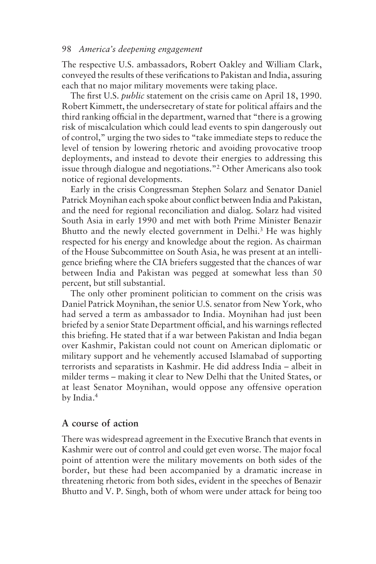The respective U.S. ambassadors, Robert Oakley and William Clark, conveyed the results of these verifications to Pakistan and India, assuring each that no major military movements were taking place.

The first U.S. *public* statement on the crisis came on April 18, 1990. Robert Kimmett, the undersecretary of state for political affairs and the third ranking official in the department, warned that "there is a growing risk of miscalculation which could lead events to spin dangerously out of control," urging the two sides to "take immediate steps to reduce the level of tension by lowering rhetoric and avoiding provocative troop deployments, and instead to devote their energies to addressing this issue through dialogue and negotiations."2 Other Americans also took notice of regional developments.

Early in the crisis Congressman Stephen Solarz and Senator Daniel Patrick Moynihan each spoke about conflict between India and Pakistan, and the need for regional reconciliation and dialog. Solarz had visited South Asia in early 1990 and met with both Prime Minister Benazir Bhutto and the newly elected government in Delhi.<sup>3</sup> He was highly respected for his energy and knowledge about the region. As chairman of the House Subcommittee on South Asia, he was present at an intelligence briefing where the CIA briefers suggested that the chances of war between India and Pakistan was pegged at somewhat less than 50 percent, but still substantial.

The only other prominent politician to comment on the crisis was Daniel Patrick Moynihan, the senior U.S. senator from New York, who had served a term as ambassador to India. Moynihan had just been briefed by a senior State Department official, and his warnings reflected this briefing. He stated that if a war between Pakistan and India began over Kashmir, Pakistan could not count on American diplomatic or military support and he vehemently accused Islamabad of supporting terrorists and separatists in Kashmir. He did address India – albeit in milder terms – making it clear to New Delhi that the United States, or at least Senator Moynihan, would oppose any offensive operation by India.4

## **A course of action**

There was widespread agreement in the Executive Branch that events in Kashmir were out of control and could get even worse. The major focal point of attention were the military movements on both sides of the border, but these had been accompanied by a dramatic increase in threatening rhetoric from both sides, evident in the speeches of Benazir Bhutto and V. P. Singh, both of whom were under attack for being too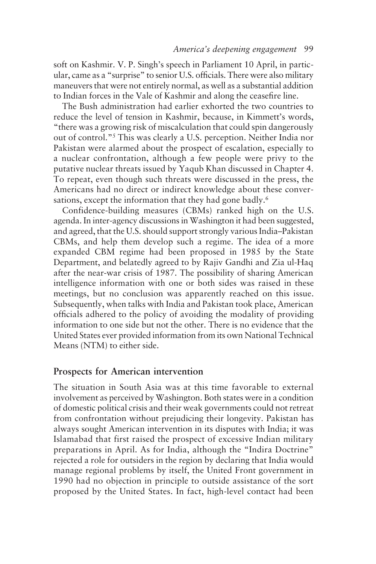soft on Kashmir. V. P. Singh's speech in Parliament 10 April, in particular, came as a "surprise" to senior U.S. officials. There were also military maneuvers that were not entirely normal, as well as a substantial addition to Indian forces in the Vale of Kashmir and along the ceasefire line.

The Bush administration had earlier exhorted the two countries to reduce the level of tension in Kashmir, because, in Kimmett's words, "there was a growing risk of miscalculation that could spin dangerously out of control."5 This was clearly a U.S. perception. Neither India nor Pakistan were alarmed about the prospect of escalation, especially to a nuclear confrontation, although a few people were privy to the putative nuclear threats issued by Yaqub Khan discussed in Chapter 4. To repeat, even though such threats were discussed in the press, the Americans had no direct or indirect knowledge about these conversations, except the information that they had gone badly.<sup>6</sup>

Confidence-building measures (CBMs) ranked high on the U.S. agenda. In inter-agency discussions in Washington it had been suggested, and agreed, that the U.S. should support strongly various India–Pakistan CBMs, and help them develop such a regime. The idea of a more expanded CBM regime had been proposed in 1985 by the State Department, and belatedly agreed to by Rajiv Gandhi and Zia ul-Haq after the near-war crisis of 1987. The possibility of sharing American intelligence information with one or both sides was raised in these meetings, but no conclusion was apparently reached on this issue. Subsequently, when talks with India and Pakistan took place, American officials adhered to the policy of avoiding the modality of providing information to one side but not the other. There is no evidence that the United States ever provided information from its own National Technical Means (NTM) to either side.

## **Prospects for American intervention**

The situation in South Asia was at this time favorable to external involvement as perceived by Washington. Both states were in a condition of domestic political crisis and their weak governments could not retreat from confrontation without prejudicing their longevity. Pakistan has always sought American intervention in its disputes with India; it was Islamabad that first raised the prospect of excessive Indian military preparations in April. As for India, although the "Indira Doctrine" rejected a role for outsiders in the region by declaring that India would manage regional problems by itself, the United Front government in 1990 had no objection in principle to outside assistance of the sort proposed by the United States. In fact, high-level contact had been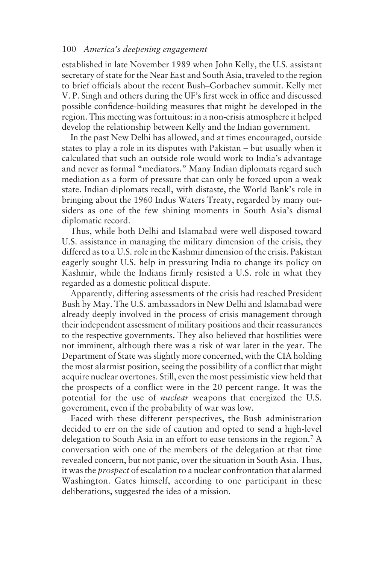established in late November 1989 when John Kelly, the U.S. assistant secretary of state for the Near East and South Asia, traveled to the region to brief officials about the recent Bush–Gorbachev summit. Kelly met V. P. Singh and others during the UF's first week in office and discussed possible confidence-building measures that might be developed in the region. This meeting was fortuitous: in a non-crisis atmosphere it helped develop the relationship between Kelly and the Indian government.

In the past New Delhi has allowed, and at times encouraged, outside states to play a role in its disputes with Pakistan – but usually when it calculated that such an outside role would work to India's advantage and never as formal "mediators." Many Indian diplomats regard such mediation as a form of pressure that can only be forced upon a weak state. Indian diplomats recall, with distaste, the World Bank's role in bringing about the 1960 Indus Waters Treaty, regarded by many outsiders as one of the few shining moments in South Asia's dismal diplomatic record.

Thus, while both Delhi and Islamabad were well disposed toward U.S. assistance in managing the military dimension of the crisis, they differed as to a U.S. role in the Kashmir dimension of the crisis. Pakistan eagerly sought U.S. help in pressuring India to change its policy on Kashmir, while the Indians firmly resisted a U.S. role in what they regarded as a domestic political dispute.

Apparently, differing assessments of the crisis had reached President Bush by May. The U.S. ambassadors in New Delhi and Islamabad were already deeply involved in the process of crisis management through their independent assessment of military positions and their reassurances to the respective governments. They also believed that hostilities were not imminent, although there was a risk of war later in the year. The Department of State was slightly more concerned, with the CIA holding the most alarmist position, seeing the possibility of a conflict that might acquire nuclear overtones. Still, even the most pessimistic view held that the prospects of a conflict were in the 20 percent range. It was the potential for the use of *nuclear* weapons that energized the U.S. government, even if the probability of war was low.

Faced with these different perspectives, the Bush administration decided to err on the side of caution and opted to send a high-level delegation to South Asia in an effort to ease tensions in the region.7 A conversation with one of the members of the delegation at that time revealed concern, but not panic, over the situation in South Asia. Thus, it was the *prospect* of escalation to a nuclear confrontation that alarmed Washington. Gates himself, according to one participant in these deliberations, suggested the idea of a mission.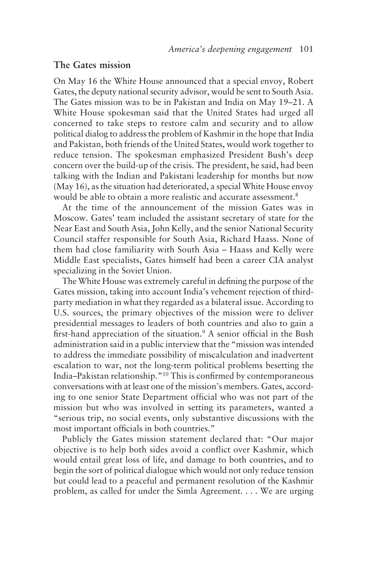## **The Gates mission**

On May 16 the White House announced that a special envoy, Robert Gates, the deputy national security advisor, would be sent to South Asia. The Gates mission was to be in Pakistan and India on May 19–21. A White House spokesman said that the United States had urged all concerned to take steps to restore calm and security and to allow political dialog to address the problem of Kashmir in the hope that India and Pakistan, both friends of the United States, would work together to reduce tension. The spokesman emphasized President Bush's deep concern over the build-up of the crisis. The president, he said, had been talking with the Indian and Pakistani leadership for months but now (May 16), as the situation had deteriorated, a special White House envoy would be able to obtain a more realistic and accurate assessment.<sup>8</sup>

At the time of the announcement of the mission Gates was in Moscow. Gates' team included the assistant secretary of state for the Near East and South Asia, John Kelly, and the senior National Security Council staffer responsible for South Asia, Richard Haass. None of them had close familiarity with South Asia – Haass and Kelly were Middle East specialists, Gates himself had been a career CIA analyst specializing in the Soviet Union.

The White House was extremely careful in defining the purpose of the Gates mission, taking into account India's vehement rejection of thirdparty mediation in what they regarded as a bilateral issue. According to U.S. sources, the primary objectives of the mission were to deliver presidential messages to leaders of both countries and also to gain a first-hand appreciation of the situation.<sup>9</sup> A senior official in the Bush administration said in a public interview that the "mission was intended to address the immediate possibility of miscalculation and inadvertent escalation to war, not the long-term political problems besetting the India–Pakistan relationship."10 This is confirmed by contemporaneous conversations with at least one of the mission's members. Gates, according to one senior State Department official who was not part of the mission but who was involved in setting its parameters, wanted a "serious trip, no social events, only substantive discussions with the most important officials in both countries."

Publicly the Gates mission statement declared that: "Our major objective is to help both sides avoid a conflict over Kashmir, which would entail great loss of life, and damage to both countries, and to begin the sort of political dialogue which would not only reduce tension but could lead to a peaceful and permanent resolution of the Kashmir problem, as called for under the Simla Agreement. . . . We are urging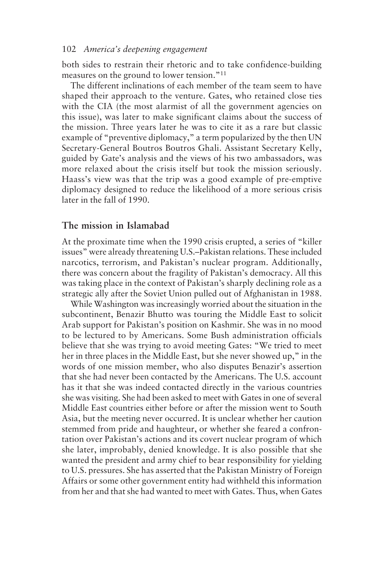both sides to restrain their rhetoric and to take confidence-building measures on the ground to lower tension."11

The different inclinations of each member of the team seem to have shaped their approach to the venture. Gates, who retained close ties with the CIA (the most alarmist of all the government agencies on this issue), was later to make significant claims about the success of the mission. Three years later he was to cite it as a rare but classic example of "preventive diplomacy," a term popularized by the then UN Secretary-General Boutros Boutros Ghali. Assistant Secretary Kelly, guided by Gate's analysis and the views of his two ambassadors, was more relaxed about the crisis itself but took the mission seriously. Haass's view was that the trip was a good example of pre-emptive diplomacy designed to reduce the likelihood of a more serious crisis later in the fall of 1990.

## **The mission in Islamabad**

At the proximate time when the 1990 crisis erupted, a series of "killer issues" were already threatening U.S.–Pakistan relations. These included narcotics, terrorism, and Pakistan's nuclear program. Additionally, there was concern about the fragility of Pakistan's democracy. All this was taking place in the context of Pakistan's sharply declining role as a strategic ally after the Soviet Union pulled out of Afghanistan in 1988.

While Washington was increasingly worried about the situation in the subcontinent, Benazir Bhutto was touring the Middle East to solicit Arab support for Pakistan's position on Kashmir. She was in no mood to be lectured to by Americans. Some Bush administration officials believe that she was trying to avoid meeting Gates: "We tried to meet her in three places in the Middle East, but she never showed up," in the words of one mission member, who also disputes Benazir's assertion that she had never been contacted by the Americans. The U.S. account has it that she was indeed contacted directly in the various countries she was visiting. She had been asked to meet with Gates in one of several Middle East countries either before or after the mission went to South Asia, but the meeting never occurred. It is unclear whether her caution stemmed from pride and haughteur, or whether she feared a confrontation over Pakistan's actions and its covert nuclear program of which she later, improbably, denied knowledge. It is also possible that she wanted the president and army chief to bear responsibility for yielding to U.S. pressures. She has asserted that the Pakistan Ministry of Foreign Affairs or some other government entity had withheld this information from her and that she had wanted to meet with Gates. Thus, when Gates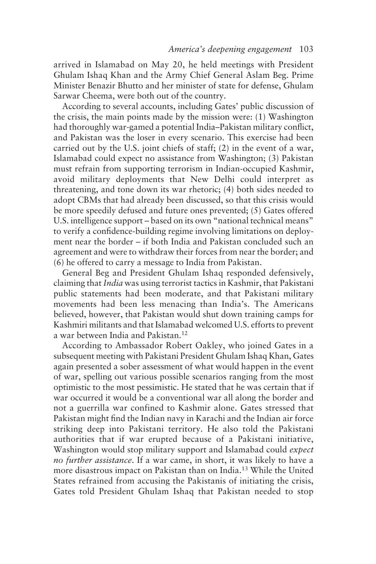arrived in Islamabad on May 20, he held meetings with President Ghulam Ishaq Khan and the Army Chief General Aslam Beg. Prime Minister Benazir Bhutto and her minister of state for defense, Ghulam Sarwar Cheema, were both out of the country.

According to several accounts, including Gates' public discussion of the crisis, the main points made by the mission were: (1) Washington had thoroughly war-gamed a potential India–Pakistan military conflict, and Pakistan was the loser in every scenario. This exercise had been carried out by the U.S. joint chiefs of staff; (2) in the event of a war, Islamabad could expect no assistance from Washington; (3) Pakistan must refrain from supporting terrorism in Indian-occupied Kashmir, avoid military deployments that New Delhi could interpret as threatening, and tone down its war rhetoric; (4) both sides needed to adopt CBMs that had already been discussed, so that this crisis would be more speedily defused and future ones prevented; (5) Gates offered U.S. intelligence support – based on its own "national technical means" to verify a confidence-building regime involving limitations on deployment near the border – if both India and Pakistan concluded such an agreement and were to withdraw their forces from near the border; and (6) he offered to carry a message to India from Pakistan.

General Beg and President Ghulam Ishaq responded defensively, claiming that *India* was using terrorist tactics in Kashmir, that Pakistani public statements had been moderate, and that Pakistani military movements had been less menacing than India's. The Americans believed, however, that Pakistan would shut down training camps for Kashmiri militants and that Islamabad welcomed U.S. efforts to prevent a war between India and Pakistan.12

According to Ambassador Robert Oakley, who joined Gates in a subsequent meeting with Pakistani President Ghulam Ishaq Khan, Gates again presented a sober assessment of what would happen in the event of war, spelling out various possible scenarios ranging from the most optimistic to the most pessimistic. He stated that he was certain that if war occurred it would be a conventional war all along the border and not a guerrilla war confined to Kashmir alone. Gates stressed that Pakistan might find the Indian navy in Karachi and the Indian air force striking deep into Pakistani territory. He also told the Pakistani authorities that if war erupted because of a Pakistani initiative, Washington would stop military support and Islamabad could *expect no further assistance*. If a war came, in short, it was likely to have a more disastrous impact on Pakistan than on India.13 While the United States refrained from accusing the Pakistanis of initiating the crisis, Gates told President Ghulam Ishaq that Pakistan needed to stop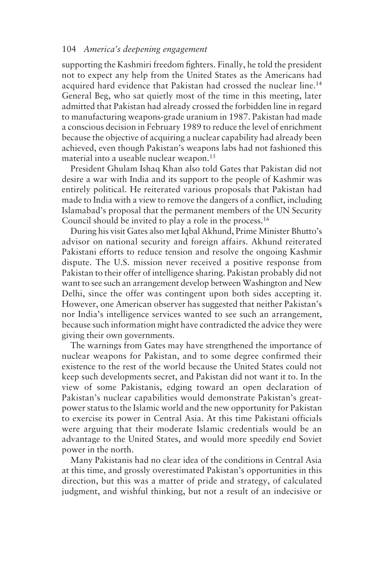supporting the Kashmiri freedom fighters. Finally, he told the president not to expect any help from the United States as the Americans had acquired hard evidence that Pakistan had crossed the nuclear line.14 General Beg, who sat quietly most of the time in this meeting, later admitted that Pakistan had already crossed the forbidden line in regard to manufacturing weapons-grade uranium in 1987. Pakistan had made a conscious decision in February 1989 to reduce the level of enrichment because the objective of acquiring a nuclear capability had already been achieved, even though Pakistan's weapons labs had not fashioned this material into a useable nuclear weapon.<sup>15</sup>

President Ghulam Ishaq Khan also told Gates that Pakistan did not desire a war with India and its support to the people of Kashmir was entirely political. He reiterated various proposals that Pakistan had made to India with a view to remove the dangers of a conflict, including Islamabad's proposal that the permanent members of the UN Security Council should be invited to play a role in the process.16

During his visit Gates also met Iqbal Akhund, Prime Minister Bhutto's advisor on national security and foreign affairs. Akhund reiterated Pakistani efforts to reduce tension and resolve the ongoing Kashmir dispute. The U.S. mission never received a positive response from Pakistan to their offer of intelligence sharing. Pakistan probably did not want to see such an arrangement develop between Washington and New Delhi, since the offer was contingent upon both sides accepting it. However, one American observer has suggested that neither Pakistan's nor India's intelligence services wanted to see such an arrangement, because such information might have contradicted the advice they were giving their own governments.

The warnings from Gates may have strengthened the importance of nuclear weapons for Pakistan, and to some degree confirmed their existence to the rest of the world because the United States could not keep such developments secret, and Pakistan did not want it to. In the view of some Pakistanis, edging toward an open declaration of Pakistan's nuclear capabilities would demonstrate Pakistan's greatpower status to the Islamic world and the new opportunity for Pakistan to exercise its power in Central Asia. At this time Pakistani officials were arguing that their moderate Islamic credentials would be an advantage to the United States, and would more speedily end Soviet power in the north.

Many Pakistanis had no clear idea of the conditions in Central Asia at this time, and grossly overestimated Pakistan's opportunities in this direction, but this was a matter of pride and strategy, of calculated judgment, and wishful thinking, but not a result of an indecisive or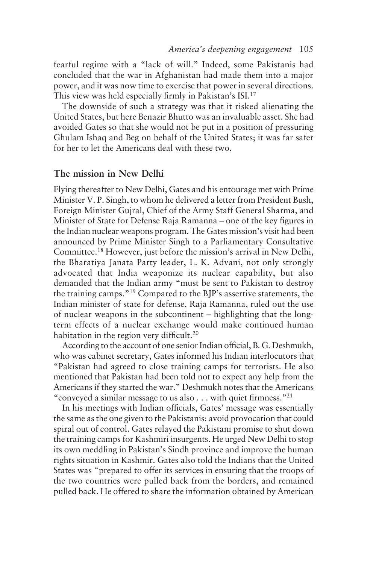fearful regime with a "lack of will." Indeed, some Pakistanis had concluded that the war in Afghanistan had made them into a major power, and it was now time to exercise that power in several directions. This view was held especially firmly in Pakistan's ISI.17

The downside of such a strategy was that it risked alienating the United States, but here Benazir Bhutto was an invaluable asset. She had avoided Gates so that she would not be put in a position of pressuring Ghulam Ishaq and Beg on behalf of the United States; it was far safer for her to let the Americans deal with these two.

## **The mission in New Delhi**

Flying thereafter to New Delhi, Gates and his entourage met with Prime Minister V. P. Singh, to whom he delivered a letter from President Bush, Foreign Minister Gujral, Chief of the Army Staff General Sharma, and Minister of State for Defense Raja Ramanna – one of the key figures in the Indian nuclear weapons program. The Gates mission's visit had been announced by Prime Minister Singh to a Parliamentary Consultative Committee.18 However, just before the mission's arrival in New Delhi, the Bharatiya Janata Party leader, L. K. Advani, not only strongly advocated that India weaponize its nuclear capability, but also demanded that the Indian army "must be sent to Pakistan to destroy the training camps."19 Compared to the BJP's assertive statements, the Indian minister of state for defense, Raja Ramanna, ruled out the use of nuclear weapons in the subcontinent – highlighting that the longterm effects of a nuclear exchange would make continued human habitation in the region very difficult.<sup>20</sup>

According to the account of one senior Indian official, B. G. Deshmukh, who was cabinet secretary, Gates informed his Indian interlocutors that "Pakistan had agreed to close training camps for terrorists. He also mentioned that Pakistan had been told not to expect any help from the Americans if they started the war." Deshmukh notes that the Americans "conveyed a similar message to us also  $\dots$  with quiet firmness."<sup>21</sup>

In his meetings with Indian officials, Gates' message was essentially the same as the one given to the Pakistanis: avoid provocation that could spiral out of control. Gates relayed the Pakistani promise to shut down the training camps for Kashmiri insurgents. He urged New Delhi to stop its own meddling in Pakistan's Sindh province and improve the human rights situation in Kashmir. Gates also told the Indians that the United States was "prepared to offer its services in ensuring that the troops of the two countries were pulled back from the borders, and remained pulled back. He offered to share the information obtained by American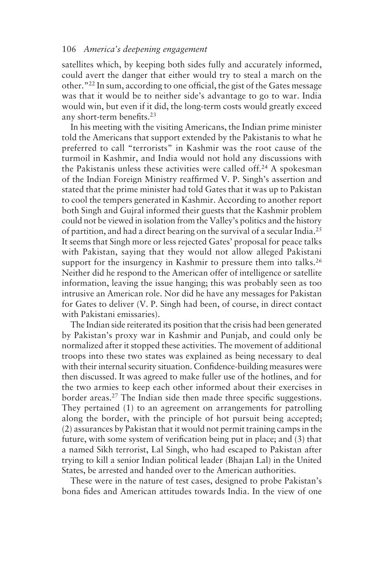satellites which, by keeping both sides fully and accurately informed, could avert the danger that either would try to steal a march on the other."22 In sum, according to one official, the gist of the Gates message was that it would be to neither side's advantage to go to war. India would win, but even if it did, the long-term costs would greatly exceed any short-term benefits.23

In his meeting with the visiting Americans, the Indian prime minister told the Americans that support extended by the Pakistanis to what he preferred to call "terrorists" in Kashmir was the root cause of the turmoil in Kashmir, and India would not hold any discussions with the Pakistanis unless these activities were called off.24 A spokesman of the Indian Foreign Ministry reaffirmed V. P. Singh's assertion and stated that the prime minister had told Gates that it was up to Pakistan to cool the tempers generated in Kashmir. According to another report both Singh and Gujral informed their guests that the Kashmir problem could not be viewed in isolation from the Valley's politics and the history of partition, and had a direct bearing on the survival of a secular India.25 It seems that Singh more or less rejected Gates' proposal for peace talks with Pakistan, saying that they would not allow alleged Pakistani support for the insurgency in Kashmir to pressure them into talks.<sup>26</sup> Neither did he respond to the American offer of intelligence or satellite information, leaving the issue hanging; this was probably seen as too intrusive an American role. Nor did he have any messages for Pakistan for Gates to deliver (V. P. Singh had been, of course, in direct contact with Pakistani emissaries).

The Indian side reiterated its position that the crisis had been generated by Pakistan's proxy war in Kashmir and Punjab, and could only be normalized after it stopped these activities. The movement of additional troops into these two states was explained as being necessary to deal with their internal security situation. Confidence-building measures were then discussed. It was agreed to make fuller use of the hotlines, and for the two armies to keep each other informed about their exercises in border areas.<sup>27</sup> The Indian side then made three specific suggestions. They pertained (1) to an agreement on arrangements for patrolling along the border, with the principle of hot pursuit being accepted; (2) assurances by Pakistan that it would not permit training camps in the future, with some system of verification being put in place; and (3) that a named Sikh terrorist, Lal Singh, who had escaped to Pakistan after trying to kill a senior Indian political leader (Bhajan Lal) in the United States, be arrested and handed over to the American authorities.

These were in the nature of test cases, designed to probe Pakistan's bona fides and American attitudes towards India. In the view of one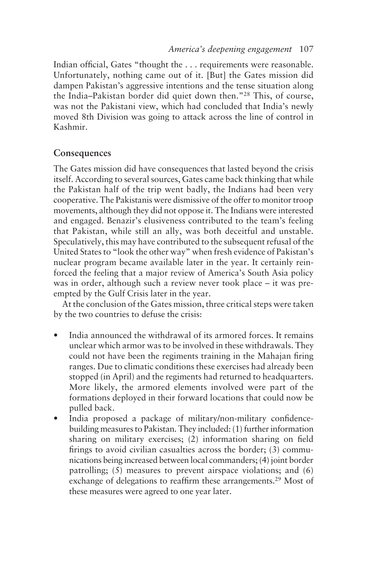Indian official, Gates "thought the . . . requirements were reasonable. Unfortunately, nothing came out of it. [But] the Gates mission did dampen Pakistan's aggressive intentions and the tense situation along the India–Pakistan border did quiet down then."28 This, of course, was not the Pakistani view, which had concluded that India's newly moved 8th Division was going to attack across the line of control in Kashmir.

# **Consequences**

The Gates mission did have consequences that lasted beyond the crisis itself. According to several sources, Gates came back thinking that while the Pakistan half of the trip went badly, the Indians had been very cooperative. The Pakistanis were dismissive of the offer to monitor troop movements, although they did not oppose it. The Indians were interested and engaged. Benazir's elusiveness contributed to the team's feeling that Pakistan, while still an ally, was both deceitful and unstable. Speculatively, this may have contributed to the subsequent refusal of the United States to "look the other way" when fresh evidence of Pakistan's nuclear program became available later in the year. It certainly reinforced the feeling that a major review of America's South Asia policy was in order, although such a review never took place – it was preempted by the Gulf Crisis later in the year.

At the conclusion of the Gates mission, three critical steps were taken by the two countries to defuse the crisis:

- India announced the withdrawal of its armored forces. It remains unclear which armor was to be involved in these withdrawals. They could not have been the regiments training in the Mahajan firing ranges. Due to climatic conditions these exercises had already been stopped (in April) and the regiments had returned to headquarters. More likely, the armored elements involved were part of the formations deployed in their forward locations that could now be pulled back.
- India proposed a package of military/non-military confidencebuilding measures to Pakistan. They included: (1) further information sharing on military exercises; (2) information sharing on field firings to avoid civilian casualties across the border; (3) communications being increased between local commanders; (4) joint border patrolling; (5) measures to prevent airspace violations; and (6) exchange of delegations to reaffirm these arrangements.<sup>29</sup> Most of these measures were agreed to one year later.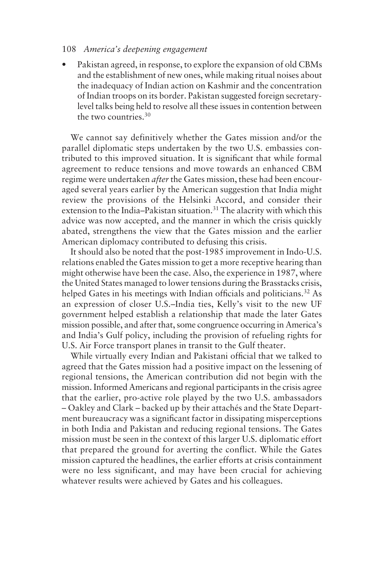Pakistan agreed, in response, to explore the expansion of old CBMs and the establishment of new ones, while making ritual noises about the inadequacy of Indian action on Kashmir and the concentration of Indian troops on its border. Pakistan suggested foreign secretarylevel talks being held to resolve all these issues in contention between the two countries.30

We cannot say definitively whether the Gates mission and/or the parallel diplomatic steps undertaken by the two U.S. embassies contributed to this improved situation. It is significant that while formal agreement to reduce tensions and move towards an enhanced CBM regime were undertaken *after*the Gates mission, these had been encouraged several years earlier by the American suggestion that India might review the provisions of the Helsinki Accord, and consider their extension to the India–Pakistan situation.<sup>31</sup> The alacrity with which this advice was now accepted, and the manner in which the crisis quickly abated, strengthens the view that the Gates mission and the earlier American diplomacy contributed to defusing this crisis.

It should also be noted that the post-1985 improvement in Indo-U.S. relations enabled the Gates mission to get a more receptive hearing than might otherwise have been the case. Also, the experience in 1987, where the United States managed to lower tensions during the Brasstacks crisis, helped Gates in his meetings with Indian officials and politicians.<sup>32</sup> As an expression of closer U.S.–India ties, Kelly's visit to the new UF government helped establish a relationship that made the later Gates mission possible, and after that, some congruence occurring in America's and India's Gulf policy, including the provision of refueling rights for U.S. Air Force transport planes in transit to the Gulf theater.

While virtually every Indian and Pakistani official that we talked to agreed that the Gates mission had a positive impact on the lessening of regional tensions, the American contribution did not begin with the mission. Informed Americans and regional participants in the crisis agree that the earlier, pro-active role played by the two U.S. ambassadors – Oakley and Clark – backed up by their attachés and the State Department bureaucracy was a significant factor in dissipating misperceptions in both India and Pakistan and reducing regional tensions. The Gates mission must be seen in the context of this larger U.S. diplomatic effort that prepared the ground for averting the conflict. While the Gates mission captured the headlines, the earlier efforts at crisis containment were no less significant, and may have been crucial for achieving whatever results were achieved by Gates and his colleagues.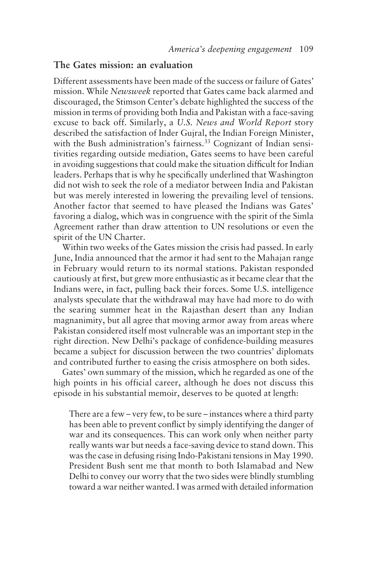## **The Gates mission: an evaluation**

Different assessments have been made of the success or failure of Gates' mission. While *Newsweek* reported that Gates came back alarmed and discouraged, the Stimson Center's debate highlighted the success of the mission in terms of providing both India and Pakistan with a face-saving excuse to back off. Similarly, a *U.S. News and World Report* story described the satisfaction of Inder Gujral, the Indian Foreign Minister, with the Bush administration's fairness.<sup>33</sup> Cognizant of Indian sensitivities regarding outside mediation, Gates seems to have been careful in avoiding suggestions that could make the situation difficult for Indian leaders. Perhaps that is why he specifically underlined that Washington did not wish to seek the role of a mediator between India and Pakistan but was merely interested in lowering the prevailing level of tensions. Another factor that seemed to have pleased the Indians was Gates' favoring a dialog, which was in congruence with the spirit of the Simla Agreement rather than draw attention to UN resolutions or even the spirit of the UN Charter.

Within two weeks of the Gates mission the crisis had passed. In early June, India announced that the armor it had sent to the Mahajan range in February would return to its normal stations. Pakistan responded cautiously at first, but grew more enthusiastic as it became clear that the Indians were, in fact, pulling back their forces. Some U.S. intelligence analysts speculate that the withdrawal may have had more to do with the searing summer heat in the Rajasthan desert than any Indian magnanimity, but all agree that moving armor away from areas where Pakistan considered itself most vulnerable was an important step in the right direction. New Delhi's package of confidence-building measures became a subject for discussion between the two countries' diplomats and contributed further to easing the crisis atmosphere on both sides.

Gates' own summary of the mission, which he regarded as one of the high points in his official career, although he does not discuss this episode in his substantial memoir, deserves to be quoted at length:

There are a few – very few, to be sure – instances where a third party has been able to prevent conflict by simply identifying the danger of war and its consequences. This can work only when neither party really wants war but needs a face-saving device to stand down. This was the case in defusing rising Indo-Pakistani tensions in May 1990. President Bush sent me that month to both Islamabad and New Delhi to convey our worry that the two sides were blindly stumbling toward a war neither wanted. I was armed with detailed information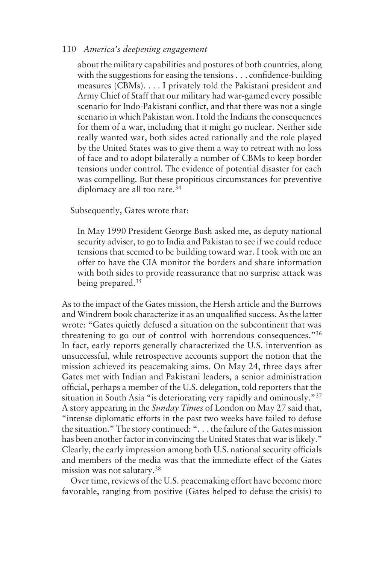about the military capabilities and postures of both countries, along with the suggestions for easing the tensions . . . confidence-building measures (CBMs). . . . I privately told the Pakistani president and Army Chief of Staff that our military had war-gamed every possible scenario for Indo-Pakistani conflict, and that there was not a single scenario in which Pakistan won. I told the Indians the consequences for them of a war, including that it might go nuclear. Neither side really wanted war, both sides acted rationally and the role played by the United States was to give them a way to retreat with no loss of face and to adopt bilaterally a number of CBMs to keep border tensions under control. The evidence of potential disaster for each was compelling. But these propitious circumstances for preventive diplomacy are all too rare.34

Subsequently, Gates wrote that:

In May 1990 President George Bush asked me, as deputy national security adviser, to go to India and Pakistan to see if we could reduce tensions that seemed to be building toward war. I took with me an offer to have the CIA monitor the borders and share information with both sides to provide reassurance that no surprise attack was being prepared.<sup>35</sup>

As to the impact of the Gates mission, the Hersh article and the Burrows and Windrem book characterize it as an unqualified success. As the latter wrote: "Gates quietly defused a situation on the subcontinent that was threatening to go out of control with horrendous consequences."36 In fact, early reports generally characterized the U.S. intervention as unsuccessful, while retrospective accounts support the notion that the mission achieved its peacemaking aims. On May 24, three days after Gates met with Indian and Pakistani leaders, a senior administration official, perhaps a member of the U.S. delegation, told reporters that the situation in South Asia "is deteriorating very rapidly and ominously."37 A story appearing in the *Sunday Times* of London on May 27 said that, "intense diplomatic efforts in the past two weeks have failed to defuse the situation." The story continued: ". . . the failure of the Gates mission has been another factor in convincing the United States that war is likely." Clearly, the early impression among both U.S. national security officials and members of the media was that the immediate effect of the Gates mission was not salutary.38

Over time, reviews of the U.S. peacemaking effort have become more favorable, ranging from positive (Gates helped to defuse the crisis) to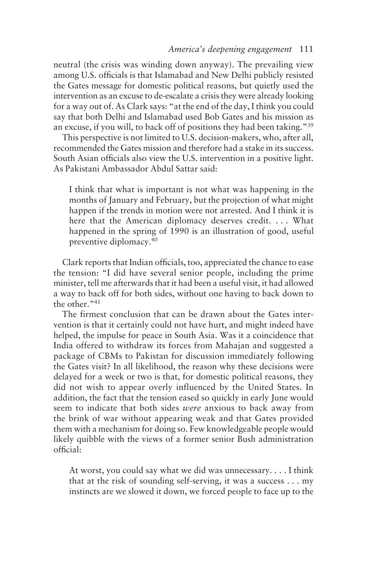neutral (the crisis was winding down anyway). The prevailing view among U.S. officials is that Islamabad and New Delhi publicly resisted the Gates message for domestic political reasons, but quietly used the intervention as an excuse to de-escalate a crisis they were already looking for a way out of. As Clark says: "at the end of the day, I think you could say that both Delhi and Islamabad used Bob Gates and his mission as an excuse, if you will, to back off of positions they had been taking."39

This perspective is not limited to U.S. decision-makers, who, after all, recommended the Gates mission and therefore had a stake in its success. South Asian officials also view the U.S. intervention in a positive light. As Pakistani Ambassador Abdul Sattar said:

I think that what is important is not what was happening in the months of January and February, but the projection of what might happen if the trends in motion were not arrested. And I think it is here that the American diplomacy deserves credit. . . . What happened in the spring of 1990 is an illustration of good, useful preventive diplomacy.40

Clark reports that Indian officials, too, appreciated the chance to ease the tension: "I did have several senior people, including the prime minister, tell me afterwards that it had been a useful visit, it had allowed a way to back off for both sides, without one having to back down to the other."41

The firmest conclusion that can be drawn about the Gates intervention is that it certainly could not have hurt, and might indeed have helped, the impulse for peace in South Asia. Was it a coincidence that India offered to withdraw its forces from Mahajan and suggested a package of CBMs to Pakistan for discussion immediately following the Gates visit? In all likelihood, the reason why these decisions were delayed for a week or two is that, for domestic political reasons, they did not wish to appear overly influenced by the United States. In addition, the fact that the tension eased so quickly in early June would seem to indicate that both sides *were* anxious to back away from the brink of war without appearing weak and that Gates provided them with a mechanism for doing so. Few knowledgeable people would likely quibble with the views of a former senior Bush administration official:

At worst, you could say what we did was unnecessary. . . . I think that at the risk of sounding self-serving, it was a success . . . my instincts are we slowed it down, we forced people to face up to the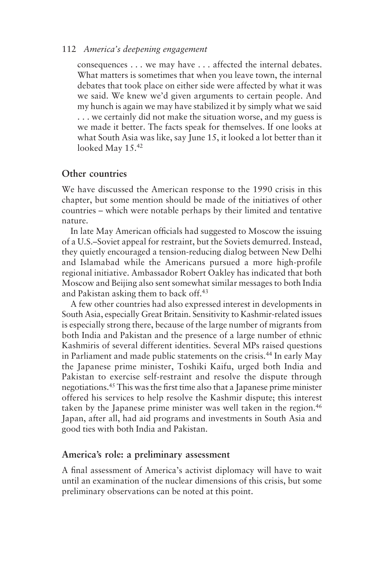consequences . . . we may have . . . affected the internal debates. What matters is sometimes that when you leave town, the internal debates that took place on either side were affected by what it was we said. We knew we'd given arguments to certain people. And my hunch is again we may have stabilized it by simply what we said ... we certainly did not make the situation worse, and my guess is we made it better. The facts speak for themselves. If one looks at what South Asia was like, say June 15, it looked a lot better than it looked May 15.42

# **Other countries**

We have discussed the American response to the 1990 crisis in this chapter, but some mention should be made of the initiatives of other countries – which were notable perhaps by their limited and tentative nature.

In late May American officials had suggested to Moscow the issuing of a U.S.–Soviet appeal for restraint, but the Soviets demurred. Instead, they quietly encouraged a tension-reducing dialog between New Delhi and Islamabad while the Americans pursued a more high-profile regional initiative. Ambassador Robert Oakley has indicated that both Moscow and Beijing also sent somewhat similar messages to both India and Pakistan asking them to back off.<sup>43</sup>

A few other countries had also expressed interest in developments in South Asia, especially Great Britain. Sensitivity to Kashmir-related issues is especially strong there, because of the large number of migrants from both India and Pakistan and the presence of a large number of ethnic Kashmiris of several different identities. Several MPs raised questions in Parliament and made public statements on the crisis.44 In early May the Japanese prime minister, Toshiki Kaifu, urged both India and Pakistan to exercise self-restraint and resolve the dispute through negotiations.45 This was the first time also that a Japanese prime minister offered his services to help resolve the Kashmir dispute; this interest taken by the Japanese prime minister was well taken in the region.<sup>46</sup> Japan, after all, had aid programs and investments in South Asia and good ties with both India and Pakistan.

## **America's role: a preliminary assessment**

A final assessment of America's activist diplomacy will have to wait until an examination of the nuclear dimensions of this crisis, but some preliminary observations can be noted at this point.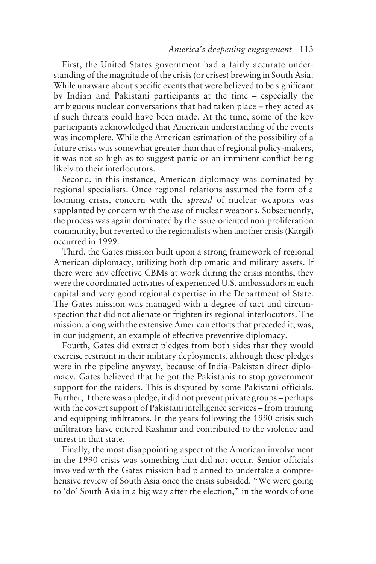First, the United States government had a fairly accurate understanding of the magnitude of the crisis (or crises) brewing in South Asia. While unaware about specific events that were believed to be significant by Indian and Pakistani participants at the time – especially the ambiguous nuclear conversations that had taken place – they acted as if such threats could have been made. At the time, some of the key participants acknowledged that American understanding of the events was incomplete. While the American estimation of the possibility of a future crisis was somewhat greater than that of regional policy-makers, it was not so high as to suggest panic or an imminent conflict being likely to their interlocutors.

Second, in this instance, American diplomacy was dominated by regional specialists. Once regional relations assumed the form of a looming crisis, concern with the *spread* of nuclear weapons was supplanted by concern with the *use* of nuclear weapons. Subsequently, the process was again dominated by the issue-oriented non-proliferation community, but reverted to the regionalists when another crisis (Kargil) occurred in 1999.

Third, the Gates mission built upon a strong framework of regional American diplomacy, utilizing both diplomatic and military assets. If there were any effective CBMs at work during the crisis months, they were the coordinated activities of experienced U.S. ambassadors in each capital and very good regional expertise in the Department of State. The Gates mission was managed with a degree of tact and circumspection that did not alienate or frighten its regional interlocutors. The mission, along with the extensive American efforts that preceded it, was, in our judgment, an example of effective preventive diplomacy.

Fourth, Gates did extract pledges from both sides that they would exercise restraint in their military deployments, although these pledges were in the pipeline anyway, because of India–Pakistan direct diplomacy. Gates believed that he got the Pakistanis to stop government support for the raiders. This is disputed by some Pakistani officials. Further, if there was a pledge, it did not prevent private groups – perhaps with the covert support of Pakistani intelligence services – from training and equipping infiltrators. In the years following the 1990 crisis such infiltrators have entered Kashmir and contributed to the violence and unrest in that state.

Finally, the most disappointing aspect of the American involvement in the 1990 crisis was something that did not occur. Senior officials involved with the Gates mission had planned to undertake a comprehensive review of South Asia once the crisis subsided. "We were going to 'do' South Asia in a big way after the election," in the words of one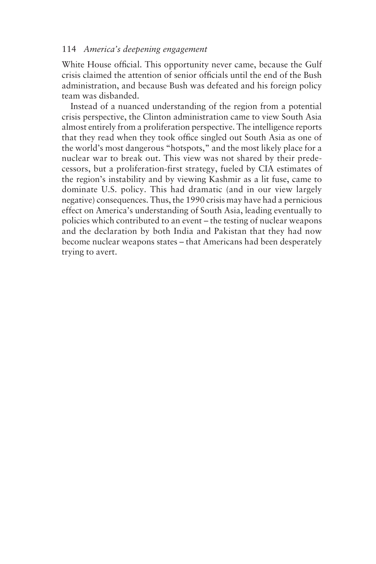White House official. This opportunity never came, because the Gulf crisis claimed the attention of senior officials until the end of the Bush administration, and because Bush was defeated and his foreign policy team was disbanded.

Instead of a nuanced understanding of the region from a potential crisis perspective, the Clinton administration came to view South Asia almost entirely from a proliferation perspective. The intelligence reports that they read when they took office singled out South Asia as one of the world's most dangerous "hotspots," and the most likely place for a nuclear war to break out. This view was not shared by their predecessors, but a proliferation-first strategy, fueled by CIA estimates of the region's instability and by viewing Kashmir as a lit fuse, came to dominate U.S. policy. This had dramatic (and in our view largely negative) consequences. Thus, the 1990 crisis may have had a pernicious effect on America's understanding of South Asia, leading eventually to policies which contributed to an event – the testing of nuclear weapons and the declaration by both India and Pakistan that they had now become nuclear weapons states – that Americans had been desperately trying to avert.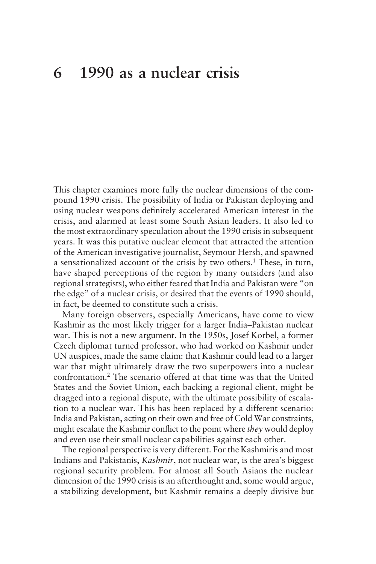# **6 1990 as a nuclear crisis**

This chapter examines more fully the nuclear dimensions of the compound 1990 crisis. The possibility of India or Pakistan deploying and using nuclear weapons definitely accelerated American interest in the crisis, and alarmed at least some South Asian leaders. It also led to the most extraordinary speculation about the 1990 crisis in subsequent years. It was this putative nuclear element that attracted the attention of the American investigative journalist, Seymour Hersh, and spawned a sensationalized account of the crisis by two others.<sup>1</sup> These, in turn, have shaped perceptions of the region by many outsiders (and also regional strategists), who either feared that India and Pakistan were "on the edge" of a nuclear crisis, or desired that the events of 1990 should, in fact, be deemed to constitute such a crisis.

Many foreign observers, especially Americans, have come to view Kashmir as the most likely trigger for a larger India–Pakistan nuclear war. This is not a new argument. In the 1950s, Josef Korbel, a former Czech diplomat turned professor, who had worked on Kashmir under UN auspices, made the same claim: that Kashmir could lead to a larger war that might ultimately draw the two superpowers into a nuclear confrontation.2 The scenario offered at that time was that the United States and the Soviet Union, each backing a regional client, might be dragged into a regional dispute, with the ultimate possibility of escalation to a nuclear war. This has been replaced by a different scenario: India and Pakistan, acting on their own and free of Cold War constraints, might escalate the Kashmir conflict to the point where *they* would deploy and even use their small nuclear capabilities against each other.

The regional perspective is very different. For the Kashmiris and most Indians and Pakistanis, *Kashmir*, not nuclear war, is the area's biggest regional security problem. For almost all South Asians the nuclear dimension of the 1990 crisis is an afterthought and, some would argue, a stabilizing development, but Kashmir remains a deeply divisive but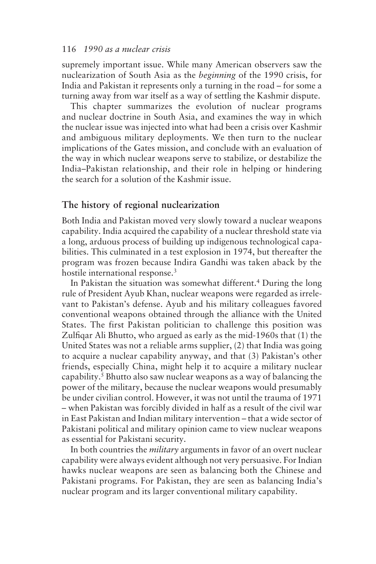#### 116 *1990 as a nuclear crisis*

supremely important issue. While many American observers saw the nuclearization of South Asia as the *beginning* of the 1990 crisis, for India and Pakistan it represents only a turning in the road – for some a turning away from war itself as a way of settling the Kashmir dispute.

This chapter summarizes the evolution of nuclear programs and nuclear doctrine in South Asia, and examines the way in which the nuclear issue was injected into what had been a crisis over Kashmir and ambiguous military deployments. We then turn to the nuclear implications of the Gates mission, and conclude with an evaluation of the way in which nuclear weapons serve to stabilize, or destabilize the India–Pakistan relationship, and their role in helping or hindering the search for a solution of the Kashmir issue.

## **The history of regional nuclearization**

Both India and Pakistan moved very slowly toward a nuclear weapons capability. India acquired the capability of a nuclear threshold state via a long, arduous process of building up indigenous technological capabilities. This culminated in a test explosion in 1974, but thereafter the program was frozen because Indira Gandhi was taken aback by the hostile international response.<sup>3</sup>

In Pakistan the situation was somewhat different.<sup>4</sup> During the long rule of President Ayub Khan, nuclear weapons were regarded as irrelevant to Pakistan's defense. Ayub and his military colleagues favored conventional weapons obtained through the alliance with the United States. The first Pakistan politician to challenge this position was Zulfiqar Ali Bhutto, who argued as early as the mid-1960s that (1) the United States was not a reliable arms supplier, (2) that India was going to acquire a nuclear capability anyway, and that (3) Pakistan's other friends, especially China, might help it to acquire a military nuclear capability.<sup>5</sup> Bhutto also saw nuclear weapons as a way of balancing the power of the military, because the nuclear weapons would presumably be under civilian control. However, it was not until the trauma of 1971 – when Pakistan was forcibly divided in half as a result of the civil war in East Pakistan and Indian military intervention – that a wide sector of Pakistani political and military opinion came to view nuclear weapons as essential for Pakistani security.

In both countries the *military* arguments in favor of an overt nuclear capability were always evident although not very persuasive. For Indian hawks nuclear weapons are seen as balancing both the Chinese and Pakistani programs. For Pakistan, they are seen as balancing India's nuclear program and its larger conventional military capability.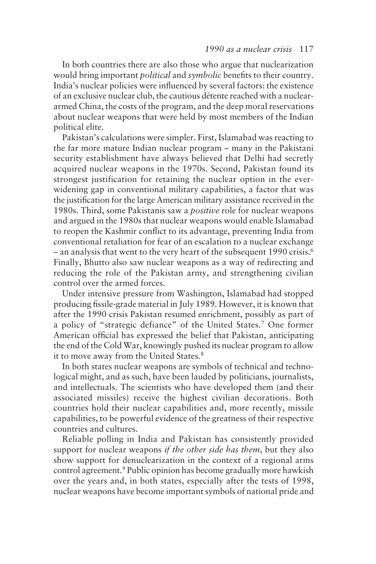In both countries there are also those who argue that nuclearization would bring important *political* and *symbolic* benefits to their country. India's nuclear policies were influenced by several factors: the existence of an exclusive nuclear club, the cautious détente reached with a nucleararmed China, the costs of the program, and the deep moral reservations about nuclear weapons that were held by most members of the Indian political elite.

Pakistan's calculations were simpler. First, Islamabad was reacting to the far more mature Indian nuclear program – many in the Pakistani security establishment have always believed that Delhi had secretly acquired nuclear weapons in the 1970s. Second, Pakistan found its strongest justification for retaining the nuclear option in the everwidening gap in conventional military capabilities, a factor that was the justification for the large American military assistance received in the 1980s. Third, some Pakistanis saw a *positive* role for nuclear weapons and argued in the 1980s that nuclear weapons would enable Islamabad to reopen the Kashmir conflict to its advantage, preventing India from conventional retaliation for fear of an escalation to a nuclear exchange – an analysis that went to the very heart of the subsequent 1990 crisis.6 Finally, Bhutto also saw nuclear weapons as a way of redirecting and reducing the role of the Pakistan army, and strengthening civilian control over the armed forces.

Under intensive pressure from Washington, Islamabad had stopped producing fissile-grade material in July 1989. However, it is known that after the 1990 crisis Pakistan resumed enrichment, possibly as part of a policy of "strategic defiance" of the United States.7 One former American official has expressed the belief that Pakistan, anticipating the end of the Cold War, knowingly pushed its nuclear program to allow it to move away from the United States.<sup>8</sup>

In both states nuclear weapons are symbols of technical and technological might, and as such, have been lauded by politicians, journalists, and intellectuals. The scientists who have developed them (and their associated missiles) receive the highest civilian decorations. Both countries hold their nuclear capabilities and, more recently, missile capabilities, to be powerful evidence of the greatness of their respective countries and cultures.

Reliable polling in India and Pakistan has consistently provided support for nuclear weapons *if the other side has them*, but they also show support for denuclearization in the context of a regional arms control agreement.9 Public opinion has become gradually more hawkish over the years and, in both states, especially after the tests of 1998, nuclear weapons have become important symbols of national pride and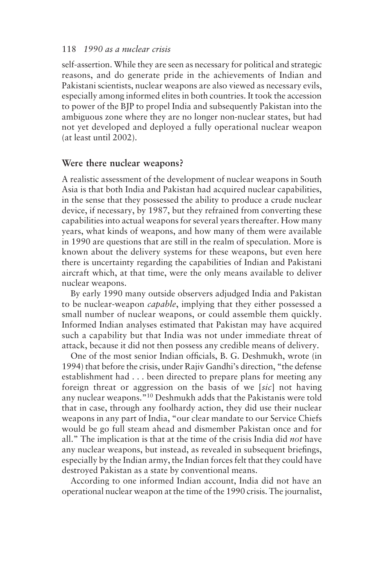#### 118 *1990 as a nuclear crisis*

self-assertion. While they are seen as necessary for political and strategic reasons, and do generate pride in the achievements of Indian and Pakistani scientists, nuclear weapons are also viewed as necessary evils, especially among informed elites in both countries. It took the accession to power of the BJP to propel India and subsequently Pakistan into the ambiguous zone where they are no longer non-nuclear states, but had not yet developed and deployed a fully operational nuclear weapon (at least until 2002).

## **Were there nuclear weapons?**

A realistic assessment of the development of nuclear weapons in South Asia is that both India and Pakistan had acquired nuclear capabilities, in the sense that they possessed the ability to produce a crude nuclear device, if necessary, by 1987, but they refrained from converting these capabilities into actual weapons for several years thereafter. How many years, what kinds of weapons, and how many of them were available in 1990 are questions that are still in the realm of speculation. More is known about the delivery systems for these weapons, but even here there is uncertainty regarding the capabilities of Indian and Pakistani aircraft which, at that time, were the only means available to deliver nuclear weapons.

By early 1990 many outside observers adjudged India and Pakistan to be nuclear-weapon *capable*, implying that they either possessed a small number of nuclear weapons, or could assemble them quickly. Informed Indian analyses estimated that Pakistan may have acquired such a capability but that India was not under immediate threat of attack, because it did not then possess any credible means of delivery.

One of the most senior Indian officials, B. G. Deshmukh, wrote (in 1994) that before the crisis, under Rajiv Gandhi's direction, "the defense establishment had . . . been directed to prepare plans for meeting any foreign threat or aggression on the basis of we [*sic*] not having any nuclear weapons."10 Deshmukh adds that the Pakistanis were told that in case, through any foolhardy action, they did use their nuclear weapons in any part of India, "our clear mandate to our Service Chiefs would be go full steam ahead and dismember Pakistan once and for all." The implication is that at the time of the crisis India did *not* have any nuclear weapons, but instead, as revealed in subsequent briefings, especially by the Indian army, the Indian forces felt that they could have destroyed Pakistan as a state by conventional means.

According to one informed Indian account, India did not have an operational nuclear weapon at the time of the 1990 crisis. The journalist,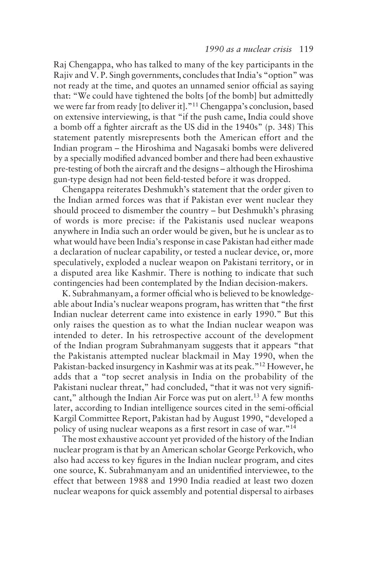Raj Chengappa, who has talked to many of the key participants in the Rajiv and V. P. Singh governments, concludes that India's "option" was not ready at the time, and quotes an unnamed senior official as saying that: "We could have tightened the bolts [of the bomb] but admittedly we were far from ready [to deliver it]."11 Chengappa's conclusion, based on extensive interviewing, is that "if the push came, India could shove a bomb off a fighter aircraft as the US did in the 1940s" (p. 348) This statement patently misrepresents both the American effort and the Indian program – the Hiroshima and Nagasaki bombs were delivered by a specially modified advanced bomber and there had been exhaustive pre-testing of both the aircraft and the designs – although the Hiroshima gun-type design had not been field-tested before it was dropped.

Chengappa reiterates Deshmukh's statement that the order given to the Indian armed forces was that if Pakistan ever went nuclear they should proceed to dismember the country – but Deshmukh's phrasing of words is more precise: if the Pakistanis used nuclear weapons anywhere in India such an order would be given, but he is unclear as to what would have been India's response in case Pakistan had either made a declaration of nuclear capability, or tested a nuclear device, or, more speculatively, exploded a nuclear weapon on Pakistani territory, or in a disputed area like Kashmir. There is nothing to indicate that such contingencies had been contemplated by the Indian decision-makers.

K. Subrahmanyam, a former official who is believed to be knowledgeable about India's nuclear weapons program, has written that "the first Indian nuclear deterrent came into existence in early 1990." But this only raises the question as to what the Indian nuclear weapon was intended to deter. In his retrospective account of the development of the Indian program Subrahmanyam suggests that it appears "that the Pakistanis attempted nuclear blackmail in May 1990, when the Pakistan-backed insurgency in Kashmir was at its peak."12 However, he adds that a "top secret analysis in India on the probability of the Pakistani nuclear threat," had concluded, "that it was not very significant," although the Indian Air Force was put on alert.<sup>13</sup> A few months later, according to Indian intelligence sources cited in the semi-official Kargil Committee Report, Pakistan had by August 1990, "developed a policy of using nuclear weapons as a first resort in case of war."14

The most exhaustive account yet provided of the history of the Indian nuclear program is that by an American scholar George Perkovich, who also had access to key figures in the Indian nuclear program, and cites one source, K. Subrahmanyam and an unidentified interviewee, to the effect that between 1988 and 1990 India readied at least two dozen nuclear weapons for quick assembly and potential dispersal to airbases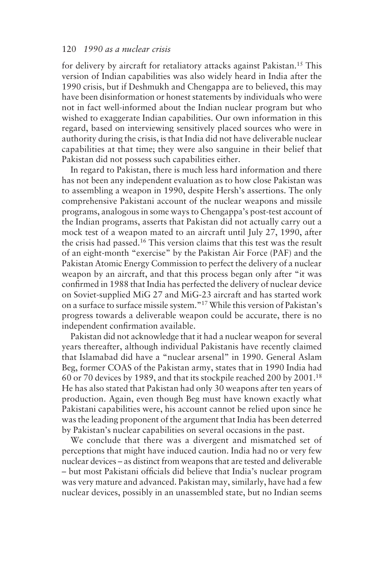for delivery by aircraft for retaliatory attacks against Pakistan.15 This version of Indian capabilities was also widely heard in India after the 1990 crisis, but if Deshmukh and Chengappa are to believed, this may have been disinformation or honest statements by individuals who were not in fact well-informed about the Indian nuclear program but who wished to exaggerate Indian capabilities. Our own information in this regard, based on interviewing sensitively placed sources who were in authority during the crisis, is that India did not have deliverable nuclear capabilities at that time; they were also sanguine in their belief that Pakistan did not possess such capabilities either.

In regard to Pakistan, there is much less hard information and there has not been any independent evaluation as to how close Pakistan was to assembling a weapon in 1990, despite Hersh's assertions. The only comprehensive Pakistani account of the nuclear weapons and missile programs, analogous in some ways to Chengappa's post-test account of the Indian programs, asserts that Pakistan did not actually carry out a mock test of a weapon mated to an aircraft until July 27, 1990, after the crisis had passed.16 This version claims that this test was the result of an eight-month "exercise" by the Pakistan Air Force (PAF) and the Pakistan Atomic Energy Commission to perfect the delivery of a nuclear weapon by an aircraft, and that this process began only after "it was confirmed in 1988 that India has perfected the delivery of nuclear device on Soviet-supplied MiG 27 and MiG-23 aircraft and has started work on a surface to surface missile system."17 While this version of Pakistan's progress towards a deliverable weapon could be accurate, there is no independent confirmation available.

Pakistan did not acknowledge that it had a nuclear weapon for several years thereafter, although individual Pakistanis have recently claimed that Islamabad did have a "nuclear arsenal" in 1990. General Aslam Beg, former COAS of the Pakistan army, states that in 1990 India had 60 or 70 devices by 1989, and that its stockpile reached 200 by 2001.18 He has also stated that Pakistan had only 30 weapons after ten years of production. Again, even though Beg must have known exactly what Pakistani capabilities were, his account cannot be relied upon since he was the leading proponent of the argument that India has been deterred by Pakistan's nuclear capabilities on several occasions in the past.

We conclude that there was a divergent and mismatched set of perceptions that might have induced caution. India had no or very few nuclear devices – as distinct from weapons that are tested and deliverable – but most Pakistani officials did believe that India's nuclear program was very mature and advanced. Pakistan may, similarly, have had a few nuclear devices, possibly in an unassembled state, but no Indian seems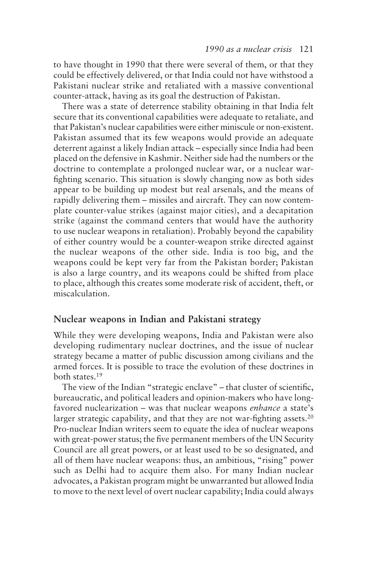to have thought in 1990 that there were several of them, or that they could be effectively delivered, or that India could not have withstood a Pakistani nuclear strike and retaliated with a massive conventional counter-attack, having as its goal the destruction of Pakistan.

There was a state of deterrence stability obtaining in that India felt secure that its conventional capabilities were adequate to retaliate, and that Pakistan's nuclear capabilities were either miniscule or non-existent. Pakistan assumed that its few weapons would provide an adequate deterrent against a likely Indian attack – especially since India had been placed on the defensive in Kashmir. Neither side had the numbers or the doctrine to contemplate a prolonged nuclear war, or a nuclear warfighting scenario. This situation is slowly changing now as both sides appear to be building up modest but real arsenals, and the means of rapidly delivering them – missiles and aircraft. They can now contemplate counter-value strikes (against major cities), and a decapitation strike (against the command centers that would have the authority to use nuclear weapons in retaliation). Probably beyond the capability of either country would be a counter-weapon strike directed against the nuclear weapons of the other side. India is too big, and the weapons could be kept very far from the Pakistan border; Pakistan is also a large country, and its weapons could be shifted from place to place, although this creates some moderate risk of accident, theft, or miscalculation.

# **Nuclear weapons in Indian and Pakistani strategy**

While they were developing weapons, India and Pakistan were also developing rudimentary nuclear doctrines, and the issue of nuclear strategy became a matter of public discussion among civilians and the armed forces. It is possible to trace the evolution of these doctrines in both states.19

The view of the Indian "strategic enclave" – that cluster of scientific, bureaucratic, and political leaders and opinion-makers who have longfavored nuclearization – was that nuclear weapons *enhance* a state's larger strategic capability, and that they are not war-fighting assets.<sup>20</sup> Pro-nuclear Indian writers seem to equate the idea of nuclear weapons with great-power status; the five permanent members of the UN Security Council are all great powers, or at least used to be so designated, and all of them have nuclear weapons: thus, an ambitious, "rising" power such as Delhi had to acquire them also. For many Indian nuclear advocates, a Pakistan program might be unwarranted but allowed India to move to the next level of overt nuclear capability; India could always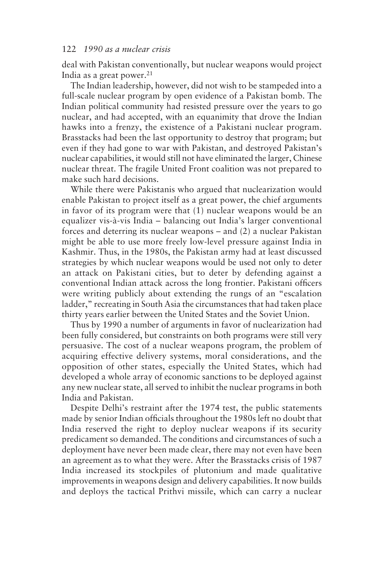#### 122 *1990 as a nuclear crisis*

deal with Pakistan conventionally, but nuclear weapons would project India as a great power. $21$ 

The Indian leadership, however, did not wish to be stampeded into a full-scale nuclear program by open evidence of a Pakistan bomb. The Indian political community had resisted pressure over the years to go nuclear, and had accepted, with an equanimity that drove the Indian hawks into a frenzy, the existence of a Pakistani nuclear program. Brasstacks had been the last opportunity to destroy that program; but even if they had gone to war with Pakistan, and destroyed Pakistan's nuclear capabilities, it would still not have eliminated the larger, Chinese nuclear threat. The fragile United Front coalition was not prepared to make such hard decisions.

While there were Pakistanis who argued that nuclearization would enable Pakistan to project itself as a great power, the chief arguments in favor of its program were that (1) nuclear weapons would be an equalizer vis-à-vis India – balancing out India's larger conventional forces and deterring its nuclear weapons – and (2) a nuclear Pakistan might be able to use more freely low-level pressure against India in Kashmir. Thus, in the 1980s, the Pakistan army had at least discussed strategies by which nuclear weapons would be used not only to deter an attack on Pakistani cities, but to deter by defending against a conventional Indian attack across the long frontier. Pakistani officers were writing publicly about extending the rungs of an "escalation ladder," recreating in South Asia the circumstances that had taken place thirty years earlier between the United States and the Soviet Union.

Thus by 1990 a number of arguments in favor of nuclearization had been fully considered, but constraints on both programs were still very persuasive. The cost of a nuclear weapons program, the problem of acquiring effective delivery systems, moral considerations, and the opposition of other states, especially the United States, which had developed a whole array of economic sanctions to be deployed against any new nuclear state, all served to inhibit the nuclear programs in both India and Pakistan.

Despite Delhi's restraint after the 1974 test, the public statements made by senior Indian officials throughout the 1980s left no doubt that India reserved the right to deploy nuclear weapons if its security predicament so demanded. The conditions and circumstances of such a deployment have never been made clear, there may not even have been an agreement as to what they were. After the Brasstacks crisis of 1987 India increased its stockpiles of plutonium and made qualitative improvements in weapons design and delivery capabilities. It now builds and deploys the tactical Prithvi missile, which can carry a nuclear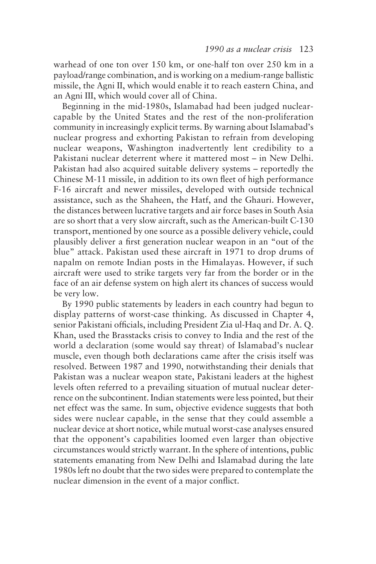warhead of one ton over 150 km, or one-half ton over 250 km in a payload/range combination, and is working on a medium-range ballistic missile, the Agni II, which would enable it to reach eastern China, and an Agni III, which would cover all of China.

Beginning in the mid-1980s, Islamabad had been judged nuclearcapable by the United States and the rest of the non-proliferation community in increasingly explicit terms. By warning about Islamabad's nuclear progress and exhorting Pakistan to refrain from developing nuclear weapons, Washington inadvertently lent credibility to a Pakistani nuclear deterrent where it mattered most – in New Delhi. Pakistan had also acquired suitable delivery systems – reportedly the Chinese M-11 missile, in addition to its own fleet of high performance F-16 aircraft and newer missiles, developed with outside technical assistance, such as the Shaheen, the Hatf, and the Ghauri. However, the distances between lucrative targets and air force bases in South Asia are so short that a very slow aircraft, such as the American-built C-130 transport, mentioned by one source as a possible delivery vehicle, could plausibly deliver a first generation nuclear weapon in an "out of the blue" attack. Pakistan used these aircraft in 1971 to drop drums of napalm on remote Indian posts in the Himalayas. However, if such aircraft were used to strike targets very far from the border or in the face of an air defense system on high alert its chances of success would be very low.

By 1990 public statements by leaders in each country had begun to display patterns of worst-case thinking. As discussed in Chapter 4, senior Pakistani officials, including President Zia ul-Haq and Dr. A. Q. Khan, used the Brasstacks crisis to convey to India and the rest of the world a declaration (some would say threat) of Islamabad's nuclear muscle, even though both declarations came after the crisis itself was resolved. Between 1987 and 1990, notwithstanding their denials that Pakistan was a nuclear weapon state, Pakistani leaders at the highest levels often referred to a prevailing situation of mutual nuclear deterrence on the subcontinent. Indian statements were less pointed, but their net effect was the same. In sum, objective evidence suggests that both sides were nuclear capable, in the sense that they could assemble a nuclear device at short notice, while mutual worst-case analyses ensured that the opponent's capabilities loomed even larger than objective circumstances would strictly warrant. In the sphere of intentions, public statements emanating from New Delhi and Islamabad during the late 1980s left no doubt that the two sides were prepared to contemplate the nuclear dimension in the event of a major conflict.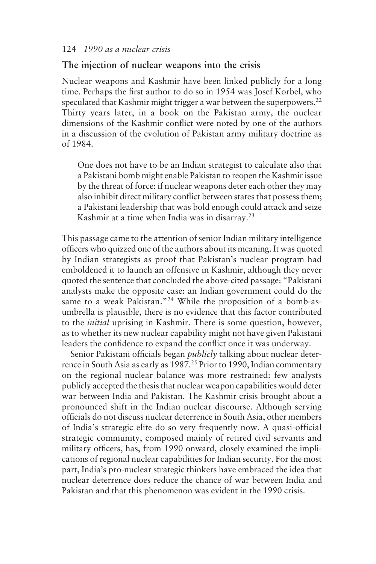## **The injection of nuclear weapons into the crisis**

Nuclear weapons and Kashmir have been linked publicly for a long time. Perhaps the first author to do so in 1954 was Josef Korbel, who speculated that Kashmir might trigger a war between the superpowers.<sup>22</sup> Thirty years later, in a book on the Pakistan army, the nuclear dimensions of the Kashmir conflict were noted by one of the authors in a discussion of the evolution of Pakistan army military doctrine as of 1984.

One does not have to be an Indian strategist to calculate also that a Pakistani bomb might enable Pakistan to reopen the Kashmir issue by the threat of force: if nuclear weapons deter each other they may also inhibit direct military conflict between states that possess them; a Pakistani leadership that was bold enough could attack and seize Kashmir at a time when India was in disarray.23

This passage came to the attention of senior Indian military intelligence officers who quizzed one of the authors about its meaning. It was quoted by Indian strategists as proof that Pakistan's nuclear program had emboldened it to launch an offensive in Kashmir, although they never quoted the sentence that concluded the above-cited passage: "Pakistani analysts make the opposite case: an Indian government could do the same to a weak Pakistan."<sup>24</sup> While the proposition of a bomb-asumbrella is plausible, there is no evidence that this factor contributed to the *initial* uprising in Kashmir. There is some question, however, as to whether its new nuclear capability might not have given Pakistani leaders the confidence to expand the conflict once it was underway.

Senior Pakistani officials began *publicly* talking about nuclear deterrence in South Asia as early as 1987.25 Prior to 1990, Indian commentary on the regional nuclear balance was more restrained: few analysts publicly accepted the thesis that nuclear weapon capabilities would deter war between India and Pakistan. The Kashmir crisis brought about a pronounced shift in the Indian nuclear discourse. Although serving officials do not discuss nuclear deterrence in South Asia, other members of India's strategic elite do so very frequently now. A quasi-official strategic community, composed mainly of retired civil servants and military officers, has, from 1990 onward, closely examined the implications of regional nuclear capabilities for Indian security. For the most part, India's pro-nuclear strategic thinkers have embraced the idea that nuclear deterrence does reduce the chance of war between India and Pakistan and that this phenomenon was evident in the 1990 crisis.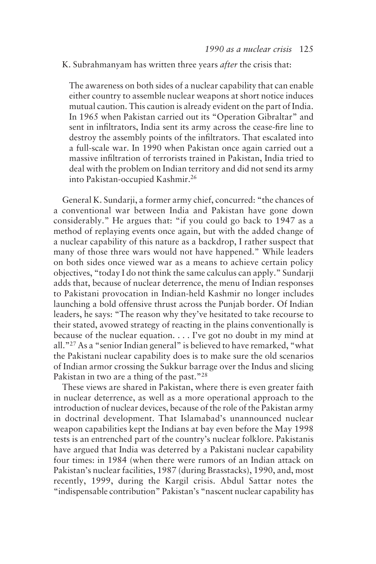#### K. Subrahmanyam has written three years *after* the crisis that:

The awareness on both sides of a nuclear capability that can enable either country to assemble nuclear weapons at short notice induces mutual caution. This caution is already evident on the part of India. In 1965 when Pakistan carried out its "Operation Gibraltar" and sent in infiltrators, India sent its army across the cease-fire line to destroy the assembly points of the infiltrators. That escalated into a full-scale war. In 1990 when Pakistan once again carried out a massive infiltration of terrorists trained in Pakistan, India tried to deal with the problem on Indian territory and did not send its army into Pakistan-occupied Kashmir.26

General K. Sundarji, a former army chief, concurred: "the chances of a conventional war between India and Pakistan have gone down considerably." He argues that: "if you could go back to 1947 as a method of replaying events once again, but with the added change of a nuclear capability of this nature as a backdrop, I rather suspect that many of those three wars would not have happened." While leaders on both sides once viewed war as a means to achieve certain policy objectives, "today I do not think the same calculus can apply." Sundarji adds that, because of nuclear deterrence, the menu of Indian responses to Pakistani provocation in Indian-held Kashmir no longer includes launching a bold offensive thrust across the Punjab border. Of Indian leaders, he says: "The reason why they've hesitated to take recourse to their stated, avowed strategy of reacting in the plains conventionally is because of the nuclear equation. . . . I've got no doubt in my mind at all."27 As a "senior Indian general" is believed to have remarked, "what the Pakistani nuclear capability does is to make sure the old scenarios of Indian armor crossing the Sukkur barrage over the Indus and slicing Pakistan in two are a thing of the past."<sup>28</sup>

These views are shared in Pakistan, where there is even greater faith in nuclear deterrence, as well as a more operational approach to the introduction of nuclear devices, because of the role of the Pakistan army in doctrinal development. That Islamabad's unannounced nuclear weapon capabilities kept the Indians at bay even before the May 1998 tests is an entrenched part of the country's nuclear folklore. Pakistanis have argued that India was deterred by a Pakistani nuclear capability four times: in 1984 (when there were rumors of an Indian attack on Pakistan's nuclear facilities, 1987 (during Brasstacks), 1990, and, most recently, 1999, during the Kargil crisis. Abdul Sattar notes the "indispensable contribution" Pakistan's "nascent nuclear capability has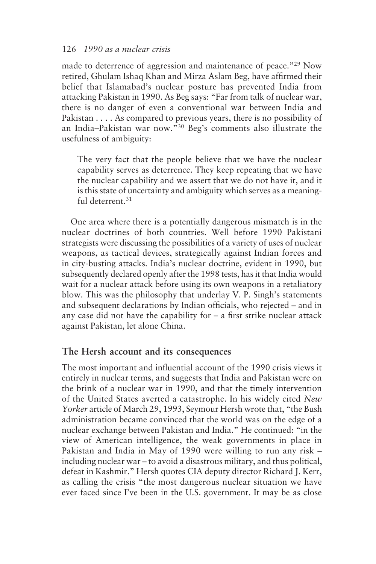made to deterrence of aggression and maintenance of peace."29 Now retired, Ghulam Ishaq Khan and Mirza Aslam Beg, have affirmed their belief that Islamabad's nuclear posture has prevented India from attacking Pakistan in 1990. As Beg says: "Far from talk of nuclear war, there is no danger of even a conventional war between India and Pakistan . . . . As compared to previous years, there is no possibility of an India–Pakistan war now."30 Beg's comments also illustrate the usefulness of ambiguity:

The very fact that the people believe that we have the nuclear capability serves as deterrence. They keep repeating that we have the nuclear capability and we assert that we do not have it, and it is this state of uncertainty and ambiguity which serves as a meaningful deterrent.<sup>31</sup>

One area where there is a potentially dangerous mismatch is in the nuclear doctrines of both countries. Well before 1990 Pakistani strategists were discussing the possibilities of a variety of uses of nuclear weapons, as tactical devices, strategically against Indian forces and in city-busting attacks. India's nuclear doctrine, evident in 1990, but subsequently declared openly after the 1998 tests, has it that India would wait for a nuclear attack before using its own weapons in a retaliatory blow. This was the philosophy that underlay V. P. Singh's statements and subsequent declarations by Indian officials, who rejected – and in any case did not have the capability for – a first strike nuclear attack against Pakistan, let alone China.

# **The Hersh account and its consequences**

The most important and influential account of the 1990 crisis views it entirely in nuclear terms, and suggests that India and Pakistan were on the brink of a nuclear war in 1990, and that the timely intervention of the United States averted a catastrophe. In his widely cited *New Yorker* article of March 29, 1993, Seymour Hersh wrote that, "the Bush administration became convinced that the world was on the edge of a nuclear exchange between Pakistan and India." He continued: "in the view of American intelligence, the weak governments in place in Pakistan and India in May of 1990 were willing to run any risk – including nuclear war – to avoid a disastrous military, and thus political, defeat in Kashmir." Hersh quotes CIA deputy director Richard J. Kerr, as calling the crisis "the most dangerous nuclear situation we have ever faced since I've been in the U.S. government. It may be as close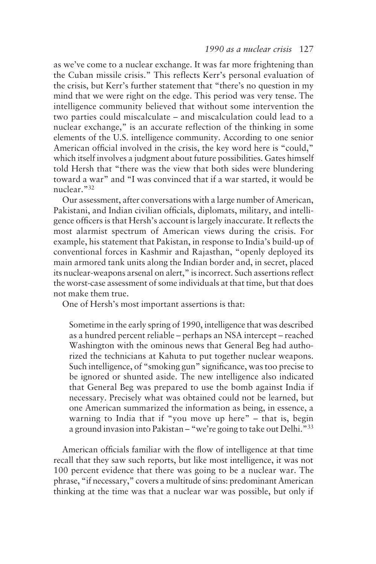as we've come to a nuclear exchange. It was far more frightening than the Cuban missile crisis." This reflects Kerr's personal evaluation of the crisis, but Kerr's further statement that "there's no question in my mind that we were right on the edge. This period was very tense. The intelligence community believed that without some intervention the two parties could miscalculate – and miscalculation could lead to a nuclear exchange," is an accurate reflection of the thinking in some elements of the U.S. intelligence community. According to one senior American official involved in the crisis, the key word here is "could," which itself involves a judgment about future possibilities. Gates himself told Hersh that "there was the view that both sides were blundering toward a war" and "I was convinced that if a war started, it would be nuclear."<sup>32</sup>

Our assessment, after conversations with a large number of American, Pakistani, and Indian civilian officials, diplomats, military, and intelligence officers is that Hersh's account is largely inaccurate. It reflects the most alarmist spectrum of American views during the crisis. For example, his statement that Pakistan, in response to India's build-up of conventional forces in Kashmir and Rajasthan, "openly deployed its main armored tank units along the Indian border and, in secret, placed its nuclear-weapons arsenal on alert," is incorrect. Such assertions reflect the worst-case assessment of some individuals at that time, but that does not make them true.

One of Hersh's most important assertions is that:

Sometime in the early spring of 1990, intelligence that was described as a hundred percent reliable – perhaps an NSA intercept – reached Washington with the ominous news that General Beg had authorized the technicians at Kahuta to put together nuclear weapons. Such intelligence, of "smoking gun" significance, was too precise to be ignored or shunted aside. The new intelligence also indicated that General Beg was prepared to use the bomb against India if necessary. Precisely what was obtained could not be learned, but one American summarized the information as being, in essence, a warning to India that if "you move up here" – that is, begin a ground invasion into Pakistan – "we're going to take out Delhi."33

American officials familiar with the flow of intelligence at that time recall that they saw such reports, but like most intelligence, it was not 100 percent evidence that there was going to be a nuclear war. The phrase, "if necessary," covers a multitude of sins: predominant American thinking at the time was that a nuclear war was possible, but only if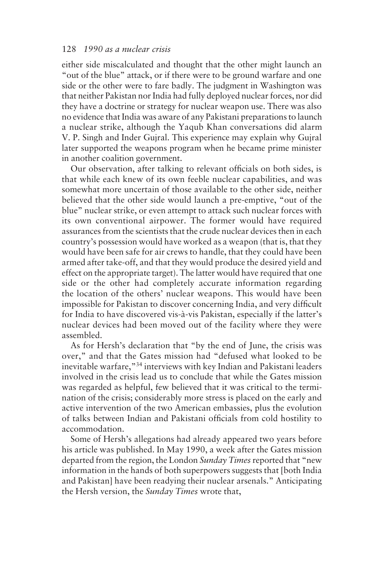#### 128 *1990 as a nuclear crisis*

either side miscalculated and thought that the other might launch an "out of the blue" attack, or if there were to be ground warfare and one side or the other were to fare badly. The judgment in Washington was that neither Pakistan nor India had fully deployed nuclear forces, nor did they have a doctrine or strategy for nuclear weapon use. There was also no evidence that India was aware of any Pakistani preparations to launch a nuclear strike, although the Yaqub Khan conversations did alarm V. P. Singh and Inder Gujral. This experience may explain why Gujral later supported the weapons program when he became prime minister in another coalition government.

Our observation, after talking to relevant officials on both sides, is that while each knew of its own feeble nuclear capabilities, and was somewhat more uncertain of those available to the other side, neither believed that the other side would launch a pre-emptive, "out of the blue" nuclear strike, or even attempt to attack such nuclear forces with its own conventional airpower. The former would have required assurances from the scientists that the crude nuclear devices then in each country's possession would have worked as a weapon (that is, that they would have been safe for air crews to handle, that they could have been armed after take-off, and that they would produce the desired yield and effect on the appropriate target). The latter would have required that one side or the other had completely accurate information regarding the location of the others' nuclear weapons. This would have been impossible for Pakistan to discover concerning India, and very difficult for India to have discovered vis-à-vis Pakistan, especially if the latter's nuclear devices had been moved out of the facility where they were assembled.

As for Hersh's declaration that "by the end of June, the crisis was over," and that the Gates mission had "defused what looked to be inevitable warfare,"34 interviews with key Indian and Pakistani leaders involved in the crisis lead us to conclude that while the Gates mission was regarded as helpful, few believed that it was critical to the termination of the crisis; considerably more stress is placed on the early and active intervention of the two American embassies, plus the evolution of talks between Indian and Pakistani officials from cold hostility to accommodation.

Some of Hersh's allegations had already appeared two years before his article was published. In May 1990, a week after the Gates mission departed from the region, the London *Sunday Times*reported that "new information in the hands of both superpowers suggests that [both India and Pakistan] have been readying their nuclear arsenals." Anticipating the Hersh version, the *Sunday Times* wrote that,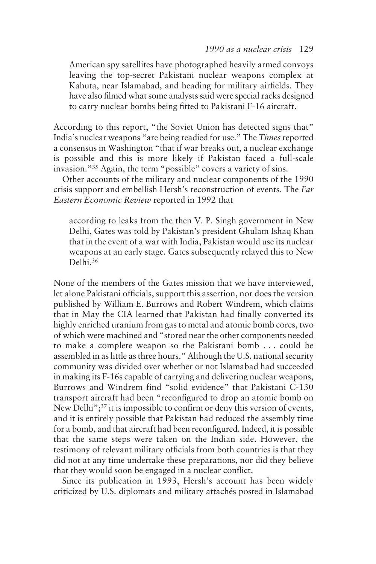American spy satellites have photographed heavily armed convoys leaving the top-secret Pakistani nuclear weapons complex at Kahuta, near Islamabad, and heading for military airfields. They have also filmed what some analysts said were special racks designed to carry nuclear bombs being fitted to Pakistani F-16 aircraft.

According to this report, "the Soviet Union has detected signs that" India's nuclear weapons "are being readied for use." The *Times*reported a consensus in Washington "that if war breaks out, a nuclear exchange is possible and this is more likely if Pakistan faced a full-scale invasion."35 Again, the term "possible" covers a variety of sins.

Other accounts of the military and nuclear components of the 1990 crisis support and embellish Hersh's reconstruction of events. The *Far Eastern Economic Review* reported in 1992 that

according to leaks from the then V. P. Singh government in New Delhi, Gates was told by Pakistan's president Ghulam Ishaq Khan that in the event of a war with India, Pakistan would use its nuclear weapons at an early stage. Gates subsequently relayed this to New Delhi.36

None of the members of the Gates mission that we have interviewed, let alone Pakistani officials, support this assertion, nor does the version published by William E. Burrows and Robert Windrem, which claims that in May the CIA learned that Pakistan had finally converted its highly enriched uranium from gas to metal and atomic bomb cores, two of which were machined and "stored near the other components needed to make a complete weapon so the Pakistani bomb . . . could be assembled in as little as three hours." Although the U.S. national security community was divided over whether or not Islamabad had succeeded in making its F-16s capable of carrying and delivering nuclear weapons, Burrows and Windrem find "solid evidence" that Pakistani C-130 transport aircraft had been "reconfigured to drop an atomic bomb on New Delhi";<sup>37</sup> it is impossible to confirm or deny this version of events, and it is entirely possible that Pakistan had reduced the assembly time for a bomb, and that aircraft had been reconfigured. Indeed, it is possible that the same steps were taken on the Indian side. However, the testimony of relevant military officials from both countries is that they did not at any time undertake these preparations, nor did they believe that they would soon be engaged in a nuclear conflict.

Since its publication in 1993, Hersh's account has been widely criticized by U.S. diplomats and military attachés posted in Islamabad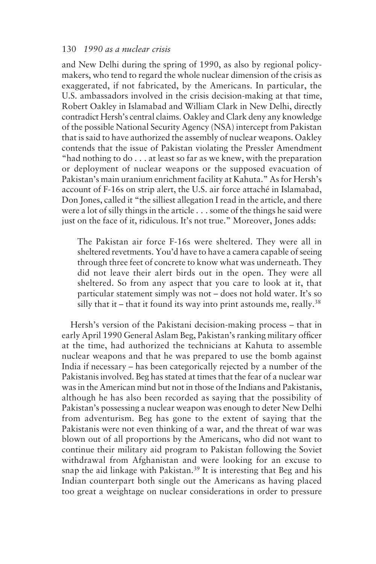and New Delhi during the spring of 1990, as also by regional policymakers, who tend to regard the whole nuclear dimension of the crisis as exaggerated, if not fabricated, by the Americans. In particular, the U.S. ambassadors involved in the crisis decision-making at that time, Robert Oakley in Islamabad and William Clark in New Delhi, directly contradict Hersh's central claims. Oakley and Clark deny any knowledge of the possible National Security Agency (NSA) intercept from Pakistan that is said to have authorized the assembly of nuclear weapons. Oakley contends that the issue of Pakistan violating the Pressler Amendment "had nothing to do . . . at least so far as we knew, with the preparation or deployment of nuclear weapons or the supposed evacuation of Pakistan's main uranium enrichment facility at Kahuta." As for Hersh's account of F-16s on strip alert, the U.S. air force attaché in Islamabad, Don Jones, called it "the silliest allegation I read in the article, and there were a lot of silly things in the article . . . some of the things he said were just on the face of it, ridiculous. It's not true." Moreover, Jones adds:

The Pakistan air force F-16s were sheltered. They were all in sheltered revetments. You'd have to have a camera capable of seeing through three feet of concrete to know what was underneath. They did not leave their alert birds out in the open. They were all sheltered. So from any aspect that you care to look at it, that particular statement simply was not – does not hold water. It's so silly that it – that it found its way into print astounds me, really.<sup>38</sup>

Hersh's version of the Pakistani decision-making process – that in early April 1990 General Aslam Beg, Pakistan's ranking military officer at the time, had authorized the technicians at Kahuta to assemble nuclear weapons and that he was prepared to use the bomb against India if necessary – has been categorically rejected by a number of the Pakistanis involved. Beg has stated at times that the fear of a nuclear war was in the American mind but not in those of the Indians and Pakistanis, although he has also been recorded as saying that the possibility of Pakistan's possessing a nuclear weapon was enough to deter New Delhi from adventurism. Beg has gone to the extent of saying that the Pakistanis were not even thinking of a war, and the threat of war was blown out of all proportions by the Americans, who did not want to continue their military aid program to Pakistan following the Soviet withdrawal from Afghanistan and were looking for an excuse to snap the aid linkage with Pakistan.<sup>39</sup> It is interesting that Beg and his Indian counterpart both single out the Americans as having placed too great a weightage on nuclear considerations in order to pressure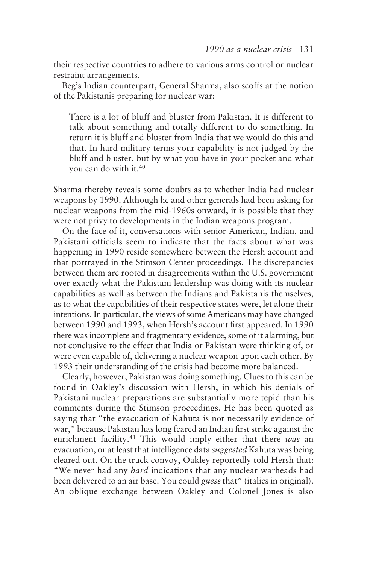their respective countries to adhere to various arms control or nuclear restraint arrangements.

Beg's Indian counterpart, General Sharma, also scoffs at the notion of the Pakistanis preparing for nuclear war:

There is a lot of bluff and bluster from Pakistan. It is different to talk about something and totally different to do something. In return it is bluff and bluster from India that we would do this and that. In hard military terms your capability is not judged by the bluff and bluster, but by what you have in your pocket and what you can do with it.40

Sharma thereby reveals some doubts as to whether India had nuclear weapons by 1990. Although he and other generals had been asking for nuclear weapons from the mid-1960s onward, it is possible that they were not privy to developments in the Indian weapons program.

On the face of it, conversations with senior American, Indian, and Pakistani officials seem to indicate that the facts about what was happening in 1990 reside somewhere between the Hersh account and that portrayed in the Stimson Center proceedings. The discrepancies between them are rooted in disagreements within the U.S. government over exactly what the Pakistani leadership was doing with its nuclear capabilities as well as between the Indians and Pakistanis themselves, as to what the capabilities of their respective states were, let alone their intentions. In particular, the views of some Americans may have changed between 1990 and 1993, when Hersh's account first appeared. In 1990 there was incomplete and fragmentary evidence, some of it alarming, but not conclusive to the effect that India or Pakistan were thinking of, or were even capable of, delivering a nuclear weapon upon each other. By 1993 their understanding of the crisis had become more balanced.

Clearly, however, Pakistan was doing something. Clues to this can be found in Oakley's discussion with Hersh, in which his denials of Pakistani nuclear preparations are substantially more tepid than his comments during the Stimson proceedings. He has been quoted as saying that "the evacuation of Kahuta is not necessarily evidence of war," because Pakistan has long feared an Indian first strike against the enrichment facility.41 This would imply either that there *was* an evacuation, or at least that intelligence data *suggested* Kahuta was being cleared out. On the truck convoy, Oakley reportedly told Hersh that: "We never had any *hard* indications that any nuclear warheads had been delivered to an air base. You could *guess* that" (italics in original). An oblique exchange between Oakley and Colonel Jones is also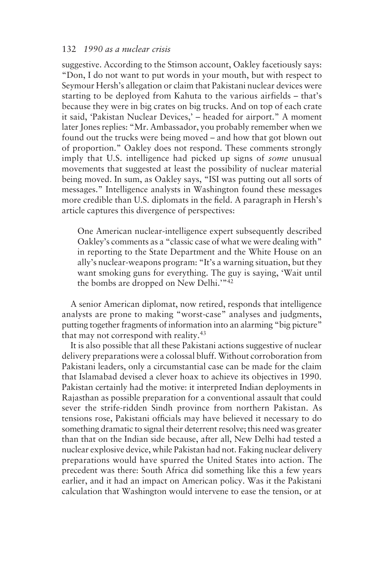#### 132 *1990 as a nuclear crisis*

suggestive. According to the Stimson account, Oakley facetiously says: "Don, I do not want to put words in your mouth, but with respect to Seymour Hersh's allegation or claim that Pakistani nuclear devices were starting to be deployed from Kahuta to the various airfields – that's because they were in big crates on big trucks. And on top of each crate it said, 'Pakistan Nuclear Devices,' – headed for airport." A moment later Jones replies: "Mr. Ambassador, you probably remember when we found out the trucks were being moved – and how that got blown out of proportion." Oakley does not respond. These comments strongly imply that U.S. intelligence had picked up signs of *some* unusual movements that suggested at least the possibility of nuclear material being moved. In sum, as Oakley says, "ISI was putting out all sorts of messages." Intelligence analysts in Washington found these messages more credible than U.S. diplomats in the field. A paragraph in Hersh's article captures this divergence of perspectives:

One American nuclear-intelligence expert subsequently described Oakley's comments as a "classic case of what we were dealing with" in reporting to the State Department and the White House on an ally's nuclear-weapons program: "It's a warning situation, but they want smoking guns for everything. The guy is saying, 'Wait until the bombs are dropped on New Delhi.'"42

A senior American diplomat, now retired, responds that intelligence analysts are prone to making "worst-case" analyses and judgments, putting together fragments of information into an alarming "big picture" that may not correspond with reality.<sup>43</sup>

It is also possible that all these Pakistani actions suggestive of nuclear delivery preparations were a colossal bluff. Without corroboration from Pakistani leaders, only a circumstantial case can be made for the claim that Islamabad devised a clever hoax to achieve its objectives in 1990. Pakistan certainly had the motive: it interpreted Indian deployments in Rajasthan as possible preparation for a conventional assault that could sever the strife-ridden Sindh province from northern Pakistan. As tensions rose, Pakistani officials may have believed it necessary to do something dramatic to signal their deterrent resolve; this need was greater than that on the Indian side because, after all, New Delhi had tested a nuclear explosive device, while Pakistan had not. Faking nuclear delivery preparations would have spurred the United States into action. The precedent was there: South Africa did something like this a few years earlier, and it had an impact on American policy. Was it the Pakistani calculation that Washington would intervene to ease the tension, or at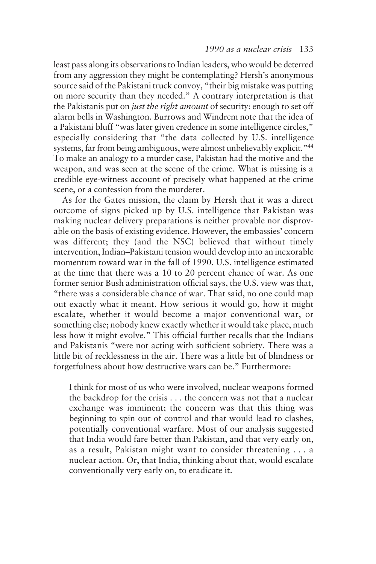#### *1990 as a nuclear crisis* 133

least pass along its observations to Indian leaders, who would be deterred from any aggression they might be contemplating? Hersh's anonymous source said of the Pakistani truck convoy, "their big mistake was putting on more security than they needed." A contrary interpretation is that the Pakistanis put on *just the right amount* of security: enough to set off alarm bells in Washington. Burrows and Windrem note that the idea of a Pakistani bluff "was later given credence in some intelligence circles," especially considering that "the data collected by U.S. intelligence systems, far from being ambiguous, were almost unbelievably explicit."<sup>44</sup> To make an analogy to a murder case, Pakistan had the motive and the weapon, and was seen at the scene of the crime. What is missing is a credible eye-witness account of precisely what happened at the crime scene, or a confession from the murderer.

As for the Gates mission, the claim by Hersh that it was a direct outcome of signs picked up by U.S. intelligence that Pakistan was making nuclear delivery preparations is neither provable nor disprovable on the basis of existing evidence. However, the embassies' concern was different; they (and the NSC) believed that without timely intervention, Indian–Pakistani tension would develop into an inexorable momentum toward war in the fall of 1990. U.S. intelligence estimated at the time that there was a 10 to 20 percent chance of war. As one former senior Bush administration official says, the U.S. view was that, "there was a considerable chance of war. That said, no one could map out exactly what it meant. How serious it would go, how it might escalate, whether it would become a major conventional war, or something else; nobody knew exactly whether it would take place, much less how it might evolve." This official further recalls that the Indians and Pakistanis "were not acting with sufficient sobriety. There was a little bit of recklessness in the air. There was a little bit of blindness or forgetfulness about how destructive wars can be." Furthermore:

I think for most of us who were involved, nuclear weapons formed the backdrop for the crisis . . . the concern was not that a nuclear exchange was imminent; the concern was that this thing was beginning to spin out of control and that would lead to clashes, potentially conventional warfare. Most of our analysis suggested that India would fare better than Pakistan, and that very early on, as a result, Pakistan might want to consider threatening . . . a nuclear action. Or, that India, thinking about that, would escalate conventionally very early on, to eradicate it.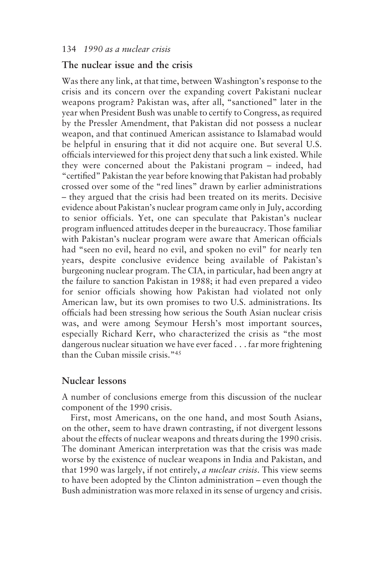# **The nuclear issue and the crisis**

Was there any link, at that time, between Washington's response to the crisis and its concern over the expanding covert Pakistani nuclear weapons program? Pakistan was, after all, "sanctioned" later in the year when President Bush was unable to certify to Congress, as required by the Pressler Amendment, that Pakistan did not possess a nuclear weapon, and that continued American assistance to Islamabad would be helpful in ensuring that it did not acquire one. But several U.S. officials interviewed for this project deny that such a link existed. While they were concerned about the Pakistani program – indeed, had "certified" Pakistan the year before knowing that Pakistan had probably crossed over some of the "red lines" drawn by earlier administrations – they argued that the crisis had been treated on its merits. Decisive evidence about Pakistan's nuclear program came only in July, according to senior officials. Yet, one can speculate that Pakistan's nuclear program influenced attitudes deeper in the bureaucracy. Those familiar with Pakistan's nuclear program were aware that American officials had "seen no evil, heard no evil, and spoken no evil" for nearly ten years, despite conclusive evidence being available of Pakistan's burgeoning nuclear program. The CIA, in particular, had been angry at the failure to sanction Pakistan in 1988; it had even prepared a video for senior officials showing how Pakistan had violated not only American law, but its own promises to two U.S. administrations. Its officials had been stressing how serious the South Asian nuclear crisis was, and were among Seymour Hersh's most important sources, especially Richard Kerr, who characterized the crisis as "the most dangerous nuclear situation we have ever faced . . . far more frightening than the Cuban missile crisis."45

# **Nuclear lessons**

A number of conclusions emerge from this discussion of the nuclear component of the 1990 crisis.

First, most Americans, on the one hand, and most South Asians, on the other, seem to have drawn contrasting, if not divergent lessons about the effects of nuclear weapons and threats during the 1990 crisis. The dominant American interpretation was that the crisis was made worse by the existence of nuclear weapons in India and Pakistan, and that 1990 was largely, if not entirely, *a nuclear crisis*. This view seems to have been adopted by the Clinton administration – even though the Bush administration was more relaxed in its sense of urgency and crisis.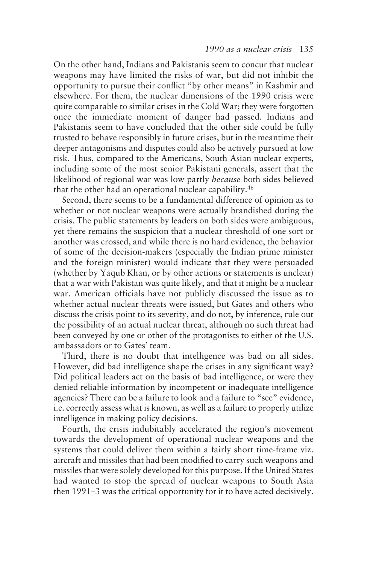On the other hand, Indians and Pakistanis seem to concur that nuclear weapons may have limited the risks of war, but did not inhibit the opportunity to pursue their conflict "by other means" in Kashmir and elsewhere. For them, the nuclear dimensions of the 1990 crisis were quite comparable to similar crises in the Cold War; they were forgotten once the immediate moment of danger had passed. Indians and Pakistanis seem to have concluded that the other side could be fully trusted to behave responsibly in future crises, but in the meantime their deeper antagonisms and disputes could also be actively pursued at low risk. Thus, compared to the Americans, South Asian nuclear experts, including some of the most senior Pakistani generals, assert that the likelihood of regional war was low partly *because* both sides believed that the other had an operational nuclear capability.46

Second, there seems to be a fundamental difference of opinion as to whether or not nuclear weapons were actually brandished during the crisis. The public statements by leaders on both sides were ambiguous, yet there remains the suspicion that a nuclear threshold of one sort or another was crossed, and while there is no hard evidence, the behavior of some of the decision-makers (especially the Indian prime minister and the foreign minister) would indicate that they were persuaded (whether by Yaqub Khan, or by other actions or statements is unclear) that a war with Pakistan was quite likely, and that it might be a nuclear war. American officials have not publicly discussed the issue as to whether actual nuclear threats were issued, but Gates and others who discuss the crisis point to its severity, and do not, by inference, rule out the possibility of an actual nuclear threat, although no such threat had been conveyed by one or other of the protagonists to either of the U.S. ambassadors or to Gates' team.

Third, there is no doubt that intelligence was bad on all sides. However, did bad intelligence shape the crises in any significant way? Did political leaders act on the basis of bad intelligence, or were they denied reliable information by incompetent or inadequate intelligence agencies? There can be a failure to look and a failure to "see" evidence, i.e. correctly assess what is known, as well as a failure to properly utilize intelligence in making policy decisions.

Fourth, the crisis indubitably accelerated the region's movement towards the development of operational nuclear weapons and the systems that could deliver them within a fairly short time-frame viz. aircraft and missiles that had been modified to carry such weapons and missiles that were solely developed for this purpose. If the United States had wanted to stop the spread of nuclear weapons to South Asia then 1991–3 was the critical opportunity for it to have acted decisively.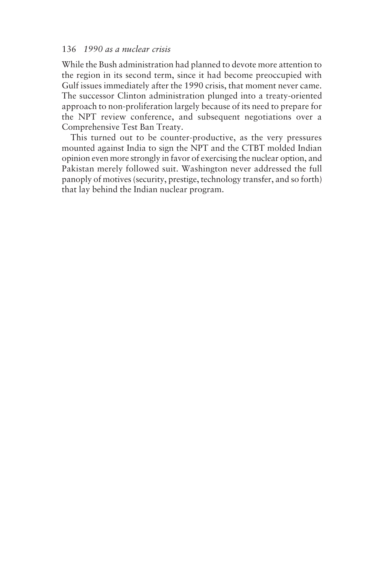# 136 *1990 as a nuclear crisis*

While the Bush administration had planned to devote more attention to the region in its second term, since it had become preoccupied with Gulf issues immediately after the 1990 crisis, that moment never came. The successor Clinton administration plunged into a treaty-oriented approach to non-proliferation largely because of its need to prepare for the NPT review conference, and subsequent negotiations over a Comprehensive Test Ban Treaty.

This turned out to be counter-productive, as the very pressures mounted against India to sign the NPT and the CTBT molded Indian opinion even more strongly in favor of exercising the nuclear option, and Pakistan merely followed suit. Washington never addressed the full panoply of motives (security, prestige, technology transfer, and so forth) that lay behind the Indian nuclear program.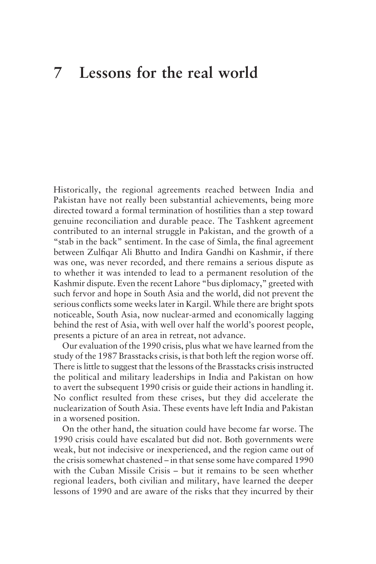Historically, the regional agreements reached between India and Pakistan have not really been substantial achievements, being more directed toward a formal termination of hostilities than a step toward genuine reconciliation and durable peace. The Tashkent agreement contributed to an internal struggle in Pakistan, and the growth of a "stab in the back" sentiment. In the case of Simla, the final agreement between Zulfiqar Ali Bhutto and Indira Gandhi on Kashmir, if there was one, was never recorded, and there remains a serious dispute as to whether it was intended to lead to a permanent resolution of the Kashmir dispute. Even the recent Lahore "bus diplomacy," greeted with such fervor and hope in South Asia and the world, did not prevent the serious conflicts some weeks later in Kargil. While there are bright spots noticeable, South Asia, now nuclear-armed and economically lagging behind the rest of Asia, with well over half the world's poorest people, presents a picture of an area in retreat, not advance.

Our evaluation of the 1990 crisis, plus what we have learned from the study of the 1987 Brasstacks crisis, is that both left the region worse off. There is little to suggest that the lessons of the Brasstacks crisis instructed the political and military leaderships in India and Pakistan on how to avert the subsequent 1990 crisis or guide their actions in handling it. No conflict resulted from these crises, but they did accelerate the nuclearization of South Asia. These events have left India and Pakistan in a worsened position.

On the other hand, the situation could have become far worse. The 1990 crisis could have escalated but did not. Both governments were weak, but not indecisive or inexperienced, and the region came out of the crisis somewhat chastened – in that sense some have compared 1990 with the Cuban Missile Crisis – but it remains to be seen whether regional leaders, both civilian and military, have learned the deeper lessons of 1990 and are aware of the risks that they incurred by their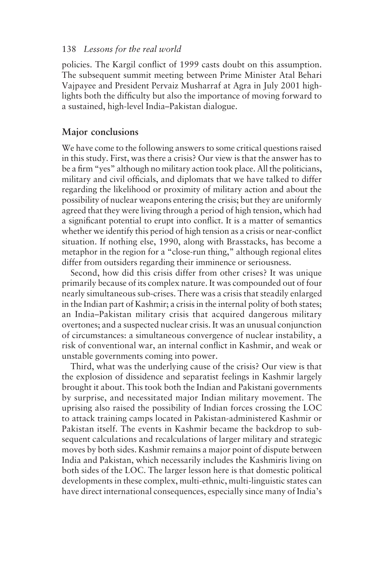policies. The Kargil conflict of 1999 casts doubt on this assumption. The subsequent summit meeting between Prime Minister Atal Behari Vajpayee and President Pervaiz Musharraf at Agra in July 2001 highlights both the difficulty but also the importance of moving forward to a sustained, high-level India–Pakistan dialogue.

# **Major conclusions**

We have come to the following answers to some critical questions raised in this study. First, was there a crisis? Our view is that the answer has to be a firm "yes" although no military action took place. All the politicians, military and civil officials, and diplomats that we have talked to differ regarding the likelihood or proximity of military action and about the possibility of nuclear weapons entering the crisis; but they are uniformly agreed that they were living through a period of high tension, which had a significant potential to erupt into conflict. It is a matter of semantics whether we identify this period of high tension as a crisis or near-conflict situation. If nothing else, 1990, along with Brasstacks, has become a metaphor in the region for a "close-run thing," although regional elites differ from outsiders regarding their imminence or seriousness.

Second, how did this crisis differ from other crises? It was unique primarily because of its complex nature. It was compounded out of four nearly simultaneous sub-crises. There was a crisis that steadily enlarged in the Indian part of Kashmir; a crisis in the internal polity of both states; an India–Pakistan military crisis that acquired dangerous military overtones; and a suspected nuclear crisis. It was an unusual conjunction of circumstances: a simultaneous convergence of nuclear instability, a risk of conventional war, an internal conflict in Kashmir, and weak or unstable governments coming into power.

Third, what was the underlying cause of the crisis? Our view is that the explosion of dissidence and separatist feelings in Kashmir largely brought it about. This took both the Indian and Pakistani governments by surprise, and necessitated major Indian military movement. The uprising also raised the possibility of Indian forces crossing the LOC to attack training camps located in Pakistan-administered Kashmir or Pakistan itself. The events in Kashmir became the backdrop to subsequent calculations and recalculations of larger military and strategic moves by both sides. Kashmir remains a major point of dispute between India and Pakistan, which necessarily includes the Kashmiris living on both sides of the LOC. The larger lesson here is that domestic political developments in these complex, multi-ethnic, multi-linguistic states can have direct international consequences, especially since many of India's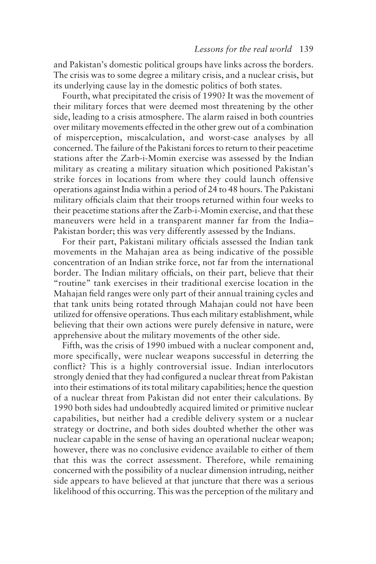and Pakistan's domestic political groups have links across the borders. The crisis was to some degree a military crisis, and a nuclear crisis, but its underlying cause lay in the domestic politics of both states.

Fourth, what precipitated the crisis of 1990? It was the movement of their military forces that were deemed most threatening by the other side, leading to a crisis atmosphere. The alarm raised in both countries over military movements effected in the other grew out of a combination of misperception, miscalculation, and worst-case analyses by all concerned. The failure of the Pakistani forces to return to their peacetime stations after the Zarb-i-Momin exercise was assessed by the Indian military as creating a military situation which positioned Pakistan's strike forces in locations from where they could launch offensive operations against India within a period of 24 to 48 hours. The Pakistani military officials claim that their troops returned within four weeks to their peacetime stations after the Zarb-i-Momin exercise, and that these maneuvers were held in a transparent manner far from the India– Pakistan border; this was very differently assessed by the Indians.

For their part, Pakistani military officials assessed the Indian tank movements in the Mahajan area as being indicative of the possible concentration of an Indian strike force, not far from the international border. The Indian military officials, on their part, believe that their "routine" tank exercises in their traditional exercise location in the Mahajan field ranges were only part of their annual training cycles and that tank units being rotated through Mahajan could not have been utilized for offensive operations. Thus each military establishment, while believing that their own actions were purely defensive in nature, were apprehensive about the military movements of the other side.

Fifth, was the crisis of 1990 imbued with a nuclear component and, more specifically, were nuclear weapons successful in deterring the conflict? This is a highly controversial issue. Indian interlocutors strongly denied that they had configured a nuclear threat from Pakistan into their estimations of its total military capabilities; hence the question of a nuclear threat from Pakistan did not enter their calculations. By 1990 both sides had undoubtedly acquired limited or primitive nuclear capabilities, but neither had a credible delivery system or a nuclear strategy or doctrine, and both sides doubted whether the other was nuclear capable in the sense of having an operational nuclear weapon; however, there was no conclusive evidence available to either of them that this was the correct assessment. Therefore, while remaining concerned with the possibility of a nuclear dimension intruding, neither side appears to have believed at that juncture that there was a serious likelihood of this occurring. This was the perception of the military and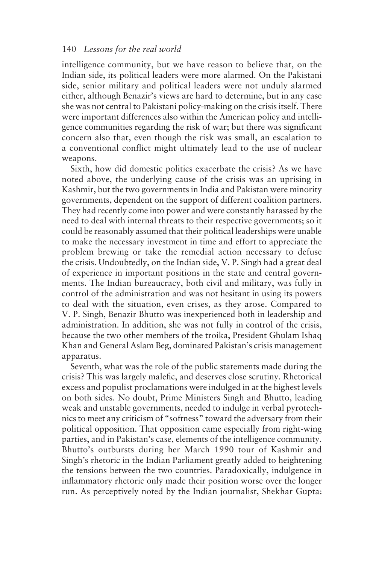intelligence community, but we have reason to believe that, on the Indian side, its political leaders were more alarmed. On the Pakistani side, senior military and political leaders were not unduly alarmed either, although Benazir's views are hard to determine, but in any case she was not central to Pakistani policy-making on the crisis itself. There were important differences also within the American policy and intelligence communities regarding the risk of war; but there was significant concern also that, even though the risk was small, an escalation to a conventional conflict might ultimately lead to the use of nuclear weapons.

Sixth, how did domestic politics exacerbate the crisis? As we have noted above, the underlying cause of the crisis was an uprising in Kashmir, but the two governments in India and Pakistan were minority governments, dependent on the support of different coalition partners. They had recently come into power and were constantly harassed by the need to deal with internal threats to their respective governments; so it could be reasonably assumed that their political leaderships were unable to make the necessary investment in time and effort to appreciate the problem brewing or take the remedial action necessary to defuse the crisis. Undoubtedly, on the Indian side, V. P. Singh had a great deal of experience in important positions in the state and central governments. The Indian bureaucracy, both civil and military, was fully in control of the administration and was not hesitant in using its powers to deal with the situation, even crises, as they arose. Compared to V. P. Singh, Benazir Bhutto was inexperienced both in leadership and administration. In addition, she was not fully in control of the crisis, because the two other members of the troika, President Ghulam Ishaq Khan and General Aslam Beg, dominated Pakistan's crisis management apparatus.

Seventh, what was the role of the public statements made during the crisis? This was largely malefic, and deserves close scrutiny. Rhetorical excess and populist proclamations were indulged in at the highest levels on both sides. No doubt, Prime Ministers Singh and Bhutto, leading weak and unstable governments, needed to indulge in verbal pyrotechnics to meet any criticism of "softness" toward the adversary from their political opposition. That opposition came especially from right-wing parties, and in Pakistan's case, elements of the intelligence community. Bhutto's outbursts during her March 1990 tour of Kashmir and Singh's rhetoric in the Indian Parliament greatly added to heightening the tensions between the two countries. Paradoxically, indulgence in inflammatory rhetoric only made their position worse over the longer run. As perceptively noted by the Indian journalist, Shekhar Gupta: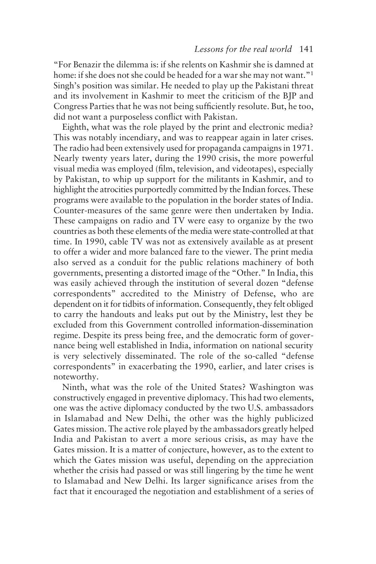"For Benazir the dilemma is: if she relents on Kashmir she is damned at home: if she does not she could be headed for a war she may not want."<sup>1</sup> Singh's position was similar. He needed to play up the Pakistani threat and its involvement in Kashmir to meet the criticism of the BJP and Congress Parties that he was not being sufficiently resolute. But, he too, did not want a purposeless conflict with Pakistan.

Eighth, what was the role played by the print and electronic media? This was notably incendiary, and was to reappear again in later crises. The radio had been extensively used for propaganda campaigns in 1971. Nearly twenty years later, during the 1990 crisis, the more powerful visual media was employed (film, television, and videotapes), especially by Pakistan, to whip up support for the militants in Kashmir, and to highlight the atrocities purportedly committed by the Indian forces. These programs were available to the population in the border states of India. Counter-measures of the same genre were then undertaken by India. These campaigns on radio and TV were easy to organize by the two countries as both these elements of the media were state-controlled at that time. In 1990, cable TV was not as extensively available as at present to offer a wider and more balanced fare to the viewer. The print media also served as a conduit for the public relations machinery of both governments, presenting a distorted image of the "Other." In India, this was easily achieved through the institution of several dozen "defense correspondents" accredited to the Ministry of Defense, who are dependent on it for tidbits of information. Consequently, they felt obliged to carry the handouts and leaks put out by the Ministry, lest they be excluded from this Government controlled information-dissemination regime. Despite its press being free, and the democratic form of governance being well established in India, information on national security is very selectively disseminated. The role of the so-called "defense correspondents" in exacerbating the 1990, earlier, and later crises is noteworthy.

Ninth, what was the role of the United States? Washington was constructively engaged in preventive diplomacy. This had two elements, one was the active diplomacy conducted by the two U.S. ambassadors in Islamabad and New Delhi, the other was the highly publicized Gates mission. The active role played by the ambassadors greatly helped India and Pakistan to avert a more serious crisis, as may have the Gates mission. It is a matter of conjecture, however, as to the extent to which the Gates mission was useful, depending on the appreciation whether the crisis had passed or was still lingering by the time he went to Islamabad and New Delhi. Its larger significance arises from the fact that it encouraged the negotiation and establishment of a series of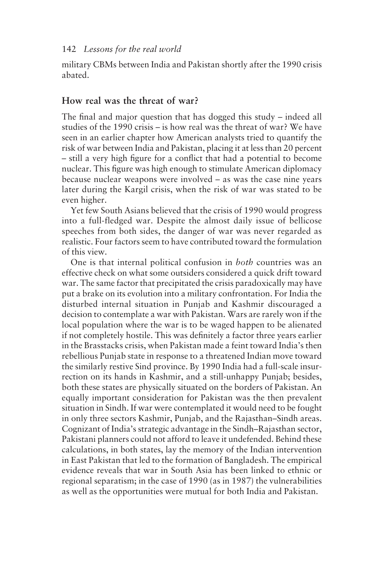military CBMs between India and Pakistan shortly after the 1990 crisis abated.

# **How real was the threat of war?**

The final and major question that has dogged this study – indeed all studies of the 1990 crisis – is how real was the threat of war? We have seen in an earlier chapter how American analysts tried to quantify the risk of war between India and Pakistan, placing it at less than 20 percent – still a very high figure for a conflict that had a potential to become nuclear. This figure was high enough to stimulate American diplomacy because nuclear weapons were involved – as was the case nine years later during the Kargil crisis, when the risk of war was stated to be even higher.

Yet few South Asians believed that the crisis of 1990 would progress into a full-fledged war. Despite the almost daily issue of bellicose speeches from both sides, the danger of war was never regarded as realistic. Four factors seem to have contributed toward the formulation of this view.

One is that internal political confusion in *both* countries was an effective check on what some outsiders considered a quick drift toward war. The same factor that precipitated the crisis paradoxically may have put a brake on its evolution into a military confrontation. For India the disturbed internal situation in Punjab and Kashmir discouraged a decision to contemplate a war with Pakistan. Wars are rarely won if the local population where the war is to be waged happen to be alienated if not completely hostile. This was definitely a factor three years earlier in the Brasstacks crisis, when Pakistan made a feint toward India's then rebellious Punjab state in response to a threatened Indian move toward the similarly restive Sind province. By 1990 India had a full-scale insurrection on its hands in Kashmir, and a still-unhappy Punjab; besides, both these states are physically situated on the borders of Pakistan. An equally important consideration for Pakistan was the then prevalent situation in Sindh. If war were contemplated it would need to be fought in only three sectors Kashmir, Punjab, and the Rajasthan–Sindh areas. Cognizant of India's strategic advantage in the Sindh–Rajasthan sector, Pakistani planners could not afford to leave it undefended. Behind these calculations, in both states, lay the memory of the Indian intervention in East Pakistan that led to the formation of Bangladesh. The empirical evidence reveals that war in South Asia has been linked to ethnic or regional separatism; in the case of 1990 (as in 1987) the vulnerabilities as well as the opportunities were mutual for both India and Pakistan.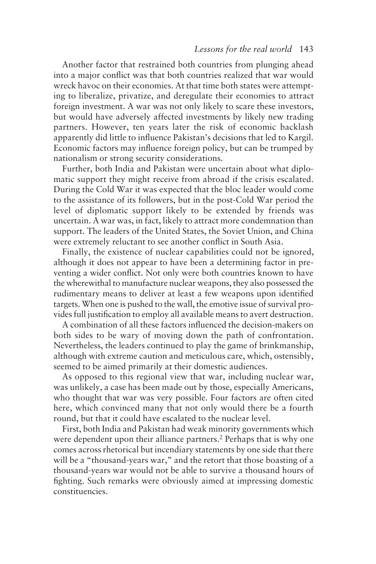Another factor that restrained both countries from plunging ahead into a major conflict was that both countries realized that war would wreck havoc on their economies. At that time both states were attempting to liberalize, privatize, and deregulate their economies to attract foreign investment. A war was not only likely to scare these investors, but would have adversely affected investments by likely new trading partners. However, ten years later the risk of economic backlash apparently did little to influence Pakistan's decisions that led to Kargil. Economic factors may influence foreign policy, but can be trumped by nationalism or strong security considerations.

Further, both India and Pakistan were uncertain about what diplomatic support they might receive from abroad if the crisis escalated. During the Cold War it was expected that the bloc leader would come to the assistance of its followers, but in the post-Cold War period the level of diplomatic support likely to be extended by friends was uncertain. A war was, in fact, likely to attract more condemnation than support. The leaders of the United States, the Soviet Union, and China were extremely reluctant to see another conflict in South Asia.

Finally, the existence of nuclear capabilities could not be ignored, although it does not appear to have been a determining factor in preventing a wider conflict. Not only were both countries known to have the wherewithal to manufacture nuclear weapons, they also possessed the rudimentary means to deliver at least a few weapons upon identified targets. When one is pushed to the wall, the emotive issue of survival provides full justification to employ all available means to avert destruction.

A combination of all these factors influenced the decision-makers on both sides to be wary of moving down the path of confrontation. Nevertheless, the leaders continued to play the game of brinkmanship, although with extreme caution and meticulous care, which, ostensibly, seemed to be aimed primarily at their domestic audiences.

As opposed to this regional view that war, including nuclear war, was unlikely, a case has been made out by those, especially Americans, who thought that war was very possible. Four factors are often cited here, which convinced many that not only would there be a fourth round, but that it could have escalated to the nuclear level.

First, both India and Pakistan had weak minority governments which were dependent upon their alliance partners.<sup>2</sup> Perhaps that is why one comes across rhetorical but incendiary statements by one side that there will be a "thousand-years war," and the retort that those boasting of a thousand-years war would not be able to survive a thousand hours of fighting. Such remarks were obviously aimed at impressing domestic constituencies.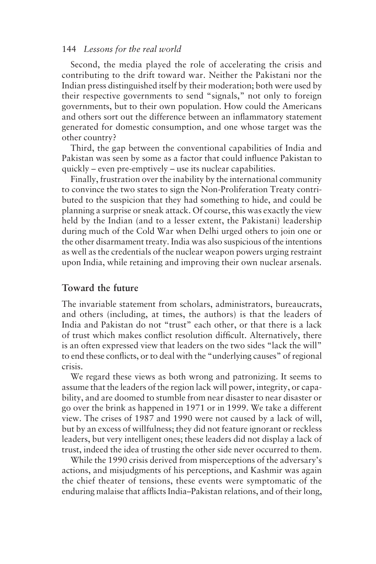Second, the media played the role of accelerating the crisis and contributing to the drift toward war. Neither the Pakistani nor the Indian press distinguished itself by their moderation; both were used by their respective governments to send "signals," not only to foreign governments, but to their own population. How could the Americans and others sort out the difference between an inflammatory statement generated for domestic consumption, and one whose target was the other country?

Third, the gap between the conventional capabilities of India and Pakistan was seen by some as a factor that could influence Pakistan to quickly – even pre-emptively – use its nuclear capabilities.

Finally, frustration over the inability by the international community to convince the two states to sign the Non-Proliferation Treaty contributed to the suspicion that they had something to hide, and could be planning a surprise or sneak attack. Of course, this was exactly the view held by the Indian (and to a lesser extent, the Pakistani) leadership during much of the Cold War when Delhi urged others to join one or the other disarmament treaty. India was also suspicious of the intentions as well as the credentials of the nuclear weapon powers urging restraint upon India, while retaining and improving their own nuclear arsenals.

# **Toward the future**

The invariable statement from scholars, administrators, bureaucrats, and others (including, at times, the authors) is that the leaders of India and Pakistan do not "trust" each other, or that there is a lack of trust which makes conflict resolution difficult. Alternatively, there is an often expressed view that leaders on the two sides "lack the will" to end these conflicts, or to deal with the "underlying causes" of regional crisis.

We regard these views as both wrong and patronizing. It seems to assume that the leaders of the region lack will power, integrity, or capability, and are doomed to stumble from near disaster to near disaster or go over the brink as happened in 1971 or in 1999. We take a different view. The crises of 1987 and 1990 were not caused by a lack of will, but by an excess of willfulness; they did not feature ignorant or reckless leaders, but very intelligent ones; these leaders did not display a lack of trust, indeed the idea of trusting the other side never occurred to them.

While the 1990 crisis derived from misperceptions of the adversary's actions, and misjudgments of his perceptions, and Kashmir was again the chief theater of tensions, these events were symptomatic of the enduring malaise that afflicts India–Pakistan relations, and of their long,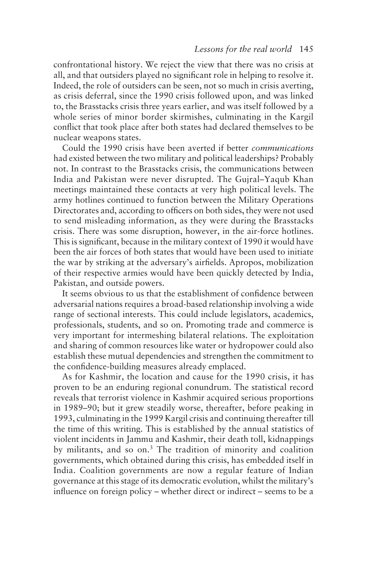confrontational history. We reject the view that there was no crisis at all, and that outsiders played no significant role in helping to resolve it. Indeed, the role of outsiders can be seen, not so much in crisis averting, as crisis deferral, since the 1990 crisis followed upon, and was linked to, the Brasstacks crisis three years earlier, and was itself followed by a whole series of minor border skirmishes, culminating in the Kargil conflict that took place after both states had declared themselves to be nuclear weapons states.

Could the 1990 crisis have been averted if better *communications* had existed between the two military and political leaderships? Probably not. In contrast to the Brasstacks crisis, the communications between India and Pakistan were never disrupted. The Gujral–Yaqub Khan meetings maintained these contacts at very high political levels. The army hotlines continued to function between the Military Operations Directorates and, according to officers on both sides, they were not used to send misleading information, as they were during the Brasstacks crisis. There was some disruption, however, in the air-force hotlines. This is significant, because in the military context of 1990 it would have been the air forces of both states that would have been used to initiate the war by striking at the adversary's airfields. Apropos, mobilization of their respective armies would have been quickly detected by India, Pakistan, and outside powers.

It seems obvious to us that the establishment of confidence between adversarial nations requires a broad-based relationship involving a wide range of sectional interests. This could include legislators, academics, professionals, students, and so on. Promoting trade and commerce is very important for intermeshing bilateral relations. The exploitation and sharing of common resources like water or hydropower could also establish these mutual dependencies and strengthen the commitment to the confidence-building measures already emplaced.

As for Kashmir, the location and cause for the 1990 crisis, it has proven to be an enduring regional conundrum. The statistical record reveals that terrorist violence in Kashmir acquired serious proportions in 1989–90; but it grew steadily worse, thereafter, before peaking in 1993, culminating in the 1999 Kargil crisis and continuing thereafter till the time of this writing. This is established by the annual statistics of violent incidents in Jammu and Kashmir, their death toll, kidnappings by militants, and so on.3 The tradition of minority and coalition governments, which obtained during this crisis, has embedded itself in India. Coalition governments are now a regular feature of Indian governance at this stage of its democratic evolution, whilst the military's influence on foreign policy – whether direct or indirect – seems to be a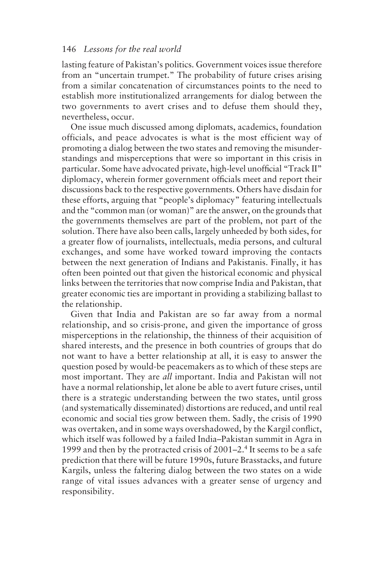lasting feature of Pakistan's politics. Government voices issue therefore from an "uncertain trumpet." The probability of future crises arising from a similar concatenation of circumstances points to the need to establish more institutionalized arrangements for dialog between the two governments to avert crises and to defuse them should they, nevertheless, occur.

One issue much discussed among diplomats, academics, foundation officials, and peace advocates is what is the most efficient way of promoting a dialog between the two states and removing the misunderstandings and misperceptions that were so important in this crisis in particular. Some have advocated private, high-level unofficial "Track II" diplomacy, wherein former government officials meet and report their discussions back to the respective governments. Others have disdain for these efforts, arguing that "people's diplomacy" featuring intellectuals and the "common man (or woman)" are the answer, on the grounds that the governments themselves are part of the problem, not part of the solution. There have also been calls, largely unheeded by both sides, for a greater flow of journalists, intellectuals, media persons, and cultural exchanges, and some have worked toward improving the contacts between the next generation of Indians and Pakistanis. Finally, it has often been pointed out that given the historical economic and physical links between the territories that now comprise India and Pakistan, that greater economic ties are important in providing a stabilizing ballast to the relationship.

Given that India and Pakistan are so far away from a normal relationship, and so crisis-prone, and given the importance of gross misperceptions in the relationship, the thinness of their acquisition of shared interests, and the presence in both countries of groups that do not want to have a better relationship at all, it is easy to answer the question posed by would-be peacemakers as to which of these steps are most important. They are *all* important. India and Pakistan will not have a normal relationship, let alone be able to avert future crises, until there is a strategic understanding between the two states, until gross (and systematically disseminated) distortions are reduced, and until real economic and social ties grow between them. Sadly, the crisis of 1990 was overtaken, and in some ways overshadowed, by the Kargil conflict, which itself was followed by a failed India–Pakistan summit in Agra in 1999 and then by the protracted crisis of  $2001-2$ .<sup>4</sup> It seems to be a safe prediction that there will be future 1990s, future Brasstacks, and future Kargils, unless the faltering dialog between the two states on a wide range of vital issues advances with a greater sense of urgency and responsibility.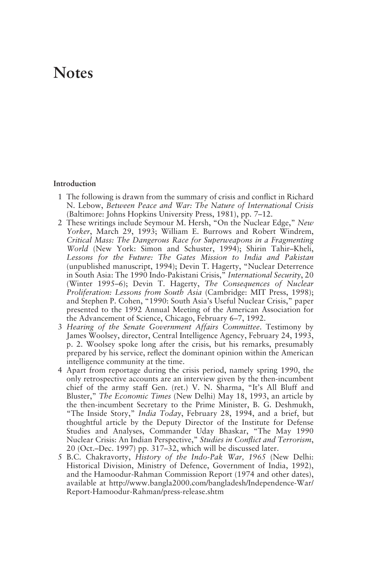#### **Introduction**

- 1 The following is drawn from the summary of crisis and conflict in Richard N. Lebow, *Between Peace and War: The Nature of International Crisis* (Baltimore: Johns Hopkins University Press, 1981), pp. 7–12.
- 2 These writings include Seymour M. Hersh, "On the Nuclear Edge," *New Yorker*, March 29, 1993; William E. Burrows and Robert Windrem, *Critical Mass: The Dangerous Race for Superweapons in a Fragmenting World* (New York: Simon and Schuster, 1994); Shirin Tahir–Kheli, *Lessons for the Future: The Gates Mission to India and Pakistan* (unpublished manuscript, 1994); Devin T. Hagerty, "Nuclear Deterrence in South Asia: The 1990 Indo-Pakistani Crisis," *International Security*, 20 (Winter 1995–6); Devin T. Hagerty, *The Consequences of Nuclear Proliferation: Lessons from South Asia* (Cambridge: MIT Press, 1998); and Stephen P. Cohen, "1990: South Asia's Useful Nuclear Crisis," paper presented to the 1992 Annual Meeting of the American Association for the Advancement of Science, Chicago, February 6–7, 1992.
- 3 *Hearing of the Senate Government Affairs Committee*. Testimony by James Woolsey, director, Central Intelligence Agency, February 24, 1993, p. 2. Woolsey spoke long after the crisis, but his remarks, presumably prepared by his service, reflect the dominant opinion within the American intelligence community at the time.
- 4 Apart from reportage during the crisis period, namely spring 1990, the only retrospective accounts are an interview given by the then-incumbent chief of the army staff Gen. (ret.) V. N. Sharma, "It's All Bluff and Bluster," *The Economic Times* (New Delhi) May 18, 1993, an article by the then-incumbent Secretary to the Prime Minister, B. G. Deshmukh, "The Inside Story," *India Today*, February 28, 1994, and a brief, but thoughtful article by the Deputy Director of the Institute for Defense Studies and Analyses, Commander Uday Bhaskar, "The May 1990 Nuclear Crisis: An Indian Perspective," *Studies in Conflict and Terrorism*, 20 (Oct.–Dec. 1997) pp. 317–32, which will be discussed later.
- 5 B.C. Chakravorty, *History of the Indo-Pak War, 1965* (New Delhi: Historical Division, Ministry of Defence, Government of India, 1992), and the Hamoodur-Rahman Commission Report (1974 and other dates), available at http://www.bangla2000.com/bangladesh/Independence-War/ Report-Hamoodur-Rahman/press-release.shtm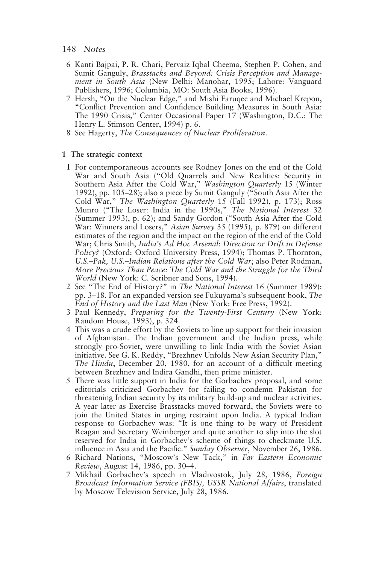- 6 Kanti Bajpai, P. R. Chari, Pervaiz Iqbal Cheema, Stephen P. Cohen, and Sumit Ganguly, *Brasstacks and Beyond: Crisis Perception and Management in South Asia* (New Delhi: Manohar, 1995; Lahore: Vanguard Publishers, 1996; Columbia, MO: South Asia Books, 1996).
- 7 Hersh, "On the Nuclear Edge," and Mishi Faruqee and Michael Krepon, "Conflict Prevention and Confidence Building Measures in South Asia: The 1990 Crisis," Center Occasional Paper 17 (Washington, D.C.: The Henry L. Stimson Center, 1994) p. 6.
- 8 See Hagerty, *The Consequences of Nuclear Proliferation*.

### **1 The strategic context**

- 1 For contemporaneous accounts see Rodney Jones on the end of the Cold War and South Asia ("Old Quarrels and New Realities: Security in Southern Asia After the Cold War," *Washington Quarterly* 15 (Winter 1992), pp. 105–28); also a piece by Sumit Ganguly ("South Asia After the Cold War," *The Washington Quarterly* 15 (Fall 1992), p. 173); Ross Munro ("The Loser: India in the 1990s," *The National Interest* 32 (Summer 1993), p. 62); and Sandy Gordon ("South Asia After the Cold War: Winners and Losers," *Asian Survey* 35 (1995), p. 879) on different estimates of the region and the impact on the region of the end of the Cold War; Chris Smith, *India's Ad Hoc Arsenal: Direction or Drift in Defense Policy?* (Oxford: Oxford University Press, 1994); Thomas P. Thornton, *U.S.–Pak, U.S.–Indian Relations after the Cold War*; also Peter Rodman, *More Precious Than Peace: The Cold War and the Struggle for the Third World* (New York: C. Scribner and Sons, 1994).
- 2 See "The End of History?" in *The National Interest* 16 (Summer 1989): pp. 3–18. For an expanded version see Fukuyama's subsequent book, *The End of History and the Last Man* (New York: Free Press, 1992).
- 3 Paul Kennedy, *Preparing for the Twenty-First Century* (New York: Random House, 1993), p. 324.
- 4 This was a crude effort by the Soviets to line up support for their invasion of Afghanistan. The Indian government and the Indian press, while strongly pro-Soviet, were unwilling to link India with the Soviet Asian initiative. See G. K. Reddy, "Brezhnev Unfolds New Asian Security Plan," *The Hindu*, December 20, 1980, for an account of a difficult meeting between Brezhnev and Indira Gandhi, then prime minister.
- 5 There was little support in India for the Gorbachev proposal, and some editorials criticized Gorbachev for failing to condemn Pakistan for threatening Indian security by its military build-up and nuclear activities. A year later as Exercise Brasstacks moved forward, the Soviets were to join the United States in urging restraint upon India. A typical Indian response to Gorbachev was: "It is one thing to be wary of President Reagan and Secretary Weinberger and quite another to slip into the slot reserved for India in Gorbachev's scheme of things to checkmate U.S. influence in Asia and the Pacific." *Sunday Observer*, November 26, 1986.
- 6 Richard Nations, "Moscow's New Tack," in *Far Eastern Economic Review*, August 14, 1986, pp. 30–4.
- 7 Mikhail Gorbachev's speech in Vladivostok, July 28, 1986, *Foreign Broadcast Information Service (FBIS), USSR National Affairs*, translated by Moscow Television Service, July 28, 1986.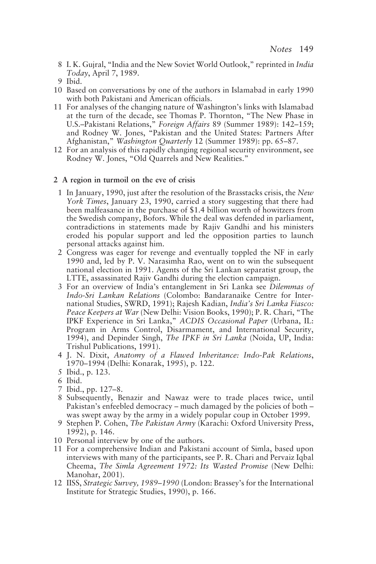- 8 I. K. Gujral, "India and the New Soviet World Outlook," reprinted in *India Today*, April 7, 1989.
- 9 Ibid.
- 10 Based on conversations by one of the authors in Islamabad in early 1990 with both Pakistani and American officials.
- 11 For analyses of the changing nature of Washington's links with Islamabad at the turn of the decade, see Thomas P. Thornton, "The New Phase in U.S.–Pakistani Relations," *Foreign Affairs* 89 (Summer 1989): 142–159; and Rodney W. Jones, "Pakistan and the United States: Partners After Afghanistan," *Washington Quarterly* 12 (Summer 1989): pp. 65–87.
- 12 For an analysis of this rapidly changing regional security environment, see Rodney W. Jones, "Old Quarrels and New Realities."

#### **2 A region in turmoil on the eve of crisis**

- 1 In January, 1990, just after the resolution of the Brasstacks crisis, the *New York Times*, January 23, 1990, carried a story suggesting that there had been malfeasance in the purchase of \$1.4 billion worth of howitzers from the Swedish company, Bofors. While the deal was defended in parliament, contradictions in statements made by Rajiv Gandhi and his ministers eroded his popular support and led the opposition parties to launch personal attacks against him.
- 2 Congress was eager for revenge and eventually toppled the NF in early 1990 and, led by P. V. Narasimha Rao, went on to win the subsequent national election in 1991. Agents of the Sri Lankan separatist group, the LTTE, assassinated Rajiv Gandhi during the election campaign.
- 3 For an overview of India's entanglement in Sri Lanka see *Dilemmas of Indo-Sri Lankan Relations* (Colombo: Bandaranaike Centre for International Studies, SWRD, 1991); Rajesh Kadian, *India's Sri Lanka Fiasco: Peace Keepers at War* (New Delhi: Vision Books, 1990); P. R. Chari, "The IPKF Experience in Sri Lanka," *ACDIS Occasional Paper* (Urbana, IL: Program in Arms Control, Disarmament, and International Security, 1994), and Depinder Singh, *The IPKF in Sri Lanka* (Noida, UP, India: Trishul Publications, 1991).
- 4 J. N. Dixit, *Anatomy of a Flawed Inheritance: Indo-Pak Relations*, 1970–1994 (Delhi: Konarak, 1995), p. 122.
- 5 Ibid., p. 123.
- 6 Ibid.
- 7 Ibid., pp. 127–8.
- 8 Subsequently, Benazir and Nawaz were to trade places twice, until Pakistan's enfeebled democracy – much damaged by the policies of both – was swept away by the army in a widely popular coup in October 1999.
- 9 Stephen P. Cohen, *The Pakistan Army* (Karachi: Oxford University Press, 1992), p. 146.
- 10 Personal interview by one of the authors.
- 11 For a comprehensive Indian and Pakistani account of Simla, based upon interviews with many of the participants, see P. R. Chari and Pervaiz Iqbal Cheema, *The Simla Agreement 1972: Its Wasted Promise* (New Delhi: Manohar, 2001).
- 12 IISS, *Strategic Survey, 1989–1990* (London: Brassey's for the International Institute for Strategic Studies, 1990), p. 166.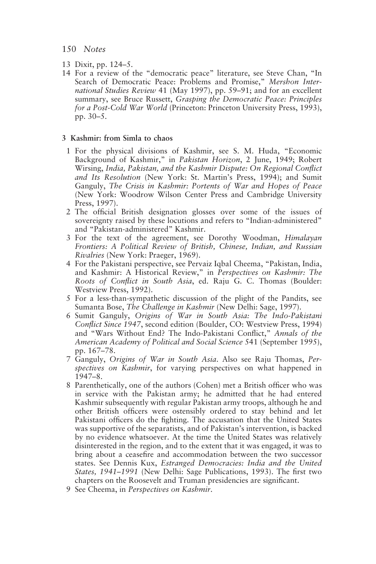- 13 Dixit, pp. 124–5.
- 14 For a review of the "democratic peace" literature, see Steve Chan, "In Search of Democratic Peace: Problems and Promise," *Mershon International Studies Review* 41 (May 1997), pp. 59–91; and for an excellent summary, see Bruce Russett, *Grasping the Democratic Peace: Principles for a Post-Cold War World* (Princeton: Princeton University Press, 1993), pp. 30–5.

#### **3 Kashmir: from Simla to chaos**

- 1 For the physical divisions of Kashmir, see S. M. Huda, "Economic Background of Kashmir," in *Pakistan Horizon*, 2 June, 1949; Robert Wirsing, *India, Pakistan, and the Kashmir Dispute: On Regional Conflict and Its Resolution* (New York: St. Martin's Press, 1994); and Sumit Ganguly, *The Crisis in Kashmir: Portents of War and Hopes of Peace* (New York: Woodrow Wilson Center Press and Cambridge University Press, 1997).
- 2 The official British designation glosses over some of the issues of sovereignty raised by these locutions and refers to "Indian-administered" and "Pakistan-administered" Kashmir.
- 3 For the text of the agreement, see Dorothy Woodman, *Himalayan Frontiers: A Political Review of British, Chinese, Indian, and Russian Rivalries* (New York: Praeger, 1969).
- 4 For the Pakistani perspective, see Pervaiz Iqbal Cheema, "Pakistan, India, and Kashmir: A Historical Review," in *Perspectives on Kashmir: The Roots of Conflict in South Asia*, ed. Raju G. C. Thomas (Boulder: Westview Press, 1992).
- 5 For a less-than-sympathetic discussion of the plight of the Pandits, see Sumanta Bose, *The Challenge in Kashmir* (New Delhi: Sage, 1997).
- 6 Sumit Ganguly, *Origins of War in South Asia: The Indo-Pakistani Conflict Since 1947*, second edition (Boulder, CO: Westview Press, 1994) and "Wars Without End? The Indo-Pakistani Conflict," *Annals of the American Academy of Political and Social Science* 541 (September 1995), pp. 167–78.
- 7 Ganguly, *Origins of War in South Asia*. Also see Raju Thomas, *Perspectives on Kashmir*, for varying perspectives on what happened in 1947–8.
- 8 Parenthetically, one of the authors (Cohen) met a British officer who was in service with the Pakistan army; he admitted that he had entered Kashmir subsequently with regular Pakistan army troops, although he and other British officers were ostensibly ordered to stay behind and let Pakistani officers do the fighting. The accusation that the United States was supportive of the separatists, and of Pakistan's intervention, is backed by no evidence whatsoever. At the time the United States was relatively disinterested in the region, and to the extent that it was engaged, it was to bring about a ceasefire and accommodation between the two successor states. See Dennis Kux, *Estranged Democracies: India and the United States, 1941–1991* (New Delhi: Sage Publications, 1993). The first two chapters on the Roosevelt and Truman presidencies are significant.
- 9 See Cheema, in *Perspectives on Kashmir*.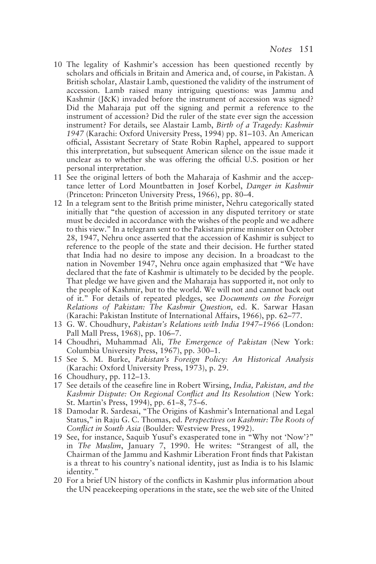- 10 The legality of Kashmir's accession has been questioned recently by scholars and officials in Britain and America and, of course, in Pakistan. A British scholar, Alastair Lamb, questioned the validity of the instrument of accession. Lamb raised many intriguing questions: was Jammu and Kashmir (J&K) invaded before the instrument of accession was signed? Did the Maharaja put off the signing and permit a reference to the instrument of accession? Did the ruler of the state ever sign the accession instrument? For details, see Alastair Lamb, *Birth of a Tragedy: Kashmir 1947* (Karachi: Oxford University Press, 1994) pp. 81–103. An American official, Assistant Secretary of State Robin Raphel, appeared to support this interpretation, but subsequent American silence on the issue made it unclear as to whether she was offering the official U.S. position or her personal interpretation.
- 11 See the original letters of both the Maharaja of Kashmir and the acceptance letter of Lord Mountbatten in Josef Korbel, *Danger in Kashmir* (Princeton: Princeton University Press, 1966), pp. 80–4.
- 12 In a telegram sent to the British prime minister, Nehru categorically stated initially that "the question of accession in any disputed territory or state must be decided in accordance with the wishes of the people and we adhere to this view." In a telegram sent to the Pakistani prime minister on October 28, 1947, Nehru once asserted that the accession of Kashmir is subject to reference to the people of the state and their decision. He further stated that India had no desire to impose any decision. In a broadcast to the nation in November 1947, Nehru once again emphasized that "We have declared that the fate of Kashmir is ultimately to be decided by the people. That pledge we have given and the Maharaja has supported it, not only to the people of Kashmir, but to the world. We will not and cannot back out of it." For details of repeated pledges, see *Documents on the Foreign Relations of Pakistan: The Kashmir Question*, ed. K. Sarwar Hasan (Karachi: Pakistan Institute of International Affairs, 1966), pp. 62–77.
- 13 G. W. Choudhury, *Pakistan's Relations with India 1947–1966* (London: Pall Mall Press, 1968), pp. 106–7.
- 14 Choudhri, Muhammad Ali, *The Emergence of Pakistan* (New York: Columbia University Press, 1967), pp. 300–1.
- 15 See S. M. Burke, *Pakistan's Foreign Policy: An Historical Analysis* (Karachi: Oxford University Press, 1973), p. 29.
- 16 Choudhury, pp. 112–13.
- 17 See details of the ceasefire line in Robert Wirsing, *India, Pakistan, and the Kashmir Dispute: On Regional Conflict and Its Resolution* (New York: St. Martin's Press, 1994), pp. 61–8, 75–6.
- 18 Damodar R. Sardesai, "The Origins of Kashmir's International and Legal Status," in Raju G. C. Thomas, ed. *Perspectives on Kashmir: The Roots of Conflict in South Asia* (Boulder: Westview Press, 1992).
- 19 See, for instance, Saquib Yusuf's exasperated tone in "Why not 'Now'?" in *The Muslim*, January 7, 1990. He writes: "Strangest of all, the Chairman of the Jammu and Kashmir Liberation Front finds that Pakistan is a threat to his country's national identity, just as India is to his Islamic identity."
- 20 For a brief UN history of the conflicts in Kashmir plus information about the UN peacekeeping operations in the state, see the web site of the United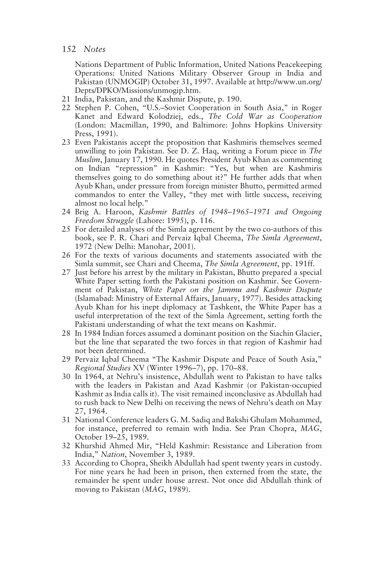Nations Department of Public Information, United Nations Peacekeeping Operations: United Nations Military Observer Group in India and Pakistan (UNMOGIP) October 31, 1997. Available at http://www.un.org/ Depts/DPKO/Missions/unmogip.htm.

- 21 India, Pakistan, and the Kashmir Dispute, p. 190.
- 22 Stephen P. Cohen, "U.S.–Soviet Cooperation in South Asia," in Roger Kanet and Edward Kolodziej, eds., *The Cold War as Cooperation* (London: Macmillan, 1990, and Baltimore: Johns Hopkins University Press, 1991).
- 23 Even Pakistanis accept the proposition that Kashmiris themselves seemed unwilling to join Pakistan. See D. Z. Haq, writing a Forum piece in *The Muslim*, January 17, 1990. He quotes President Ayub Khan as commenting on Indian "repression" in Kashmir: "Yes, but when are Kashmiris themselves going to do something about it?" He further adds that when Ayub Khan, under pressure from foreign minister Bhutto, permitted armed commandos to enter the Valley, "they met with little success, receiving almost no local help."
- 24 Brig A. Haroon, *Kashmir Battles of 1948–1965–1971 and Ongoing Freedom Struggle* (Lahore: 1995), p. 116.
- 25 For detailed analyses of the Simla agreement by the two co-authors of this book, see P. R. Chari and Pervaiz Iqbal Cheema, *The Simla Agreement*, 1972 (New Delhi: Manohar, 2001).
- 26 For the texts of various documents and statements associated with the Simla summit, see Chari and Cheema, *The Simla Agreement*, pp. 191ff.
- 27 Just before his arrest by the military in Pakistan, Bhutto prepared a special White Paper setting forth the Pakistani position on Kashmir. See Government of Pakistan, *White Paper on the Jammu and Kashmir Dispute* (Islamabad: Ministry of External Affairs, January, 1977). Besides attacking Ayub Khan for his inept diplomacy at Tashkent, the White Paper has a useful interpretation of the text of the Simla Agreement, setting forth the Pakistani understanding of what the text means on Kashmir.
- 28 In 1984 Indian forces assumed a dominant position on the Siachin Glacier, but the line that separated the two forces in that region of Kashmir had not been determined.
- 29 Pervaiz Iqbal Cheema "The Kashmir Dispute and Peace of South Asia," *Regional Studies* XV (Winter 1996–7), pp. 170–88.
- 30 In 1964, at Nehru's insistence, Abdullah went to Pakistan to have talks with the leaders in Pakistan and Azad Kashmir (or Pakistan-occupied Kashmir as India calls it). The visit remained inconclusive as Abdullah had to rush back to New Delhi on receiving the news of Nehru's death on May 27, 1964.
- 31 National Conference leaders G. M. Sadiq and Bakshi Ghulam Mohammed, for instance, preferred to remain with India. See Pran Chopra, *MAG*, October 19–25, 1989.
- 32 Khurshid Ahmed Mir, "Held Kashmir: Resistance and Liberation from India," *Nation*, November 3, 1989.
- 33 According to Chopra, Sheikh Abdullah had spent twenty years in custody. For nine years he had been in prison, then externed from the state, the remainder he spent under house arrest. Not once did Abdullah think of moving to Pakistan (*MAG*, 1989).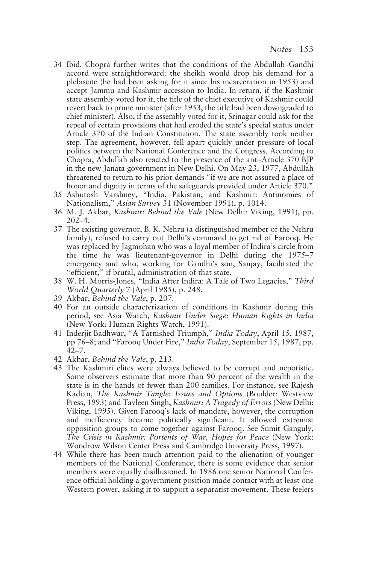- 34 Ibid. Chopra further writes that the conditions of the Abdullah–Gandhi accord were straightforward: the sheikh would drop his demand for a plebiscite (he had been asking for it since his incarceration in 1953) and accept Jammu and Kashmir accession to India. In return, if the Kashmir state assembly voted for it, the title of the chief executive of Kashmir could revert back to prime minister (after 1953, the title had been downgraded to chief minister). Also, if the assembly voted for it, Srinagar could ask for the repeal of certain provisions that had eroded the state's special status under Article 370 of the Indian Constitution. The state assembly took neither step. The agreement, however, fell apart quickly under pressure of local politics between the National Conference and the Congress. According to Chopra, Abdullah also reacted to the presence of the anti-Article 370 BJP in the new Janata government in New Delhi. On May 23, 1977, Abdullah threatened to return to his prior demands "if we are not assured a place of honor and dignity in terms of the safeguards provided under Article 370."
- 35 Ashutosh Varshney, "India, Pakistan, and Kashmir: Antinomies of Nationalism," *Asian Survey* 31 (November 1991), p. 1014.
- 36 M. J. Akbar, *Kashmir: Behind the Vale* (New Delhi: Viking, 1991), pp. 202–4.
- 37 The existing governor, B. K. Nehru (a distinguished member of the Nehru family), refused to carry out Delhi's command to get rid of Farooq. He was replaced by Jagmohan who was a loyal member of Indira's circle from the time he was lieutenant-governor in Delhi during the 1975–7 emergency and who, working for Gandhi's son, Sanjay, facilitated the "efficient," if brutal, administration of that state.
- 38 W. H. Morris-Jones, "India After Indira: A Tale of Two Legacies," *Third World Quarterly* 7 (April 1985), p. 248.
- 39 Akbar, *Behind the Vale*, p. 207.
- 40 For an outside characterization of conditions in Kashmir during this period, see Asia Watch, *Kashmir Under Siege: Human Rights in India* (New York: Human Rights Watch, 1991).
- 41 Inderjit Badhwar, "A Tarnished Triumph," *India Today*, April 15, 1987, pp 76–8; and "Farooq Under Fire," *India Today*, September 15, 1987, pp. 42–7.
- 42 Akbar, *Behind the Vale*, p. 213.
- 43 The Kashmiri elites were always believed to be corrupt and nepotistic. Some observers estimate that more than 90 percent of the wealth in the state is in the hands of fewer than 200 families. For instance, see Rajesh Kadian, *The Kashmir Tangle: Issues and Options* (Boulder: Westview Press, 1993) and Tavleen Singh, *Kashmir: A Tragedy of Errors* (New Delhi: Viking, 1995). Given Farooq's lack of mandate, however, the corruption and inefficiency became politically significant. It allowed extremist opposition groups to come together against Farooq. See Sumit Ganguly, *The Crisis in Kashmir: Portents of War, Hopes for Peace* (New York: Woodrow Wilson Center Press and Cambridge University Press, 1997).
- 44 While there has been much attention paid to the alienation of younger members of the National Conference, there is some evidence that senior members were equally disillusioned. In 1986 one senior National Conference official holding a government position made contact with at least one Western power, asking it to support a separatist movement. These feelers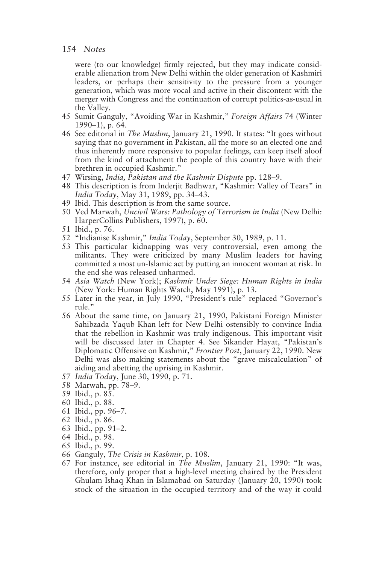were (to our knowledge) firmly rejected, but they may indicate considerable alienation from New Delhi within the older generation of Kashmiri leaders, or perhaps their sensitivity to the pressure from a younger generation, which was more vocal and active in their discontent with the merger with Congress and the continuation of corrupt politics-as-usual in the Valley.

- 45 Sumit Ganguly, "Avoiding War in Kashmir," *Foreign Affairs* 74 (Winter 1990–1), p. 64.
- 46 See editorial in *The Muslim*, January 21, 1990. It states: "It goes without saying that no government in Pakistan, all the more so an elected one and thus inherently more responsive to popular feelings, can keep itself aloof from the kind of attachment the people of this country have with their brethren in occupied Kashmir."
- 47 Wirsing, *India, Pakistan and the Kashmir Dispute* pp. 128–9.
- 48 This description is from Inderjit Badhwar, "Kashmir: Valley of Tears" in *India Today*, May 31, 1989, pp. 34–43.
- 49 Ibid. This description is from the same source.
- 50 Ved Marwah, *Uncivil Wars: Pathology of Terrorism in India* (New Delhi: HarperCollins Publishers, 1997), p. 60.
- 51 Ibid., p. 76.
- 52 "Indianise Kashmir," *India Today*, September 30, 1989, p. 11.
- 53 This particular kidnapping was very controversial, even among the militants. They were criticized by many Muslim leaders for having committed a most un-Islamic act by putting an innocent woman at risk. In the end she was released unharmed.
- 54 *Asia Watch* (New York); *Kashmir Under Siege: Human Rights in India* (New York: Human Rights Watch, May 1991), p. 13.
- 55 Later in the year, in July 1990, "President's rule" replaced "Governor's rule."
- 56 About the same time, on January 21, 1990, Pakistani Foreign Minister Sahibzada Yaqub Khan left for New Delhi ostensibly to convince India that the rebellion in Kashmir was truly indigenous. This important visit will be discussed later in Chapter 4. See Sikander Hayat, "Pakistan's Diplomatic Offensive on Kashmir," *Frontier Post*, January 22, 1990. New Delhi was also making statements about the "grave miscalculation" of aiding and abetting the uprising in Kashmir.
- 57 *India Today*, June 30, 1990, p. 71.
- 58 Marwah, pp. 78–9.
- 59 Ibid., p. 85.
- 60 Ibid., p. 88.
- 61 Ibid., pp. 96–7.
- 62 Ibid., p. 86.
- 63 Ibid., pp. 91–2.
- 64 Ibid., p. 98.
- 65 Ibid., p. 99.
- 66 Ganguly, *The Crisis in Kashmir*, p. 108.
- 67 For instance, see editorial in *The Muslim*, January 21, 1990: "It was, therefore, only proper that a high-level meeting chaired by the President Ghulam Ishaq Khan in Islamabad on Saturday (January 20, 1990) took stock of the situation in the occupied territory and of the way it could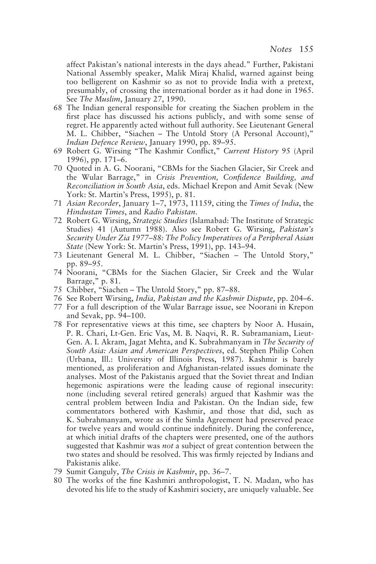affect Pakistan's national interests in the days ahead." Further, Pakistani National Assembly speaker, Malik Miraj Khalid, warned against being too belligerent on Kashmir so as not to provide India with a pretext, presumably, of crossing the international border as it had done in 1965. See *The Muslim*, January 27, 1990.

- 68 The Indian general responsible for creating the Siachen problem in the first place has discussed his actions publicly, and with some sense of regret. He apparently acted without full authority. See Lieutenant General M. L. Chibber, "Siachen – The Untold Story (A Personal Account)," *Indian Defence Review*, January 1990, pp. 89–95.
- 69 Robert G. Wirsing "The Kashmir Conflict," *Current History* 95 (April 1996), pp. 171–6.
- 70 Quoted in A. G. Noorani, "CBMs for the Siachen Glacier, Sir Creek and the Wular Barrage," in *Crisis Prevention, Confidence Building, and Reconciliation in South Asia*, eds. Michael Krepon and Amit Sevak (New York: St. Martin's Press, 1995), p. 81.
- 71 *Asian Recorder*, January 1–7, 1973, 11159, citing the *Times of India*, the *Hindustan Times*, and *Radio Pakistan*.
- 72 Robert G. Wirsing, *Strategic Studies* (Islamabad: The Institute of Strategic Studies) 41 (Autumn 1988). Also see Robert G. Wirsing, *Pakistan's Security Under Zia 1977–88: The Policy Imperatives of a Peripheral Asian State* (New York: St. Martin's Press, 1991), pp. 143–94.
- 73 Lieutenant General M. L. Chibber, "Siachen The Untold Story," pp. 89–95.
- 74 Noorani, "CBMs for the Siachen Glacier, Sir Creek and the Wular Barrage," p. 81.
- 75 Chibber, "Siachen The Untold Story," pp. 87–88.
- 76 See Robert Wirsing, *India, Pakistan and the Kashmir Dispute*, pp. 204–6.
- 77 For a full description of the Wular Barrage issue, see Noorani in Krepon and Sevak, pp. 94–100.
- 78 For representative views at this time, see chapters by Noor A. Husain, P. R. Chari, Lt-Gen. Eric Vas, M. B. Naqvi, R. R. Subramaniam, Lieut-Gen. A. I. Akram, Jagat Mehta, and K. Subrahmanyam in *The Security of South Asia: Asian and American Perspectives*, ed. Stephen Philip Cohen (Urbana, Ill.: University of Illinois Press, 1987). Kashmir is barely mentioned, as proliferation and Afghanistan-related issues dominate the analyses. Most of the Pakistanis argued that the Soviet threat and Indian hegemonic aspirations were the leading cause of regional insecurity: none (including several retired generals) argued that Kashmir was the central problem between India and Pakistan. On the Indian side, few commentators bothered with Kashmir, and those that did, such as K. Subrahmanyam, wrote as if the Simla Agreement had preserved peace for twelve years and would continue indefinitely. During the conference, at which initial drafts of the chapters were presented, one of the authors suggested that Kashmir was *not* a subject of great contention between the two states and should be resolved. This was firmly rejected by Indians and Pakistanis alike.
- 79 Sumit Ganguly, *The Crisis in Kashmir*, pp. 36–7.
- 80 The works of the fine Kashmiri anthropologist, T. N. Madan, who has devoted his life to the study of Kashmiri society, are uniquely valuable. See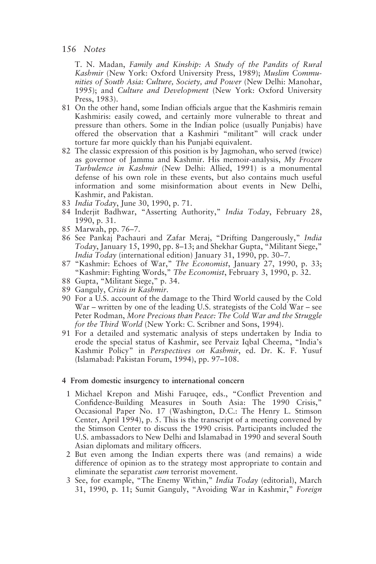T. N. Madan, *Family and Kinship: A Study of the Pandits of Rural Kashmir* (New York: Oxford University Press, 1989); *Muslim Communities of South Asia: Culture, Society, and Power* (New Delhi: Manohar, 1995); and *Culture and Development* (New York: Oxford University Press, 1983).

- 81 On the other hand, some Indian officials argue that the Kashmiris remain Kashmiris: easily cowed, and certainly more vulnerable to threat and pressure than others. Some in the Indian police (usually Punjabis) have offered the observation that a Kashmiri "militant" will crack under torture far more quickly than his Punjabi equivalent.
- 82 The classic expression of this position is by Jagmohan, who served (twice) as governor of Jammu and Kashmir. His memoir-analysis, *My Frozen Turbulence in Kashmir* (New Delhi: Allied, 1991) is a monumental defense of his own role in these events, but also contains much useful information and some misinformation about events in New Delhi, Kashmir, and Pakistan.
- 83 *India Today*, June 30, 1990, p. 71.
- 84 Inderjit Badhwar, "Asserting Authority," *India Today*, February 28, 1990, p. 31.
- 85 Marwah, pp. 76–7.
- 86 See Pankaj Pachauri and Zafar Meraj, "Drifting Dangerously," *India Today*, January 15, 1990, pp. 8–13; and Shekhar Gupta, "Militant Siege," *India Today* (international edition) January 31, 1990, pp. 30–7.
- 87 "Kashmir: Echoes of War," *The Economist*, January 27, 1990, p. 33; "Kashmir: Fighting Words," *The Economist*, February 3, 1990, p. 32.
- 88 Gupta, "Militant Siege," p. 34.
- 89 Ganguly, *Crisis in Kashmir*.
- 90 For a U.S. account of the damage to the Third World caused by the Cold War – written by one of the leading U.S. strategists of the Cold War – see Peter Rodman, *More Precious than Peace: The Cold War and the Struggle for the Third World* (New York: C. Scribner and Sons, 1994).
- 91 For a detailed and systematic analysis of steps undertaken by India to erode the special status of Kashmir, see Pervaiz Iqbal Cheema, "India's Kashmir Policy" in *Perspectives on Kashmir*, ed. Dr. K. F. Yusuf (Islamabad: Pakistan Forum, 1994), pp. 97–108.

### **4 From domestic insurgency to international concern**

- 1 Michael Krepon and Mishi Faruqee, eds., "Conflict Prevention and Confidence-Building Measures in South Asia: The 1990 Crisis," Occasional Paper No. 17 (Washington, D.C.: The Henry L. Stimson Center, April 1994), p. 5. This is the transcript of a meeting convened by the Stimson Center to discuss the 1990 crisis. Participants included the U.S. ambassadors to New Delhi and Islamabad in 1990 and several South Asian diplomats and military officers.
- 2 But even among the Indian experts there was (and remains) a wide difference of opinion as to the strategy most appropriate to contain and eliminate the separatist *cum* terrorist movement.
- 3 See, for example, "The Enemy Within," *India Today* (editorial), March 31, 1990, p. 11; Sumit Ganguly, "Avoiding War in Kashmir," *Foreign*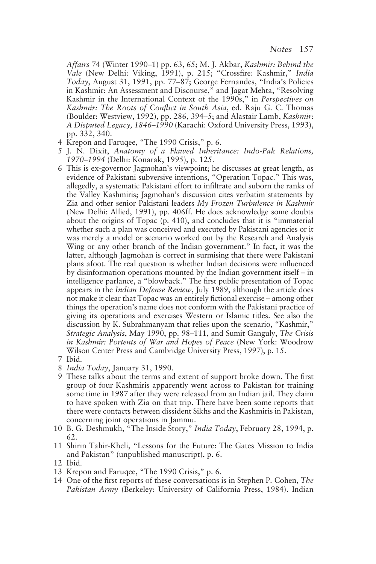*Affairs* 74 (Winter 1990–1) pp. 63, 65; M. J. Akbar, *Kashmir: Behind the Vale* (New Delhi: Viking, 1991), p. 215; "Crossfire: Kashmir," *India Today*, August 31, 1991, pp. 77–87; George Fernandes, "India's Policies in Kashmir: An Assessment and Discourse," and Jagat Mehta, "Resolving Kashmir in the International Context of the 1990s," in *Perspectives on Kashmir: The Roots of Conflict in South Asia*, ed. Raju G. C. Thomas (Boulder: Westview, 1992), pp. 286, 394–5; and Alastair Lamb, *Kashmir: A Disputed Legacy, 1846–1990* (Karachi: Oxford University Press, 1993), pp. 332, 340.

- 4 Krepon and Faruqee, "The 1990 Crisis," p. 6.
- 5 J. N. Dixit, *Anatomy of a Flawed Inheritance: Indo-Pak Relations, 1970–1994* (Delhi: Konarak, 1995), p. 125.
- 6 This is ex-governor Jagmohan's viewpoint; he discusses at great length, as evidence of Pakistani subversive intentions, "Operation Topac." This was, allegedly, a systematic Pakistani effort to infiltrate and suborn the ranks of the Valley Kashmiris; Jagmohan's discussion cites verbatim statements by Zia and other senior Pakistani leaders *My Frozen Turbulence in Kashmir* (New Delhi: Allied, 1991), pp. 406ff. He does acknowledge some doubts about the origins of Topac (p. 410), and concludes that it is "immaterial whether such a plan was conceived and executed by Pakistani agencies or it was merely a model or scenario worked out by the Research and Analysis Wing or any other branch of the Indian government." In fact, it was the latter, although Jagmohan is correct in surmising that there were Pakistani plans afoot. The real question is whether Indian decisions were influenced by disinformation operations mounted by the Indian government itself – in intelligence parlance, a "blowback." The first public presentation of Topac appears in the *Indian Defense Review*, July 1989, although the article does not make it clear that Topac was an entirely fictional exercise – among other things the operation's name does not conform with the Pakistani practice of giving its operations and exercises Western or Islamic titles. See also the discussion by K. Subrahmanyam that relies upon the scenario, "Kashmir," *Strategic Analysis*, May 1990, pp. 98–111, and Sumit Ganguly, *The Crisis in Kashmir: Portents of War and Hopes of Peace* (New York: Woodrow Wilson Center Press and Cambridge University Press, 1997), p. 15.
- 7 Ibid.
- 8 *India Today*, January 31, 1990.
- 9 These talks about the terms and extent of support broke down. The first group of four Kashmiris apparently went across to Pakistan for training some time in 1987 after they were released from an Indian jail. They claim to have spoken with Zia on that trip. There have been some reports that there were contacts between dissident Sikhs and the Kashmiris in Pakistan, concerning joint operations in Jammu.
- 10 B. G. Deshmukh, "The Inside Story," *India Today*, February 28, 1994, p. 62.
- 11 Shirin Tahir-Kheli, "Lessons for the Future: The Gates Mission to India and Pakistan" (unpublished manuscript), p. 6.

- 13 Krepon and Faruqee, "The 1990 Crisis," p. 6.
- 14 One of the first reports of these conversations is in Stephen P. Cohen, *The Pakistan Army* (Berkeley: University of California Press, 1984). Indian

<sup>12</sup> Ibid.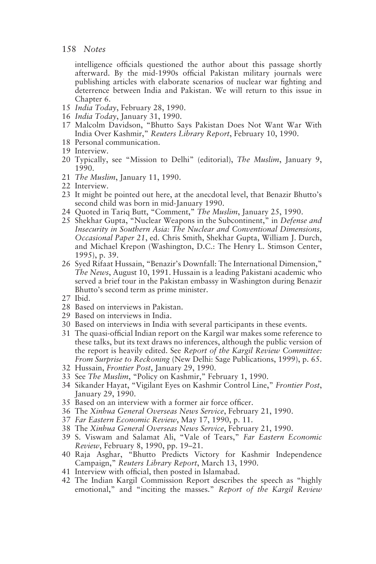intelligence officials questioned the author about this passage shortly afterward. By the mid-1990s official Pakistan military journals were publishing articles with elaborate scenarios of nuclear war fighting and deterrence between India and Pakistan. We will return to this issue in Chapter 6.

- 15 *India Today*, February 28, 1990.
- 16 *India Today*, January 31, 1990.
- 17 Malcolm Davidson, "Bhutto Says Pakistan Does Not Want War With India Over Kashmir," *Reuters Library Report*, February 10, 1990.
- 18 Personal communication.
- 19 Interview.
- 20 Typically, see "Mission to Delhi" (editorial), *The Muslim*, January 9, 1990.
- 21 *The Muslim*, January 11, 1990.
- 22 Interview.
- 23 It might be pointed out here, at the anecdotal level, that Benazir Bhutto's second child was born in mid-January 1990.
- 24 Quoted in Tariq Butt, "Comment," *The Muslim*, January 25, 1990.
- 25 Shekhar Gupta, "Nuclear Weapons in the Subcontinent," in *Defense and Insecurity in Southern Asia: The Nuclear and Conventional Dimensions, Occasional Paper 21*, ed. Chris Smith, Shekhar Gupta, William J. Durch, and Michael Krepon (Washington, D.C.: The Henry L. Stimson Center, 1995), p. 39.
- 26 Syed Rifaat Hussain, "Benazir's Downfall: The International Dimension," *The News*, August 10, 1991. Hussain is a leading Pakistani academic who served a brief tour in the Pakistan embassy in Washington during Benazir Bhutto's second term as prime minister.
- 27 Ibid.
- 28 Based on interviews in Pakistan.
- 29 Based on interviews in India.
- 30 Based on interviews in India with several participants in these events.
- 31 The quasi-official Indian report on the Kargil war makes some reference to these talks, but its text draws no inferences, although the public version of the report is heavily edited. See *Report of the Kargil Review Committee: From Surprise to Reckoning* (New Delhi: Sage Publications, 1999), p. 65.
- 32 Hussain, *Frontier Post*, January 29, 1990.
- 33 See *The Muslim*, "Policy on Kashmir," February 1, 1990.
- 34 Sikander Hayat, "Vigilant Eyes on Kashmir Control Line," *Frontier Post*, January 29, 1990.
- 35 Based on an interview with a former air force officer.
- 36 The *Xinhua General Overseas News Service*, February 21, 1990.
- 37 *Far Eastern Economic Review*, May 17, 1990, p. 11.
- 38 The *Xinhua General Overseas News Service*, February 21, 1990.
- 39 S. Viswam and Salamat Ali, "Vale of Tears," *Far Eastern Economic Review*, February 8, 1990, pp. 19–21.
- 40 Raja Asghar, "Bhutto Predicts Victory for Kashmir Independence Campaign," *Reuters Library Report*, March 13, 1990.
- 41 Interview with official, then posted in Islamabad.
- 42 The Indian Kargil Commission Report describes the speech as "highly emotional," and "inciting the masses." *Report of the Kargil Review*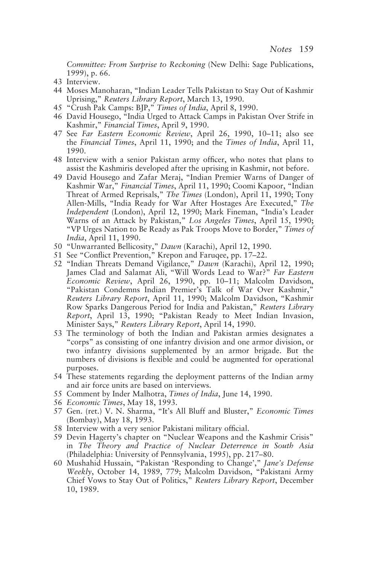*Committee: From Surprise to Reckoning* (New Delhi: Sage Publications, 1999), p. 66.

- 43 Interview.
- 44 Moses Manoharan, "Indian Leader Tells Pakistan to Stay Out of Kashmir Uprising," *Reuters Library Report*, March 13, 1990.
- 45 "Crush Pak Camps: BJP," *Times of India*, April 8, 1990.
- 46 David Housego, "India Urged to Attack Camps in Pakistan Over Strife in Kashmir," *Financial Times*, April 9, 1990.
- 47 See *Far Eastern Economic Review*, April 26, 1990, 10–11; also see the *Financial Times*, April 11, 1990; and the *Times of India*, April 11, 1990.
- 48 Interview with a senior Pakistan army officer, who notes that plans to assist the Kashmiris developed after the uprising in Kashmir, not before.
- 49 David Housego and Zafar Meraj, "Indian Premier Warns of Danger of Kashmir War," *Financial Times*, April 11, 1990; Coomi Kapoor, "Indian Threat of Armed Reprisals," *The Times* (London), April 11, 1990; Tony Allen-Mills, "India Ready for War After Hostages Are Executed," *The Independent* (London), April 12, 1990; Mark Fineman, "India's Leader Warns of an Attack by Pakistan," *Los Angeles Times*, April 15, 1990; "VP Urges Nation to Be Ready as Pak Troops Move to Border," *Times of India*, April 11, 1990.
- 50 "Unwarranted Bellicosity," *Dawn* (Karachi), April 12, 1990.
- 51 See "Conflict Prevention," Krepon and Faruqee, pp. 17–22.
- 52 "Indian Threats Demand Vigilance," *Dawn* (Karachi), April 12, 1990; James Clad and Salamat Ali, "Will Words Lead to War?" *Far Eastern Economic Review*, April 26, 1990, pp. 10–11; Malcolm Davidson, "Pakistan Condemns Indian Premier's Talk of War Over Kashmir," *Reuters Library Report*, April 11, 1990; Malcolm Davidson, "Kashmir Row Sparks Dangerous Period for India and Pakistan," *Reuters Library Report*, April 13, 1990; "Pakistan Ready to Meet Indian Invasion, Minister Says," *Reuters Library Report*, April 14, 1990.
- 53 The terminology of both the Indian and Pakistan armies designates a "corps" as consisting of one infantry division and one armor division, or two infantry divisions supplemented by an armor brigade. But the numbers of divisions is flexible and could be augmented for operational purposes.
- 54 These statements regarding the deployment patterns of the Indian army and air force units are based on interviews.
- 55 Comment by Inder Malhotra, *Times of India*, June 14, 1990.
- 56 *Economic Times*, May 18, 1993.
- 57 Gen. (ret.) V. N. Sharma, "It's All Bluff and Bluster," *Economic Times* (Bombay), May 18, 1993.
- 58 Interview with a very senior Pakistani military official.
- 59 Devin Hagerty's chapter on "Nuclear Weapons and the Kashmir Crisis" in *The Theory and Practice of Nuclear Deterrence in South Asia* (Philadelphia: University of Pennsylvania, 1995), pp. 217–80.
- 60 Mushahid Hussain, "Pakistan 'Responding to Change'," *Jane's Defense Weekly*, October 14, 1989, 779; Malcolm Davidson, "Pakistani Army Chief Vows to Stay Out of Politics," *Reuters Library Report*, December 10, 1989.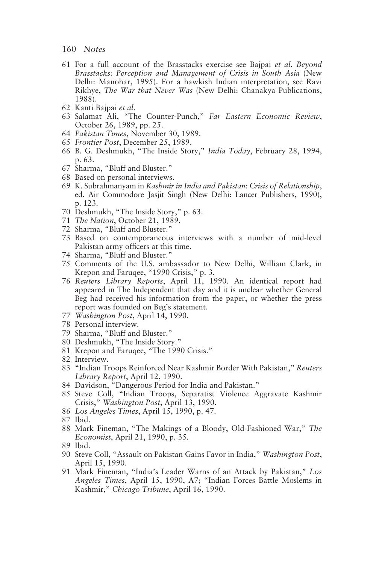- 61 For a full account of the Brasstacks exercise see Bajpai *et al*. *Beyond Brasstacks: Perception and Management of Crisis in South Asia* (New Delhi: Manohar, 1995). For a hawkish Indian interpretation, see Ravi Rikhye, *The War that Never Was* (New Delhi: Chanakya Publications, 1988).
- 62 Kanti Bajpai *et al*.
- 63 Salamat Ali, "The Counter-Punch," *Far Eastern Economic Review*, October 26, 1989, pp. 25.
- 64 *Pakistan Times*, November 30, 1989.
- 65 *Frontier Post*, December 25, 1989.
- 66 B. G. Deshmukh, "The Inside Story," *India Today*, February 28, 1994, p. 63.
- 67 Sharma, "Bluff and Bluster."
- 68 Based on personal interviews.
- 69 K. Subrahmanyam in *Kashmir in India and Pakistan: Crisis of Relationship*, ed. Air Commodore Jasjit Singh (New Delhi: Lancer Publishers, 1990), p. 123.
- 70 Deshmukh, "The Inside Story," p. 63.
- 71 *The Nation*, October 21, 1989.
- 72 Sharma, "Bluff and Bluster."
- 73 Based on contemporaneous interviews with a number of mid-level Pakistan army officers at this time.
- 74 Sharma, "Bluff and Bluster."
- 75 Comments of the U.S. ambassador to New Delhi, William Clark, in Krepon and Faruqee, "1990 Crisis," p. 3.
- 76 *Reuters Library Reports*, April 11, 1990. An identical report had appeared in The Independent that day and it is unclear whether General Beg had received his information from the paper, or whether the press report was founded on Beg's statement.
- 77 *Washington Post*, April 14, 1990.
- 78 Personal interview.
- 79 Sharma, "Bluff and Bluster."
- 80 Deshmukh, "The Inside Story."
- 81 Krepon and Faruqee, "The 1990 Crisis."
- 82 Interview.
- 83 "Indian Troops Reinforced Near Kashmir Border With Pakistan," *Reuters Library Report*, April 12, 1990.
- 84 Davidson, "Dangerous Period for India and Pakistan."
- 85 Steve Coll, "Indian Troops, Separatist Violence Aggravate Kashmir Crisis," *Washington Post*, April 13, 1990.
- 86 *Los Angeles Times*, April 15, 1990, p. 47.
- 87 Ibid.
- 88 Mark Fineman, "The Makings of a Bloody, Old-Fashioned War," *The Economist*, April 21, 1990, p. 35.
- 89 Ibid.
- 90 Steve Coll, "Assault on Pakistan Gains Favor in India," *Washington Post*, April 15, 1990.
- 91 Mark Fineman, "India's Leader Warns of an Attack by Pakistan," *Los Angeles Times*, April 15, 1990, A7; "Indian Forces Battle Moslems in Kashmir," *Chicago Tribune*, April 16, 1990.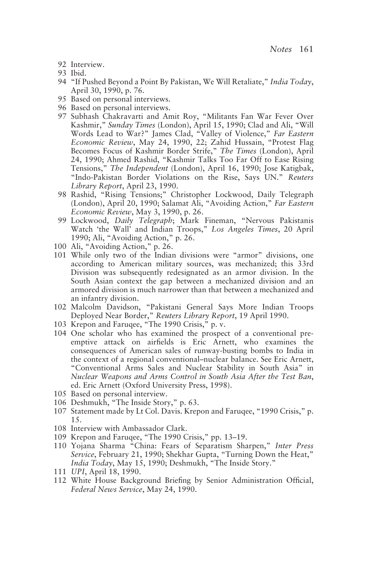- 92 Interview.
- 93 Ibid.
- 94 "If Pushed Beyond a Point By Pakistan, We Will Retaliate," *India Today*, April 30, 1990, p. 76.
- 95 Based on personal interviews.
- 96 Based on personal interviews.
- 97 Subhash Chakravarti and Amit Roy, "Militants Fan War Fever Over Kashmir," *Sunday Times* (London), April 15, 1990; Clad and Ali, "Will Words Lead to War?" James Clad, "Valley of Violence," *Far Eastern Economic Review*, May 24, 1990, 22; Zahid Hussain, "Protest Flag Becomes Focus of Kashmir Border Strife," *The Times* (London), April 24, 1990; Ahmed Rashid, "Kashmir Talks Too Far Off to Ease Rising Tensions," *The Independent* (London), April 16, 1990; Jose Katigbak, "Indo-Pakistan Border Violations on the Rise, Says UN." *Reuters Library Report*, April 23, 1990.
- 98 Rashid, "Rising Tensions;" Christopher Lockwood, Daily Telegraph (London), April 20, 1990; Salamat Ali, "Avoiding Action," *Far Eastern Economic Review*, May 3, 1990, p. 26.
- 99 Lockwood, *Daily Telegraph*; Mark Fineman, "Nervous Pakistanis Watch 'the Wall' and Indian Troops," *Los Angeles Times*, 20 April 1990; Ali, "Avoiding Action," p. 26.
- 100 Ali, "Avoiding Action," p. 26.
- 101 While only two of the Indian divisions were "armor" divisions, one according to American military sources, was mechanized; this 33rd Division was subsequently redesignated as an armor division. In the South Asian context the gap between a mechanized division and an armored division is much narrower than that between a mechanized and an infantry division.
- 102 Malcolm Davidson, "Pakistani General Says More Indian Troops Deployed Near Border," *Reuters Library Report*, 19 April 1990.
- 103 Krepon and Faruqee, "The 1990 Crisis," p. v.
- 104 One scholar who has examined the prospect of a conventional preemptive attack on airfields is Eric Arnett, who examines the consequences of American sales of runway-busting bombs to India in the context of a regional conventional–nuclear balance. See Eric Arnett, "Conventional Arms Sales and Nuclear Stability in South Asia" in *Nuclear Weapons and Arms Control in South Asia After the Test Ban*, ed. Eric Arnett (Oxford University Press, 1998).
- 105 Based on personal interview.
- 106 Deshmukh, "The Inside Story," p. 63.
- 107 Statement made by Lt Col. Davis. Krepon and Faruqee, "1990 Crisis," p. 15.
- 108 Interview with Ambassador Clark.
- 109 Krepon and Faruqee, "The 1990 Crisis," pp. 13–19.
- 110 Yojana Sharma "China: Fears of Separatism Sharpen," *Inter Press Service*, February 21, 1990; Shekhar Gupta, "Turning Down the Heat," *India Today*, May 15, 1990; Deshmukh, "The Inside Story."
- 111 *UPI*, April 18, 1990.
- 112 White House Background Briefing by Senior Administration Official, *Federal News Service*, May 24, 1990.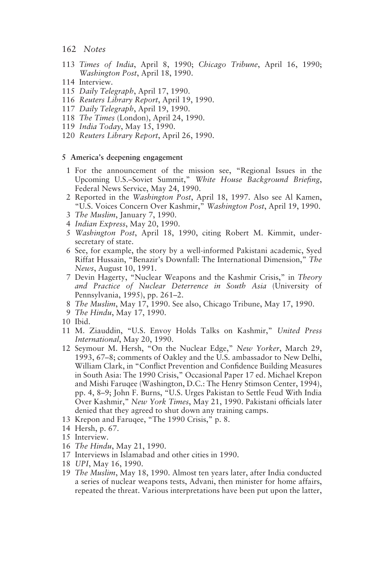- 113 *Times of India*, April 8, 1990; *Chicago Tribune*, April 16, 1990; *Washington Post*, April 18, 1990.
- 114 Interview.
- 115 *Daily Telegraph*, April 17, 1990.
- 116 *Reuters Library Report*, April 19, 1990.
- 117 *Daily Telegraph*, April 19, 1990.
- 118 *The Times* (London), April 24, 1990.
- 119 *India Today*, May 15, 1990.
- 120 *Reuters Library Report*, April 26, 1990.

#### **5 America's deepening engagement**

- 1 For the announcement of the mission see, "Regional Issues in the Upcoming U.S.–Soviet Summit," *White House Background Briefing*, Federal News Service, May 24, 1990.
- 2 Reported in the *Washington Post*, April 18, 1997. Also see Al Kamen, "U.S. Voices Concern Over Kashmir," *Washington Post*, April 19, 1990.
- 3 *The Muslim*, January 7, 1990.
- 4 *Indian Express*, May 20, 1990.
- 5 *Washington Post*, April 18, 1990, citing Robert M. Kimmit, undersecretary of state.
- 6 See, for example, the story by a well-informed Pakistani academic, Syed Riffat Hussain, "Benazir's Downfall: The International Dimension," *The News*, August 10, 1991.
- 7 Devin Hagerty, "Nuclear Weapons and the Kashmir Crisis," in *Theory and Practice of Nuclear Deterrence in South Asia* (University of Pennsylvania, 1995), pp. 261–2.
- 8 *The Muslim*, May 17, 1990. See also, Chicago Tribune, May 17, 1990.
- 9 *The Hindu*, May 17, 1990.
- 10 Ibid.
- 11 M. Ziauddin, "U.S. Envoy Holds Talks on Kashmir," *United Press International*, May 20, 1990.
- 12 Seymour M. Hersh, "On the Nuclear Edge," *New Yorker*, March 29, 1993, 67–8; comments of Oakley and the U.S. ambassador to New Delhi, William Clark, in "Conflict Prevention and Confidence Building Measures in South Asia: The 1990 Crisis," Occasional Paper 17 ed. Michael Krepon and Mishi Faruqee (Washington, D.C.: The Henry Stimson Center, 1994), pp. 4, 8–9; John F. Burns, "U.S. Urges Pakistan to Settle Feud With India Over Kashmir," *New York Times*, May 21, 1990. Pakistani officials later denied that they agreed to shut down any training camps.
- 13 Krepon and Faruqee, "The 1990 Crisis," p. 8.
- 14 Hersh, p. 67.
- 15 Interview.
- 16 *The Hindu*, May 21, 1990.
- 17 Interviews in Islamabad and other cities in 1990.
- 18 *UPI*, May 16, 1990.
- 19 *The Muslim*, May 18, 1990. Almost ten years later, after India conducted a series of nuclear weapons tests, Advani, then minister for home affairs, repeated the threat. Various interpretations have been put upon the latter,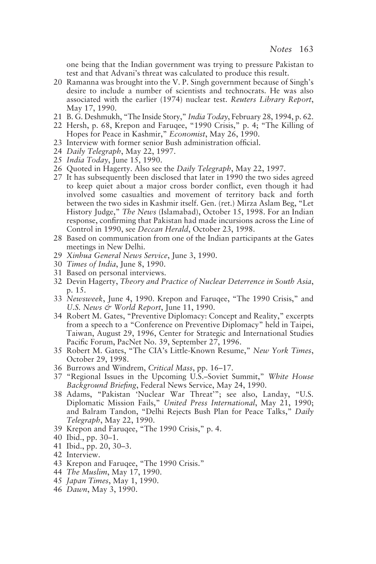one being that the Indian government was trying to pressure Pakistan to test and that Advani's threat was calculated to produce this result.

- 20 Ramanna was brought into the V. P. Singh government because of Singh's desire to include a number of scientists and technocrats. He was also associated with the earlier (1974) nuclear test. *Reuters Library Report*, May 17, 1990.
- 21 B. G. Deshmukh, "The Inside Story," *India Today*, February 28, 1994, p. 62.
- 22 Hersh, p. 68, Krepon and Faruqee, "1990 Crisis," p. 4; "The Killing of Hopes for Peace in Kashmir," *Economist*, May 26, 1990.
- 23 Interview with former senior Bush administration official.
- 24 *Daily Telegraph*, May 22, 1997.
- 25 *India Today*, June 15, 1990.
- 26 Quoted in Hagerty. Also see the *Daily Telegraph*, May 22, 1997.
- 27 It has subsequently been disclosed that later in 1990 the two sides agreed to keep quiet about a major cross border conflict, even though it had involved some casualties and movement of territory back and forth between the two sides in Kashmir itself. Gen. (ret.) Mirza Aslam Beg, "Let History Judge," *The News* (Islamabad), October 15, 1998. For an Indian response, confirming that Pakistan had made incursions across the Line of Control in 1990, see *Deccan Herald*, October 23, 1998.
- 28 Based on communication from one of the Indian participants at the Gates meetings in New Delhi.
- 29 *Xinhua General News Service*, June 3, 1990.
- 30 *Times of India*, June 8, 1990.
- 31 Based on personal interviews.
- 32 Devin Hagerty, *Theory and Practice of Nuclear Deterrence in South Asia*, p. 15.
- 33 *Newsweek*, June 4, 1990. Krepon and Faruqee, "The 1990 Crisis," and *U.S. News & World Report*, June 11, 1990.
- 34 Robert M. Gates, "Preventive Diplomacy: Concept and Reality," excerpts from a speech to a "Conference on Preventive Diplomacy" held in Taipei, Taiwan, August 29, 1996, Center for Strategic and International Studies Pacific Forum, PacNet No. 39, September 27, 1996.
- 35 Robert M. Gates, "The CIA's Little-Known Resume," *New York Times*, October 29, 1998.
- 36 Burrows and Windrem, *Critical Mass*, pp. 16–17.
- 37 "Regional Issues in the Upcoming U.S.–Soviet Summit," *White House Background Briefing*, Federal News Service, May 24, 1990.
- 38 Adams, "Pakistan 'Nuclear War Threat'"; see also, Landay, "U.S. Diplomatic Mission Fails," *United Press International*, May 21, 1990; and Balram Tandon, "Delhi Rejects Bush Plan for Peace Talks," *Daily Telegraph*, May 22, 1990.
- 39 Krepon and Faruqee, "The 1990 Crisis," p. 4.
- 40 Ibid., pp. 30–1.
- 41 Ibid., pp. 20, 30–3.
- 42 Interview.
- 43 Krepon and Faruqee, "The 1990 Crisis."
- 44 *The Muslim*, May 17, 1990.
- 45 *Japan Times*, May 1, 1990.
- 46 *Dawn*, May 3, 1990.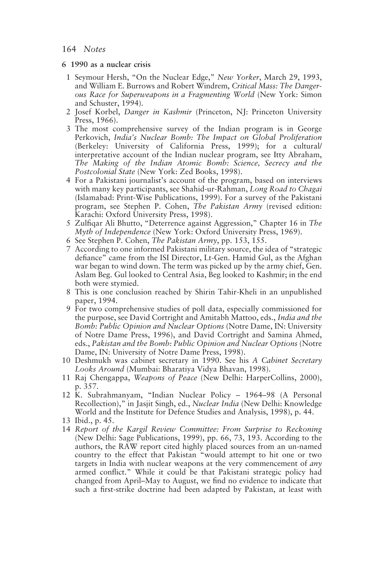#### **6 1990 as a nuclear crisis**

- 1 Seymour Hersh, "On the Nuclear Edge," *New Yorker*, March 29, 1993, and William E. Burrows and Robert Windrem, *Critical Mass: The Dangerous Race for Superweapons in a Fragmenting World* (New York: Simon and Schuster, 1994).
- 2 Josef Korbel, *Danger in Kashmir* (Princeton, NJ: Princeton University Press, 1966).
- 3 The most comprehensive survey of the Indian program is in George Perkovich, *India's Nuclear Bomb: The Impact on Global Proliferation* (Berkeley: University of California Press, 1999); for a cultural/ interpretative account of the Indian nuclear program, see Itty Abraham, *The Making of the Indian Atomic Bomb: Science, Secrecy and the Postcolonial State* (New York: Zed Books, 1998).
- 4 For a Pakistani journalist's account of the program, based on interviews with many key participants, see Shahid-ur-Rahman, *Long Road to Chagai* (Islamabad: Print-Wise Publications, 1999). For a survey of the Pakistani program, see Stephen P. Cohen, *The Pakistan Army* (revised edition: Karachi: Oxford University Press, 1998).
- 5 Zulfiqar Ali Bhutto, "Deterrence against Aggression," Chapter 16 in *The Myth of Independence* (New York: Oxford University Press, 1969).
- 6 See Stephen P. Cohen, *The Pakistan Army*, pp. 153, 155.
- 7 According to one informed Pakistani military source, the idea of "strategic defiance" came from the ISI Director, Lt-Gen. Hamid Gul, as the Afghan war began to wind down. The term was picked up by the army chief, Gen. Aslam Beg. Gul looked to Central Asia, Beg looked to Kashmir; in the end both were stymied.
- 8 This is one conclusion reached by Shirin Tahir-Kheli in an unpublished paper, 1994.
- 9 For two comprehensive studies of poll data, especially commissioned for the purpose, see David Cortright and Amitabh Mattoo, eds., *India and the Bomb: Public Opinion and Nuclear Options* (Notre Dame, IN: University of Notre Dame Press, 1996), and David Cortright and Samina Ahmed, eds., *Pakistan and the Bomb: Public Opinion and Nuclear Options* (Notre Dame, IN: University of Notre Dame Press, 1998).
- 10 Deshmukh was cabinet secretary in 1990. See his *A Cabinet Secretary Looks Around* (Mumbai: Bharatiya Vidya Bhavan, 1998).
- 11 Raj Chengappa, *Weapons of Peace* (New Delhi: HarperCollins, 2000), p. 357.
- 12 K. Subrahmanyam, "Indian Nuclear Policy 1964–98 (A Personal Recollection)," in Jasjit Singh, ed., *Nuclear India* (New Delhi: Knowledge World and the Institute for Defence Studies and Analysis, 1998), p. 44.
- 13 Ibid., p. 45.
- 14 *Report of the Kargil Review Committee: From Surprise to Reckoning* (New Delhi: Sage Publications, 1999), pp. 66, 73, 193. According to the authors, the RAW report cited highly placed sources from an un-named country to the effect that Pakistan "would attempt to hit one or two targets in India with nuclear weapons at the very commencement of *any* armed conflict." While it could be that Pakistani strategic policy had changed from April–May to August, we find no evidence to indicate that such a first-strike doctrine had been adapted by Pakistan, at least with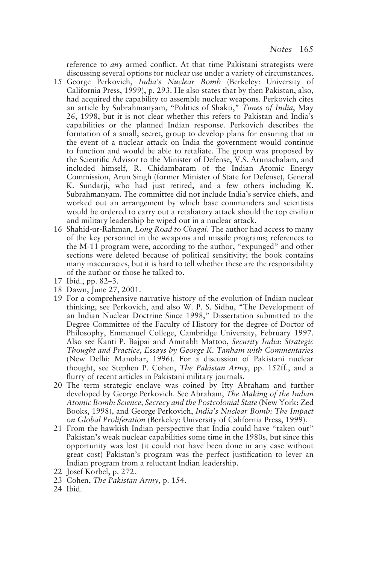reference to *any* armed conflict. At that time Pakistani strategists were discussing several options for nuclear use under a variety of circumstances.

- 15 George Perkovich, *India's Nuclear Bomb* (Berkeley: University of California Press, 1999), p. 293. He also states that by then Pakistan, also, had acquired the capability to assemble nuclear weapons. Perkovich cites an article by Subrahmanyam, "Politics of Shakti," *Times of India*, May 26, 1998, but it is not clear whether this refers to Pakistan and India's capabilities or the planned Indian response. Perkovich describes the formation of a small, secret, group to develop plans for ensuring that in the event of a nuclear attack on India the government would continue to function and would be able to retaliate. The group was proposed by the Scientific Advisor to the Minister of Defense, V.S. Arunachalam, and included himself, R. Chidambaram of the Indian Atomic Energy Commission, Arun Singh (former Minister of State for Defense), General K. Sundarji, who had just retired, and a few others including K. Subrahmanyam. The committee did not include India's service chiefs, and worked out an arrangement by which base commanders and scientists would be ordered to carry out a retaliatory attack should the top civilian and military leadership be wiped out in a nuclear attack.
- 16 Shahid-ur-Rahman, *Long Road to Chagai*. The author had access to many of the key personnel in the weapons and missile programs; references to the M-11 program were, according to the author, "expunged" and other sections were deleted because of political sensitivity; the book contains many inaccuracies, but it is hard to tell whether these are the responsibility of the author or those he talked to.
- 17 Ibid., pp. 82–3.
- 18 Dawn, June 27, 2001.
- 19 For a comprehensive narrative history of the evolution of Indian nuclear thinking, see Perkovich, and also W. P. S. Sidhu, "The Development of an Indian Nuclear Doctrine Since 1998," Dissertation submitted to the Degree Committee of the Faculty of History for the degree of Doctor of Philosophy, Emmanuel College, Cambridge University, February 1997. Also see Kanti P. Bajpai and Amitabh Mattoo, *Security India: Strategic Thought and Practice, Essays by George K. Tanham with Commentaries* (New Delhi: Manohar, 1996). For a discussion of Pakistani nuclear thought, see Stephen P. Cohen, *The Pakistan Army*, pp. 152ff., and a flurry of recent articles in Pakistani military journals.
- 20 The term strategic enclave was coined by Itty Abraham and further developed by George Perkovich. See Abraham, *The Making of the Indian Atomic Bomb: Science, Secrecy and the Postcolonial State* (New York: Zed Books, 1998), and George Perkovich, *India's Nuclear Bomb: The Impact on Global Proliferation* (Berkeley: University of California Press, 1999).
- 21 From the hawkish Indian perspective that India could have "taken out" Pakistan's weak nuclear capabilities some time in the 1980s, but since this opportunity was lost (it could not have been done in any case without great cost) Pakistan's program was the perfect justification to lever an Indian program from a reluctant Indian leadership.
- 22 Josef Korbel, p. 272.
- 23 Cohen, *The Pakistan Army*, p. 154.
- 24 Ibid.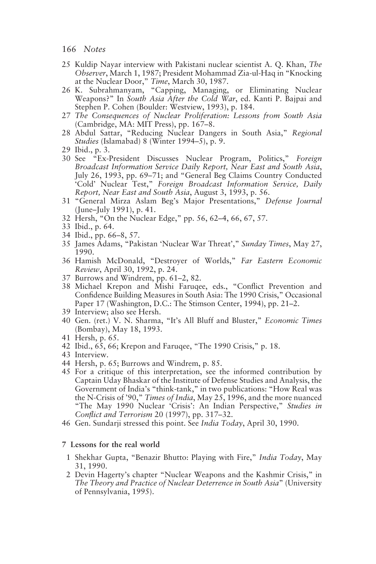- 25 Kuldip Nayar interview with Pakistani nuclear scientist A. Q. Khan, *The Observer*, March 1, 1987; President Mohammad Zia-ul-Haq in "Knocking at the Nuclear Door," *Time*, March 30, 1987.
- 26 K. Subrahmanyam, "Capping, Managing, or Eliminating Nuclear Weapons?" In *South Asia After the Cold War*, ed. Kanti P. Bajpai and Stephen P. Cohen (Boulder: Westview, 1993), p. 184.
- 27 *The Consequences of Nuclear Proliferation: Lessons from South Asia* (Cambridge, MA: MIT Press), pp. 167–8.
- 28 Abdul Sattar, "Reducing Nuclear Dangers in South Asia," *Regional Studies* (Islamabad) 8 (Winter 1994–5), p. 9.
- 29 Ibid., p. 3.
- 30 See "Ex-President Discusses Nuclear Program, Politics," *Foreign Broadcast Information Service Daily Report, Near East and South Asia*, July 26, 1993, pp. 69–71; and "General Beg Claims Country Conducted 'Cold' Nuclear Test," *Foreign Broadcast Information Service, Daily Report, Near East and South Asia*, August 3, 1993, p. 56.
- 31 "General Mirza Aslam Beg's Major Presentations," *Defense Journal* (June–July 1991), p. 41.
- 32 Hersh, "On the Nuclear Edge," pp. 56, 62–4, 66, 67, 57.
- 33 Ibid., p. 64.
- 34 Ibid., pp. 66–8, 57.
- 35 James Adams, "Pakistan 'Nuclear War Threat'," *Sunday Times*, May 27, 1990.
- 36 Hamish McDonald, "Destroyer of Worlds," *Far Eastern Economic Review*, April 30, 1992, p. 24.
- 37 Burrows and Windrem, pp. 61–2, 82.
- 38 Michael Krepon and Mishi Faruqee, eds., "Conflict Prevention and Confidence Building Measures in South Asia: The 1990 Crisis," Occasional Paper 17 (Washington, D.C.: The Stimson Center, 1994), pp. 21–2.
- 39 Interview; also see Hersh.
- 40 Gen. (ret.) V. N. Sharma, "It's All Bluff and Bluster," *Economic Times* (Bombay), May 18, 1993.
- 41 Hersh, p. 65.
- 42 Ibid., 65, 66; Krepon and Faruqee, "The 1990 Crisis," p. 18.
- 43 Interview.
- 44 Hersh, p. 65; Burrows and Windrem, p. 85.
- 45 For a critique of this interpretation, see the informed contribution by Captain Uday Bhaskar of the Institute of Defense Studies and Analysis, the Government of India's "think-tank," in two publications: "How Real was the N-Crisis of '90," *Times of India*, May 25, 1996, and the more nuanced "The May 1990 Nuclear 'Crisis': An Indian Perspective," *Studies in Conflict and Terrorism* 20 (1997), pp. 317–32.
- 46 Gen. Sundarji stressed this point. See *India Today*, April 30, 1990.

#### **7 Lessons for the real world**

- 1 Shekhar Gupta, "Benazir Bhutto: Playing with Fire," *India Today*, May 31, 1990.
- 2 Devin Hagerty's chapter "Nuclear Weapons and the Kashmir Crisis," in *The Theory and Practice of Nuclear Deterrence in South Asia*" (University of Pennsylvania, 1995).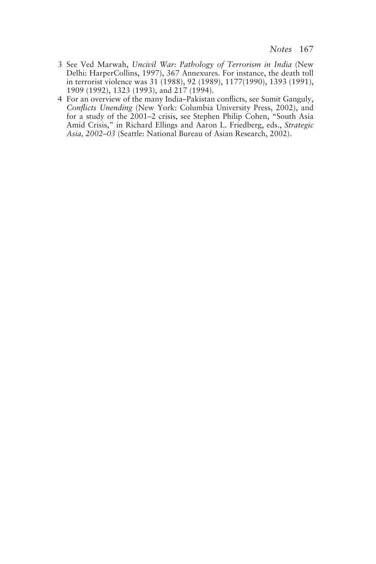- 3 See Ved Marwah, *Uncivil War: Pathology of Terrorism in India* (New Delhi: HarperCollins, 1997), 367 Annexures. For instance, the death toll in terrorist violence was 31 (1988), 92 (1989), 1177(1990), 1393 (1991), 1909 (1992), 1323 (1993), and 217 (1994).
- 4 For an overview of the many India–Pakistan conflicts, see Sumit Ganguly, *Conflicts Unending* (New York: Columbia University Press, 2002), and for a study of the 2001–2 crisis, see Stephen Philip Cohen, "South Asia Amid Crisis," in Richard Ellings and Aaron L. Friedberg, eds., *Strategic Asia, 2002–03* (Seattle: National Bureau of Asian Research, 2002).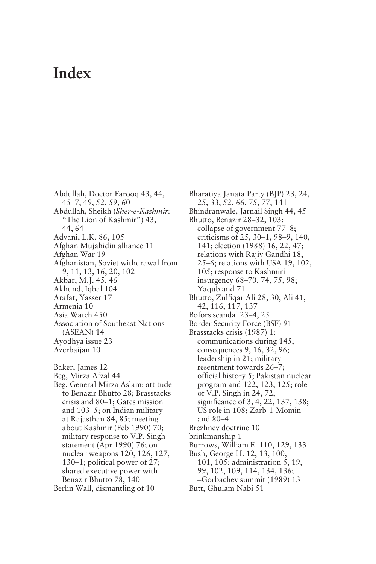# **Index**

Abdullah, Doctor Farooq 43, 44, 45–7, 49, 52, 59, 60 Abdullah, Sheikh (*Sher-e-Kashmir*: "The Lion of Kashmir") 43, 44, 64 Advani, L.K. 86, 105 Afghan Mujahidin alliance 11 Afghan War 19 Afghanistan, Soviet withdrawal from 9, 11, 13, 16, 20, 102 Akbar, M.J. 45, 46 Akhund, Iqbal 104 Arafat, Yasser 17 Armenia 10 Asia Watch 450 Association of Southeast Nations (ASEAN) 14 Ayodhya issue 23 Azerbaijan 10 Baker, James 12 Beg, Mirza Afzal 44 Beg, General Mirza Aslam: attitude

- to Benazir Bhutto 28; Brasstacks crisis and 80–1; Gates mission and 103–5; on Indian military at Rajasthan 84, 85; meeting about Kashmir (Feb 1990) 70; military response to V.P. Singh statement (Apr 1990) 76; on nuclear weapons 120, 126, 127, 130–1; political power of 27; shared executive power with Benazir Bhutto 78, 140
- Berlin Wall, dismantling of 10

Bharatiya Janata Party (BJP) 23, 24, 25, 33, 52, 66, 75, 77, 141 Bhindranwale, Jarnail Singh 44, 45 Bhutto, Benazir 28–32, 103: collapse of government 77–8; criticisms of 25, 30–1, 98–9, 140, 141; election (1988) 16, 22, 47; relations with Rajiv Gandhi 18, 25–6; relations with USA 19, 102, 105; response to Kashmiri insurgency 68–70, 74, 75, 98; Yaqub and 71 Bhutto, Zulfiqar Ali 28, 30, Ali 41, 42, 116, 117, 137 Bofors scandal 23–4, 25 Border Security Force (BSF) 91 Brasstacks crisis (1987) 1: communications during 145; consequences 9, 16, 32, 96; leadership in 21; military resentment towards 26–7; official history 5; Pakistan nuclear program and 122, 123, 125; role of V.P. Singh in 24, 72; significance of 3, 4, 22, 137, 138; US role in 108; Zarb-1-Momin and 80–4 Brezhnev doctrine 10 brinkmanship 1 Burrows, William E. 110, 129, 133 Bush, George H. 12, 13, 100, 101, 105: administration 5, 19, 99, 102, 109, 114, 134, 136; –Gorbachev summit (1989) 13

Butt, Ghulam Nabi 51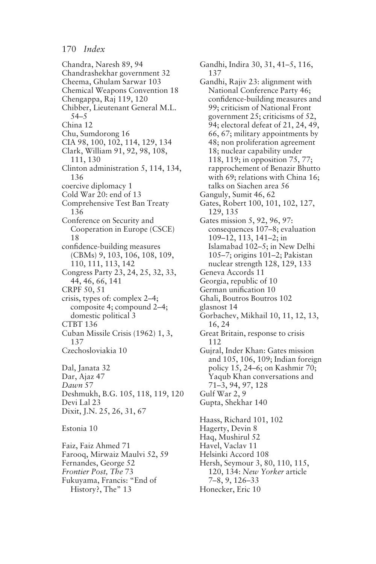## 170 *Index*

Chandra, Naresh 89, 94 Chandrashekhar government 32 Cheema, Ghulam Sarwar 103 Chemical Weapons Convention 18 Chengappa, Raj 119, 120 Chibber, Lieutenant General M.L. 54–5 China 12 Chu, Sumdorong 16 CIA 98, 100, 102, 114, 129, 134 Clark, William 91, 92, 98, 108, 111, 130 Clinton administration 5, 114, 134, 136 coercive diplomacy 1 Cold War 20: end of 13 Comprehensive Test Ban Treaty 136 Conference on Security and Cooperation in Europe (CSCE) 18 confidence-building measures (CBMs) 9, 103, 106, 108, 109, 110, 111, 113, 142 Congress Party 23, 24, 25, 32, 33, 44, 46, 66, 141 CRPF 50, 51 crisis, types of: complex 2–4; composite 4; compound 2–4; domestic political 3 CTBT 136 Cuban Missile Crisis (1962) 1, 3, 137 Czechosloviakia 10 Dal, Janata 32 Dar, Ajaz 47 *Dawn* 57 Deshmukh, B.G. 105, 118, 119, 120 Devi Lal 23 Dixit, J.N. 25, 26, 31, 67 Estonia 10 Faiz, Faiz Ahmed 71 Farooq, Mirwaiz Maulvi 52, 59 Fernandes, George 52 *Frontier Post, The* 73 Fukuyama, Francis: "End of

History?, The" 13

Gandhi, Indira 30, 31, 41–5, 116, 137

Gandhi, Rajiv 23: alignment with National Conference Party 46; confidence-building measures and 99; criticism of National Front government 25; criticisms of 52, 94; electoral defeat of 21, 24, 49, 66, 67; military appointments by 48; non proliferation agreement 18; nuclear capability under 118, 119; in opposition 75, 77; rapprochement of Benazir Bhutto with 69; relations with China 16; talks on Siachen area 56 Ganguly, Sumit 46, 62

Gates, Robert 100, 101, 102, 127,

129, 135 Gates mission 5, 92, 96, 97: consequences 107–8; evaluation 109–12, 113, 141–2; in Islamabad 102–5; in New Delhi 105–7; origins 101–2; Pakistan nuclear strength 128, 129, 133

Geneva Accords 11

Georgia, republic of 10

German unification 10

Ghali, Boutros Boutros 102

glasnost 14

Gorbachev, Mikhail 10, 11, 12, 13, 16, 24

Great Britain, response to crisis 112

Gujral, Inder Khan: Gates mission and 105, 106, 109; Indian foreign policy 15, 24–6; on Kashmir 70; Yaqub Khan conversations and 71–3, 94, 97, 128

Gulf War 2, 9 Gupta, Shekhar 140

- Haass, Richard 101, 102
- Hagerty, Devin 8
- Haq, Mushirul 52
- Havel, Vaclav 11
- Helsinki Accord 108
- Hersh, Seymour 3, 80, 110, 115, 120, 134: *New Yorker* article 7–8, 9, 126–33

Honecker, Eric 10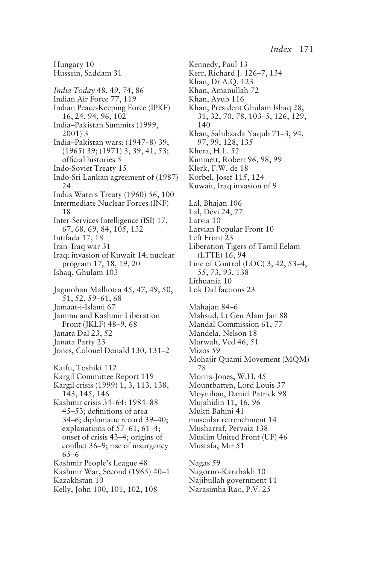Hussein, Saddam 31 *India Today* 48, 49, 74, 86 Indian Air Force 77, 119 Indian Peace-Keeping Force (IPKF) 16, 24, 94, 96, 102 India–Pakistan Summits (1999, 2001) 3 India–Pakistan wars: (1947–8) 39; (1965) 39; (1971) 3, 39, 41, 53; official histories 5 Indo-Soviet Treaty 15 Indo-Sri Lankan agreement of (1987) 24 Indus Waters Treaty (1960) 56, 100 Intermediate Nuclear Forces (INF) 18 Inter-Services Intelligence (ISI) 17, 67, 68, 69, 84, 105, 132 Intifada 17, 18 Iran–Iraq war 31 Iraq: invasion of Kuwait 14; nuclear program 17, 18, 19, 20 Ishaq, Ghulam 103 Jagmohan Malhotra 45, 47, 49, 50, 51, 52, 59–61, 68 Jamaat-i-Islami 67 Jammu and Kashmir Liberation Front (JKLF) 48–9, 68 Janata Dal 23, 52 Janata Party 23 Jones, Colonel Donald 130, 131–2 Kaifu, Toshiki 112 Kargil Committee Report 119 Kargil crisis (1999) 1, 3, 113, 138, 143, 145, 146 Kashmir crisis 34–64: 1984–88 45–53; definitions of area 34–6; diplomatic record 39–40; explanations of 57–61, 61–4; onset of crisis 43–4; origins of conflict 36–9; rise of insurgency 65–6 Kashmir People's League 48 Kashmir War, Second (1965) 40–1 Kazakhstan 10 Kelly, John 100, 101, 102, 108

Hungary 10

Kennedy, Paul 13 Kerr, Richard J. 126–7, 134 Khan, Dr A.Q. 123 Khan, Amanullah 72 Khan, Ayub 116 Khan, President Ghulam Ishaq 28, 31, 32, 70, 78, 103–5, 126, 129, 140 Khan, Sahibzada Yaqub 71–3, 94, 97, 99, 128, 135 Khera, H.L. 52 Kimmett, Robert 96, 98, 99 Klerk, F.W. de 18 Korbel, Josef 115, 124 Kuwait, Iraq invasion of 9 Lal, Bhajan 106 Lal, Devi 24, 77 Latvia 10 Latvian Popular Front 10 Left Front 23 Liberation Tigers of Tamil Eelam (LTTE) 16, 94 Line of Control (LOC) 3, 42, 53–4, 55, 73, 93, 138 Lithuania 10 Lok Dal factions 23 Mahajan 84–6 Mahsud, Lt Gen Alam Jan 88 Mandal Commission 61, 77 Mandela, Nelson 18 Marwah, Ved 46, 51 Mizos 59 Mohajir Quami Movement (MQM) 78 Morris-Jones, W.H. 45 Mountbatten, Lord Louis 37 Moynihan, Daniel Patrick 98 Mujahidin 11, 16, 96 Mukti Bahini 41 muscular retrenchment 14 Musharraf, Pervaiz 138 Muslim United Front (UF) 46 Mustafa, Mir 51

Nagas 59 Nagorno-Karabakh 10 Najibullah government 11 Narasimha Rao, P.V. 25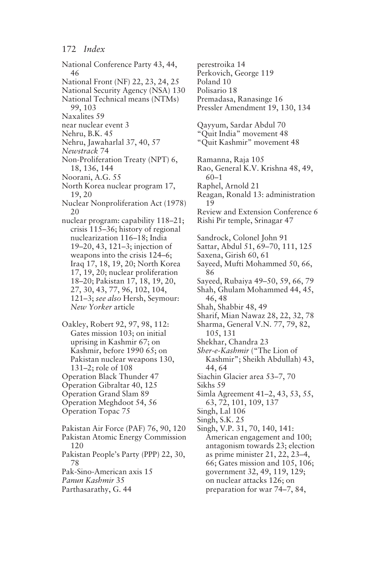National Conference Party 43, 44, 46 National Front (NF) 22, 23, 24, 25 National Security Agency (NSA) 130 National Technical means (NTMs) 99, 103 Naxalites 59 near nuclear event 3 Nehru, B.K. 45 Nehru, Jawaharlal 37, 40, 57 *Newstrack* 74 Non-Proliferation Treaty (NPT) 6, 18, 136, 144 Noorani, A.G. 55 North Korea nuclear program 17, 19, 20 Nuclear Nonproliferation Act (1978) 20 nuclear program: capability 118–21; crisis 115–36; history of regional nuclearization 116–18; India 19–20, 43, 121–3; injection of weapons into the crisis 124–6; Iraq 17, 18, 19, 20; North Korea 17, 19, 20; nuclear proliferation 18–20; Pakistan 17, 18, 19, 20, 27, 30, 43, 77, 96, 102, 104, 121–3; *see also* Hersh, Seymour: *New Yorker* article

Oakley, Robert 92, 97, 98, 112: Gates mission 103; on initial uprising in Kashmir 67; on Kashmir, before 1990 65; on Pakistan nuclear weapons 130, 131–2; role of 108 Operation Black Thunder 47 Operation Gibraltar 40, 125 Operation Grand Slam 89

- Operation Meghdoot 54, 56
- Operation Topac 75
- Pakistan Air Force (PAF) 76, 90, 120 Pakistan Atomic Energy Commission 120
- Pakistan People's Party (PPP) 22, 30, 78
- Pak-Sino-American axis 15
- *Panun Kashmir* 35
- Parthasarathy, G. 44

perestroika 14 Perkovich, George 119 Poland 10 Polisario 18 Premadasa, Ranasinge 16 Pressler Amendment 19, 130, 134 Qayyum, Sardar Abdul 70 "Quit India" movement 48 "Quit Kashmir" movement 48 Ramanna, Raja 105 Rao, General K.V. Krishna 48, 49, 60–1 Raphel, Arnold 21 Reagan, Ronald 13: administration 19 Review and Extension Conference 6 Rishi Pir temple, Srinagar 47 Sandrock, Colonel John 91 Sattar, Abdul 51, 69–70, 111, 125 Saxena, Girish 60, 61 Sayeed, Mufti Mohammed 50, 66, 86 Sayeed, Rubaiya 49–50, 59, 66, 79 Shah, Ghulam Mohammed 44, 45, 46, 48 Shah, Shabbir 48, 49 Sharif, Mian Nawaz 28, 22, 32, 78 Sharma, General V.N. 77, 79, 82, 105, 131 Shekhar, Chandra 23 *Sher-e-Kashmir* ("The Lion of Kashmir"; Sheikh Abdullah) 43, 44, 64 Siachin Glacier area 53–7, 70 Sikhs 59 Simla Agreement 41–2, 43, 53, 55, 63, 72, 101, 109, 137 Singh, Lal 106 Singh, S.K. 25 Singh, V.P. 31, 70, 140, 141: American engagement and 100; antagonism towards 23; election as prime minister 21, 22, 23–4, 66; Gates mission and 105, 106; government 32, 49, 119, 129; on nuclear attacks 126; on preparation for war 74–7, 84,